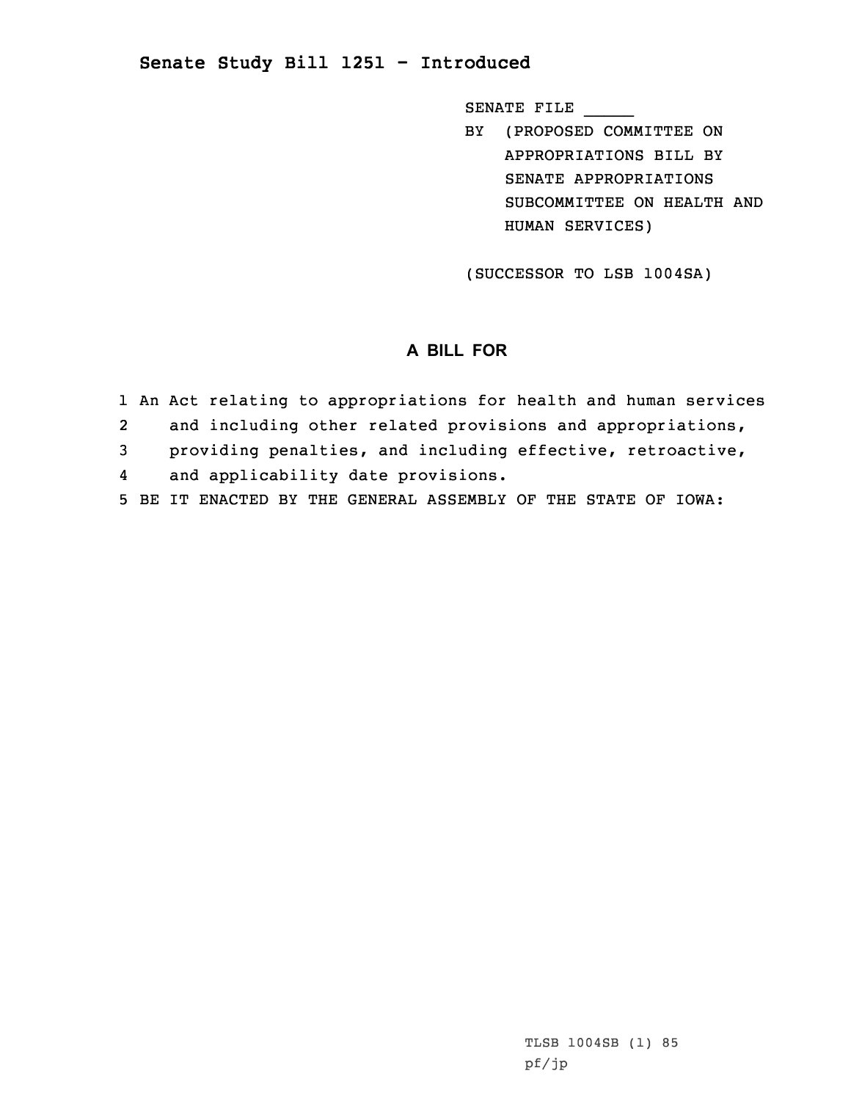## **Senate Study Bill 1251 - Introduced**

SENATE FILE \_\_\_\_\_

BY (PROPOSED COMMITTEE ON APPROPRIATIONS BILL BY SENATE APPROPRIATIONS SUBCOMMITTEE ON HEALTH AND HUMAN SERVICES)

(SUCCESSOR TO LSB 1004SA)

## **A BILL FOR**

- 1 An Act relating to appropriations for health and human services 2 and including other related provisions and appropriations, 3 providing penalties, and including effective, retroactive,
- 4and applicability date provisions.
- 5 BE IT ENACTED BY THE GENERAL ASSEMBLY OF THE STATE OF IOWA: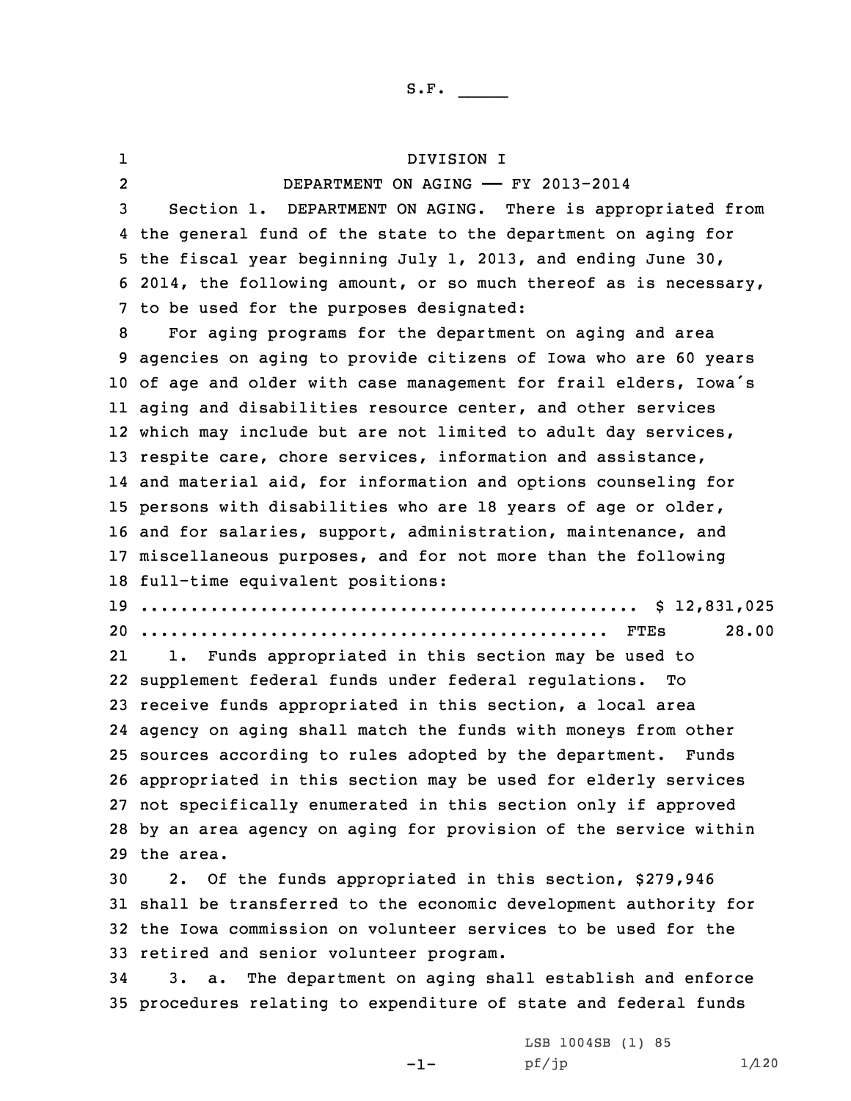1 DIVISION I 2 DEPARTMENT ON AGING —— FY 2013-2014 Section 1. DEPARTMENT ON AGING. There is appropriated from the general fund of the state to the department on aging for the fiscal year beginning July 1, 2013, and ending June 30, 2014, the following amount, or so much thereof as is necessary, to be used for the purposes designated: For aging programs for the department on aging and area agencies on aging to provide citizens of Iowa who are 60 years of age and older with case management for frail elders, Iowa's aging and disabilities resource center, and other services which may include but are not limited to adult day services, respite care, chore services, information and assistance, and material aid, for information and options counseling for persons with disabilities who are 18 years of age or older, and for salaries, support, administration, maintenance, and miscellaneous purposes, and for not more than the following full-time equivalent positions: .................................................. \$ 12,831,025 ............................................... FTEs 28.00 21 1. Funds appropriated in this section may be used to supplement federal funds under federal regulations. To receive funds appropriated in this section, <sup>a</sup> local area agency on aging shall match the funds with moneys from other sources according to rules adopted by the department. Funds appropriated in this section may be used for elderly services not specifically enumerated in this section only if approved by an area agency on aging for provision of the service within the area. 2. Of the funds appropriated in this section, \$279,946 shall be transferred to the economic development authority for the Iowa commission on volunteer services to be used for the retired and senior volunteer program.

34 3. a. The department on aging shall establish and enforce 35 procedures relating to expenditure of state and federal funds

 $-1-$ 

LSB 1004SB (1) 85  $pf/jp$  1/120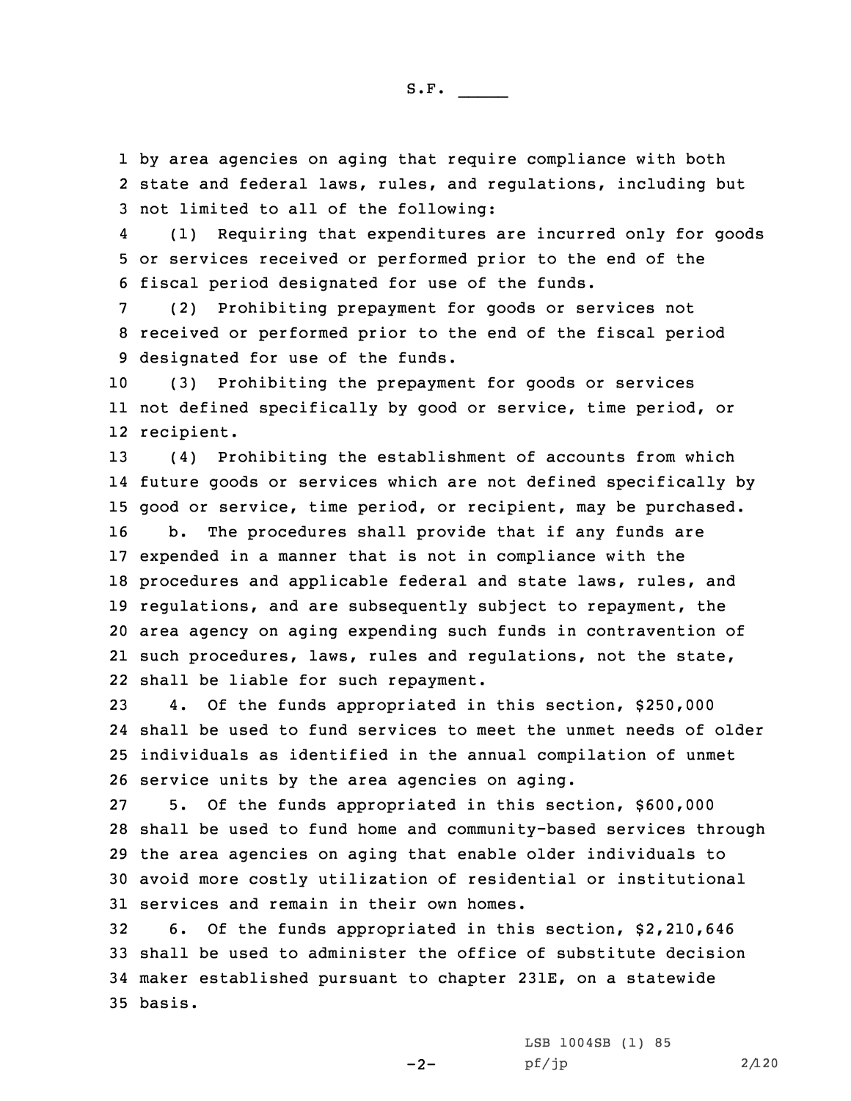1 by area agencies on aging that require compliance with both 2 state and federal laws, rules, and regulations, including but 3 not limited to all of the following:

4 (1) Requiring that expenditures are incurred only for goods 5 or services received or performed prior to the end of the 6 fiscal period designated for use of the funds.

7 (2) Prohibiting prepayment for goods or services not 8 received or performed prior to the end of the fiscal period 9 designated for use of the funds.

10 (3) Prohibiting the prepayment for goods or services 11 not defined specifically by good or service, time period, or 12 recipient.

 (4) Prohibiting the establishment of accounts from which future goods or services which are not defined specifically by good or service, time period, or recipient, may be purchased. b. The procedures shall provide that if any funds are expended in <sup>a</sup> manner that is not in compliance with the procedures and applicable federal and state laws, rules, and regulations, and are subsequently subject to repayment, the area agency on aging expending such funds in contravention of such procedures, laws, rules and regulations, not the state, shall be liable for such repayment.

 4. Of the funds appropriated in this section, \$250,000 shall be used to fund services to meet the unmet needs of older individuals as identified in the annual compilation of unmet service units by the area agencies on aging.

 5. Of the funds appropriated in this section, \$600,000 shall be used to fund home and community-based services through the area agencies on aging that enable older individuals to avoid more costly utilization of residential or institutional services and remain in their own homes.

 6. Of the funds appropriated in this section, \$2,210,646 shall be used to administer the office of substitute decision maker established pursuant to chapter 231E, on <sup>a</sup> statewide 35 basis.

 $-2-$ 

LSB 1004SB (1) 85  $pf/jp$  2/120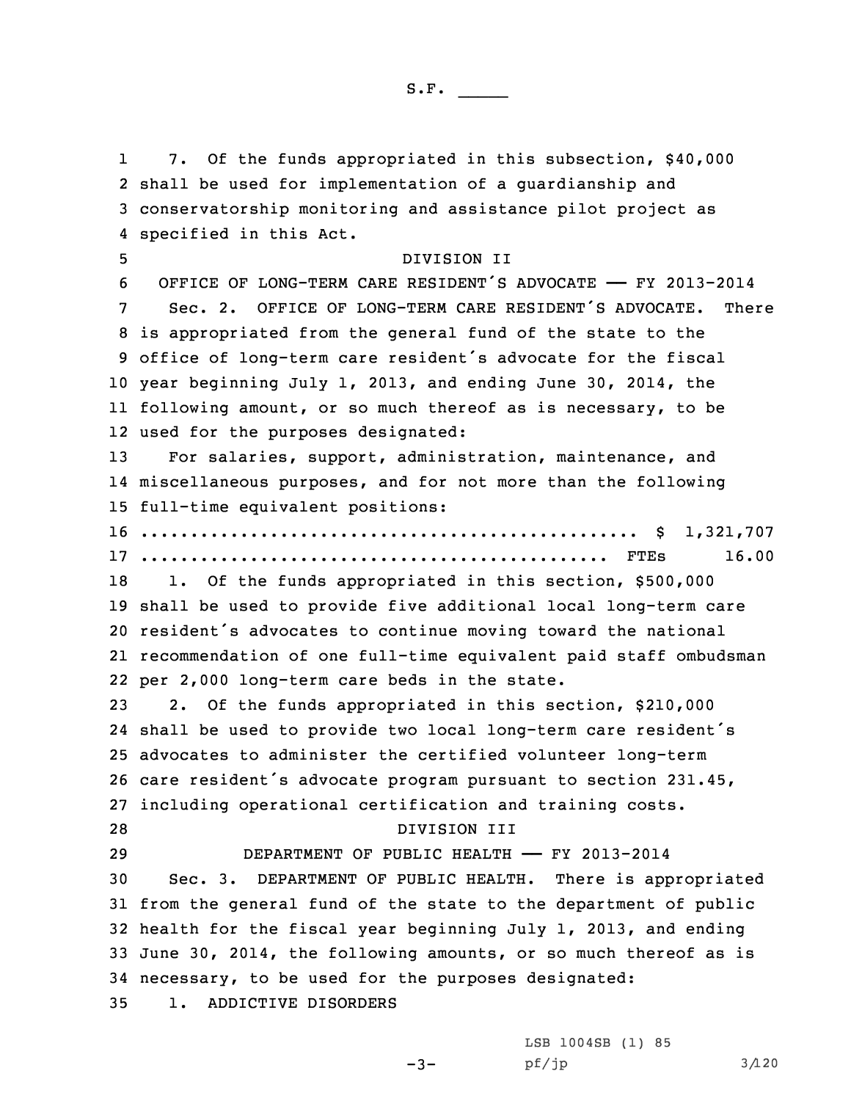1 7. Of the funds appropriated in this subsection, \$40,000 shall be used for implementation of <sup>a</sup> guardianship and conservatorship monitoring and assistance pilot project as specified in this Act. DIVISION II OFFICE OF LONG-TERM CARE RESIDENT'S ADVOCATE —— FY 2013-2014 Sec. 2. OFFICE OF LONG-TERM CARE RESIDENT'S ADVOCATE. There is appropriated from the general fund of the state to the office of long-term care resident's advocate for the fiscal year beginning July 1, 2013, and ending June 30, 2014, the following amount, or so much thereof as is necessary, to be used for the purposes designated: For salaries, support, administration, maintenance, and miscellaneous purposes, and for not more than the following full-time equivalent positions: .................................................. \$ 1,321,707 ............................................... FTEs 16.00 18 1. Of the funds appropriated in this section, \$500,000 shall be used to provide five additional local long-term care resident's advocates to continue moving toward the national recommendation of one full-time equivalent paid staff ombudsman per 2,000 long-term care beds in the state. 2. Of the funds appropriated in this section, \$210,000 shall be used to provide two local long-term care resident's advocates to administer the certified volunteer long-term care resident's advocate program pursuant to section 231.45, including operational certification and training costs. DIVISION III DEPARTMENT OF PUBLIC HEALTH —— FY 2013-2014 Sec. 3. DEPARTMENT OF PUBLIC HEALTH. There is appropriated from the general fund of the state to the department of public health for the fiscal year beginning July 1, 2013, and ending June 30, 2014, the following amounts, or so much thereof as is necessary, to be used for the purposes designated: 1. ADDICTIVE DISORDERS

 $-3-$ 

LSB 1004SB (1) 85  $pf/jp$  3/120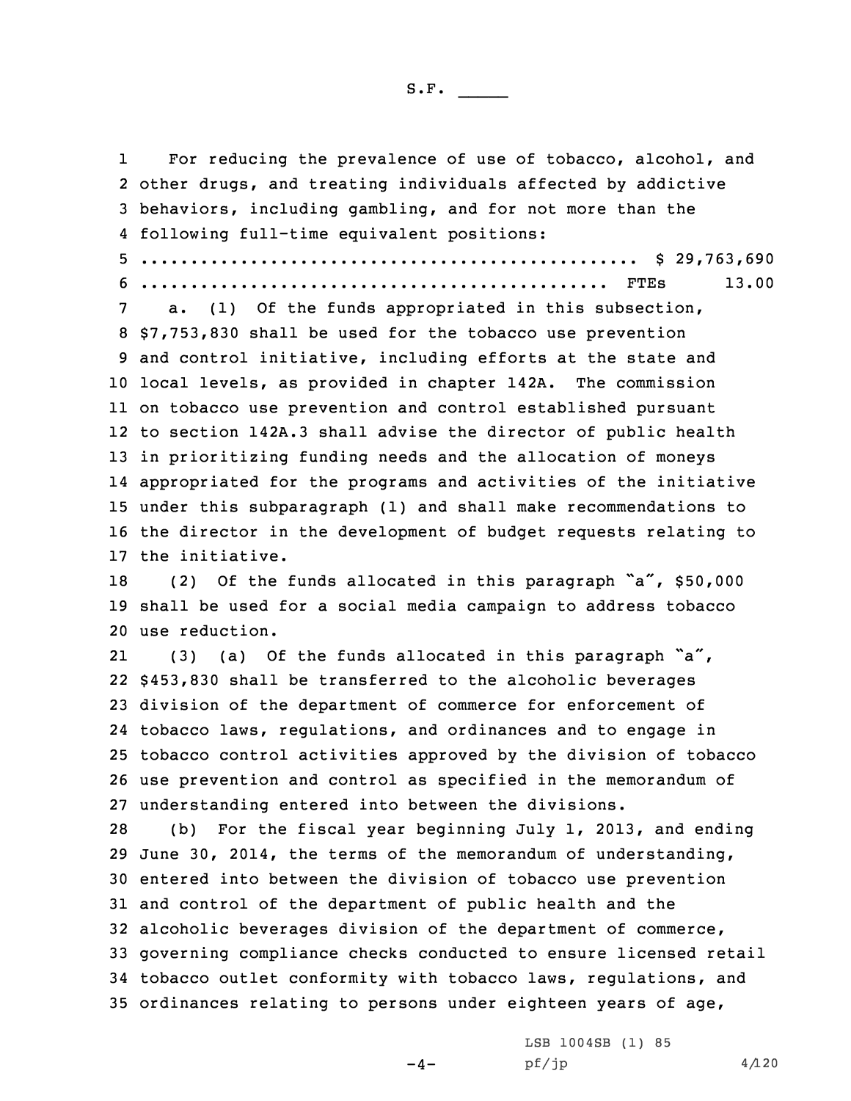1

 For reducing the prevalence of use of tobacco, alcohol, and other drugs, and treating individuals affected by addictive behaviors, including gambling, and for not more than the following full-time equivalent positions: .................................................. \$ 29,763,690 ............................................... FTEs 13.00 a. (1) Of the funds appropriated in this subsection, \$7,753,830 shall be used for the tobacco use prevention and control initiative, including efforts at the state and local levels, as provided in chapter 142A. The commission on tobacco use prevention and control established pursuant to section 142A.3 shall advise the director of public health in prioritizing funding needs and the allocation of moneys appropriated for the programs and activities of the initiative under this subparagraph (1) and shall make recommendations to the director in the development of budget requests relating to the initiative. (2) Of the funds allocated in this paragraph "a", \$50,000 shall be used for <sup>a</sup> social media campaign to address tobacco use reduction. 21(3) (a) Of the funds allocated in this paragraph  $a''$ , \$453,830 shall be transferred to the alcoholic beverages division of the department of commerce for enforcement of tobacco laws, regulations, and ordinances and to engage in tobacco control activities approved by the division of tobacco use prevention and control as specified in the memorandum of understanding entered into between the divisions. (b) For the fiscal year beginning July 1, 2013, and ending June 30, 2014, the terms of the memorandum of understanding, entered into between the division of tobacco use prevention and control of the department of public health and the alcoholic beverages division of the department of commerce, governing compliance checks conducted to ensure licensed retail tobacco outlet conformity with tobacco laws, regulations, and ordinances relating to persons under eighteen years of age,

 $-4-$ 

LSB 1004SB (1) 85  $pf/jp$  4/120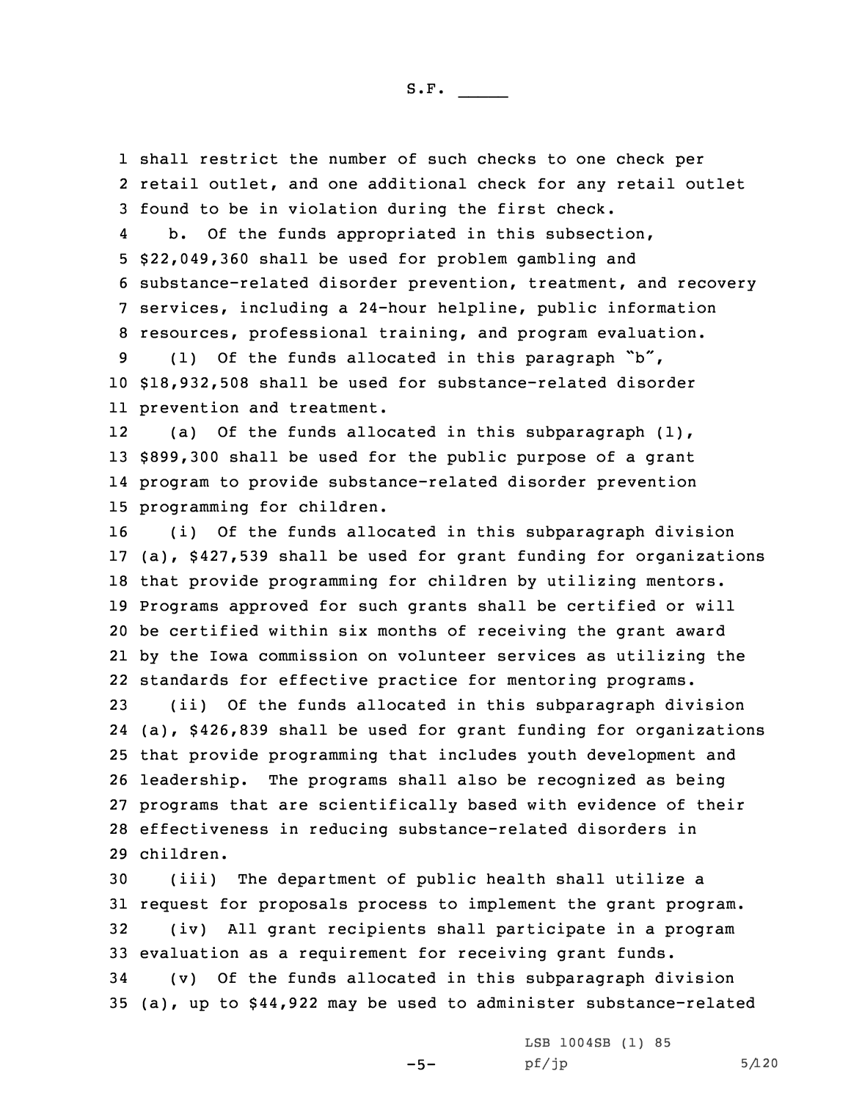1 shall restrict the number of such checks to one check per 2 retail outlet, and one additional check for any retail outlet 3 found to be in violation during the first check.

4 b. Of the funds appropriated in this subsection, \$22,049,360 shall be used for problem gambling and substance-related disorder prevention, treatment, and recovery services, including <sup>a</sup> 24-hour helpline, public information resources, professional training, and program evaluation.

<sup>9</sup> (1) Of the funds allocated in this paragraph "b", 10 \$18,932,508 shall be used for substance-related disorder 11 prevention and treatment.

12(a) Of the funds allocated in this subparagraph  $(1)$ , 13 \$899,300 shall be used for the public purpose of <sup>a</sup> grant 14 program to provide substance-related disorder prevention 15 programming for children.

 (i) Of the funds allocated in this subparagraph division (a), \$427,539 shall be used for grant funding for organizations that provide programming for children by utilizing mentors. Programs approved for such grants shall be certified or will be certified within six months of receiving the grant award by the Iowa commission on volunteer services as utilizing the standards for effective practice for mentoring programs.

 (ii) Of the funds allocated in this subparagraph division (a), \$426,839 shall be used for grant funding for organizations that provide programming that includes youth development and leadership. The programs shall also be recognized as being programs that are scientifically based with evidence of their effectiveness in reducing substance-related disorders in children.

 (iii) The department of public health shall utilize <sup>a</sup> request for proposals process to implement the grant program. (iv) All grant recipients shall participate in <sup>a</sup> program evaluation as <sup>a</sup> requirement for receiving grant funds. (v) Of the funds allocated in this subparagraph division (a), up to \$44,922 may be used to administer substance-related

 $-5-$ 

LSB 1004SB (1) 85  $pf/jp$  5/120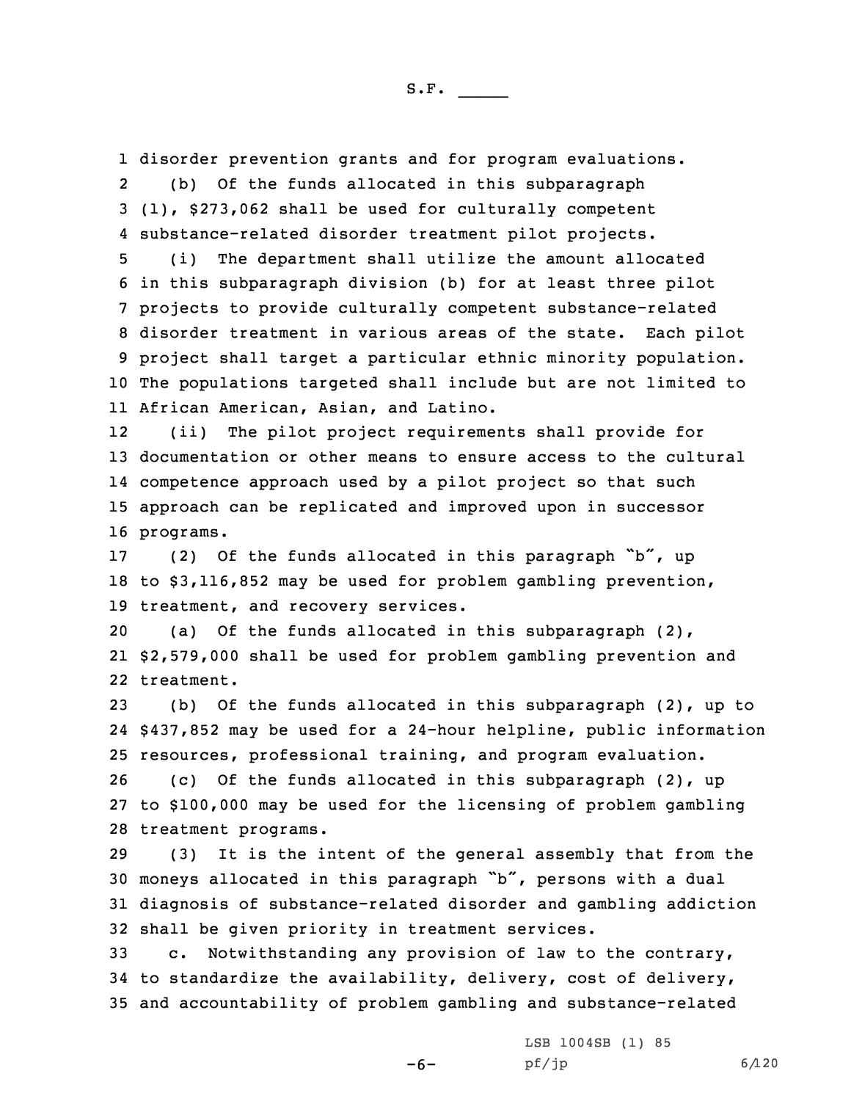1 disorder prevention grants and for program evaluations.

2 (b) Of the funds allocated in this subparagraph 3 (1), \$273,062 shall be used for culturally competent 4 substance-related disorder treatment pilot projects.

 (i) The department shall utilize the amount allocated in this subparagraph division (b) for at least three pilot projects to provide culturally competent substance-related disorder treatment in various areas of the state. Each pilot project shall target <sup>a</sup> particular ethnic minority population. The populations targeted shall include but are not limited to African American, Asian, and Latino.

12 (ii) The pilot project requirements shall provide for documentation or other means to ensure access to the cultural competence approach used by <sup>a</sup> pilot project so that such approach can be replicated and improved upon in successor programs.

17 (2) Of the funds allocated in this paragraph "b", up 18 to \$3,116,852 may be used for problem gambling prevention, 19 treatment, and recovery services.

20 (a) Of the funds allocated in this subparagraph (2), 21 \$2,579,000 shall be used for problem gambling prevention and 22 treatment.

23 (b) Of the funds allocated in this subparagraph (2), up to 24 \$437,852 may be used for <sup>a</sup> 24-hour helpline, public information 25 resources, professional training, and program evaluation.

26 (c) Of the funds allocated in this subparagraph (2), up 27 to \$100,000 may be used for the licensing of problem gambling 28 treatment programs.

 (3) It is the intent of the general assembly that from the moneys allocated in this paragraph "b", persons with <sup>a</sup> dual diagnosis of substance-related disorder and gambling addiction shall be given priority in treatment services.

33 c. Notwithstanding any provision of law to the contrary, 34 to standardize the availability, delivery, cost of delivery, 35 and accountability of problem gambling and substance-related

-6-

LSB 1004SB (1) 85  $pf/jp$  6/120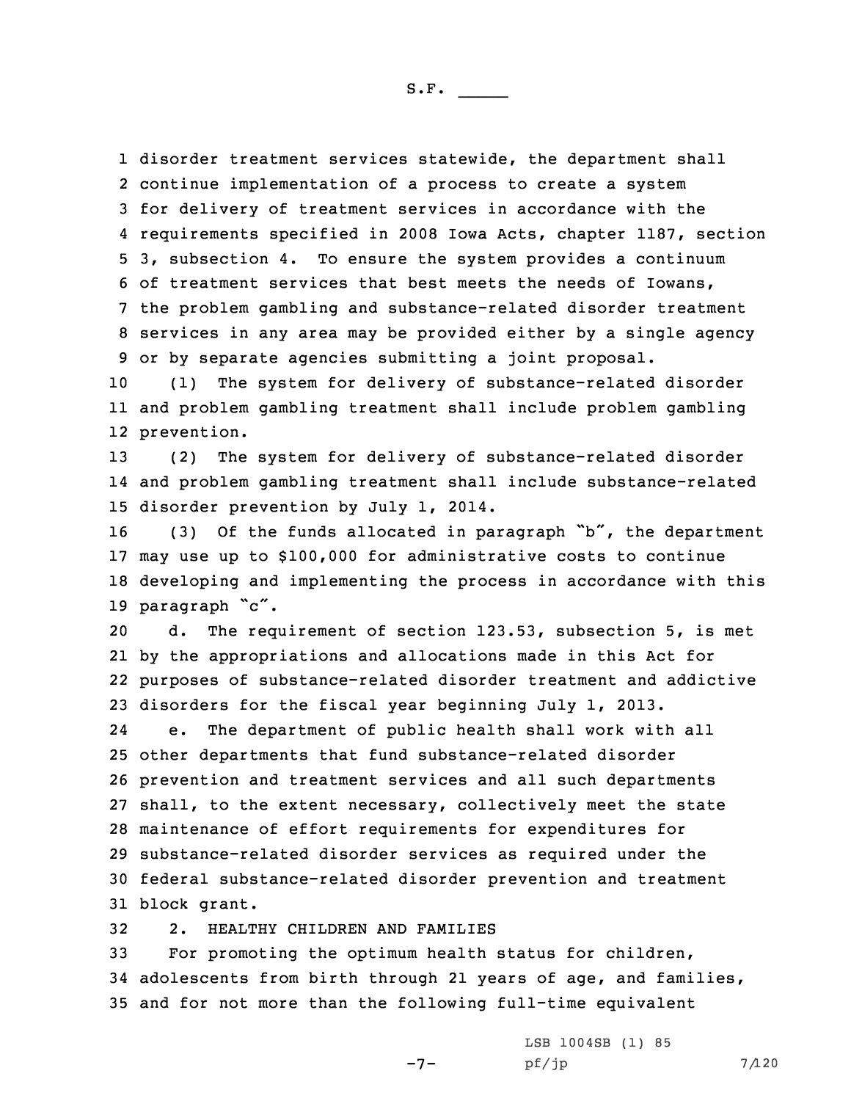disorder treatment services statewide, the department shall continue implementation of <sup>a</sup> process to create <sup>a</sup> system for delivery of treatment services in accordance with the requirements specified in 2008 Iowa Acts, chapter 1187, section 3, subsection 4. To ensure the system provides <sup>a</sup> continuum of treatment services that best meets the needs of Iowans, the problem gambling and substance-related disorder treatment services in any area may be provided either by <sup>a</sup> single agency or by separate agencies submitting <sup>a</sup> joint proposal.

10 (1) The system for delivery of substance-related disorder 11 and problem gambling treatment shall include problem gambling 12 prevention.

13 (2) The system for delivery of substance-related disorder 14 and problem gambling treatment shall include substance-related 15 disorder prevention by July 1, 2014.

16 (3) Of the funds allocated in paragraph "b", the department may use up to \$100,000 for administrative costs to continue developing and implementing the process in accordance with this paragraph "c".

 d. The requirement of section 123.53, subsection 5, is met by the appropriations and allocations made in this Act for purposes of substance-related disorder treatment and addictive disorders for the fiscal year beginning July 1, 2013.

24 e. The department of public health shall work with all other departments that fund substance-related disorder prevention and treatment services and all such departments shall, to the extent necessary, collectively meet the state maintenance of effort requirements for expenditures for substance-related disorder services as required under the federal substance-related disorder prevention and treatment block grant.

32 2. HEALTHY CHILDREN AND FAMILIES

33 For promoting the optimum health status for children, 34 adolescents from birth through 21 years of age, and families, 35 and for not more than the following full-time equivalent

-7-

LSB 1004SB (1) 85  $pf/jp$  7/120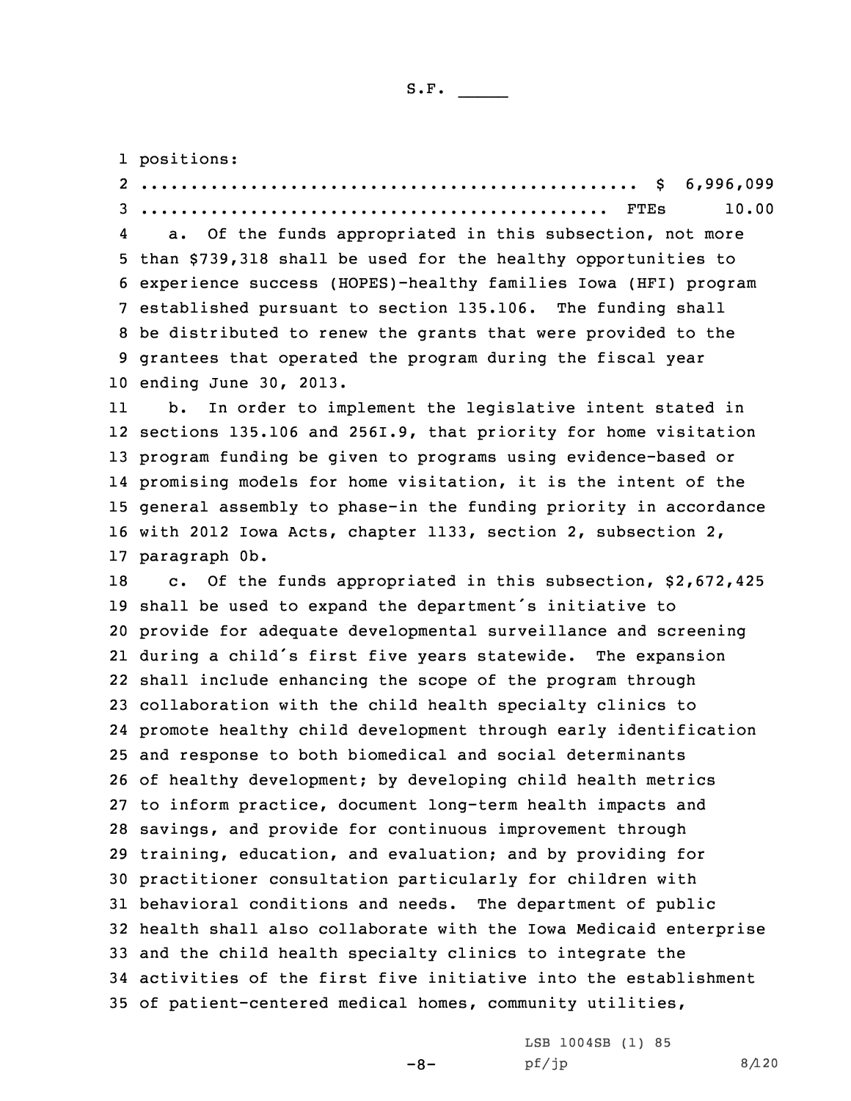1 positions:

 .................................................. \$ 6,996,099 ............................................... FTEs 10.00 4 a. Of the funds appropriated in this subsection, not more than \$739,318 shall be used for the healthy opportunities to experience success (HOPES)-healthy families Iowa (HFI) program established pursuant to section 135.106. The funding shall be distributed to renew the grants that were provided to the grantees that operated the program during the fiscal year ending June 30, 2013. 11 b. In order to implement the legislative intent stated in sections 135.106 and 256I.9, that priority for home visitation program funding be given to programs using evidence-based or promising models for home visitation, it is the intent of the general assembly to phase-in the funding priority in accordance with 2012 Iowa Acts, chapter 1133, section 2, subsection 2, paragraph 0b. 18 c. Of the funds appropriated in this subsection, \$2,672,425 shall be used to expand the department's initiative to provide for adequate developmental surveillance and screening during <sup>a</sup> child's first five years statewide. The expansion shall include enhancing the scope of the program through collaboration with the child health specialty clinics to promote healthy child development through early identification and response to both biomedical and social determinants of healthy development; by developing child health metrics to inform practice, document long-term health impacts and savings, and provide for continuous improvement through training, education, and evaluation; and by providing for practitioner consultation particularly for children with behavioral conditions and needs. The department of public health shall also collaborate with the Iowa Medicaid enterprise and the child health specialty clinics to integrate the activities of the first five initiative into the establishment of patient-centered medical homes, community utilities,

 $-8-$ 

LSB 1004SB (1) 85  $pf/jp$  8/120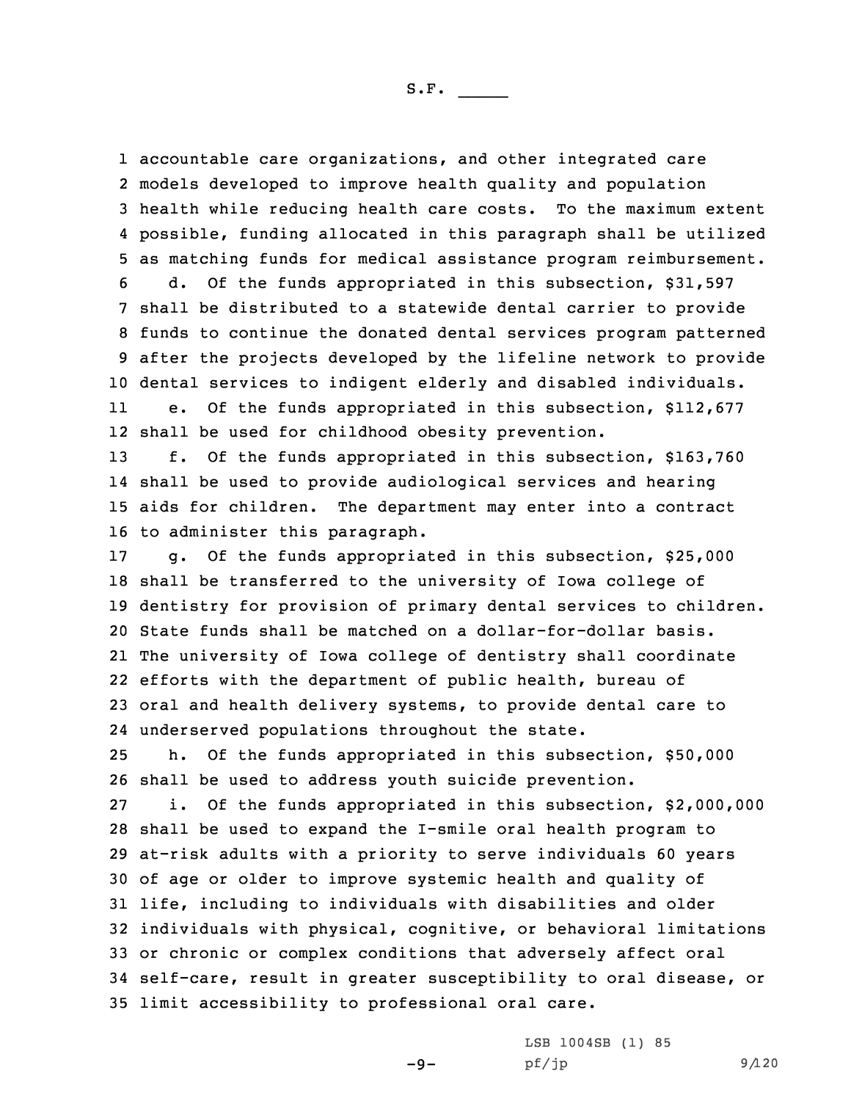accountable care organizations, and other integrated care models developed to improve health quality and population health while reducing health care costs. To the maximum extent possible, funding allocated in this paragraph shall be utilized as matching funds for medical assistance program reimbursement. d. Of the funds appropriated in this subsection, \$31,597 shall be distributed to <sup>a</sup> statewide dental carrier to provide funds to continue the donated dental services program patterned after the projects developed by the lifeline network to provide dental services to indigent elderly and disabled individuals. 11 e. Of the funds appropriated in this subsection, \$112,677 shall be used for childhood obesity prevention.

 f. Of the funds appropriated in this subsection, \$163,760 shall be used to provide audiological services and hearing aids for children. The department may enter into <sup>a</sup> contract to administer this paragraph.

 g. Of the funds appropriated in this subsection, \$25,000 shall be transferred to the university of Iowa college of dentistry for provision of primary dental services to children. State funds shall be matched on <sup>a</sup> dollar-for-dollar basis. The university of Iowa college of dentistry shall coordinate efforts with the department of public health, bureau of oral and health delivery systems, to provide dental care to underserved populations throughout the state.

25 h. Of the funds appropriated in this subsection, \$50,000 26 shall be used to address youth suicide prevention.

 i. Of the funds appropriated in this subsection, \$2,000,000 shall be used to expand the I-smile oral health program to at-risk adults with <sup>a</sup> priority to serve individuals 60 years of age or older to improve systemic health and quality of life, including to individuals with disabilities and older individuals with physical, cognitive, or behavioral limitations or chronic or complex conditions that adversely affect oral self-care, result in greater susceptibility to oral disease, or limit accessibility to professional oral care.

-9-

LSB 1004SB (1) 85  $pf/jp$  9/120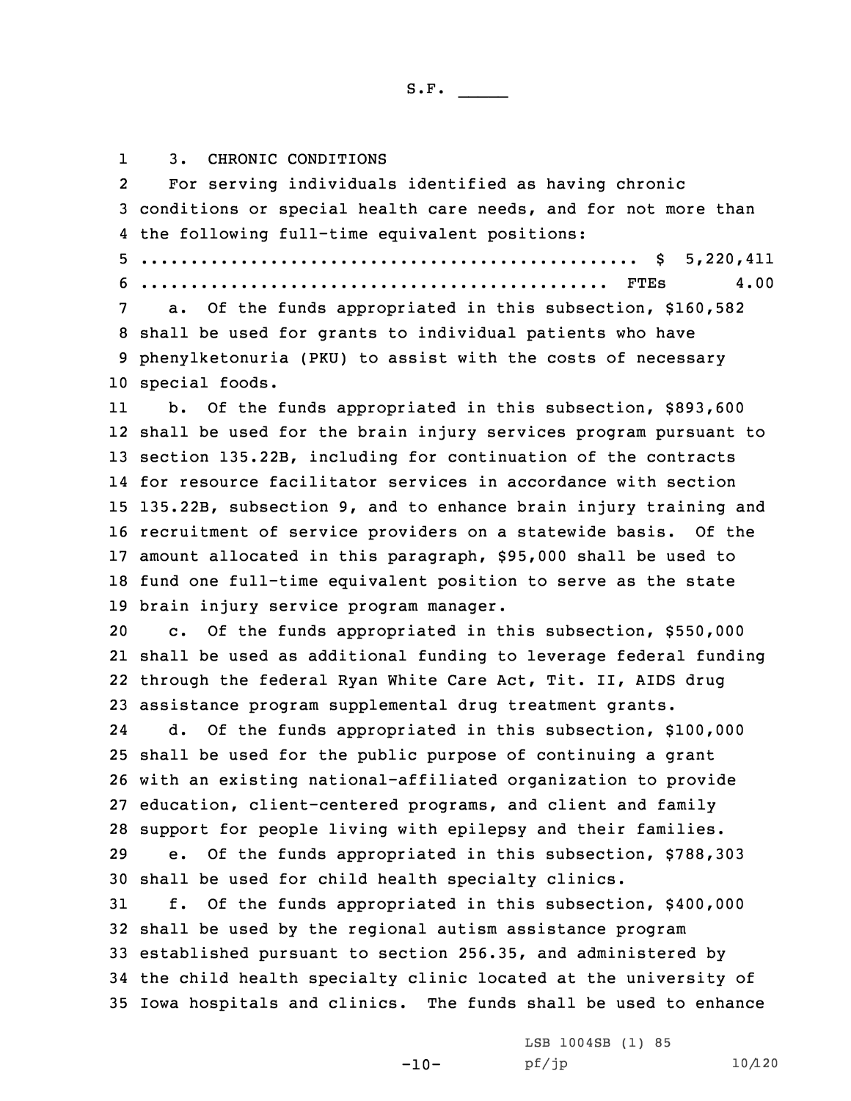13. CHRONIC CONDITIONS

2 For serving individuals identified as having chronic conditions or special health care needs, and for not more than the following full-time equivalent positions: .................................................. \$ 5,220,411 ............................................... FTEs 4.00 a. Of the funds appropriated in this subsection, \$160,582 shall be used for grants to individual patients who have phenylketonuria (PKU) to assist with the costs of necessary special foods. 11 b. Of the funds appropriated in this subsection, \$893,600 shall be used for the brain injury services program pursuant to section 135.22B, including for continuation of the contracts for resource facilitator services in accordance with section 135.22B, subsection 9, and to enhance brain injury training and recruitment of service providers on <sup>a</sup> statewide basis. Of the amount allocated in this paragraph, \$95,000 shall be used to fund one full-time equivalent position to serve as the state brain injury service program manager. c. Of the funds appropriated in this subsection, \$550,000 shall be used as additional funding to leverage federal funding through the federal Ryan White Care Act, Tit. II, AIDS drug assistance program supplemental drug treatment grants. 24 d. Of the funds appropriated in this subsection, \$100,000 shall be used for the public purpose of continuing <sup>a</sup> grant with an existing national-affiliated organization to provide education, client-centered programs, and client and family support for people living with epilepsy and their families. e. Of the funds appropriated in this subsection, \$788,303 shall be used for child health specialty clinics. f. Of the funds appropriated in this subsection, \$400,000 shall be used by the regional autism assistance program established pursuant to section 256.35, and administered by the child health specialty clinic located at the university of Iowa hospitals and clinics. The funds shall be used to enhance

 $-10-$ 

LSB 1004SB (1) 85 pf/jp 10/120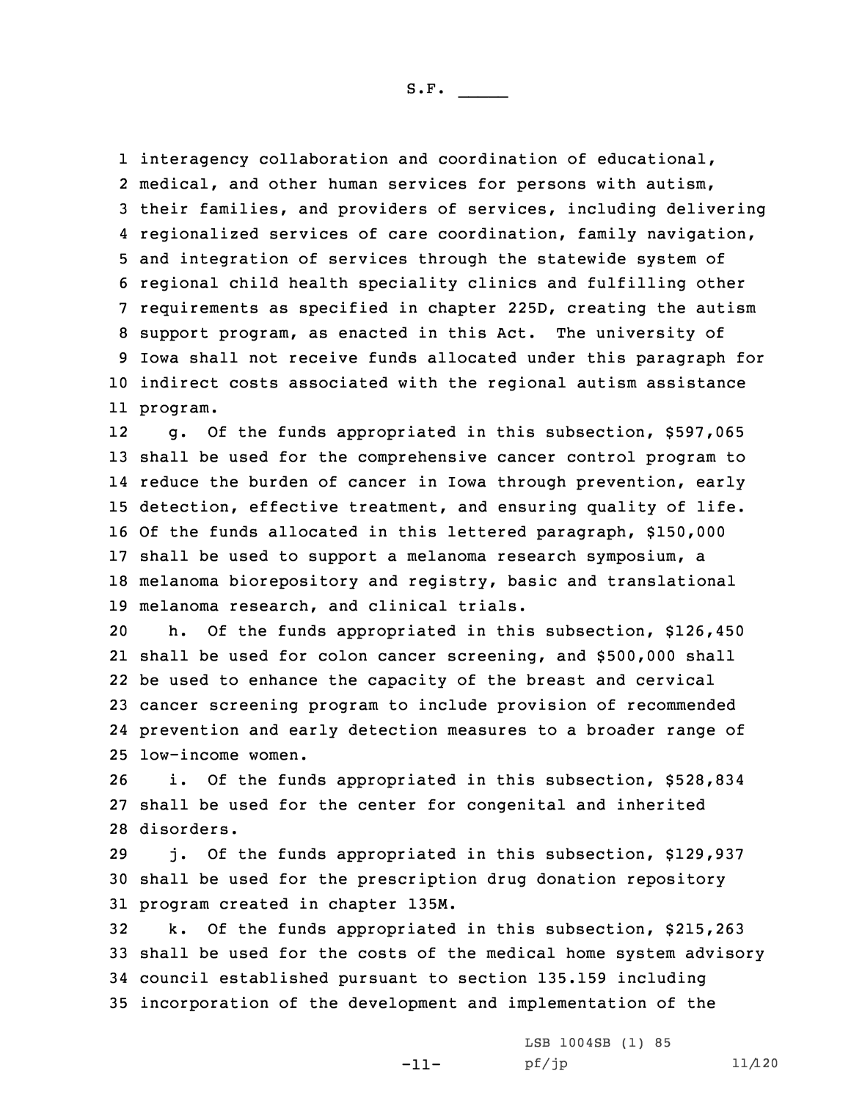interagency collaboration and coordination of educational, medical, and other human services for persons with autism, their families, and providers of services, including delivering regionalized services of care coordination, family navigation, and integration of services through the statewide system of regional child health speciality clinics and fulfilling other requirements as specified in chapter 225D, creating the autism support program, as enacted in this Act. The university of Iowa shall not receive funds allocated under this paragraph for indirect costs associated with the regional autism assistance 11 program.

12 g. Of the funds appropriated in this subsection, \$597,065 shall be used for the comprehensive cancer control program to reduce the burden of cancer in Iowa through prevention, early detection, effective treatment, and ensuring quality of life. Of the funds allocated in this lettered paragraph, \$150,000 shall be used to support <sup>a</sup> melanoma research symposium, <sup>a</sup> melanoma biorepository and registry, basic and translational melanoma research, and clinical trials.

 h. Of the funds appropriated in this subsection, \$126,450 shall be used for colon cancer screening, and \$500,000 shall be used to enhance the capacity of the breast and cervical cancer screening program to include provision of recommended prevention and early detection measures to <sup>a</sup> broader range of low-income women.

26 i. Of the funds appropriated in this subsection, \$528,834 27 shall be used for the center for congenital and inherited 28 disorders.

29 j. Of the funds appropriated in this subsection, \$129,937 30 shall be used for the prescription drug donation repository 31 program created in chapter 135M.

 k. Of the funds appropriated in this subsection, \$215,263 shall be used for the costs of the medical home system advisory council established pursuant to section 135.159 including incorporation of the development and implementation of the

-11-

LSB 1004SB (1) 85 pf/jp 11/120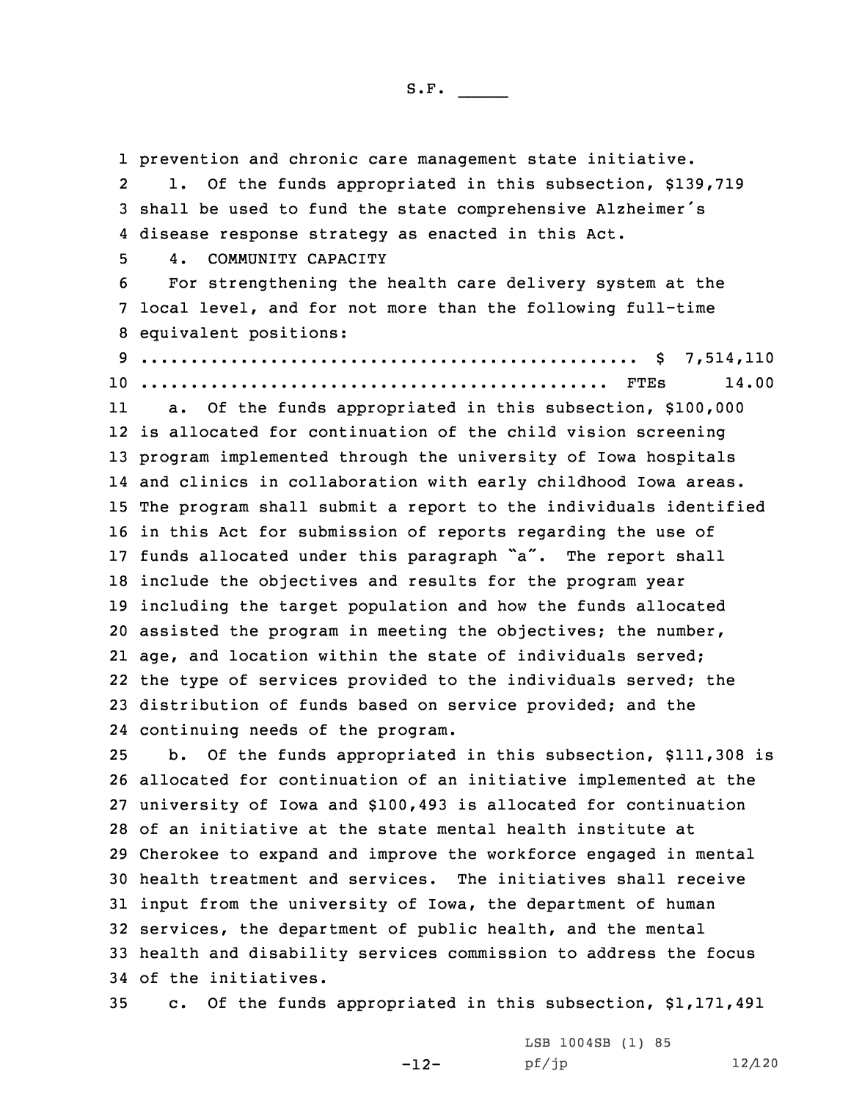prevention and chronic care management state initiative. 2 l. Of the funds appropriated in this subsection, \$139,719 shall be used to fund the state comprehensive Alzheimer's disease response strategy as enacted in this Act. 4. COMMUNITY CAPACITY For strengthening the health care delivery system at the local level, and for not more than the following full-time equivalent positions: .................................................. \$ 7,514,110 ............................................... FTEs 14.00 11 a. Of the funds appropriated in this subsection, \$100,000 is allocated for continuation of the child vision screening program implemented through the university of Iowa hospitals and clinics in collaboration with early childhood Iowa areas. The program shall submit <sup>a</sup> report to the individuals identified in this Act for submission of reports regarding the use of funds allocated under this paragraph "a". The report shall include the objectives and results for the program year including the target population and how the funds allocated assisted the program in meeting the objectives; the number, age, and location within the state of individuals served; the type of services provided to the individuals served; the distribution of funds based on service provided; and the continuing needs of the program. b. Of the funds appropriated in this subsection, \$111,308 is allocated for continuation of an initiative implemented at the university of Iowa and \$100,493 is allocated for continuation of an initiative at the state mental health institute at Cherokee to expand and improve the workforce engaged in mental health treatment and services. The initiatives shall receive input from the university of Iowa, the department of human services, the department of public health, and the mental health and disability services commission to address the focus of the initiatives. c. Of the funds appropriated in this subsection, \$1,171,491

> LSB 1004SB (1) 85 pf/jp 12/120

-12-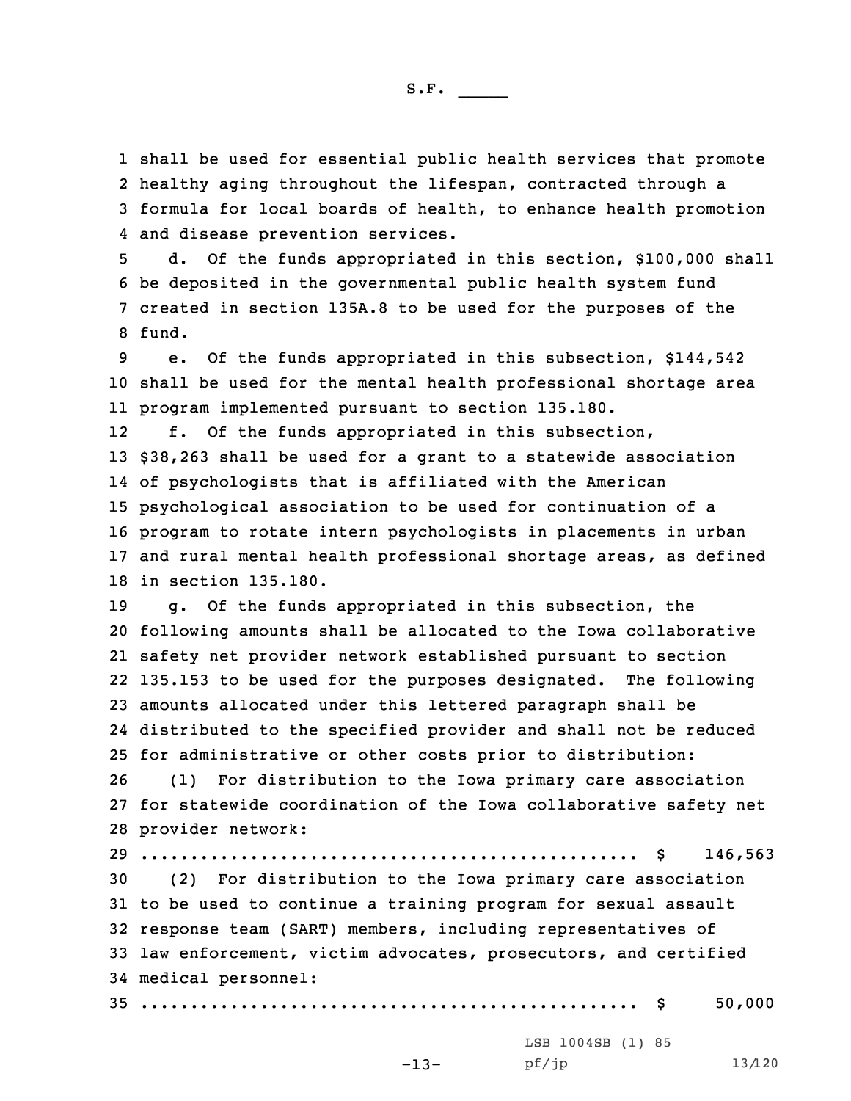shall be used for essential public health services that promote healthy aging throughout the lifespan, contracted through <sup>a</sup> formula for local boards of health, to enhance health promotion and disease prevention services.

 d. Of the funds appropriated in this section, \$100,000 shall be deposited in the governmental public health system fund created in section 135A.8 to be used for the purposes of the 8 fund.

9 e. Of the funds appropriated in this subsection, \$144,542 10 shall be used for the mental health professional shortage area 11 program implemented pursuant to section 135.180.

12 f. Of the funds appropriated in this subsection, \$38,263 shall be used for <sup>a</sup> grant to <sup>a</sup> statewide association of psychologists that is affiliated with the American psychological association to be used for continuation of <sup>a</sup> program to rotate intern psychologists in placements in urban and rural mental health professional shortage areas, as defined in section 135.180.

 g. Of the funds appropriated in this subsection, the following amounts shall be allocated to the Iowa collaborative safety net provider network established pursuant to section 135.153 to be used for the purposes designated. The following amounts allocated under this lettered paragraph shall be distributed to the specified provider and shall not be reduced for administrative or other costs prior to distribution:

26 (1) For distribution to the Iowa primary care association 27 for statewide coordination of the Iowa collaborative safety net 28 provider network:

 .................................................. \$ 146,563 (2) For distribution to the Iowa primary care association to be used to continue <sup>a</sup> training program for sexual assault response team (SART) members, including representatives of law enforcement, victim advocates, prosecutors, and certified medical personnel: .................................................. \$ 50,000

-13-

LSB 1004SB (1) 85 pf/jp 13/120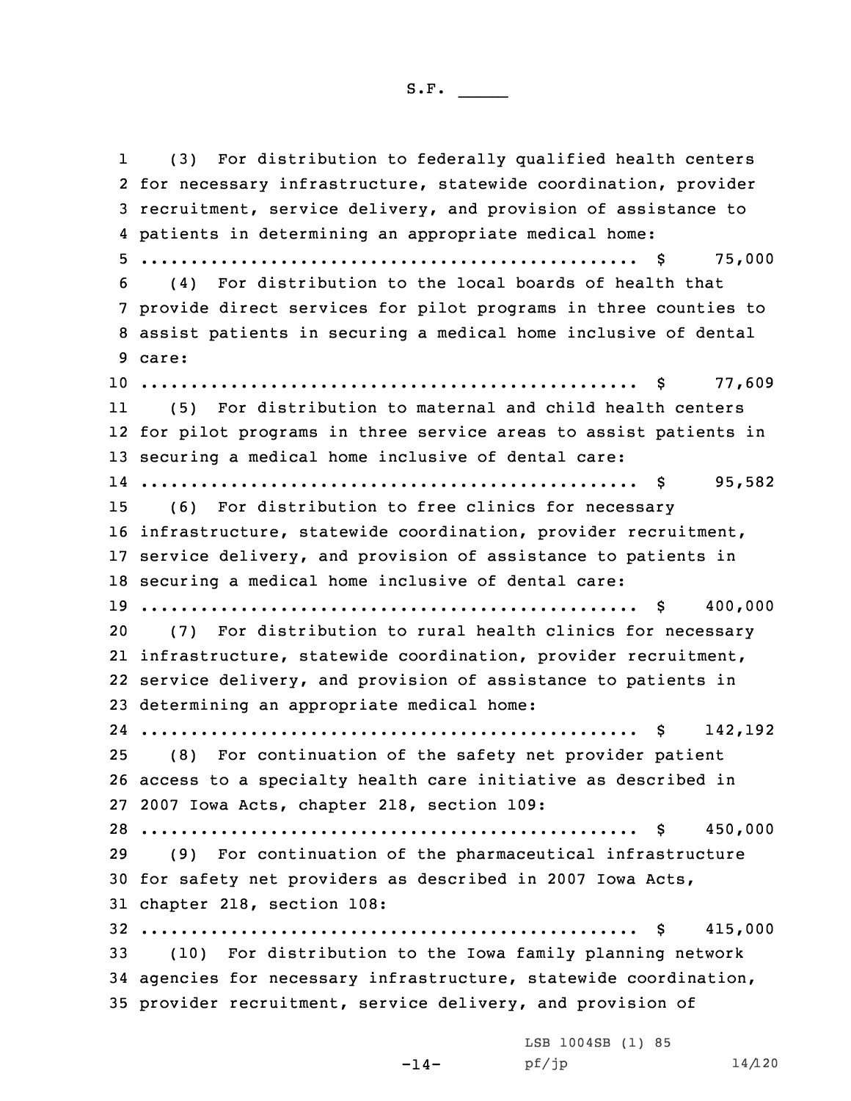1 (3) For distribution to federally qualified health centers for necessary infrastructure, statewide coordination, provider recruitment, service delivery, and provision of assistance to patients in determining an appropriate medical home: .................................................. \$ 75,000 (4) For distribution to the local boards of health that provide direct services for pilot programs in three counties to assist patients in securing <sup>a</sup> medical home inclusive of dental 9 care: .................................................. \$ 77,609 11 (5) For distribution to maternal and child health centers for pilot programs in three service areas to assist patients in securing <sup>a</sup> medical home inclusive of dental care: .................................................. \$ 95,582 (6) For distribution to free clinics for necessary infrastructure, statewide coordination, provider recruitment, service delivery, and provision of assistance to patients in securing <sup>a</sup> medical home inclusive of dental care: .................................................. \$ 400,000 (7) For distribution to rural health clinics for necessary infrastructure, statewide coordination, provider recruitment, service delivery, and provision of assistance to patients in determining an appropriate medical home: .................................................. \$ 142,192 (8) For continuation of the safety net provider patient access to <sup>a</sup> specialty health care initiative as described in 2007 Iowa Acts, chapter 218, section 109: .................................................. \$ 450,000 (9) For continuation of the pharmaceutical infrastructure for safety net providers as described in 2007 Iowa Acts, chapter 218, section 108: .................................................. \$ 415,000 (10) For distribution to the Iowa family planning network agencies for necessary infrastructure, statewide coordination, provider recruitment, service delivery, and provision of LSB 1004SB (1) 85

 $-14-$ 

pf/jp 14/120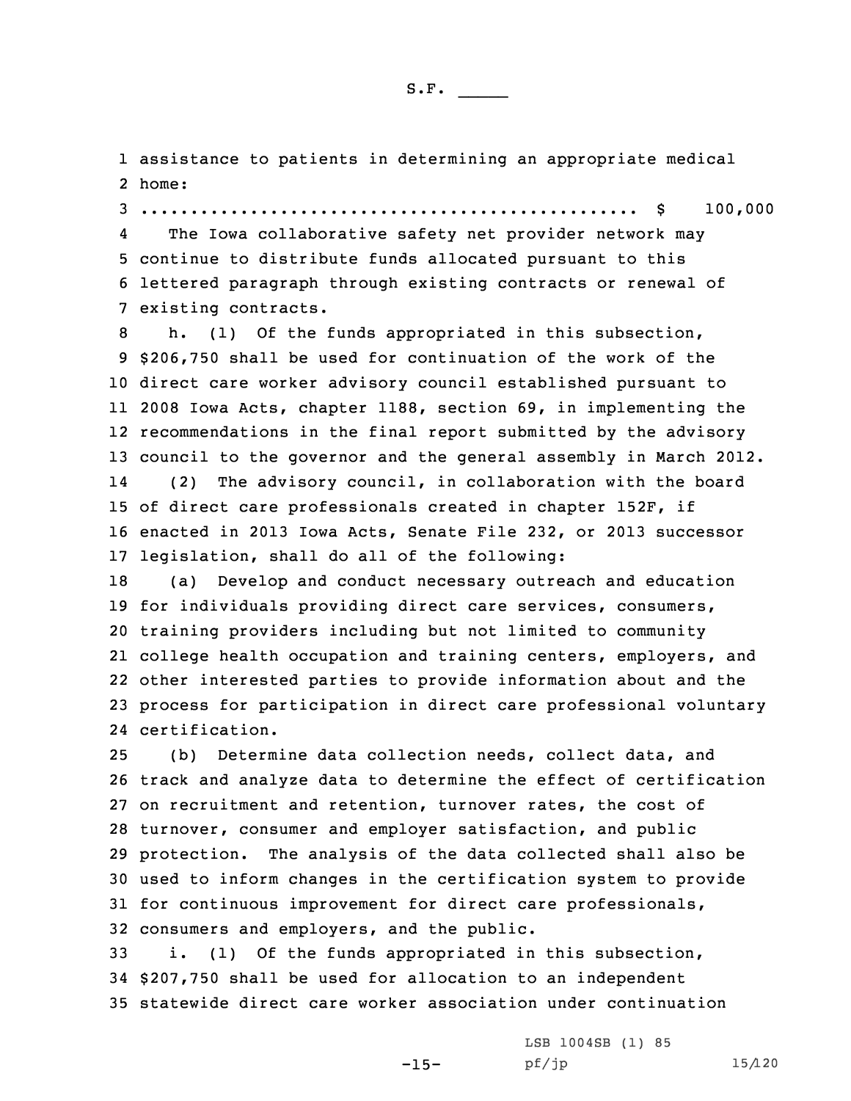1 assistance to patients in determining an appropriate medical 2 home:

3 .................................................. \$ 100,000

4 The Iowa collaborative safety net provider network may 5 continue to distribute funds allocated pursuant to this 6 lettered paragraph through existing contracts or renewal of 7 existing contracts.

 h. (1) Of the funds appropriated in this subsection, \$206,750 shall be used for continuation of the work of the direct care worker advisory council established pursuant to 2008 Iowa Acts, chapter 1188, section 69, in implementing the recommendations in the final report submitted by the advisory council to the governor and the general assembly in March 2012. 14 (2) The advisory council, in collaboration with the board of direct care professionals created in chapter 152F, if enacted in 2013 Iowa Acts, Senate File 232, or 2013 successor legislation, shall do all of the following:

 (a) Develop and conduct necessary outreach and education for individuals providing direct care services, consumers, training providers including but not limited to community college health occupation and training centers, employers, and other interested parties to provide information about and the process for participation in direct care professional voluntary certification.

 (b) Determine data collection needs, collect data, and track and analyze data to determine the effect of certification on recruitment and retention, turnover rates, the cost of turnover, consumer and employer satisfaction, and public protection. The analysis of the data collected shall also be used to inform changes in the certification system to provide for continuous improvement for direct care professionals, consumers and employers, and the public.

33 i. (1) Of the funds appropriated in this subsection, 34 \$207,750 shall be used for allocation to an independent 35 statewide direct care worker association under continuation

-15-

LSB 1004SB (1) 85 pf/jp 15/120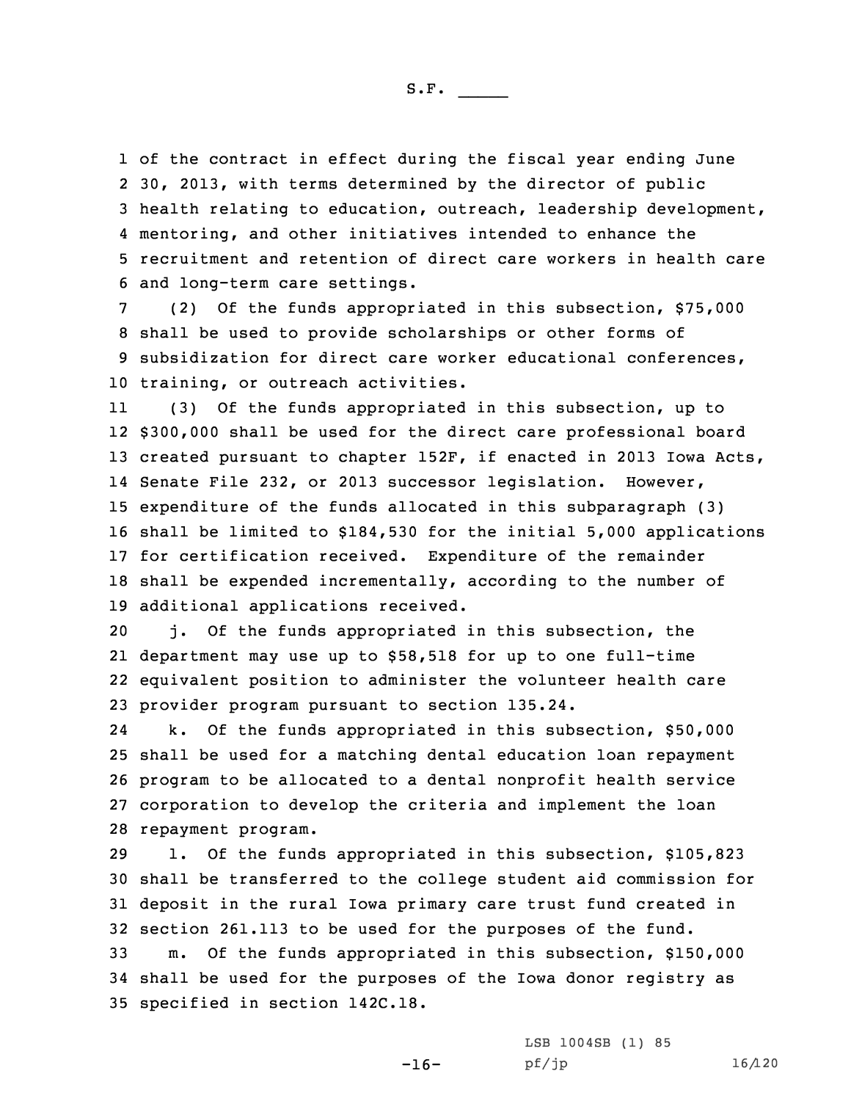of the contract in effect during the fiscal year ending June 30, 2013, with terms determined by the director of public health relating to education, outreach, leadership development, mentoring, and other initiatives intended to enhance the recruitment and retention of direct care workers in health care and long-term care settings.

 (2) Of the funds appropriated in this subsection, \$75,000 shall be used to provide scholarships or other forms of subsidization for direct care worker educational conferences, training, or outreach activities.

11 (3) Of the funds appropriated in this subsection, up to \$300,000 shall be used for the direct care professional board created pursuant to chapter 152F, if enacted in 2013 Iowa Acts, Senate File 232, or 2013 successor legislation. However, expenditure of the funds allocated in this subparagraph (3) shall be limited to \$184,530 for the initial 5,000 applications for certification received. Expenditure of the remainder shall be expended incrementally, according to the number of additional applications received.

 j. Of the funds appropriated in this subsection, the department may use up to \$58,518 for up to one full-time equivalent position to administer the volunteer health care provider program pursuant to section 135.24.

24 k. Of the funds appropriated in this subsection, \$50,000 shall be used for <sup>a</sup> matching dental education loan repayment program to be allocated to <sup>a</sup> dental nonprofit health service corporation to develop the criteria and implement the loan repayment program.

 l. Of the funds appropriated in this subsection, \$105,823 shall be transferred to the college student aid commission for deposit in the rural Iowa primary care trust fund created in section 261.113 to be used for the purposes of the fund. m. Of the funds appropriated in this subsection, \$150,000 shall be used for the purposes of the Iowa donor registry as specified in section 142C.18.

-16-

LSB 1004SB (1) 85 pf/jp 16/120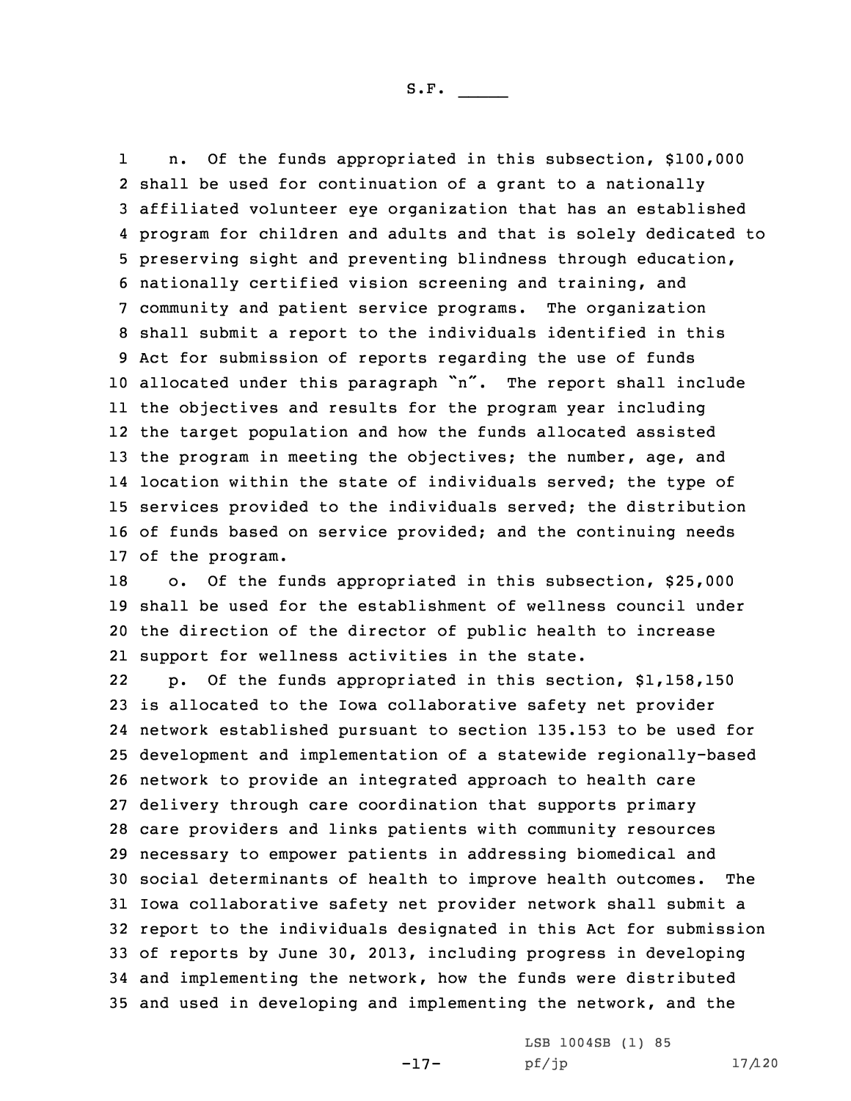1 n. Of the funds appropriated in this subsection, \$100,000 shall be used for continuation of <sup>a</sup> grant to <sup>a</sup> nationally affiliated volunteer eye organization that has an established program for children and adults and that is solely dedicated to preserving sight and preventing blindness through education, nationally certified vision screening and training, and community and patient service programs. The organization shall submit <sup>a</sup> report to the individuals identified in this Act for submission of reports regarding the use of funds allocated under this paragraph "n". The report shall include the objectives and results for the program year including the target population and how the funds allocated assisted 13 the program in meeting the objectives; the number, age, and location within the state of individuals served; the type of services provided to the individuals served; the distribution of funds based on service provided; and the continuing needs of the program.

 o. Of the funds appropriated in this subsection, \$25,000 shall be used for the establishment of wellness council under the direction of the director of public health to increase support for wellness activities in the state.

22 p. Of the funds appropriated in this section, \$1,158,150 is allocated to the Iowa collaborative safety net provider network established pursuant to section 135.153 to be used for development and implementation of <sup>a</sup> statewide regionally-based network to provide an integrated approach to health care delivery through care coordination that supports primary care providers and links patients with community resources necessary to empower patients in addressing biomedical and social determinants of health to improve health outcomes. The Iowa collaborative safety net provider network shall submit <sup>a</sup> report to the individuals designated in this Act for submission of reports by June 30, 2013, including progress in developing and implementing the network, how the funds were distributed and used in developing and implementing the network, and the

-17-

LSB 1004SB (1) 85 pf/jp 17/120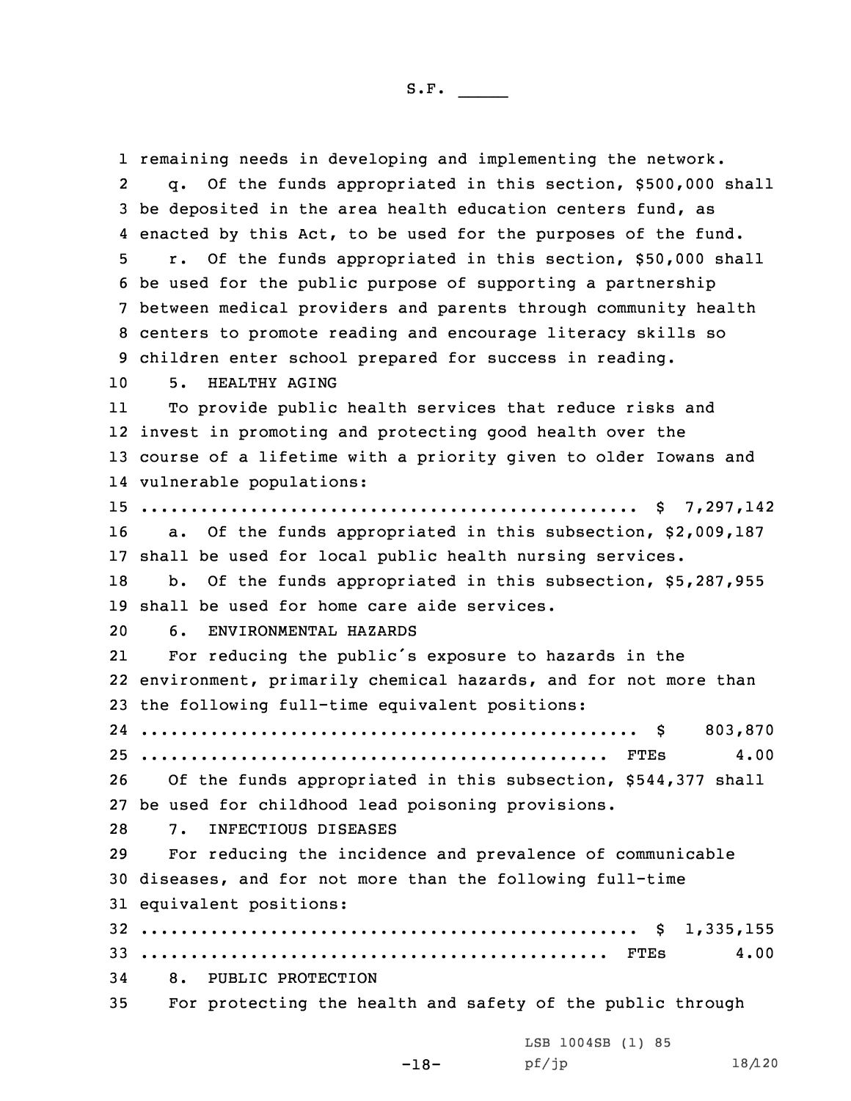remaining needs in developing and implementing the network. 2 q. Of the funds appropriated in this section, \$500,000 shall be deposited in the area health education centers fund, as enacted by this Act, to be used for the purposes of the fund. r. Of the funds appropriated in this section, \$50,000 shall be used for the public purpose of supporting <sup>a</sup> partnership between medical providers and parents through community health centers to promote reading and encourage literacy skills so children enter school prepared for success in reading. 5. HEALTHY AGING 11 To provide public health services that reduce risks and invest in promoting and protecting good health over the course of <sup>a</sup> lifetime with <sup>a</sup> priority given to older Iowans and vulnerable populations: .................................................. \$ 7,297,142 16 a. Of the funds appropriated in this subsection, \$2,009,187 shall be used for local public health nursing services. 18 b. Of the funds appropriated in this subsection, \$5,287,955 shall be used for home care aide services. 6. ENVIRONMENTAL HAZARDS 21 For reducing the public's exposure to hazards in the environment, primarily chemical hazards, and for not more than the following full-time equivalent positions: .................................................. \$ 803,870 ............................................... FTEs 4.00 Of the funds appropriated in this subsection, \$544,377 shall be used for childhood lead poisoning provisions. 7. INFECTIOUS DISEASES For reducing the incidence and prevalence of communicable diseases, and for not more than the following full-time equivalent positions: .................................................. \$ 1,335,155 ............................................... FTEs 4.00 8. PUBLIC PROTECTION For protecting the health and safety of the public through LSB 1004SB (1) 85

-18-

pf/jp 18/120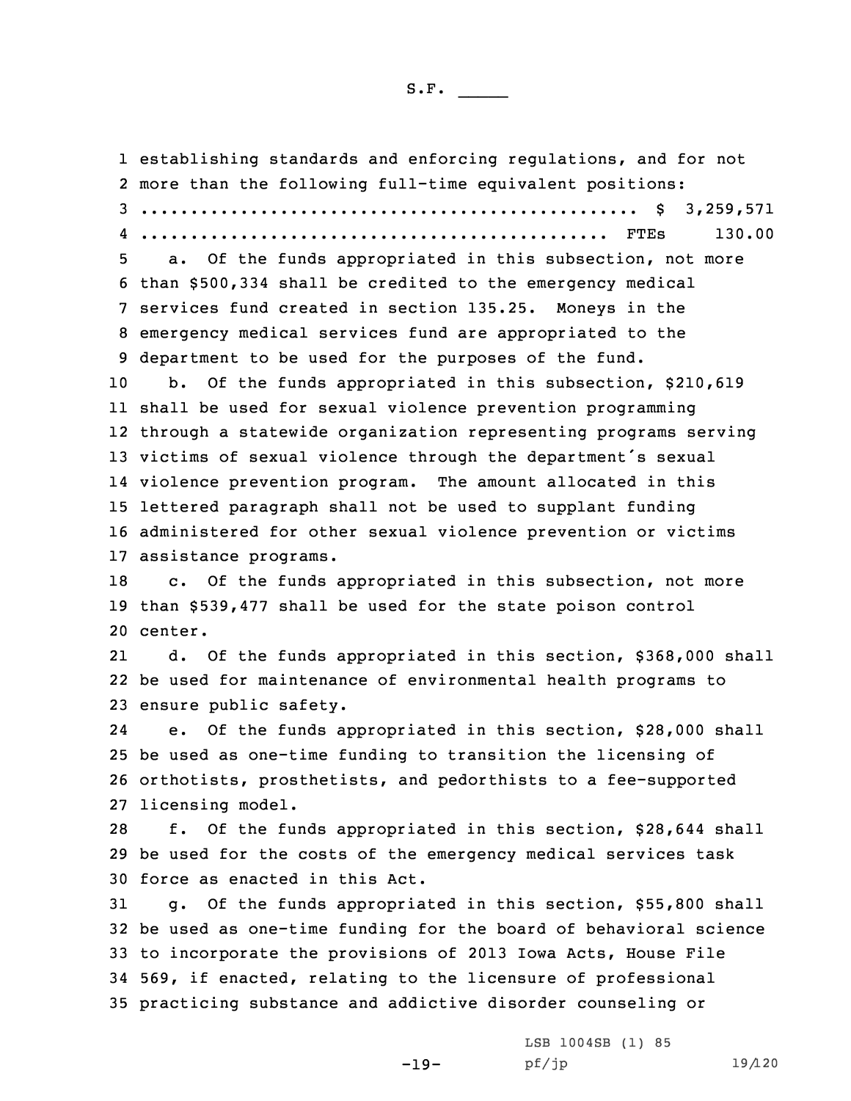establishing standards and enforcing regulations, and for not more than the following full-time equivalent positions: .................................................. \$ 3,259,571 ............................................... FTEs 130.00 a. Of the funds appropriated in this subsection, not more than \$500,334 shall be credited to the emergency medical services fund created in section 135.25. Moneys in the emergency medical services fund are appropriated to the department to be used for the purposes of the fund. b. Of the funds appropriated in this subsection, \$210,619 shall be used for sexual violence prevention programming through <sup>a</sup> statewide organization representing programs serving victims of sexual violence through the department's sexual violence prevention program. The amount allocated in this lettered paragraph shall not be used to supplant funding administered for other sexual violence prevention or victims assistance programs. c. Of the funds appropriated in this subsection, not more than \$539,477 shall be used for the state poison control 20 center. 21 d. Of the funds appropriated in this section, \$368,000 shall be used for maintenance of environmental health programs to ensure public safety. 24 e. Of the funds appropriated in this section, \$28,000 shall be used as one-time funding to transition the licensing of orthotists, prosthetists, and pedorthists to <sup>a</sup> fee-supported licensing model. f. Of the funds appropriated in this section, \$28,644 shall be used for the costs of the emergency medical services task force as enacted in this Act. g. Of the funds appropriated in this section, \$55,800 shall be used as one-time funding for the board of behavioral science to incorporate the provisions of 2013 Iowa Acts, House File 569, if enacted, relating to the licensure of professional practicing substance and addictive disorder counseling or LSB 1004SB (1) 85

-19-

pf/jp 19/120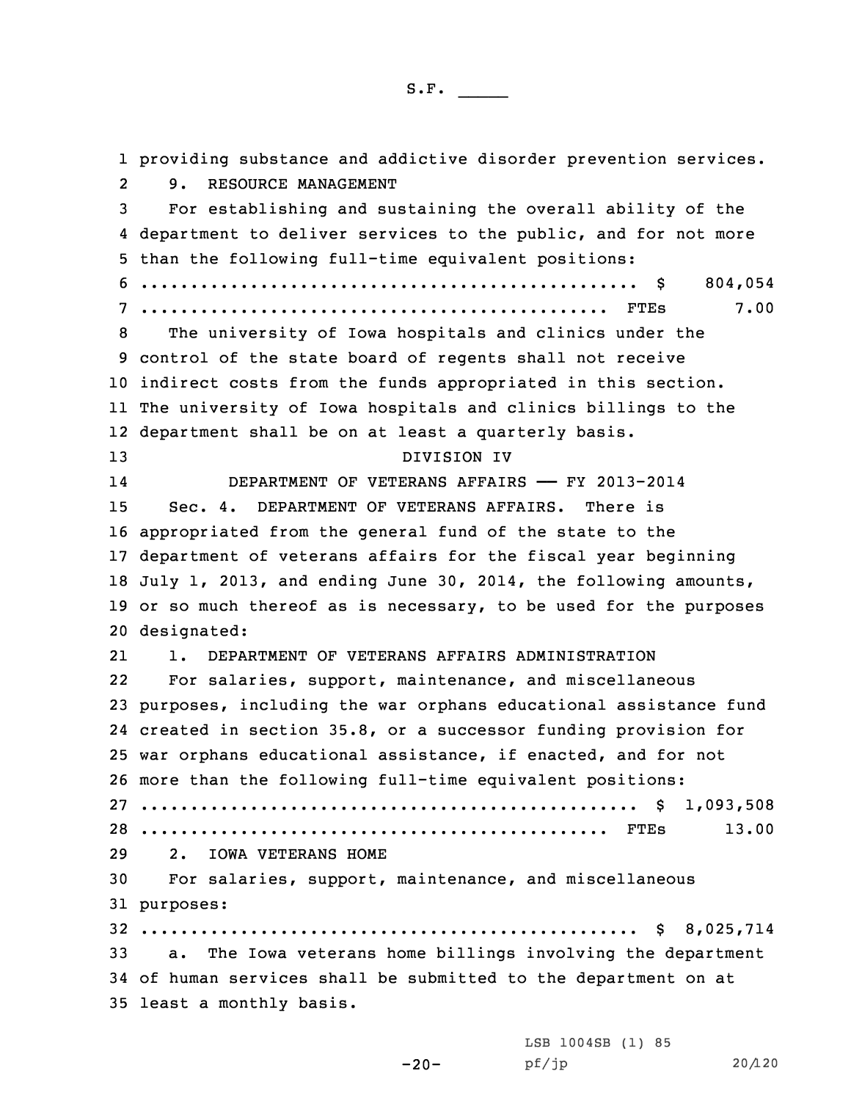providing substance and addictive disorder prevention services.  $2<sup>1</sup>$  9. RESOURCE MANAGEMENT For establishing and sustaining the overall ability of the department to deliver services to the public, and for not more than the following full-time equivalent positions: .................................................. \$ 804,054 ............................................... FTEs 7.00 The university of Iowa hospitals and clinics under the control of the state board of regents shall not receive indirect costs from the funds appropriated in this section. The university of Iowa hospitals and clinics billings to the department shall be on at least <sup>a</sup> quarterly basis. DIVISION IV 14 DEPARTMENT OF VETERANS AFFAIRS —— FY 2013-2014 Sec. 4. DEPARTMENT OF VETERANS AFFAIRS. There is appropriated from the general fund of the state to the department of veterans affairs for the fiscal year beginning July 1, 2013, and ending June 30, 2014, the following amounts, or so much thereof as is necessary, to be used for the purposes designated: 21 1. DEPARTMENT OF VETERANS AFFAIRS ADMINISTRATION 22 For salaries, support, maintenance, and miscellaneous purposes, including the war orphans educational assistance fund created in section 35.8, or <sup>a</sup> successor funding provision for war orphans educational assistance, if enacted, and for not more than the following full-time equivalent positions: .................................................. \$ 1,093,508 ............................................... FTEs 13.00 2. IOWA VETERANS HOME For salaries, support, maintenance, and miscellaneous purposes: .................................................. \$ 8,025,714 a. The Iowa veterans home billings involving the department of human services shall be submitted to the department on at least <sup>a</sup> monthly basis.

-20-

LSB 1004SB (1) 85 pf/jp 20/120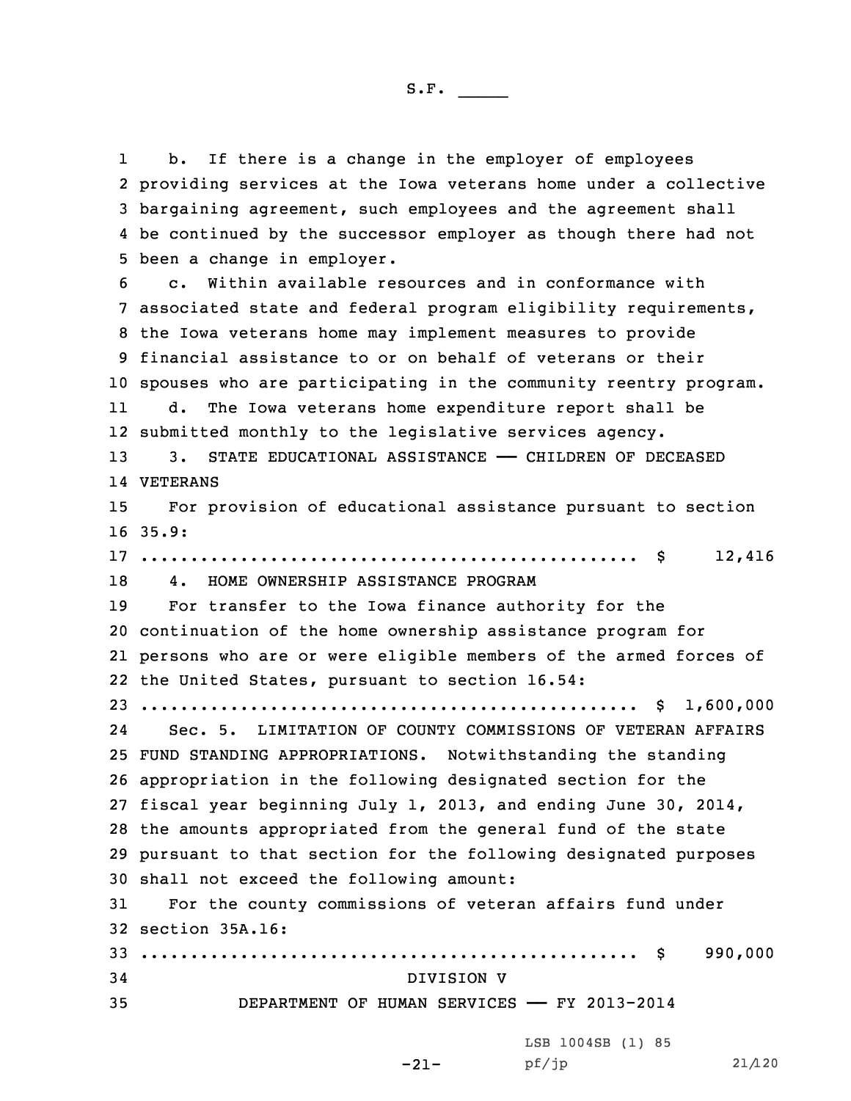1 b. If there is <sup>a</sup> change in the employer of employees providing services at the Iowa veterans home under <sup>a</sup> collective bargaining agreement, such employees and the agreement shall be continued by the successor employer as though there had not been <sup>a</sup> change in employer. c. Within available resources and in conformance with associated state and federal program eligibility requirements, the Iowa veterans home may implement measures to provide financial assistance to or on behalf of veterans or their spouses who are participating in the community reentry program. 11 d. The Iowa veterans home expenditure report shall be submitted monthly to the legislative services agency. 13 3. STATE EDUCATIONAL ASSISTANCE - CHILDREN OF DECEASED 14 VETERANS For provision of educational assistance pursuant to section 16 35.9: .................................................. \$ 12,416 4. HOME OWNERSHIP ASSISTANCE PROGRAM For transfer to the Iowa finance authority for the continuation of the home ownership assistance program for persons who are or were eligible members of the armed forces of the United States, pursuant to section 16.54: .................................................. \$ 1,600,000 24 Sec. 5. LIMITATION OF COUNTY COMMISSIONS OF VETERAN AFFAIRS FUND STANDING APPROPRIATIONS. Notwithstanding the standing appropriation in the following designated section for the fiscal year beginning July 1, 2013, and ending June 30, 2014, the amounts appropriated from the general fund of the state pursuant to that section for the following designated purposes shall not exceed the following amount: For the county commissions of veteran affairs fund under section 35A.16: .................................................. \$ 990,000 DIVISION V DEPARTMENT OF HUMAN SERVICES —— FY 2013-2014

-21- pf/jp 21/120LSB 1004SB (1) 85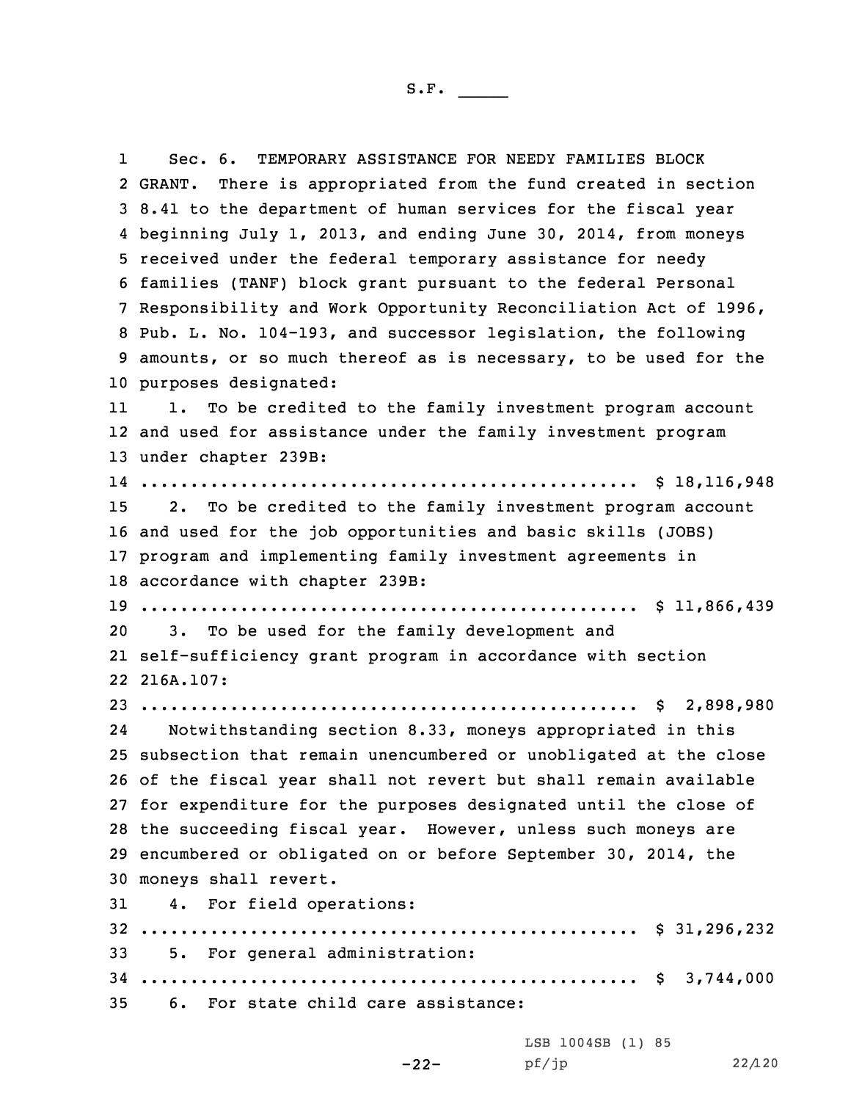1 Sec. 6. TEMPORARY ASSISTANCE FOR NEEDY FAMILIES BLOCK 2 GRANT. There is appropriated from the fund created in section 8.41 to the department of human services for the fiscal year beginning July 1, 2013, and ending June 30, 2014, from moneys received under the federal temporary assistance for needy families (TANF) block grant pursuant to the federal Personal Responsibility and Work Opportunity Reconciliation Act of 1996, Pub. L. No. 104-193, and successor legislation, the following amounts, or so much thereof as is necessary, to be used for the purposes designated: 11 1. To be credited to the family investment program account and used for assistance under the family investment program under chapter 239B: .................................................. \$ 18,116,948 2. To be credited to the family investment program account and used for the job opportunities and basic skills (JOBS) program and implementing family investment agreements in accordance with chapter 239B: .................................................. \$ 11,866,439 3. To be used for the family development and self-sufficiency grant program in accordance with section 216A.107: .................................................. \$ 2,898,980 24 Notwithstanding section 8.33, moneys appropriated in this subsection that remain unencumbered or unobligated at the close of the fiscal year shall not revert but shall remain available for expenditure for the purposes designated until the close of the succeeding fiscal year. However, unless such moneys are encumbered or obligated on or before September 30, 2014, the moneys shall revert. 4. For field operations: .................................................. \$ 31,296,232 5. For general administration: .................................................. \$ 3,744,000 6. For state child care assistance:

> -22-LSB 1004SB (1) 85 pf/jp 22/120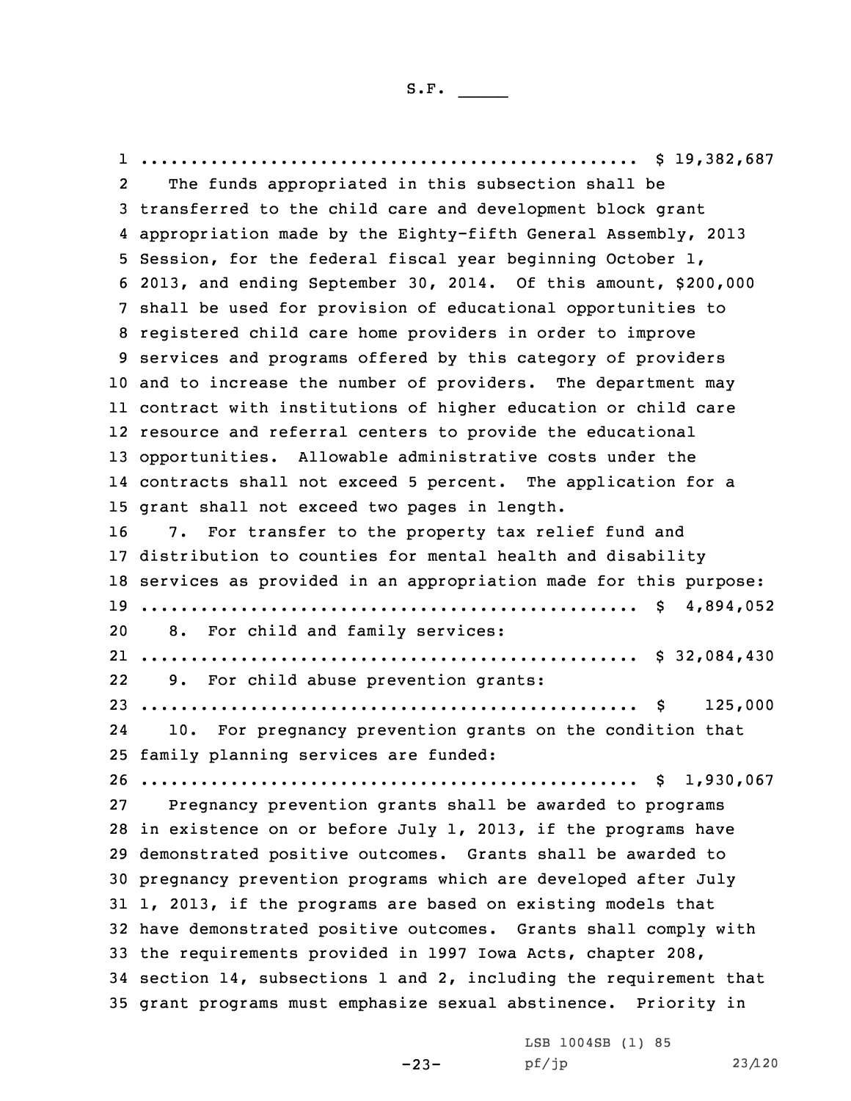1 .................................................. \$ 19,382,687 2 The funds appropriated in this subsection shall be transferred to the child care and development block grant appropriation made by the Eighty-fifth General Assembly, 2013 Session, for the federal fiscal year beginning October 1, 2013, and ending September 30, 2014. Of this amount, \$200,000 shall be used for provision of educational opportunities to registered child care home providers in order to improve services and programs offered by this category of providers and to increase the number of providers. The department may contract with institutions of higher education or child care resource and referral centers to provide the educational opportunities. Allowable administrative costs under the contracts shall not exceed 5 percent. The application for <sup>a</sup> grant shall not exceed two pages in length. 7. For transfer to the property tax relief fund and distribution to counties for mental health and disability services as provided in an appropriation made for this purpose: .................................................. \$ 4,894,052 8. For child and family services: .................................................. \$ 32,084,430 22 9. For child abuse prevention grants: .................................................. \$ 125,000 24 10. For pregnancy prevention grants on the condition that family planning services are funded: .................................................. \$ 1,930,067 Pregnancy prevention grants shall be awarded to programs in existence on or before July 1, 2013, if the programs have demonstrated positive outcomes. Grants shall be awarded to pregnancy prevention programs which are developed after July 1, 2013, if the programs are based on existing models that have demonstrated positive outcomes. Grants shall comply with the requirements provided in 1997 Iowa Acts, chapter 208, section 14, subsections 1 and 2, including the requirement that grant programs must emphasize sexual abstinence. Priority in

-23-

LSB 1004SB (1) 85 pf/jp 23/120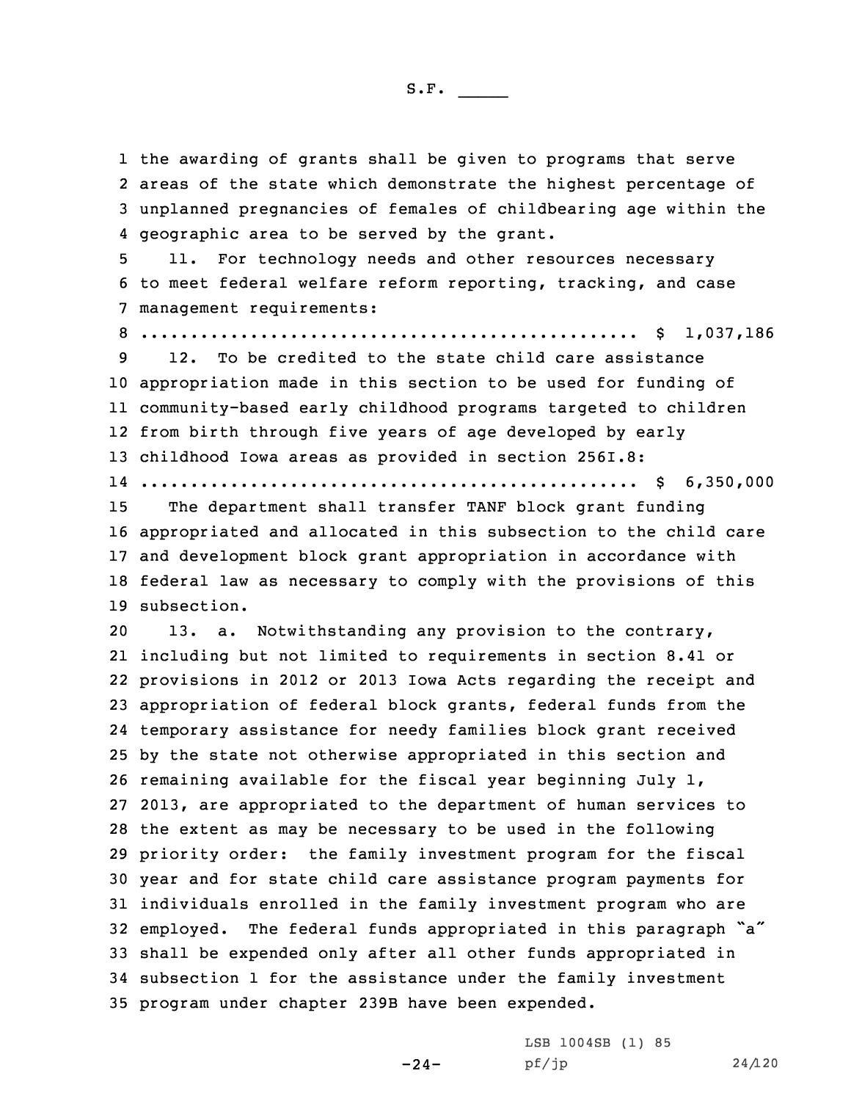the awarding of grants shall be given to programs that serve areas of the state which demonstrate the highest percentage of unplanned pregnancies of females of childbearing age within the geographic area to be served by the grant.

5 11. For technology needs and other resources necessary 6 to meet federal welfare reform reporting, tracking, and case 7 management requirements:

8 .................................................. \$ 1,037,186

 12. To be credited to the state child care assistance appropriation made in this section to be used for funding of community-based early childhood programs targeted to children from birth through five years of age developed by early childhood Iowa areas as provided in section 256I.8: .................................................. \$ 6,350,000

15 The department shall transfer TANF block grant funding

 appropriated and allocated in this subsection to the child care and development block grant appropriation in accordance with federal law as necessary to comply with the provisions of this subsection.

 13. a. Notwithstanding any provision to the contrary, including but not limited to requirements in section 8.41 or provisions in 2012 or 2013 Iowa Acts regarding the receipt and appropriation of federal block grants, federal funds from the temporary assistance for needy families block grant received by the state not otherwise appropriated in this section and remaining available for the fiscal year beginning July 1, 2013, are appropriated to the department of human services to the extent as may be necessary to be used in the following priority order: the family investment program for the fiscal year and for state child care assistance program payments for individuals enrolled in the family investment program who are employed. The federal funds appropriated in this paragraph "a" shall be expended only after all other funds appropriated in subsection 1 for the assistance under the family investment program under chapter 239B have been expended.

> LSB 1004SB (1) 85 pf/jp 24/120

 $-24-$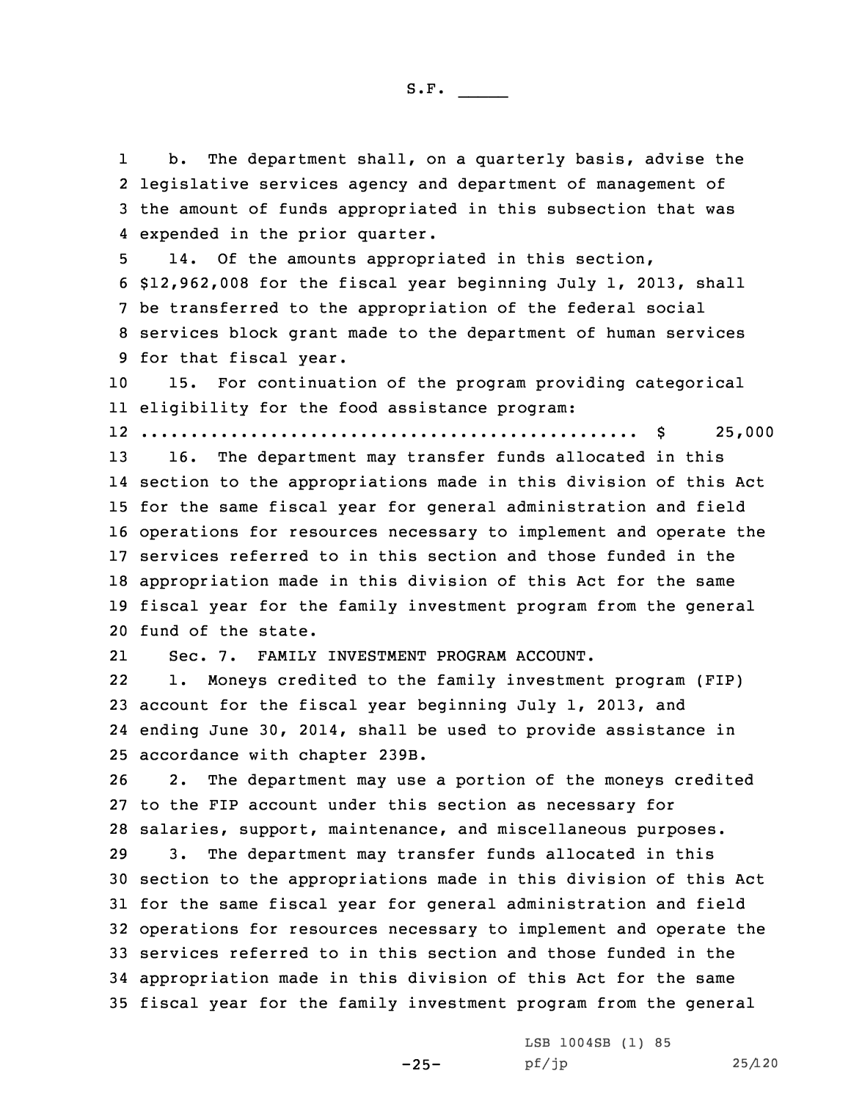1 b. The department shall, on <sup>a</sup> quarterly basis, advise the 2 legislative services agency and department of management of 3 the amount of funds appropriated in this subsection that was 4 expended in the prior quarter.

 14. Of the amounts appropriated in this section, \$12,962,008 for the fiscal year beginning July 1, 2013, shall be transferred to the appropriation of the federal social services block grant made to the department of human services for that fiscal year.

10 15. For continuation of the program providing categorical 11 eligibility for the food assistance program:

12 .................................................. \$ 25,000

 16. The department may transfer funds allocated in this section to the appropriations made in this division of this Act for the same fiscal year for general administration and field operations for resources necessary to implement and operate the services referred to in this section and those funded in the appropriation made in this division of this Act for the same fiscal year for the family investment program from the general fund of the state.

21Sec. 7. FAMILY INVESTMENT PROGRAM ACCOUNT.

22 1. Moneys credited to the family investment program (FIP) 23 account for the fiscal year beginning July 1, 2013, and 24 ending June 30, 2014, shall be used to provide assistance in 25 accordance with chapter 239B.

26 2. The department may use <sup>a</sup> portion of the moneys credited 27 to the FIP account under this section as necessary for 28 salaries, support, maintenance, and miscellaneous purposes.

 3. The department may transfer funds allocated in this section to the appropriations made in this division of this Act for the same fiscal year for general administration and field operations for resources necessary to implement and operate the services referred to in this section and those funded in the appropriation made in this division of this Act for the same fiscal year for the family investment program from the general

-25-

LSB 1004SB (1) 85 pf/jp 25/120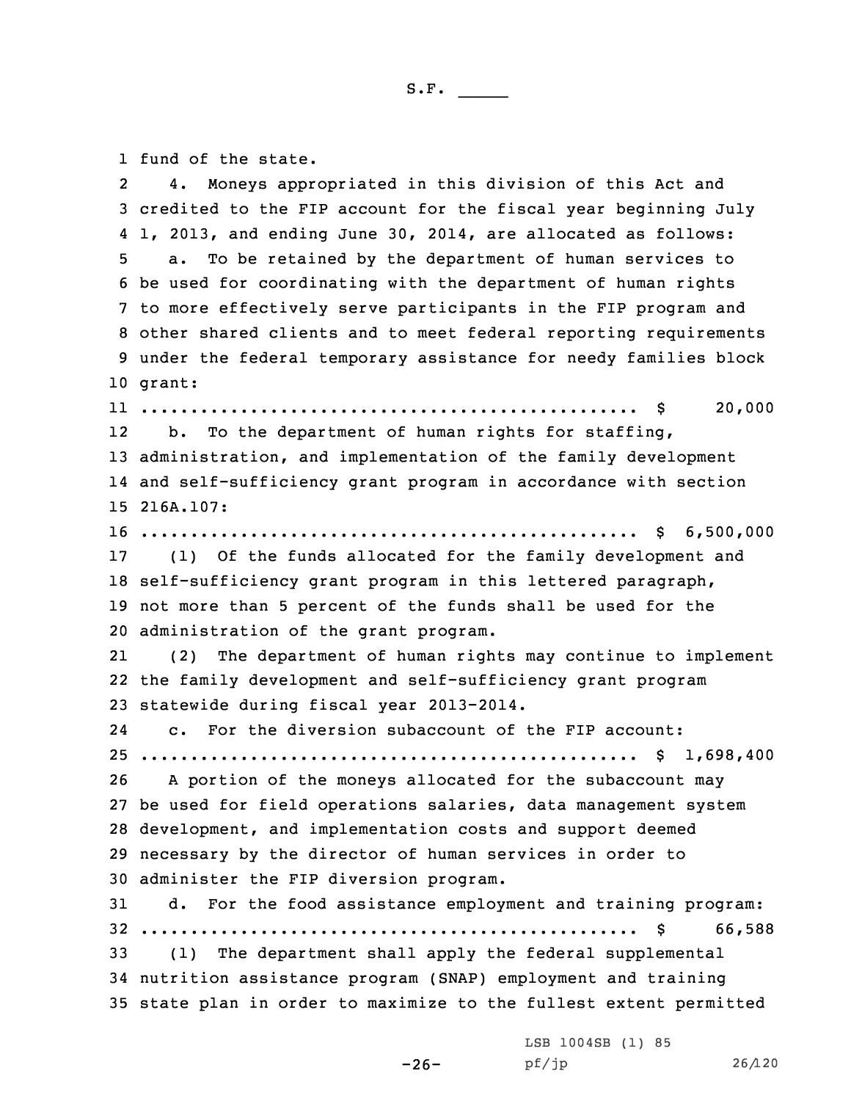1 fund of the state.

2 4. Moneys appropriated in this division of this Act and credited to the FIP account for the fiscal year beginning July 1, 2013, and ending June 30, 2014, are allocated as follows: a. To be retained by the department of human services to be used for coordinating with the department of human rights to more effectively serve participants in the FIP program and other shared clients and to meet federal reporting requirements under the federal temporary assistance for needy families block 10 grant: .................................................. \$ 20,000 12 b. To the department of human rights for staffing, administration, and implementation of the family development and self-sufficiency grant program in accordance with section 216A.107: .................................................. \$ 6,500,000 (1) Of the funds allocated for the family development and self-sufficiency grant program in this lettered paragraph, not more than 5 percent of the funds shall be used for the administration of the grant program. 21 (2) The department of human rights may continue to implement the family development and self-sufficiency grant program statewide during fiscal year 2013-2014. 24 c. For the diversion subaccount of the FIP account: .................................................. \$ 1,698,400 <sup>A</sup> portion of the moneys allocated for the subaccount may be used for field operations salaries, data management system development, and implementation costs and support deemed necessary by the director of human services in order to administer the FIP diversion program. d. For the food assistance employment and training program: .................................................. \$ 66,588 (1) The department shall apply the federal supplemental nutrition assistance program (SNAP) employment and training state plan in order to maximize to the fullest extent permitted

-26-

LSB 1004SB (1) 85 pf/jp 26/120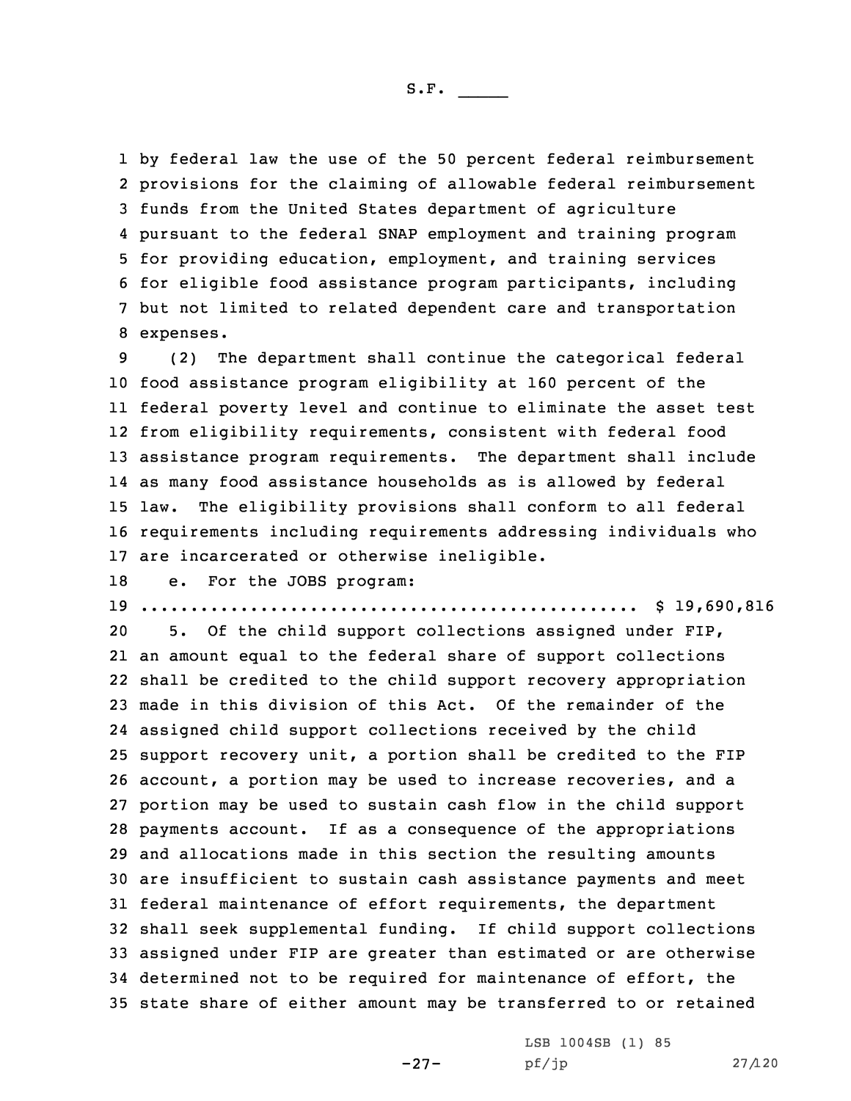by federal law the use of the 50 percent federal reimbursement provisions for the claiming of allowable federal reimbursement funds from the United States department of agriculture pursuant to the federal SNAP employment and training program for providing education, employment, and training services for eligible food assistance program participants, including but not limited to related dependent care and transportation expenses.

 (2) The department shall continue the categorical federal food assistance program eligibility at 160 percent of the federal poverty level and continue to eliminate the asset test from eligibility requirements, consistent with federal food assistance program requirements. The department shall include as many food assistance households as is allowed by federal law. The eligibility provisions shall conform to all federal requirements including requirements addressing individuals who are incarcerated or otherwise ineligible.

18 e. For the JOBS program:

19 .................................................. \$ 19,690,816

 5. Of the child support collections assigned under FIP, an amount equal to the federal share of support collections shall be credited to the child support recovery appropriation made in this division of this Act. Of the remainder of the assigned child support collections received by the child support recovery unit, <sup>a</sup> portion shall be credited to the FIP account, <sup>a</sup> portion may be used to increase recoveries, and <sup>a</sup> portion may be used to sustain cash flow in the child support payments account. If as <sup>a</sup> consequence of the appropriations and allocations made in this section the resulting amounts are insufficient to sustain cash assistance payments and meet federal maintenance of effort requirements, the department shall seek supplemental funding. If child support collections assigned under FIP are greater than estimated or are otherwise determined not to be required for maintenance of effort, the state share of either amount may be transferred to or retained

-27-

LSB 1004SB (1) 85 pf/jp 27/120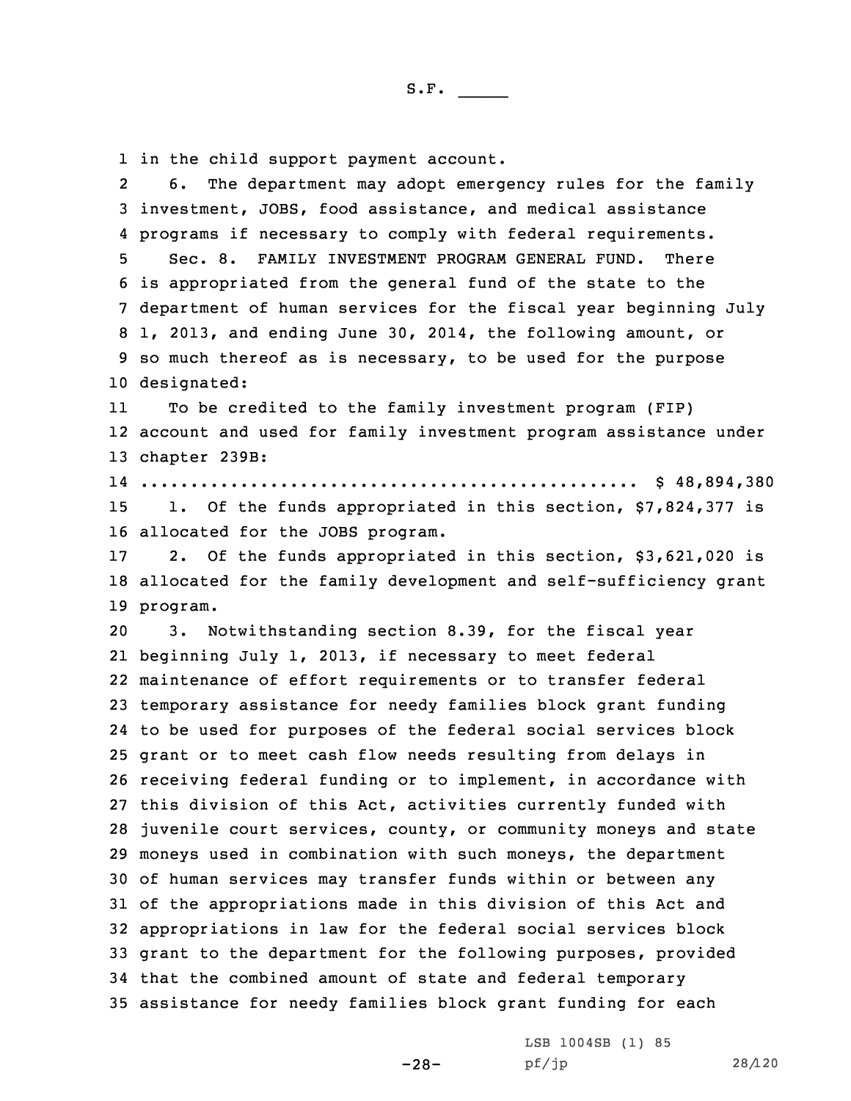1 in the child support payment account.

2 6. The department may adopt emergency rules for the family investment, JOBS, food assistance, and medical assistance programs if necessary to comply with federal requirements. Sec. 8. FAMILY INVESTMENT PROGRAM GENERAL FUND. There is appropriated from the general fund of the state to the department of human services for the fiscal year beginning July 1, 2013, and ending June 30, 2014, the following amount, or so much thereof as is necessary, to be used for the purpose designated: 11 To be credited to the family investment program (FIP) account and used for family investment program assistance under chapter 239B: .................................................. \$ 48,894,380 15 1. Of the funds appropriated in this section, \$7,824,377 is allocated for the JOBS program. 2. Of the funds appropriated in this section, \$3,621,020 is allocated for the family development and self-sufficiency grant 19 program. 3. Notwithstanding section 8.39, for the fiscal year beginning July 1, 2013, if necessary to meet federal maintenance of effort requirements or to transfer federal temporary assistance for needy families block grant funding to be used for purposes of the federal social services block grant or to meet cash flow needs resulting from delays in receiving federal funding or to implement, in accordance with this division of this Act, activities currently funded with juvenile court services, county, or community moneys and state moneys used in combination with such moneys, the department of human services may transfer funds within or between any of the appropriations made in this division of this Act and appropriations in law for the federal social services block grant to the department for the following purposes, provided that the combined amount of state and federal temporary assistance for needy families block grant funding for each

-28-

LSB 1004SB (1) 85 pf/jp 28/120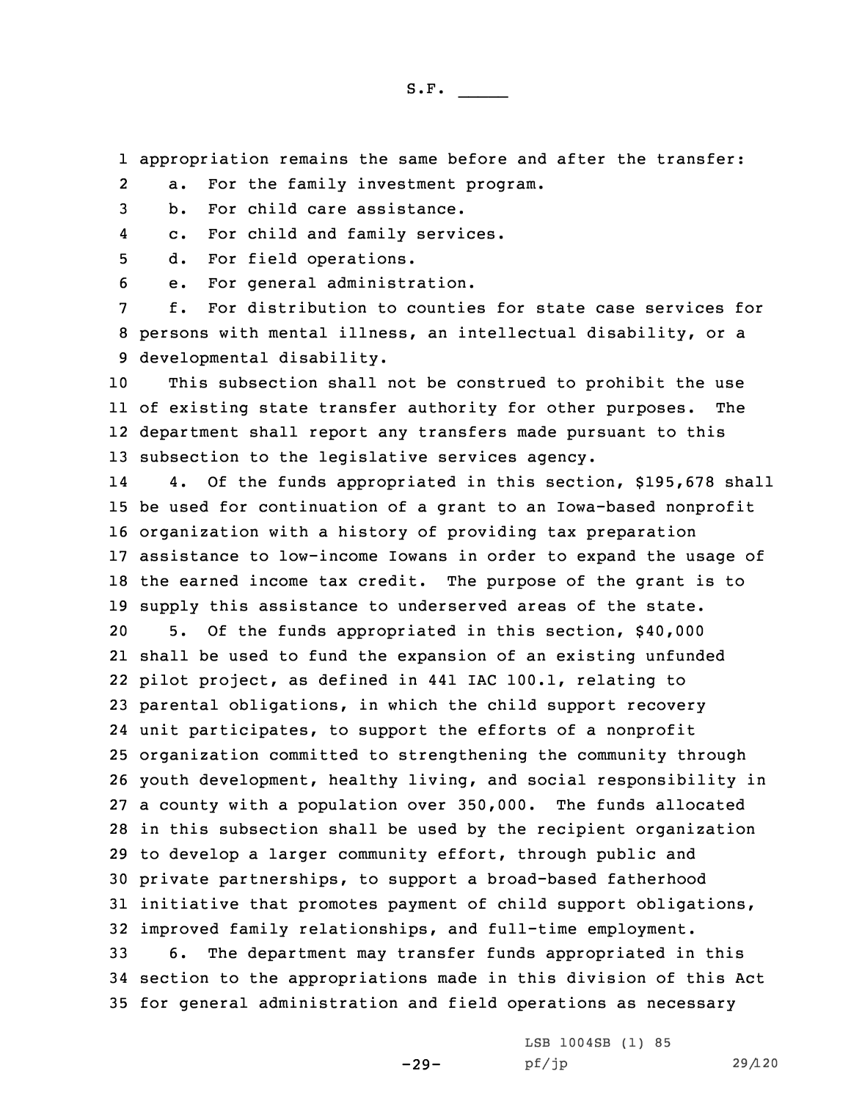1 appropriation remains the same before and after the transfer:

2a. For the family investment program.

3 b. For child care assistance.

4c. For child and family services.

5 d. For field operations.

6 e. For general administration.

7 f. For distribution to counties for state case services for 8 persons with mental illness, an intellectual disability, or <sup>a</sup> 9 developmental disability.

 This subsection shall not be construed to prohibit the use of existing state transfer authority for other purposes. The department shall report any transfers made pursuant to this subsection to the legislative services agency.

14 4. Of the funds appropriated in this section, \$195,678 shall be used for continuation of <sup>a</sup> grant to an Iowa-based nonprofit organization with <sup>a</sup> history of providing tax preparation assistance to low-income Iowans in order to expand the usage of the earned income tax credit. The purpose of the grant is to supply this assistance to underserved areas of the state. 5. Of the funds appropriated in this section, \$40,000 shall be used to fund the expansion of an existing unfunded pilot project, as defined in 441 IAC 100.1, relating to parental obligations, in which the child support recovery unit participates, to support the efforts of <sup>a</sup> nonprofit organization committed to strengthening the community through youth development, healthy living, and social responsibility in <sup>a</sup> county with <sup>a</sup> population over 350,000. The funds allocated in this subsection shall be used by the recipient organization to develop <sup>a</sup> larger community effort, through public and private partnerships, to support <sup>a</sup> broad-based fatherhood initiative that promotes payment of child support obligations, improved family relationships, and full-time employment. 6. The department may transfer funds appropriated in this section to the appropriations made in this division of this Act

35 for general administration and field operations as necessary

-29-

LSB 1004SB (1) 85 pf/jp 29/120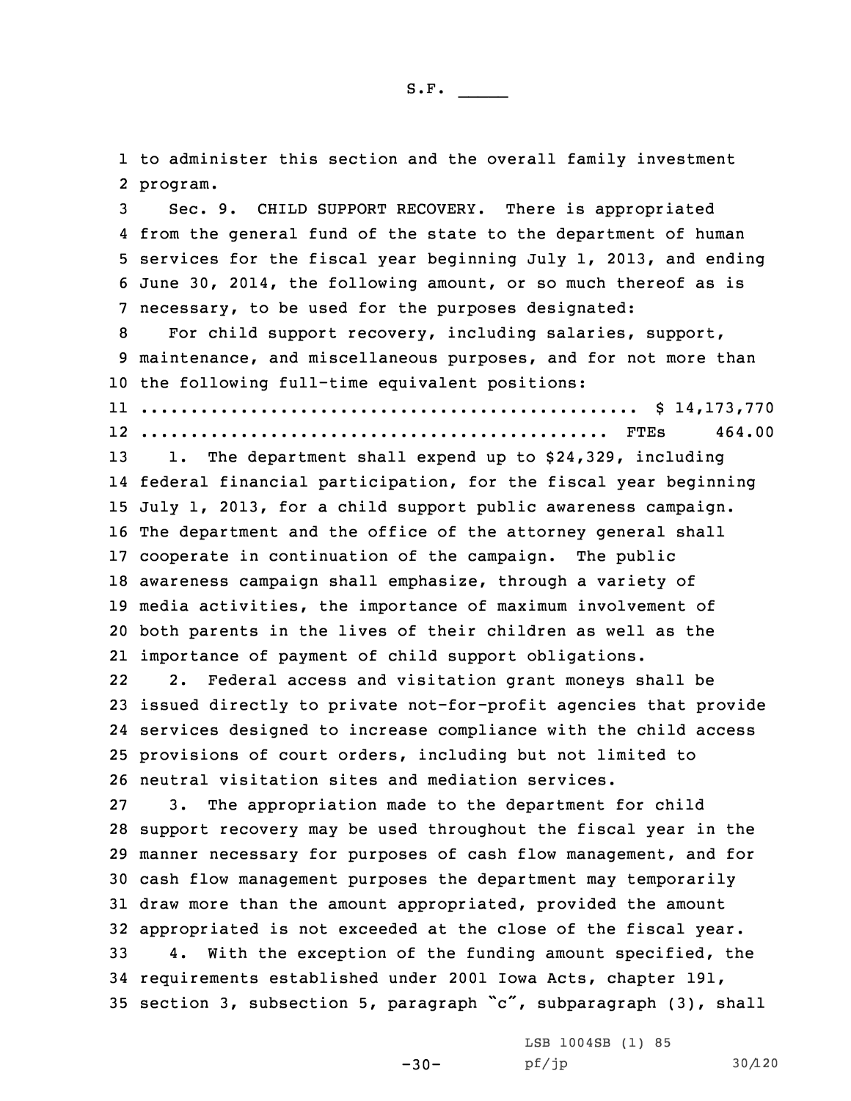1 to administer this section and the overall family investment 2 program.

 Sec. 9. CHILD SUPPORT RECOVERY. There is appropriated from the general fund of the state to the department of human services for the fiscal year beginning July 1, 2013, and ending June 30, 2014, the following amount, or so much thereof as is necessary, to be used for the purposes designated:

8 For child support recovery, including salaries, support, 9 maintenance, and miscellaneous purposes, and for not more than 10 the following full-time equivalent positions:

11 .................................................. \$ 14,173,770 12 ............................................... FTEs 464.00

 1. The department shall expend up to \$24,329, including federal financial participation, for the fiscal year beginning July 1, 2013, for <sup>a</sup> child support public awareness campaign. The department and the office of the attorney general shall cooperate in continuation of the campaign. The public awareness campaign shall emphasize, through <sup>a</sup> variety of media activities, the importance of maximum involvement of both parents in the lives of their children as well as the importance of payment of child support obligations.

22 2. Federal access and visitation grant moneys shall be issued directly to private not-for-profit agencies that provide services designed to increase compliance with the child access provisions of court orders, including but not limited to neutral visitation sites and mediation services.

 3. The appropriation made to the department for child support recovery may be used throughout the fiscal year in the manner necessary for purposes of cash flow management, and for cash flow management purposes the department may temporarily draw more than the amount appropriated, provided the amount appropriated is not exceeded at the close of the fiscal year.

33 4. With the exception of the funding amount specified, the 34 requirements established under 2001 Iowa Acts, chapter 191, <sup>35</sup> section 3, subsection 5, paragraph "c", subparagraph (3), shall

-30-

LSB 1004SB (1) 85 pf/jp 30/120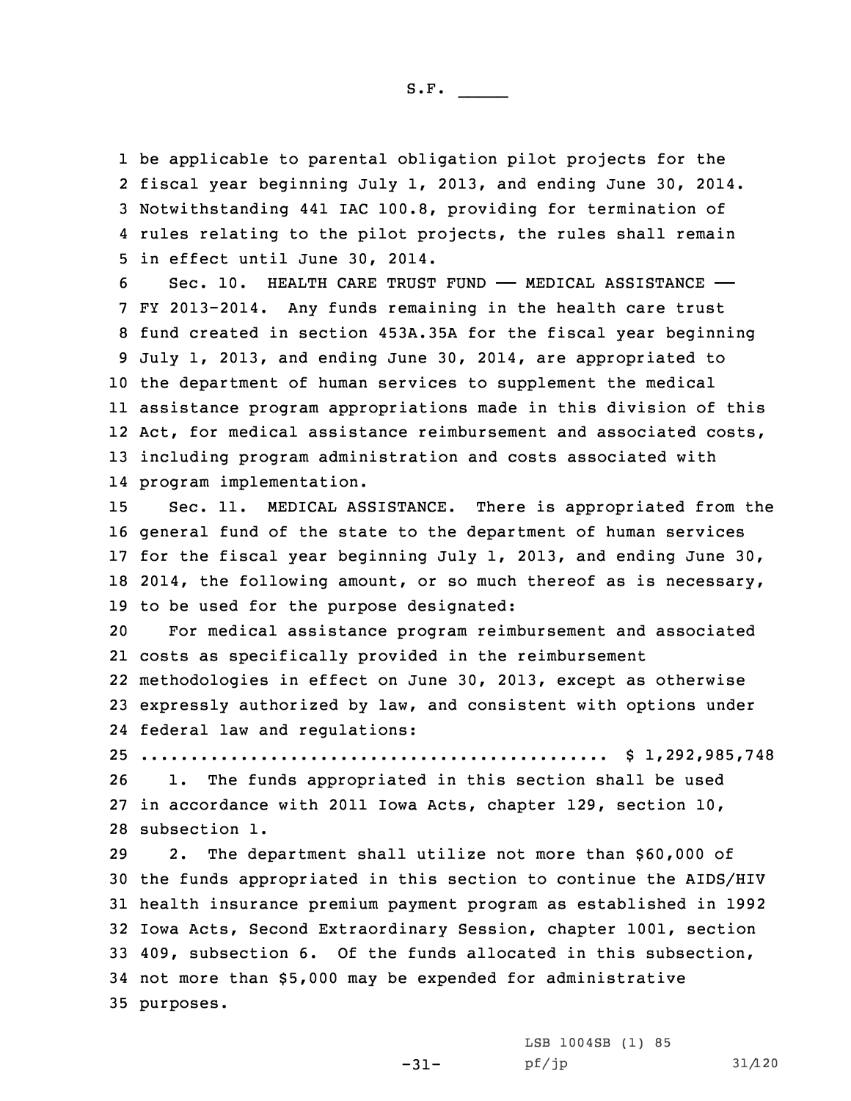be applicable to parental obligation pilot projects for the fiscal year beginning July 1, 2013, and ending June 30, 2014. Notwithstanding 441 IAC 100.8, providing for termination of rules relating to the pilot projects, the rules shall remain in effect until June 30, 2014.

 Sec. 10. HEALTH CARE TRUST FUND —— MEDICAL ASSISTANCE —— FY 2013-2014. Any funds remaining in the health care trust fund created in section 453A.35A for the fiscal year beginning July 1, 2013, and ending June 30, 2014, are appropriated to the department of human services to supplement the medical assistance program appropriations made in this division of this 12 Act, for medical assistance reimbursement and associated costs, including program administration and costs associated with program implementation.

 Sec. 11. MEDICAL ASSISTANCE. There is appropriated from the general fund of the state to the department of human services for the fiscal year beginning July 1, 2013, and ending June 30, 2014, the following amount, or so much thereof as is necessary, to be used for the purpose designated:

 For medical assistance program reimbursement and associated costs as specifically provided in the reimbursement methodologies in effect on June 30, 2013, except as otherwise expressly authorized by law, and consistent with options under federal law and regulations:

25 ............................................... \$ 1,292,985,748 26 1. The funds appropriated in this section shall be used

27 in accordance with 2011 Iowa Acts, chapter 129, section 10, 28 subsection 1.

29 2. The department shall utilize not more than \$60,000 of the funds appropriated in this section to continue the AIDS/HIV health insurance premium payment program as established in 1992 Iowa Acts, Second Extraordinary Session, chapter 1001, section 409, subsection 6. Of the funds allocated in this subsection, not more than \$5,000 may be expended for administrative purposes.

-31-

LSB 1004SB (1) 85 pf/jp 31/120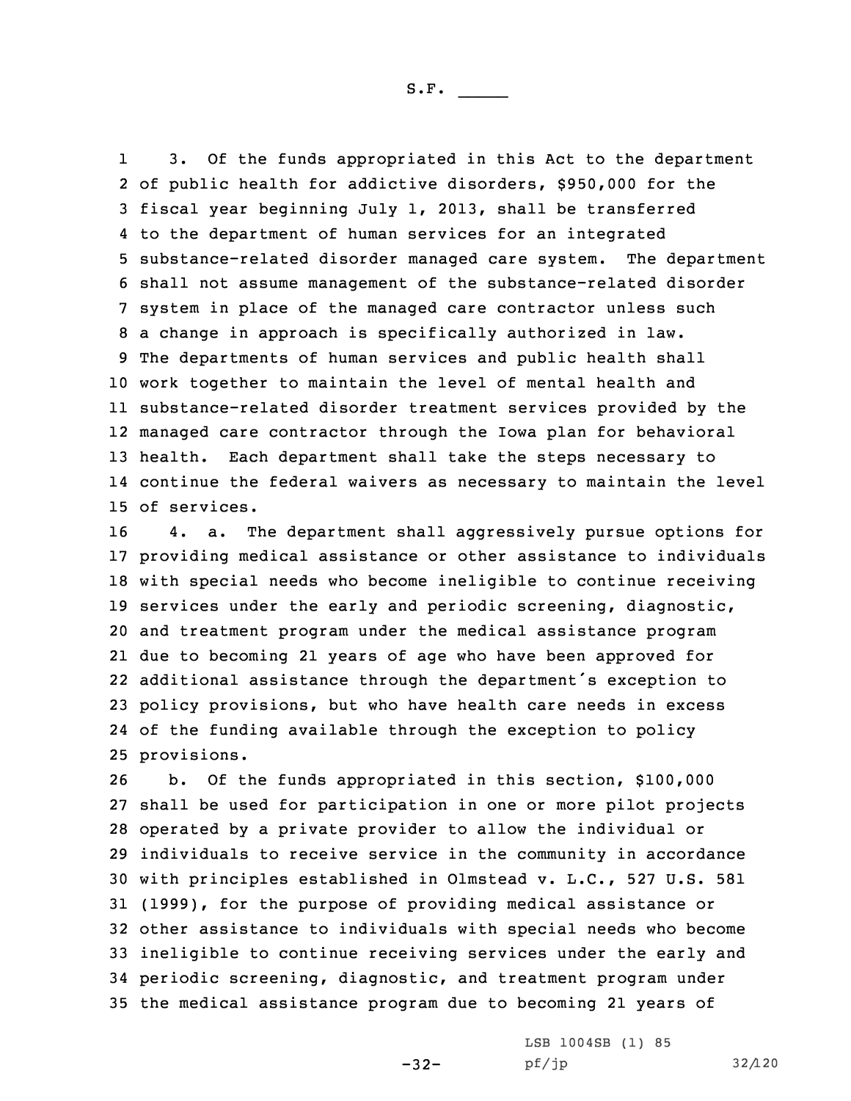1 3. Of the funds appropriated in this Act to the department of public health for addictive disorders, \$950,000 for the fiscal year beginning July 1, 2013, shall be transferred to the department of human services for an integrated substance-related disorder managed care system. The department shall not assume management of the substance-related disorder system in place of the managed care contractor unless such <sup>a</sup> change in approach is specifically authorized in law. The departments of human services and public health shall work together to maintain the level of mental health and substance-related disorder treatment services provided by the managed care contractor through the Iowa plan for behavioral health. Each department shall take the steps necessary to continue the federal waivers as necessary to maintain the level of services.

 4. a. The department shall aggressively pursue options for providing medical assistance or other assistance to individuals with special needs who become ineligible to continue receiving services under the early and periodic screening, diagnostic, and treatment program under the medical assistance program due to becoming 21 years of age who have been approved for additional assistance through the department's exception to policy provisions, but who have health care needs in excess of the funding available through the exception to policy provisions.

 b. Of the funds appropriated in this section, \$100,000 shall be used for participation in one or more pilot projects operated by <sup>a</sup> private provider to allow the individual or individuals to receive service in the community in accordance with principles established in Olmstead v. L.C., 527 U.S. 581 (1999), for the purpose of providing medical assistance or other assistance to individuals with special needs who become ineligible to continue receiving services under the early and periodic screening, diagnostic, and treatment program under the medical assistance program due to becoming 21 years of

-32-

LSB 1004SB (1) 85 pf/jp 32/120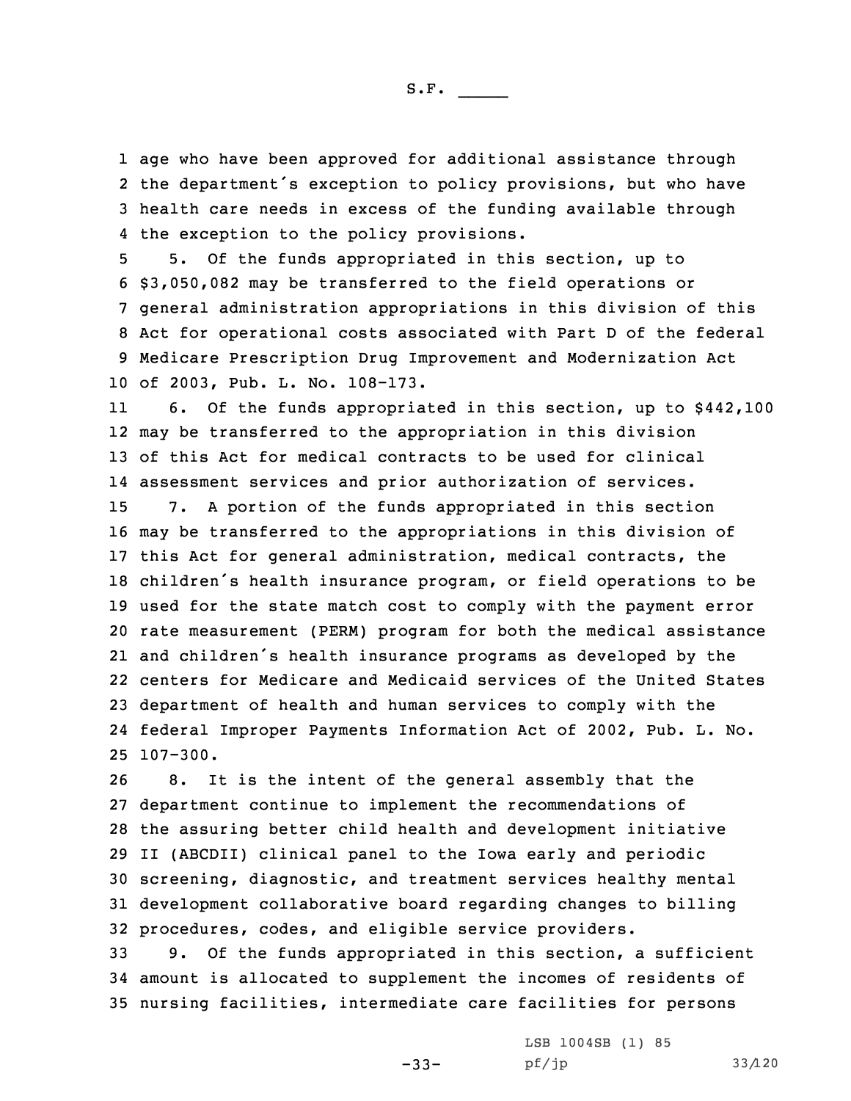age who have been approved for additional assistance through the department's exception to policy provisions, but who have health care needs in excess of the funding available through the exception to the policy provisions.

 5. Of the funds appropriated in this section, up to \$3,050,082 may be transferred to the field operations or general administration appropriations in this division of this Act for operational costs associated with Part <sup>D</sup> of the federal Medicare Prescription Drug Improvement and Modernization Act of 2003, Pub. L. No. 108-173.

11 6. Of the funds appropriated in this section, up to \$442,100 may be transferred to the appropriation in this division of this Act for medical contracts to be used for clinical assessment services and prior authorization of services. 7. <sup>A</sup> portion of the funds appropriated in this section may be transferred to the appropriations in this division of this Act for general administration, medical contracts, the children's health insurance program, or field operations to be used for the state match cost to comply with the payment error rate measurement (PERM) program for both the medical assistance and children's health insurance programs as developed by the centers for Medicare and Medicaid services of the United States department of health and human services to comply with the federal Improper Payments Information Act of 2002, Pub. L. No. 25 107-300.

 8. It is the intent of the general assembly that the department continue to implement the recommendations of the assuring better child health and development initiative II (ABCDII) clinical panel to the Iowa early and periodic screening, diagnostic, and treatment services healthy mental development collaborative board regarding changes to billing procedures, codes, and eligible service providers.

33 9. Of the funds appropriated in this section, <sup>a</sup> sufficient 34 amount is allocated to supplement the incomes of residents of 35 nursing facilities, intermediate care facilities for persons

-33-

LSB 1004SB (1) 85 pf/jp 33/120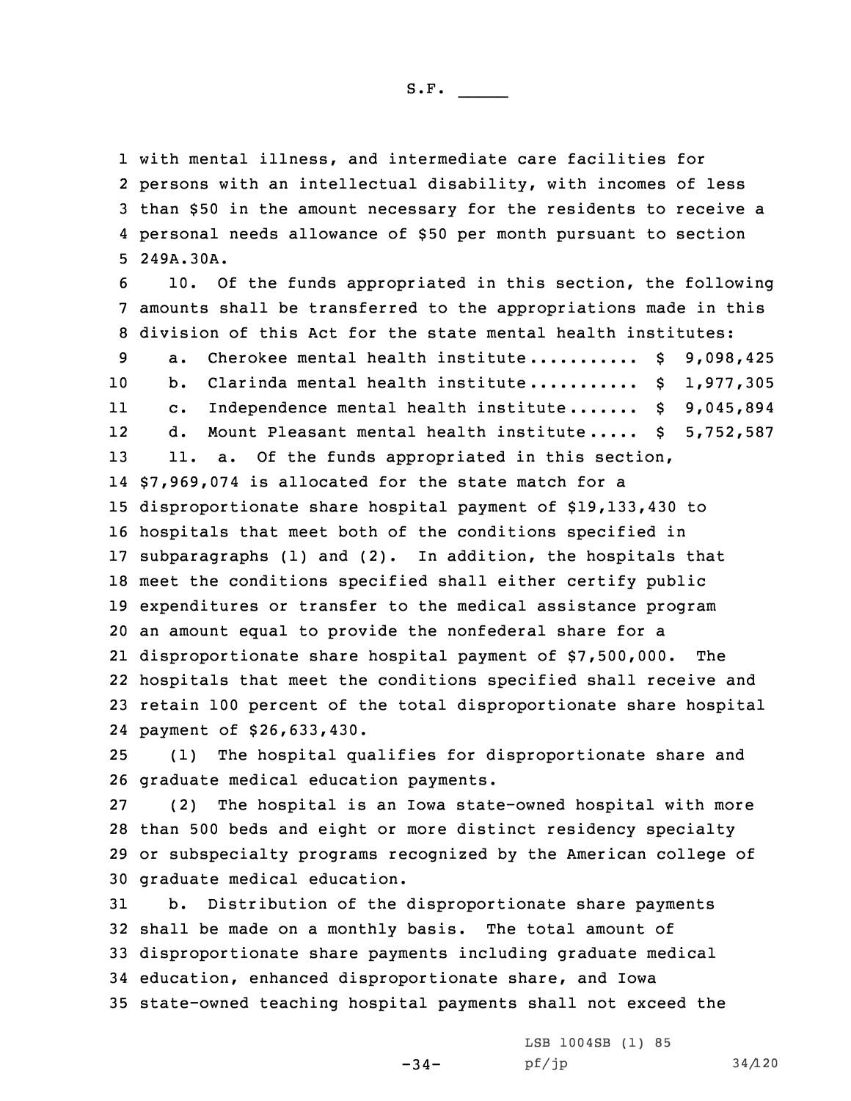with mental illness, and intermediate care facilities for persons with an intellectual disability, with incomes of less than \$50 in the amount necessary for the residents to receive <sup>a</sup> personal needs allowance of \$50 per month pursuant to section 249A.30A.

 10. Of the funds appropriated in this section, the following amounts shall be transferred to the appropriations made in this division of this Act for the state mental health institutes: 9 a. Cherokee mental health institute............ \$ 9,098,425 10 b. Clarinda mental health institute........... \$ 1,977,305 11 c. Independence mental health institute....... \$ 9,045,894 12 d. Mount Pleasant mental health institute ..... \$ 5,752,587 13 11. a. Of the funds appropriated in this section, \$7,969,074 is allocated for the state match for <sup>a</sup> disproportionate share hospital payment of \$19,133,430 to hospitals that meet both of the conditions specified in subparagraphs (1) and (2). In addition, the hospitals that meet the conditions specified shall either certify public expenditures or transfer to the medical assistance program an amount equal to provide the nonfederal share for <sup>a</sup> disproportionate share hospital payment of \$7,500,000. The hospitals that meet the conditions specified shall receive and retain 100 percent of the total disproportionate share hospital payment of \$26,633,430.

25 (1) The hospital qualifies for disproportionate share and 26 graduate medical education payments.

 (2) The hospital is an Iowa state-owned hospital with more than 500 beds and eight or more distinct residency specialty or subspecialty programs recognized by the American college of graduate medical education.

 b. Distribution of the disproportionate share payments shall be made on <sup>a</sup> monthly basis. The total amount of disproportionate share payments including graduate medical education, enhanced disproportionate share, and Iowa state-owned teaching hospital payments shall not exceed the

-34-

LSB 1004SB (1) 85  $pf/jp$  34/120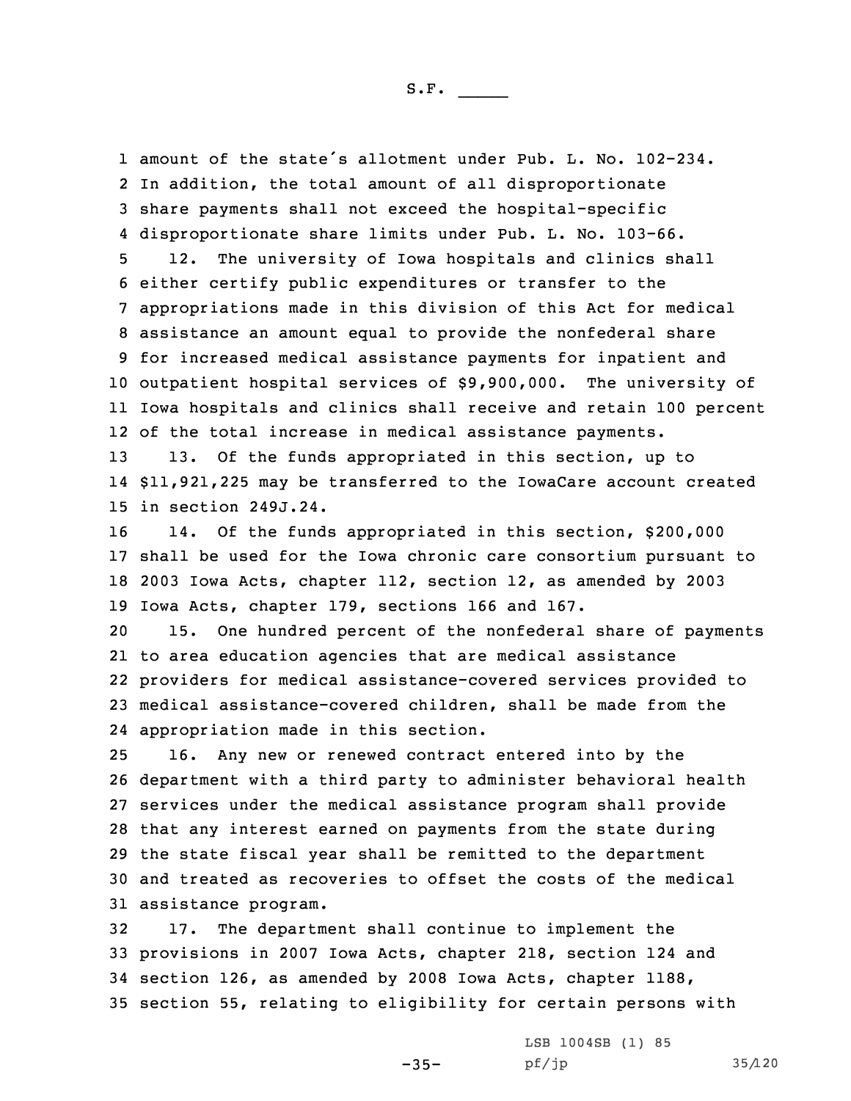amount of the state's allotment under Pub. L. No. 102-234. In addition, the total amount of all disproportionate share payments shall not exceed the hospital-specific disproportionate share limits under Pub. L. No. 103-66.

 12. The university of Iowa hospitals and clinics shall either certify public expenditures or transfer to the appropriations made in this division of this Act for medical assistance an amount equal to provide the nonfederal share for increased medical assistance payments for inpatient and outpatient hospital services of \$9,900,000. The university of Iowa hospitals and clinics shall receive and retain 100 percent of the total increase in medical assistance payments.

13 13. Of the funds appropriated in this section, up to 14 \$11,921,225 may be transferred to the IowaCare account created 15 in section 249J.24.

 14. Of the funds appropriated in this section, \$200,000 shall be used for the Iowa chronic care consortium pursuant to 2003 Iowa Acts, chapter 112, section 12, as amended by 2003 Iowa Acts, chapter 179, sections 166 and 167.

 15. One hundred percent of the nonfederal share of payments to area education agencies that are medical assistance providers for medical assistance-covered services provided to medical assistance-covered children, shall be made from the appropriation made in this section.

 16. Any new or renewed contract entered into by the department with <sup>a</sup> third party to administer behavioral health services under the medical assistance program shall provide that any interest earned on payments from the state during the state fiscal year shall be remitted to the department and treated as recoveries to offset the costs of the medical assistance program.

 17. The department shall continue to implement the provisions in 2007 Iowa Acts, chapter 218, section 124 and section 126, as amended by 2008 Iowa Acts, chapter 1188, section 55, relating to eligibility for certain persons with

 $-35-$ 

LSB 1004SB (1) 85 pf/jp 35/120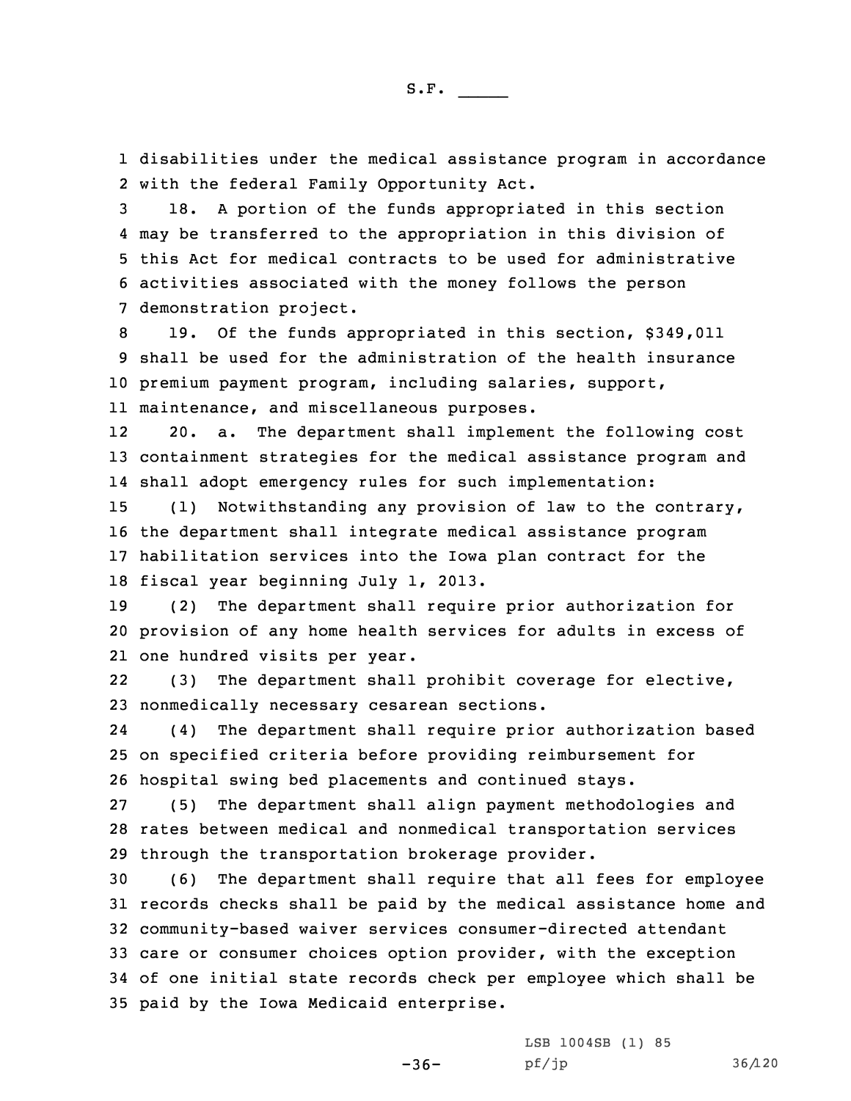1 disabilities under the medical assistance program in accordance 2 with the federal Family Opportunity Act.

 18. <sup>A</sup> portion of the funds appropriated in this section may be transferred to the appropriation in this division of this Act for medical contracts to be used for administrative activities associated with the money follows the person demonstration project.

 19. Of the funds appropriated in this section, \$349,011 shall be used for the administration of the health insurance premium payment program, including salaries, support, maintenance, and miscellaneous purposes.

12 20. a. The department shall implement the following cost 13 containment strategies for the medical assistance program and 14 shall adopt emergency rules for such implementation:

 (1) Notwithstanding any provision of law to the contrary, the department shall integrate medical assistance program habilitation services into the Iowa plan contract for the fiscal year beginning July 1, 2013.

19 (2) The department shall require prior authorization for 20 provision of any home health services for adults in excess of 21 one hundred visits per year.

22 (3) The department shall prohibit coverage for elective, 23 nonmedically necessary cesarean sections.

24 (4) The department shall require prior authorization based 25 on specified criteria before providing reimbursement for 26 hospital swing bed placements and continued stays.

27 (5) The department shall align payment methodologies and 28 rates between medical and nonmedical transportation services 29 through the transportation brokerage provider.

 (6) The department shall require that all fees for employee records checks shall be paid by the medical assistance home and community-based waiver services consumer-directed attendant care or consumer choices option provider, with the exception of one initial state records check per employee which shall be paid by the Iowa Medicaid enterprise.

-36-

LSB 1004SB (1) 85 pf/jp 36/120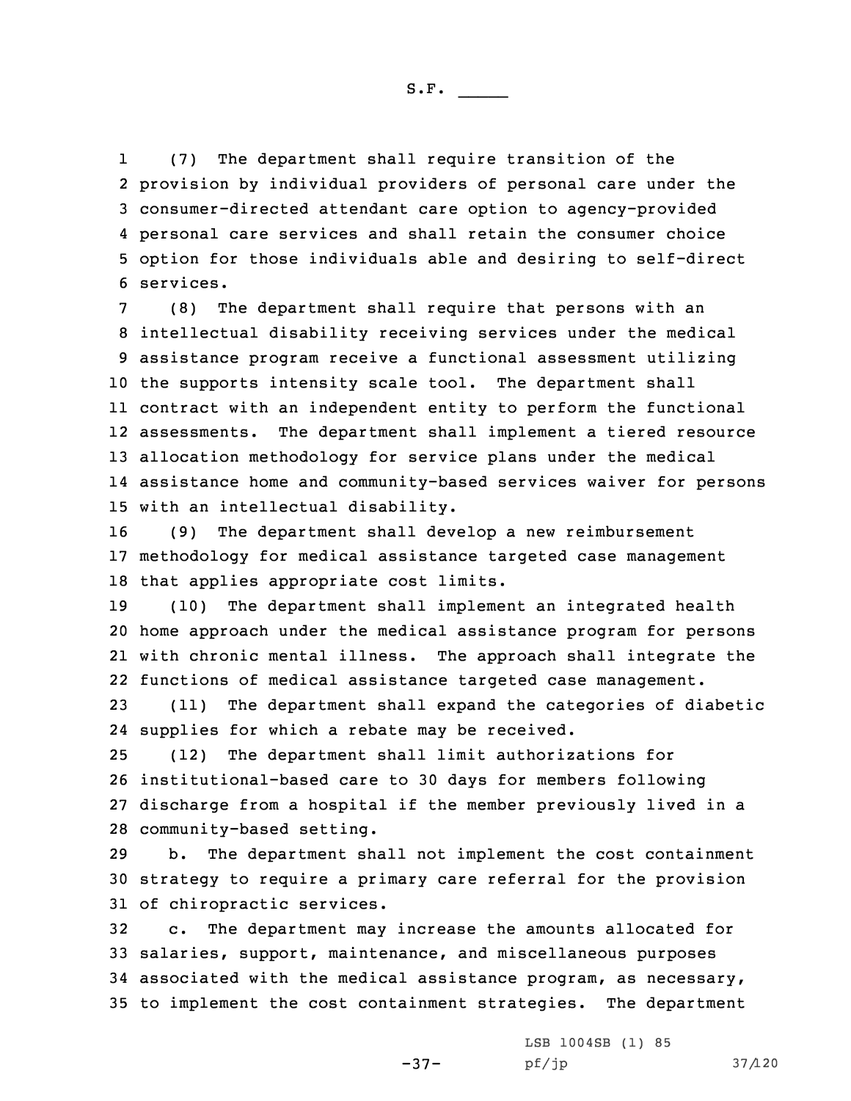1 (7) The department shall require transition of the provision by individual providers of personal care under the consumer-directed attendant care option to agency-provided personal care services and shall retain the consumer choice option for those individuals able and desiring to self-direct services.

 (8) The department shall require that persons with an intellectual disability receiving services under the medical assistance program receive <sup>a</sup> functional assessment utilizing the supports intensity scale tool. The department shall contract with an independent entity to perform the functional assessments. The department shall implement <sup>a</sup> tiered resource allocation methodology for service plans under the medical assistance home and community-based services waiver for persons with an intellectual disability.

16 (9) The department shall develop <sup>a</sup> new reimbursement 17 methodology for medical assistance targeted case management 18 that applies appropriate cost limits.

 (10) The department shall implement an integrated health home approach under the medical assistance program for persons with chronic mental illness. The approach shall integrate the functions of medical assistance targeted case management.

23 (11) The department shall expand the categories of diabetic 24 supplies for which <sup>a</sup> rebate may be received.

 (12) The department shall limit authorizations for institutional-based care to 30 days for members following discharge from <sup>a</sup> hospital if the member previously lived in <sup>a</sup> community-based setting.

29 b. The department shall not implement the cost containment 30 strategy to require <sup>a</sup> primary care referral for the provision 31 of chiropractic services.

 c. The department may increase the amounts allocated for salaries, support, maintenance, and miscellaneous purposes associated with the medical assistance program, as necessary, to implement the cost containment strategies. The department

-37-

LSB 1004SB (1) 85 pf/jp 37/120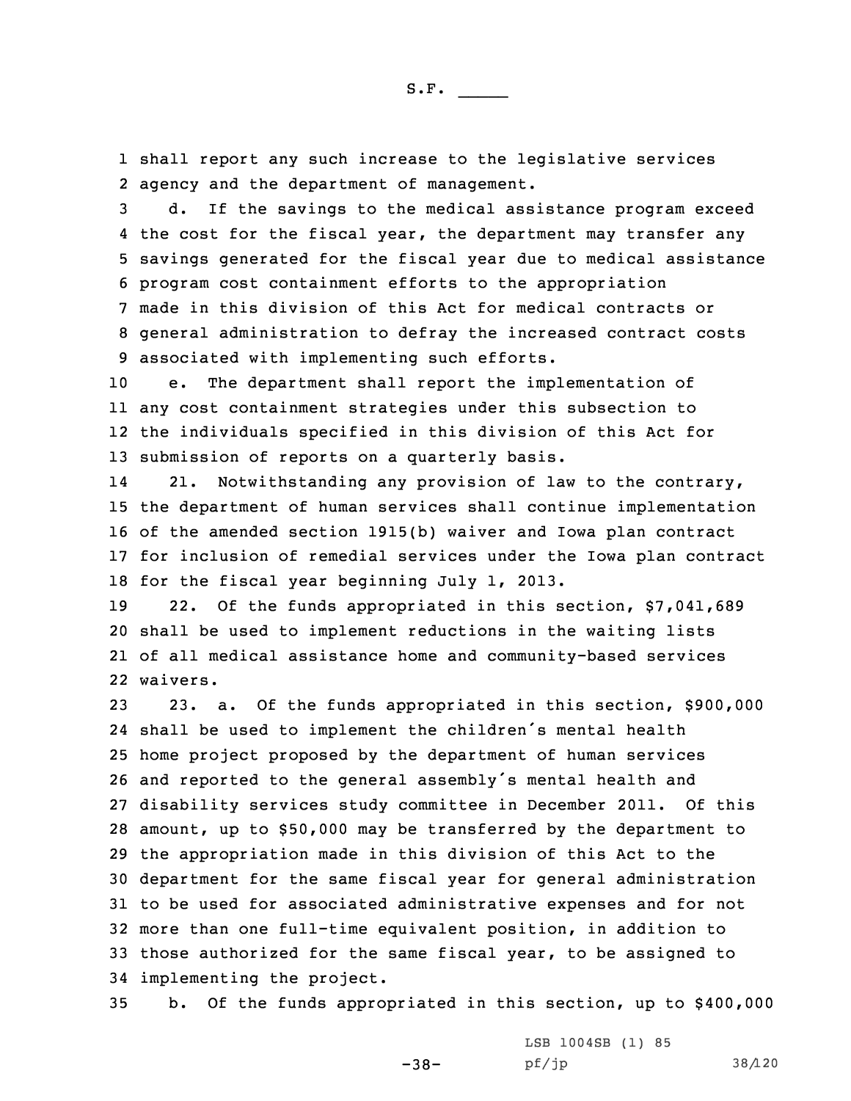1 shall report any such increase to the legislative services 2 agency and the department of management.

 d. If the savings to the medical assistance program exceed the cost for the fiscal year, the department may transfer any savings generated for the fiscal year due to medical assistance program cost containment efforts to the appropriation made in this division of this Act for medical contracts or general administration to defray the increased contract costs associated with implementing such efforts.

 e. The department shall report the implementation of any cost containment strategies under this subsection to the individuals specified in this division of this Act for submission of reports on <sup>a</sup> quarterly basis.

14 21. Notwithstanding any provision of law to the contrary, the department of human services shall continue implementation of the amended section 1915(b) waiver and Iowa plan contract for inclusion of remedial services under the Iowa plan contract for the fiscal year beginning July 1, 2013.

 22. Of the funds appropriated in this section, \$7,041,689 shall be used to implement reductions in the waiting lists of all medical assistance home and community-based services 22 waivers.

 23. a. Of the funds appropriated in this section, \$900,000 shall be used to implement the children's mental health home project proposed by the department of human services and reported to the general assembly's mental health and disability services study committee in December 2011. Of this amount, up to \$50,000 may be transferred by the department to the appropriation made in this division of this Act to the department for the same fiscal year for general administration to be used for associated administrative expenses and for not more than one full-time equivalent position, in addition to those authorized for the same fiscal year, to be assigned to implementing the project.

35 b. Of the funds appropriated in this section, up to \$400,000

 $-38-$ 

LSB 1004SB (1) 85 pf/jp 38/120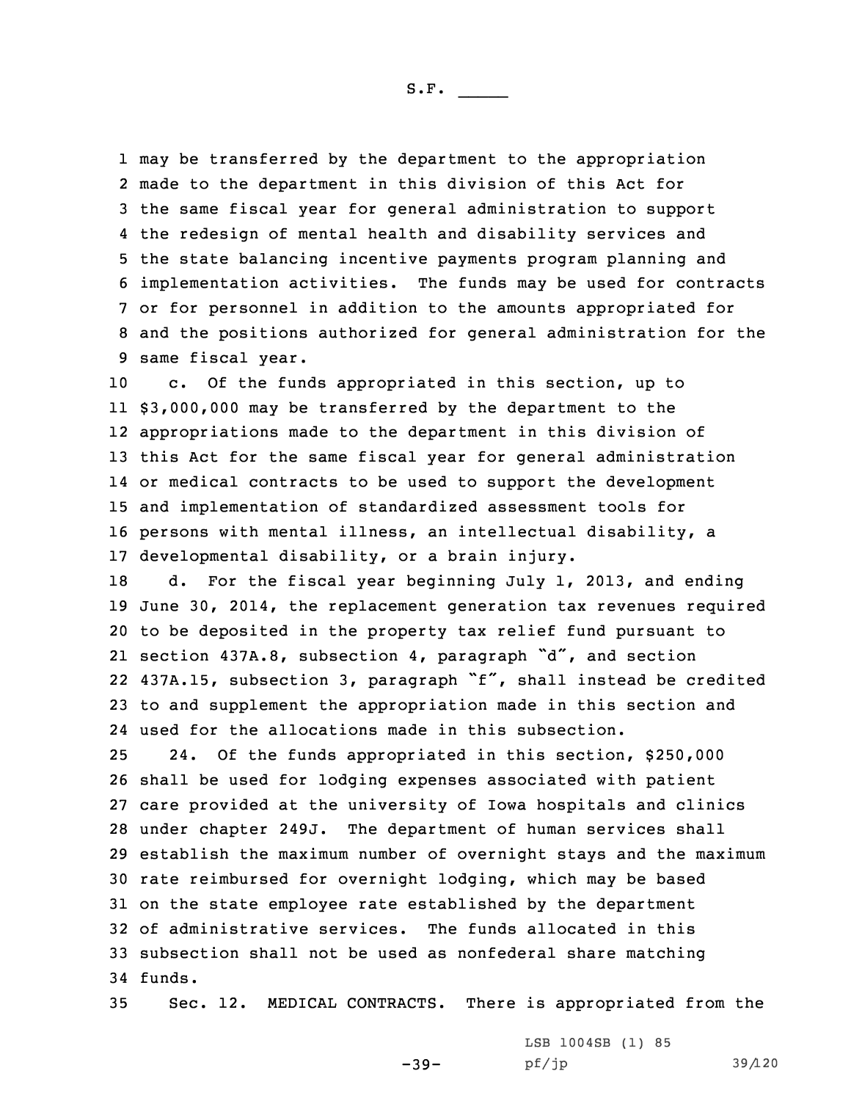may be transferred by the department to the appropriation made to the department in this division of this Act for the same fiscal year for general administration to support the redesign of mental health and disability services and the state balancing incentive payments program planning and implementation activities. The funds may be used for contracts or for personnel in addition to the amounts appropriated for and the positions authorized for general administration for the same fiscal year.

 c. Of the funds appropriated in this section, up to \$3,000,000 may be transferred by the department to the appropriations made to the department in this division of this Act for the same fiscal year for general administration or medical contracts to be used to support the development and implementation of standardized assessment tools for persons with mental illness, an intellectual disability, <sup>a</sup> developmental disability, or <sup>a</sup> brain injury.

 d. For the fiscal year beginning July 1, 2013, and ending June 30, 2014, the replacement generation tax revenues required to be deposited in the property tax relief fund pursuant to section 437A.8, subsection 4, paragraph "d", and section 437A.15, subsection 3, paragraph "f", shall instead be credited to and supplement the appropriation made in this section and used for the allocations made in this subsection.

 24. Of the funds appropriated in this section, \$250,000 shall be used for lodging expenses associated with patient care provided at the university of Iowa hospitals and clinics under chapter 249J. The department of human services shall establish the maximum number of overnight stays and the maximum rate reimbursed for overnight lodging, which may be based on the state employee rate established by the department of administrative services. The funds allocated in this subsection shall not be used as nonfederal share matching 34 funds.

35 Sec. 12. MEDICAL CONTRACTS. There is appropriated from the

 $-39-$ 

LSB 1004SB (1) 85 pf/jp 39/120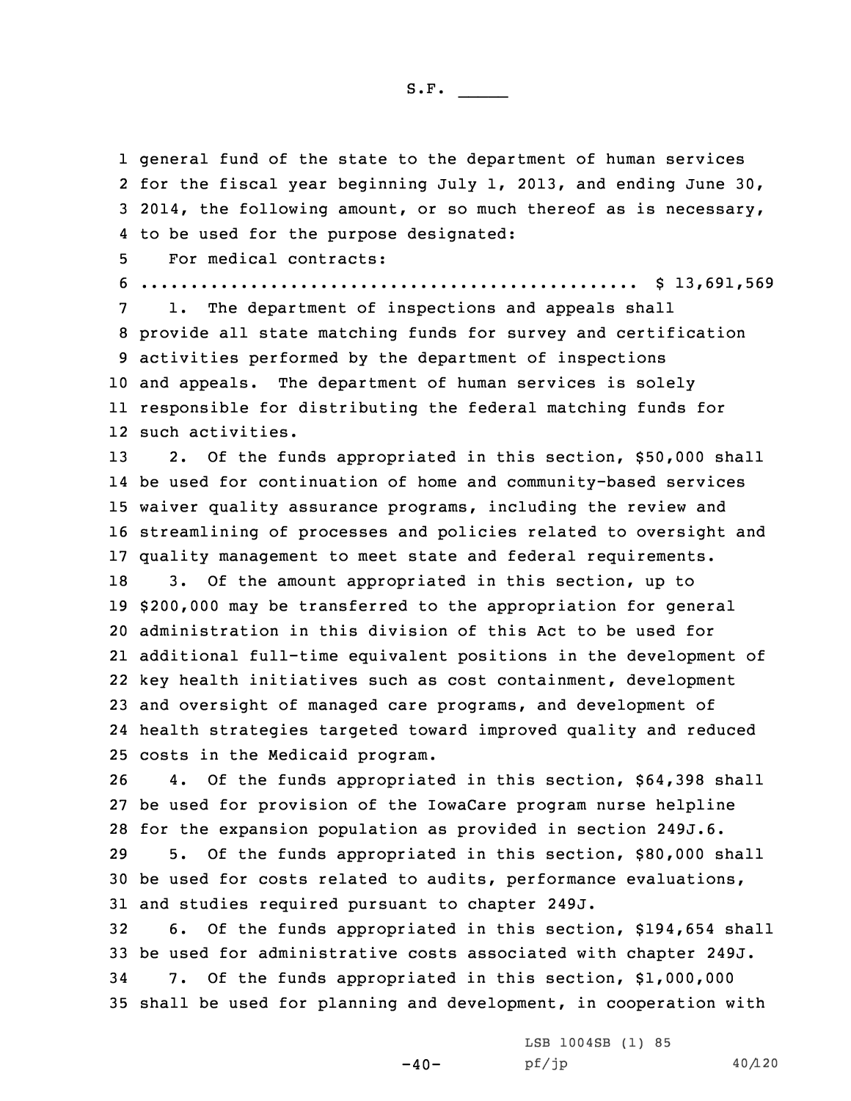general fund of the state to the department of human services for the fiscal year beginning July 1, 2013, and ending June 30, 2014, the following amount, or so much thereof as is necessary, to be used for the purpose designated:

5 For medical contracts:

6 .................................................. \$ 13,691,569

 1. The department of inspections and appeals shall provide all state matching funds for survey and certification activities performed by the department of inspections and appeals. The department of human services is solely responsible for distributing the federal matching funds for such activities.

13 2. Of the funds appropriated in this section, \$50,000 shall be used for continuation of home and community-based services waiver quality assurance programs, including the review and streamlining of processes and policies related to oversight and quality management to meet state and federal requirements. 3. Of the amount appropriated in this section, up to \$200,000 may be transferred to the appropriation for general administration in this division of this Act to be used for additional full-time equivalent positions in the development of key health initiatives such as cost containment, development and oversight of managed care programs, and development of

24 health strategies targeted toward improved quality and reduced 25 costs in the Medicaid program.

26 4. Of the funds appropriated in this section, \$64,398 shall 27 be used for provision of the IowaCare program nurse helpline 28 for the expansion population as provided in section 249J.6.

29 5. Of the funds appropriated in this section, \$80,000 shall 30 be used for costs related to audits, performance evaluations, 31 and studies required pursuant to chapter 249J.

 6. Of the funds appropriated in this section, \$194,654 shall be used for administrative costs associated with chapter 249J. 7. Of the funds appropriated in this section, \$1,000,000 shall be used for planning and development, in cooperation with

 $-40-$ 

LSB 1004SB (1) 85  $pf/jp$  40/120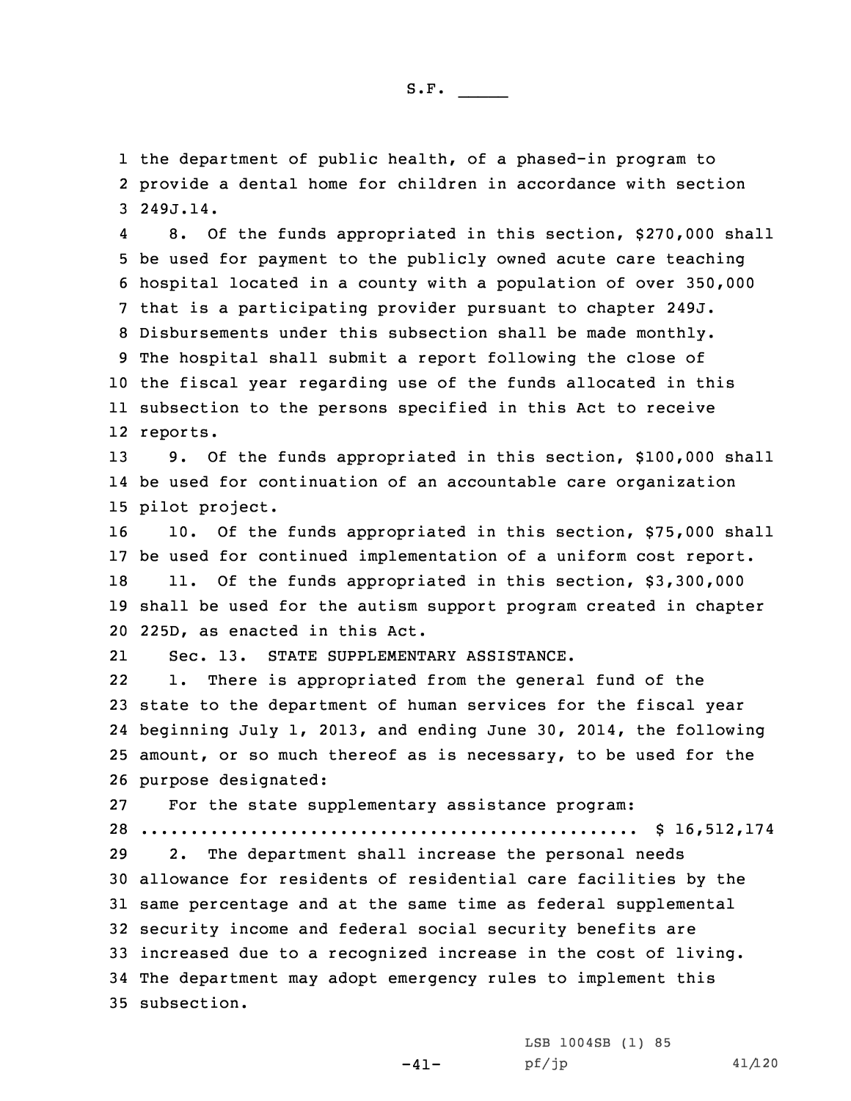1 the department of public health, of <sup>a</sup> phased-in program to 2 provide <sup>a</sup> dental home for children in accordance with section 3 249J.14.

4 8. Of the funds appropriated in this section, \$270,000 shall be used for payment to the publicly owned acute care teaching hospital located in <sup>a</sup> county with <sup>a</sup> population of over 350,000 that is <sup>a</sup> participating provider pursuant to chapter 249J. Disbursements under this subsection shall be made monthly. The hospital shall submit <sup>a</sup> report following the close of the fiscal year regarding use of the funds allocated in this subsection to the persons specified in this Act to receive 12 reports.

13 9. Of the funds appropriated in this section, \$100,000 shall 14 be used for continuation of an accountable care organization 15 pilot project.

 10. Of the funds appropriated in this section, \$75,000 shall be used for continued implementation of <sup>a</sup> uniform cost report. 18 11. Of the funds appropriated in this section, \$3,300,000 shall be used for the autism support program created in chapter 225D, as enacted in this Act.

21Sec. 13. STATE SUPPLEMENTARY ASSISTANCE.

22 1. There is appropriated from the general fund of the state to the department of human services for the fiscal year beginning July 1, 2013, and ending June 30, 2014, the following amount, or so much thereof as is necessary, to be used for the purpose designated:

27 For the state supplementary assistance program: 28 .................................................. \$ 16,512,174

 2. The department shall increase the personal needs allowance for residents of residential care facilities by the same percentage and at the same time as federal supplemental security income and federal social security benefits are increased due to <sup>a</sup> recognized increase in the cost of living. The department may adopt emergency rules to implement this subsection.

 $-41-$ 

LSB 1004SB (1) 85  $pf/jp$  41/120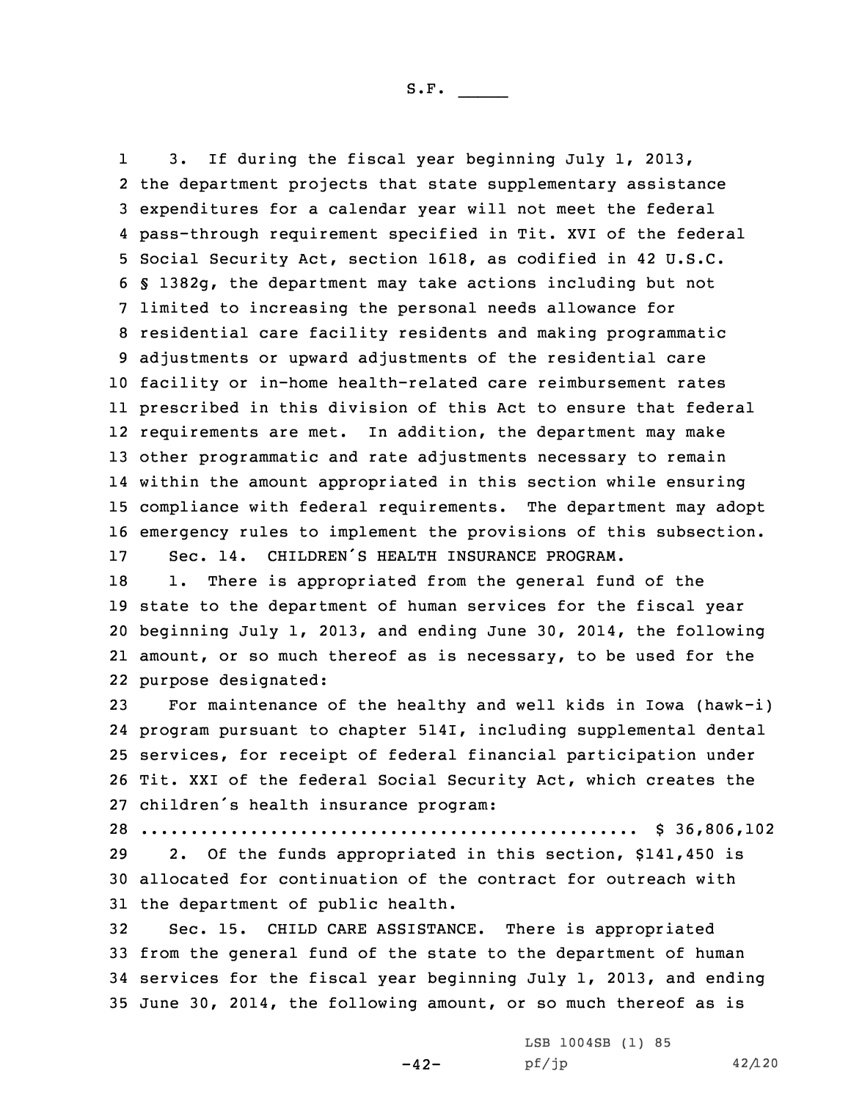1 3. If during the fiscal year beginning July 1, 2013, the department projects that state supplementary assistance expenditures for <sup>a</sup> calendar year will not meet the federal pass-through requirement specified in Tit. XVI of the federal Social Security Act, section 1618, as codified in 42 U.S.C. § 1382g, the department may take actions including but not limited to increasing the personal needs allowance for residential care facility residents and making programmatic adjustments or upward adjustments of the residential care facility or in-home health-related care reimbursement rates prescribed in this division of this Act to ensure that federal requirements are met. In addition, the department may make other programmatic and rate adjustments necessary to remain within the amount appropriated in this section while ensuring compliance with federal requirements. The department may adopt emergency rules to implement the provisions of this subsection. Sec. 14. CHILDREN'S HEALTH INSURANCE PROGRAM.

18 1. There is appropriated from the general fund of the state to the department of human services for the fiscal year beginning July 1, 2013, and ending June 30, 2014, the following amount, or so much thereof as is necessary, to be used for the purpose designated:

 For maintenance of the healthy and well kids in Iowa (hawk-i) program pursuant to chapter 514I, including supplemental dental services, for receipt of federal financial participation under Tit. XXI of the federal Social Security Act, which creates the children's health insurance program:

28 .................................................. \$ 36,806,102

29 2. Of the funds appropriated in this section, \$141,450 is 30 allocated for continuation of the contract for outreach with 31 the department of public health.

 Sec. 15. CHILD CARE ASSISTANCE. There is appropriated from the general fund of the state to the department of human services for the fiscal year beginning July 1, 2013, and ending June 30, 2014, the following amount, or so much thereof as is

-42-

LSB 1004SB (1) 85 pf/jp 42/120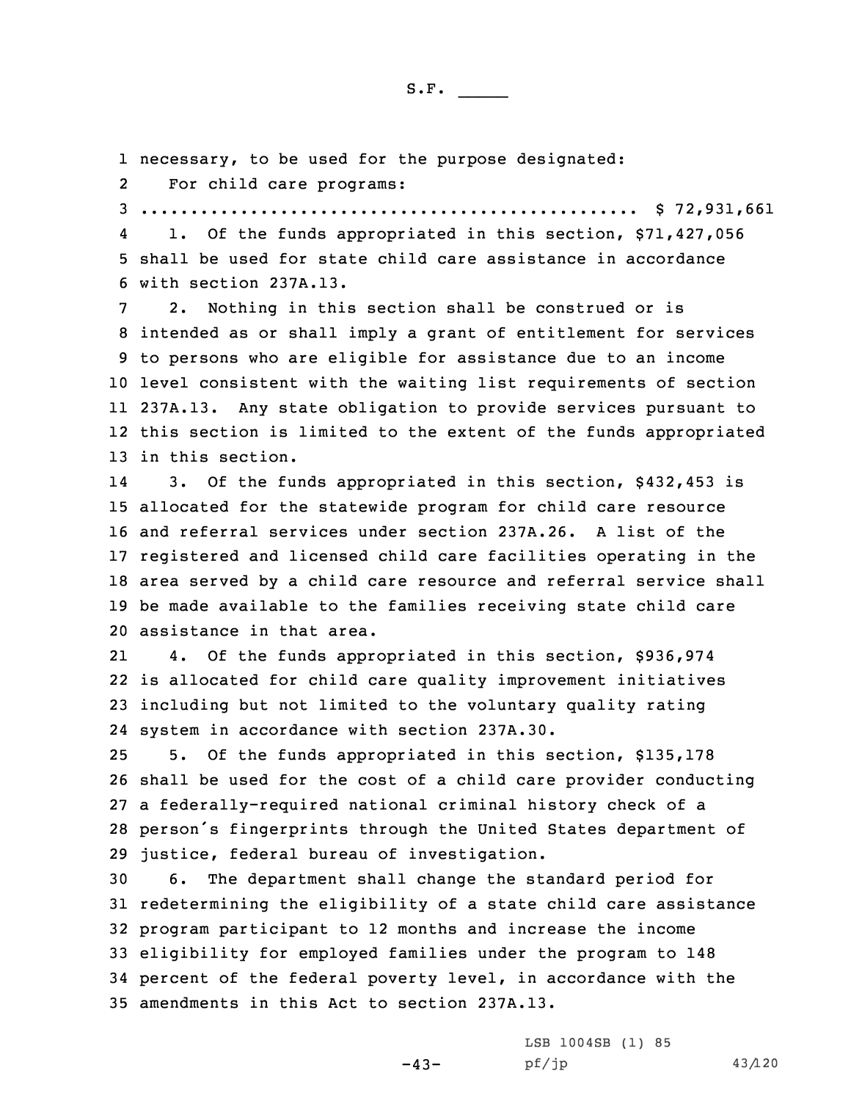1 necessary, to be used for the purpose designated:

2For child care programs:

3 .................................................. \$ 72,931,661

4 1. Of the funds appropriated in this section, \$71,427,056 5 shall be used for state child care assistance in accordance 6 with section 237A.13.

 2. Nothing in this section shall be construed or is intended as or shall imply <sup>a</sup> grant of entitlement for services to persons who are eligible for assistance due to an income level consistent with the waiting list requirements of section 237A.13. Any state obligation to provide services pursuant to this section is limited to the extent of the funds appropriated in this section.

14 3. Of the funds appropriated in this section, \$432,453 is allocated for the statewide program for child care resource and referral services under section 237A.26. A list of the registered and licensed child care facilities operating in the area served by <sup>a</sup> child care resource and referral service shall be made available to the families receiving state child care assistance in that area.

21 4. Of the funds appropriated in this section, \$936,974 22 is allocated for child care quality improvement initiatives 23 including but not limited to the voluntary quality rating 24 system in accordance with section 237A.30.

 5. Of the funds appropriated in this section, \$135,178 shall be used for the cost of <sup>a</sup> child care provider conducting <sup>a</sup> federally-required national criminal history check of <sup>a</sup> person's fingerprints through the United States department of justice, federal bureau of investigation.

 6. The department shall change the standard period for redetermining the eligibility of <sup>a</sup> state child care assistance program participant to 12 months and increase the income eligibility for employed families under the program to 148 percent of the federal poverty level, in accordance with the amendments in this Act to section 237A.13.

> -43- LSB 1004SB (1) 85 pf/jp 43/120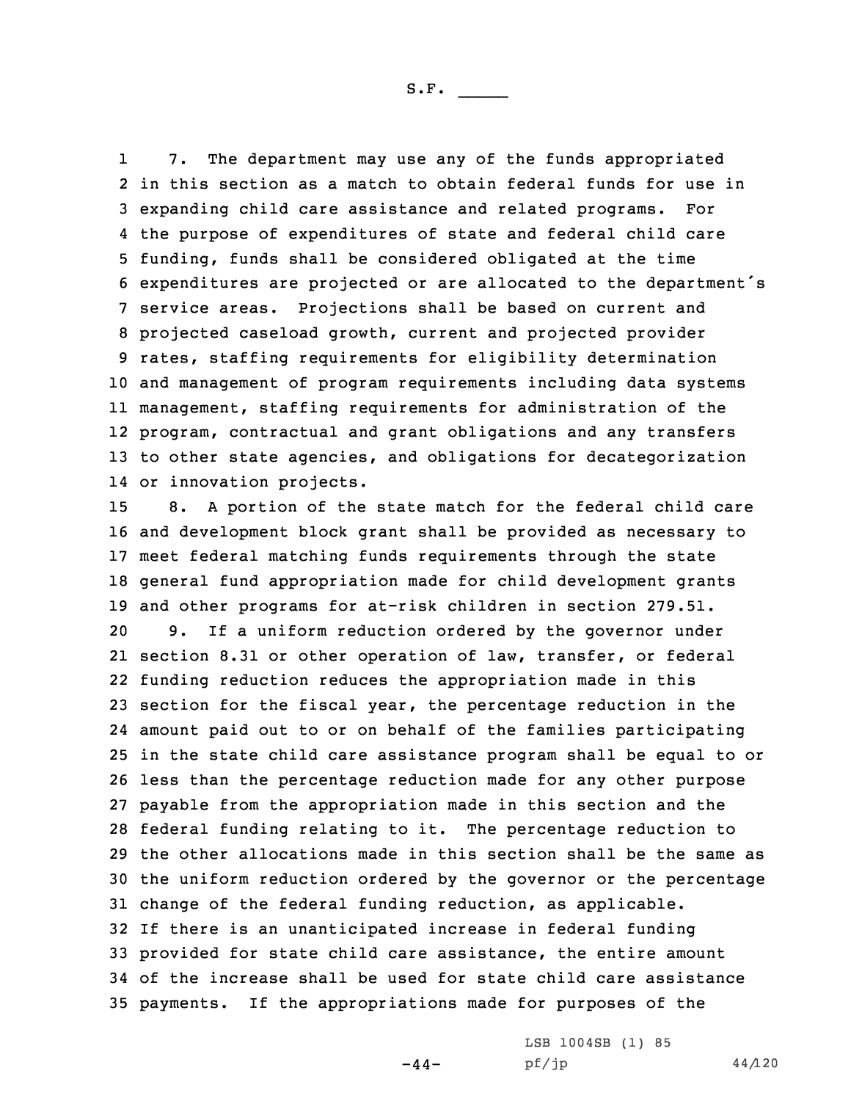1 7. The department may use any of the funds appropriated in this section as <sup>a</sup> match to obtain federal funds for use in expanding child care assistance and related programs. For the purpose of expenditures of state and federal child care funding, funds shall be considered obligated at the time expenditures are projected or are allocated to the department's service areas. Projections shall be based on current and projected caseload growth, current and projected provider rates, staffing requirements for eligibility determination and management of program requirements including data systems management, staffing requirements for administration of the program, contractual and grant obligations and any transfers to other state agencies, and obligations for decategorization or innovation projects.

 8. <sup>A</sup> portion of the state match for the federal child care and development block grant shall be provided as necessary to meet federal matching funds requirements through the state general fund appropriation made for child development grants and other programs for at-risk children in section 279.51. 9. If <sup>a</sup> uniform reduction ordered by the governor under section 8.31 or other operation of law, transfer, or federal funding reduction reduces the appropriation made in this section for the fiscal year, the percentage reduction in the amount paid out to or on behalf of the families participating in the state child care assistance program shall be equal to or less than the percentage reduction made for any other purpose payable from the appropriation made in this section and the federal funding relating to it. The percentage reduction to the other allocations made in this section shall be the same as the uniform reduction ordered by the governor or the percentage change of the federal funding reduction, as applicable. If there is an unanticipated increase in federal funding provided for state child care assistance, the entire amount of the increase shall be used for state child care assistance payments. If the appropriations made for purposes of the

 $-44-$ 

LSB 1004SB (1) 85  $pf/jp$  44/120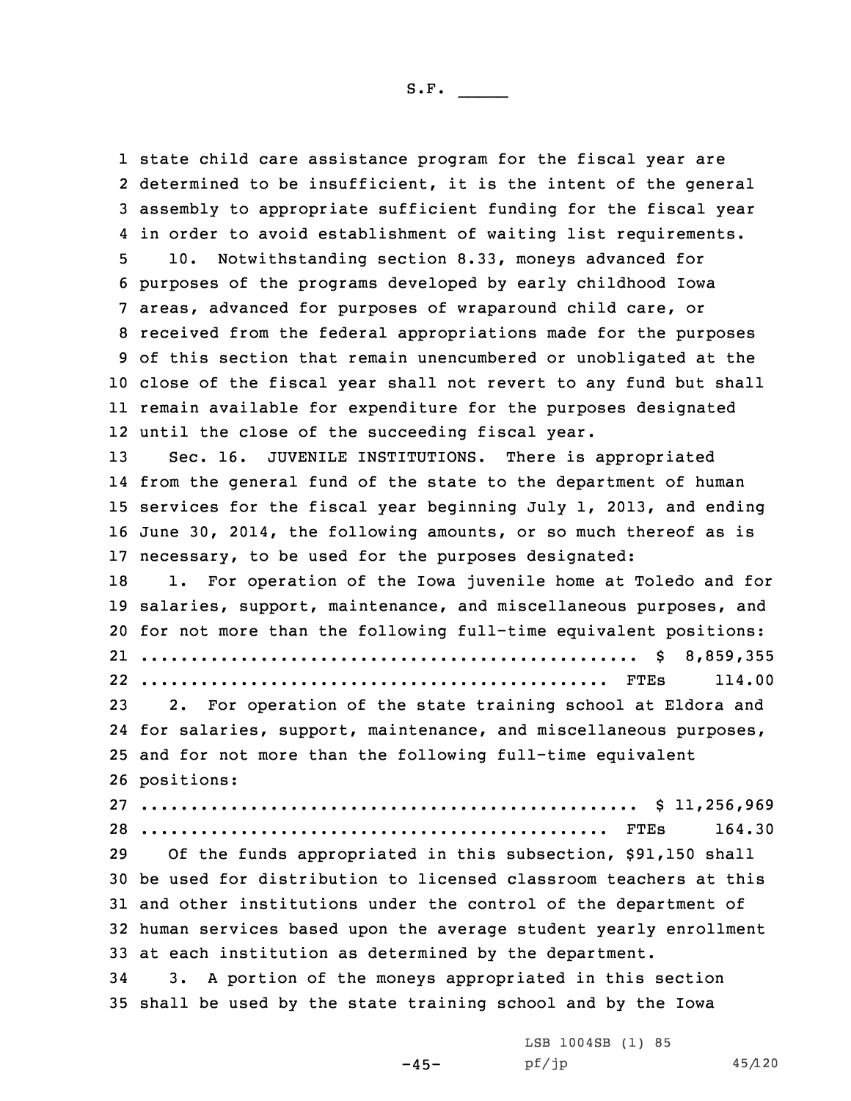state child care assistance program for the fiscal year are determined to be insufficient, it is the intent of the general assembly to appropriate sufficient funding for the fiscal year in order to avoid establishment of waiting list requirements. 10. Notwithstanding section 8.33, moneys advanced for purposes of the programs developed by early childhood Iowa areas, advanced for purposes of wraparound child care, or received from the federal appropriations made for the purposes of this section that remain unencumbered or unobligated at the close of the fiscal year shall not revert to any fund but shall remain available for expenditure for the purposes designated until the close of the succeeding fiscal year. 13 Sec. 16. JUVENILE INSTITUTIONS. There is appropriated from the general fund of the state to the department of human services for the fiscal year beginning July 1, 2013, and ending June 30, 2014, the following amounts, or so much thereof as is necessary, to be used for the purposes designated: 18 1. For operation of the Iowa juvenile home at Toledo and for salaries, support, maintenance, and miscellaneous purposes, and for not more than the following full-time equivalent positions: .................................................. \$ 8,859,355 ............................................... FTEs 114.00 2. For operation of the state training school at Eldora and for salaries, support, maintenance, and miscellaneous purposes, and for not more than the following full-time equivalent positions: .................................................. \$ 11,256,969 ............................................... FTEs 164.30 Of the funds appropriated in this subsection, \$91,150 shall be used for distribution to licensed classroom teachers at this and other institutions under the control of the department of human services based upon the average student yearly enrollment at each institution as determined by the department. 3. <sup>A</sup> portion of the moneys appropriated in this section shall be used by the state training school and by the Iowa

 $-45-$ 

LSB 1004SB (1) 85 pf/jp 45/120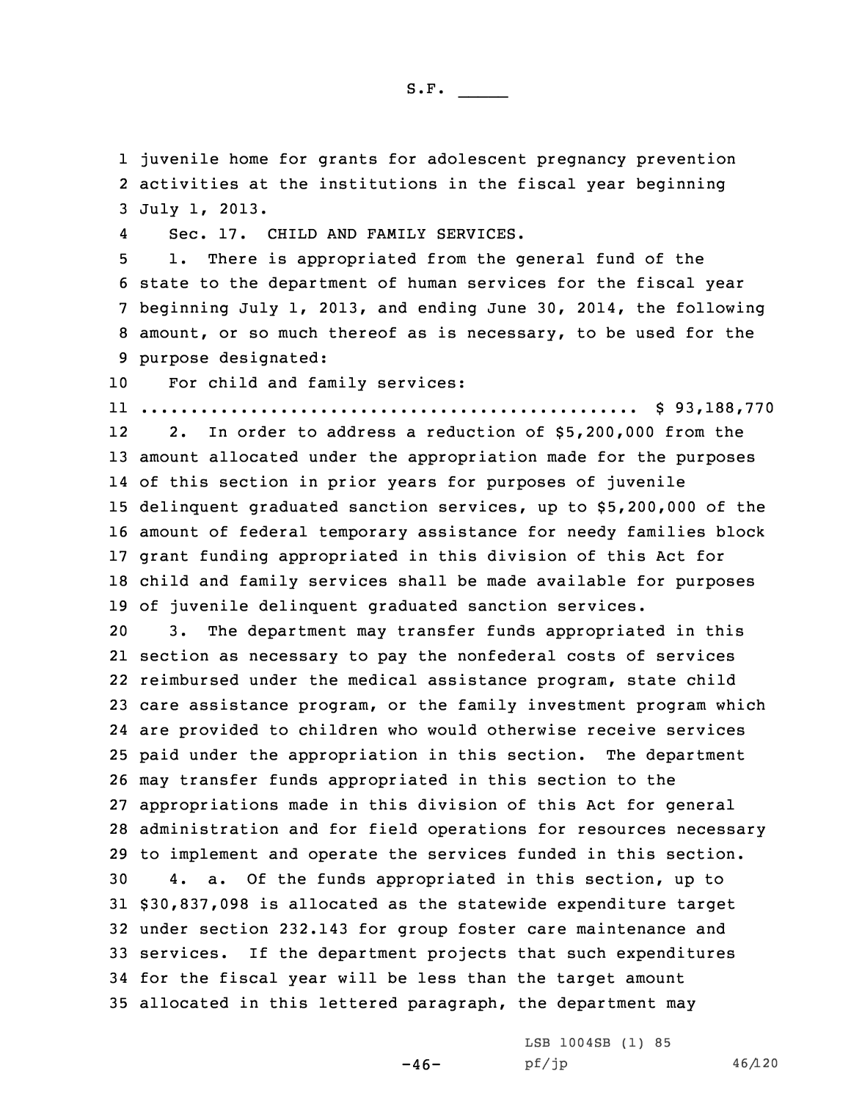1 juvenile home for grants for adolescent pregnancy prevention 2 activities at the institutions in the fiscal year beginning 3 July 1, 2013.

4Sec. 17. CHILD AND FAMILY SERVICES.

 1. There is appropriated from the general fund of the state to the department of human services for the fiscal year beginning July 1, 2013, and ending June 30, 2014, the following amount, or so much thereof as is necessary, to be used for the purpose designated:

10 For child and family services:

11 .................................................. \$ 93,188,770

12 2. In order to address <sup>a</sup> reduction of \$5,200,000 from the amount allocated under the appropriation made for the purposes of this section in prior years for purposes of juvenile delinquent graduated sanction services, up to \$5,200,000 of the amount of federal temporary assistance for needy families block grant funding appropriated in this division of this Act for child and family services shall be made available for purposes of juvenile delinquent graduated sanction services.

 3. The department may transfer funds appropriated in this section as necessary to pay the nonfederal costs of services reimbursed under the medical assistance program, state child care assistance program, or the family investment program which are provided to children who would otherwise receive services paid under the appropriation in this section. The department may transfer funds appropriated in this section to the appropriations made in this division of this Act for general administration and for field operations for resources necessary to implement and operate the services funded in this section. 4. a. Of the funds appropriated in this section, up to \$30,837,098 is allocated as the statewide expenditure target under section 232.143 for group foster care maintenance and services. If the department projects that such expenditures for the fiscal year will be less than the target amount allocated in this lettered paragraph, the department may

 $-46-$ 

LSB 1004SB (1) 85 pf/jp 46/120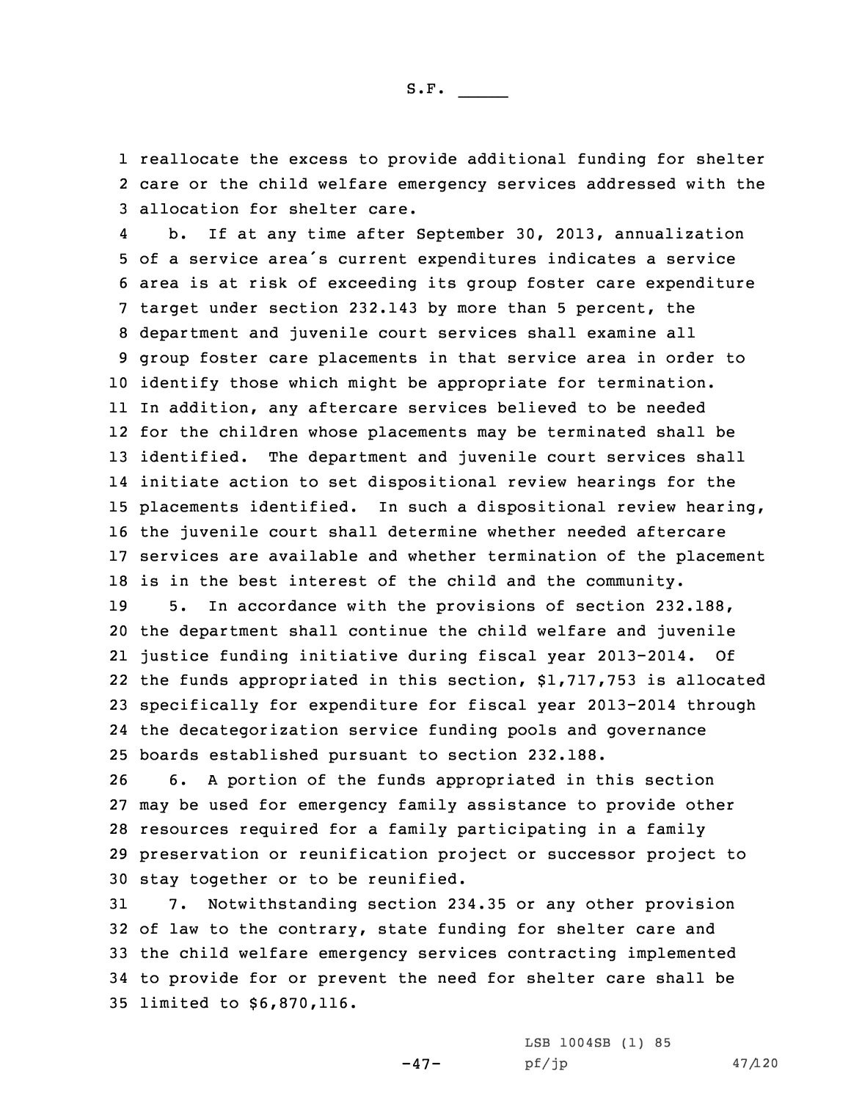1 reallocate the excess to provide additional funding for shelter 2 care or the child welfare emergency services addressed with the 3 allocation for shelter care.

4 b. If at any time after September 30, 2013, annualization of <sup>a</sup> service area's current expenditures indicates <sup>a</sup> service area is at risk of exceeding its group foster care expenditure target under section 232.143 by more than 5 percent, the department and juvenile court services shall examine all group foster care placements in that service area in order to identify those which might be appropriate for termination. In addition, any aftercare services believed to be needed for the children whose placements may be terminated shall be identified. The department and juvenile court services shall initiate action to set dispositional review hearings for the placements identified. In such <sup>a</sup> dispositional review hearing, the juvenile court shall determine whether needed aftercare services are available and whether termination of the placement is in the best interest of the child and the community.

 5. In accordance with the provisions of section 232.188, the department shall continue the child welfare and juvenile justice funding initiative during fiscal year 2013-2014. Of the funds appropriated in this section, \$1,717,753 is allocated specifically for expenditure for fiscal year 2013-2014 through the decategorization service funding pools and governance boards established pursuant to section 232.188.

 6. <sup>A</sup> portion of the funds appropriated in this section may be used for emergency family assistance to provide other resources required for <sup>a</sup> family participating in <sup>a</sup> family preservation or reunification project or successor project to stay together or to be reunified.

 7. Notwithstanding section 234.35 or any other provision of law to the contrary, state funding for shelter care and the child welfare emergency services contracting implemented to provide for or prevent the need for shelter care shall be limited to \$6,870,116.

-47-

LSB 1004SB (1) 85  $pf/jp$  47/120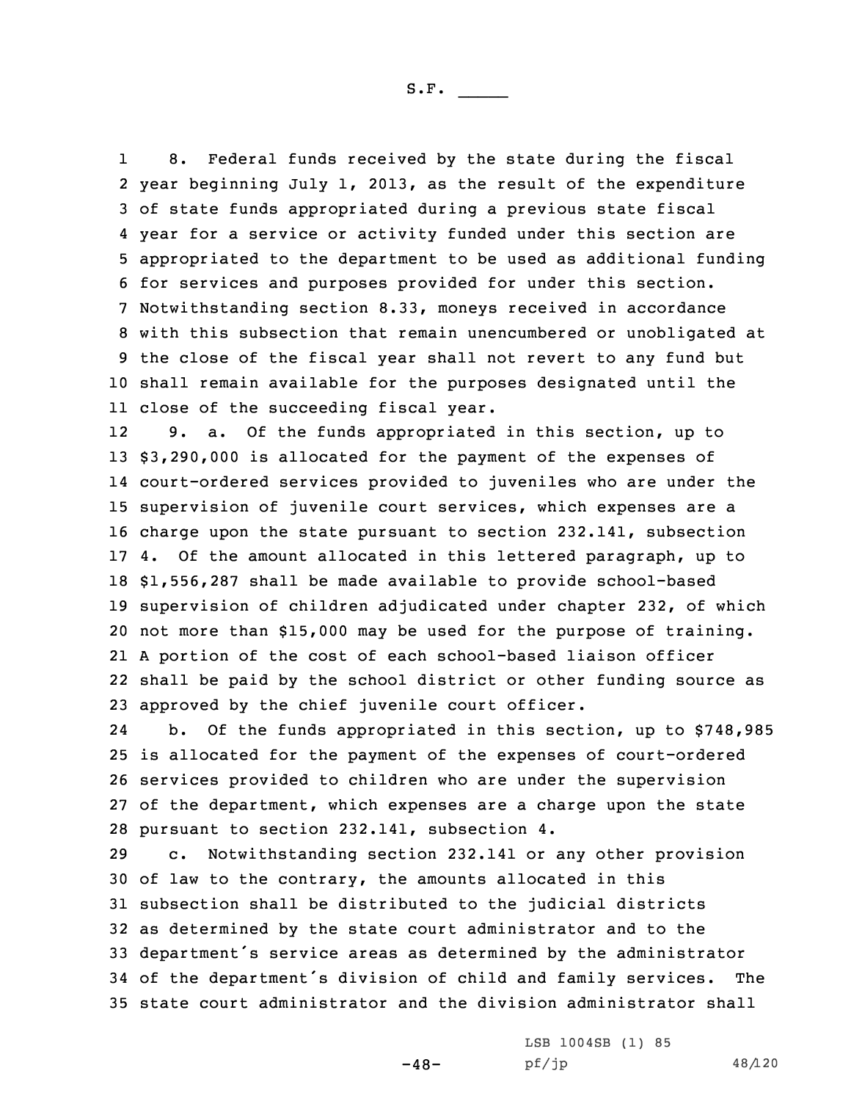1 8. Federal funds received by the state during the fiscal year beginning July 1, 2013, as the result of the expenditure of state funds appropriated during <sup>a</sup> previous state fiscal year for <sup>a</sup> service or activity funded under this section are appropriated to the department to be used as additional funding for services and purposes provided for under this section. Notwithstanding section 8.33, moneys received in accordance with this subsection that remain unencumbered or unobligated at the close of the fiscal year shall not revert to any fund but shall remain available for the purposes designated until the close of the succeeding fiscal year.

12 9. a. Of the funds appropriated in this section, up to \$3,290,000 is allocated for the payment of the expenses of court-ordered services provided to juveniles who are under the supervision of juvenile court services, which expenses are <sup>a</sup> charge upon the state pursuant to section 232.141, subsection 4. Of the amount allocated in this lettered paragraph, up to \$1,556,287 shall be made available to provide school-based supervision of children adjudicated under chapter 232, of which not more than \$15,000 may be used for the purpose of training. <sup>A</sup> portion of the cost of each school-based liaison officer shall be paid by the school district or other funding source as approved by the chief juvenile court officer.

24 b. Of the funds appropriated in this section, up to \$748,985 is allocated for the payment of the expenses of court-ordered services provided to children who are under the supervision of the department, which expenses are <sup>a</sup> charge upon the state pursuant to section 232.141, subsection 4.

 c. Notwithstanding section 232.141 or any other provision of law to the contrary, the amounts allocated in this subsection shall be distributed to the judicial districts as determined by the state court administrator and to the department's service areas as determined by the administrator of the department's division of child and family services. The state court administrator and the division administrator shall

 $-48-$ 

LSB 1004SB (1) 85 pf/jp 48/120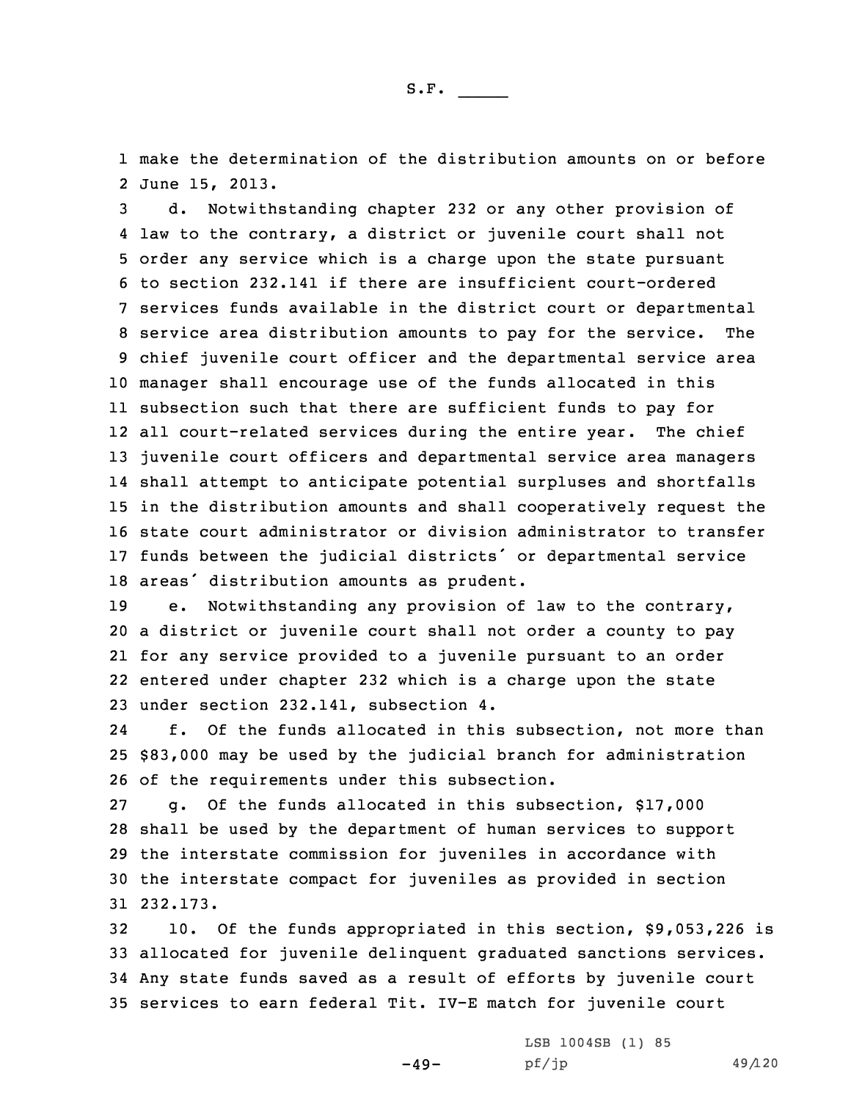1 make the determination of the distribution amounts on or before 2 June 15, 2013.

 d. Notwithstanding chapter 232 or any other provision of law to the contrary, <sup>a</sup> district or juvenile court shall not order any service which is <sup>a</sup> charge upon the state pursuant to section 232.141 if there are insufficient court-ordered services funds available in the district court or departmental service area distribution amounts to pay for the service. The chief juvenile court officer and the departmental service area manager shall encourage use of the funds allocated in this subsection such that there are sufficient funds to pay for all court-related services during the entire year. The chief juvenile court officers and departmental service area managers shall attempt to anticipate potential surpluses and shortfalls in the distribution amounts and shall cooperatively request the state court administrator or division administrator to transfer funds between the judicial districts' or departmental service areas' distribution amounts as prudent.

 e. Notwithstanding any provision of law to the contrary, <sup>a</sup> district or juvenile court shall not order <sup>a</sup> county to pay for any service provided to <sup>a</sup> juvenile pursuant to an order entered under chapter 232 which is <sup>a</sup> charge upon the state under section 232.141, subsection 4.

24 f. Of the funds allocated in this subsection, not more than 25 \$83,000 may be used by the judicial branch for administration 26 of the requirements under this subsection.

 g. Of the funds allocated in this subsection, \$17,000 shall be used by the department of human services to support the interstate commission for juveniles in accordance with the interstate compact for juveniles as provided in section 31 232.173.

 10. Of the funds appropriated in this section, \$9,053,226 is allocated for juvenile delinquent graduated sanctions services. Any state funds saved as <sup>a</sup> result of efforts by juvenile court services to earn federal Tit. IV-E match for juvenile court

 $-49-$ 

LSB 1004SB (1) 85 pf/jp 49/120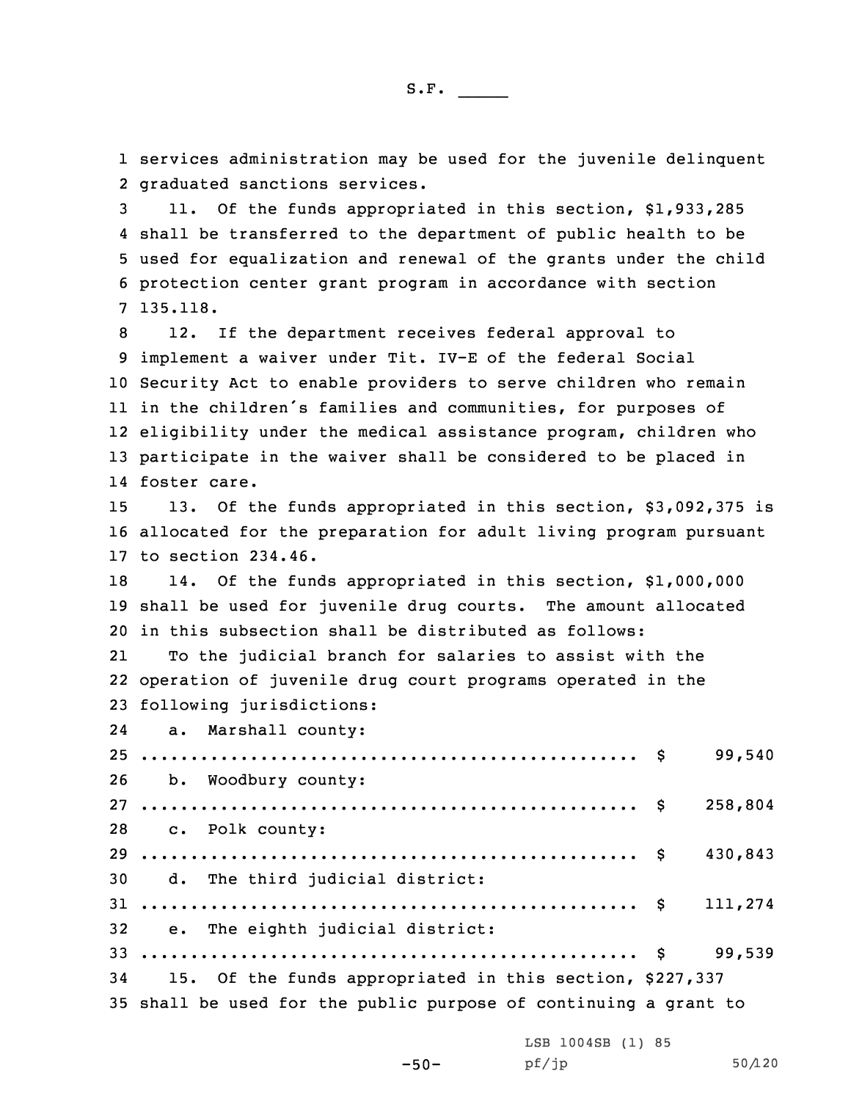1 services administration may be used for the juvenile delinquent 2 graduated sanctions services.

 11. Of the funds appropriated in this section, \$1,933,285 shall be transferred to the department of public health to be used for equalization and renewal of the grants under the child protection center grant program in accordance with section 7 135.118.

 12. If the department receives federal approval to implement <sup>a</sup> waiver under Tit. IV-E of the federal Social Security Act to enable providers to serve children who remain in the children's families and communities, for purposes of eligibility under the medical assistance program, children who participate in the waiver shall be considered to be placed in foster care.

15 13. Of the funds appropriated in this section, \$3,092,375 is 16 allocated for the preparation for adult living program pursuant 17 to section 234.46.

18 14. Of the funds appropriated in this section, \$1,000,000 19 shall be used for juvenile drug courts. The amount allocated 20 in this subsection shall be distributed as follows:

21 To the judicial branch for salaries to assist with the 22 operation of juvenile drug court programs operated in the 23 following jurisdictions:

24 a. Marshall county: .................................................. \$ 99,540 b. Woodbury county: .................................................. \$ 258,804 c. Polk county: .................................................. \$ 430,843 d. The third judicial district: .................................................. \$ 111,274 e. The eighth judicial district: .................................................. \$ 99,539 15. Of the funds appropriated in this section, \$227,337 shall be used for the public purpose of continuing <sup>a</sup> grant to

LSB 1004SB (1) 85

-50-

pf/jp 50/120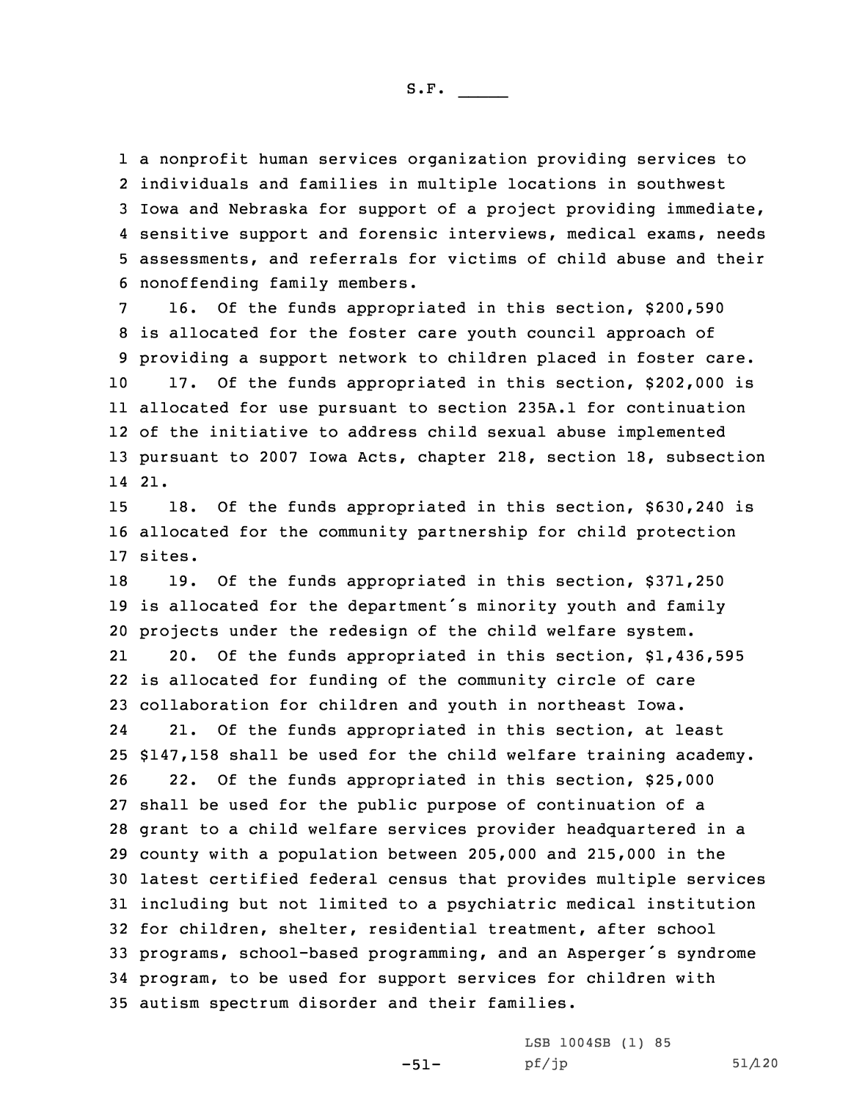<sup>a</sup> nonprofit human services organization providing services to individuals and families in multiple locations in southwest Iowa and Nebraska for support of <sup>a</sup> project providing immediate, sensitive support and forensic interviews, medical exams, needs assessments, and referrals for victims of child abuse and their nonoffending family members.

 16. Of the funds appropriated in this section, \$200,590 is allocated for the foster care youth council approach of providing <sup>a</sup> support network to children placed in foster care. 17. Of the funds appropriated in this section, \$202,000 is allocated for use pursuant to section 235A.1 for continuation of the initiative to address child sexual abuse implemented pursuant to 2007 Iowa Acts, chapter 218, section 18, subsection 14 21.

15 18. Of the funds appropriated in this section, \$630,240 is 16 allocated for the community partnership for child protection 17 sites.

 19. Of the funds appropriated in this section, \$371,250 is allocated for the department's minority youth and family projects under the redesign of the child welfare system. 21 20. Of the funds appropriated in this section, \$1,436,595 is allocated for funding of the community circle of care collaboration for children and youth in northeast Iowa. 24 21. Of the funds appropriated in this section, at least \$147,158 shall be used for the child welfare training academy. 22. Of the funds appropriated in this section, \$25,000 shall be used for the public purpose of continuation of <sup>a</sup> grant to <sup>a</sup> child welfare services provider headquartered in <sup>a</sup> county with <sup>a</sup> population between 205,000 and 215,000 in the latest certified federal census that provides multiple services including but not limited to <sup>a</sup> psychiatric medical institution for children, shelter, residential treatment, after school programs, school-based programming, and an Asperger's syndrome program, to be used for support services for children with autism spectrum disorder and their families.

-51-

LSB 1004SB (1) 85  $pf/jp$  51/120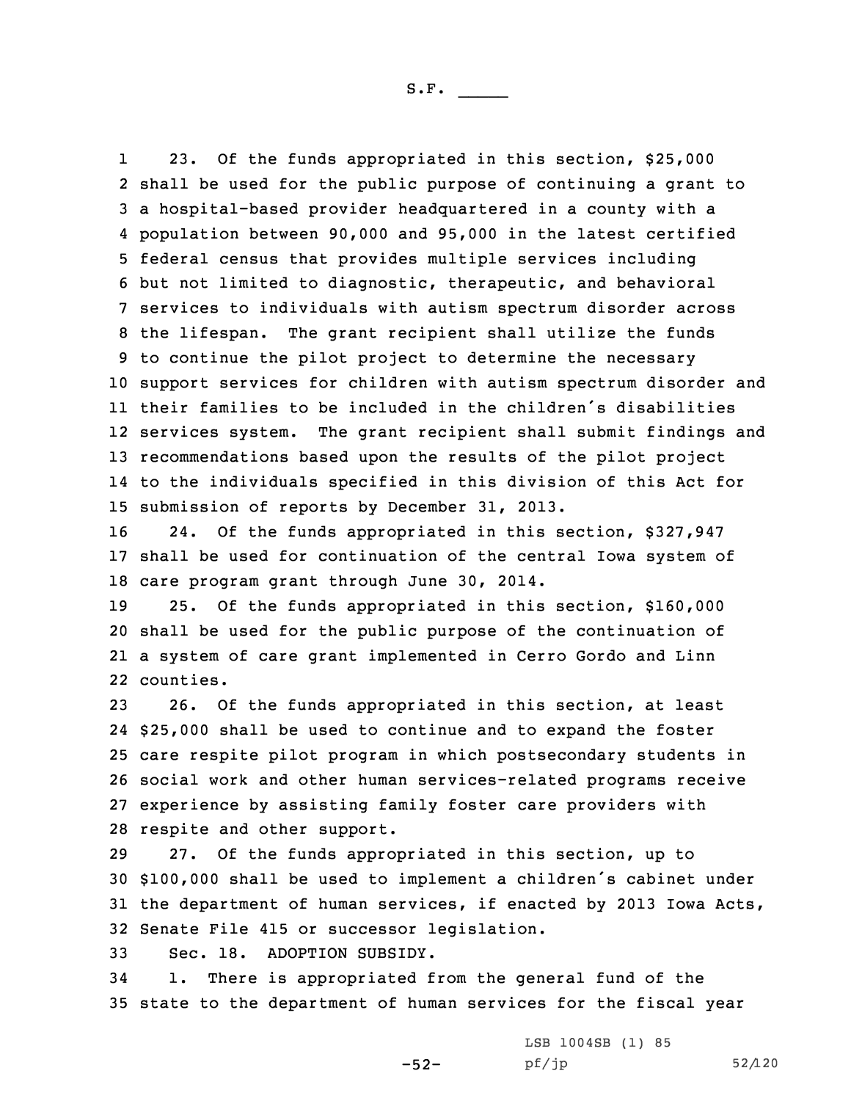1 23. Of the funds appropriated in this section, \$25,000 shall be used for the public purpose of continuing <sup>a</sup> grant to <sup>a</sup> hospital-based provider headquartered in <sup>a</sup> county with <sup>a</sup> population between 90,000 and 95,000 in the latest certified federal census that provides multiple services including but not limited to diagnostic, therapeutic, and behavioral services to individuals with autism spectrum disorder across the lifespan. The grant recipient shall utilize the funds to continue the pilot project to determine the necessary support services for children with autism spectrum disorder and their families to be included in the children's disabilities services system. The grant recipient shall submit findings and recommendations based upon the results of the pilot project to the individuals specified in this division of this Act for submission of reports by December 31, 2013.

16 24. Of the funds appropriated in this section, \$327,947 17 shall be used for continuation of the central Iowa system of 18 care program grant through June 30, 2014.

 25. Of the funds appropriated in this section, \$160,000 shall be used for the public purpose of the continuation of <sup>a</sup> system of care grant implemented in Cerro Gordo and Linn counties.

 26. Of the funds appropriated in this section, at least \$25,000 shall be used to continue and to expand the foster care respite pilot program in which postsecondary students in social work and other human services-related programs receive experience by assisting family foster care providers with respite and other support.

 27. Of the funds appropriated in this section, up to \$100,000 shall be used to implement <sup>a</sup> children's cabinet under the department of human services, if enacted by 2013 Iowa Acts, Senate File 415 or successor legislation.

33 Sec. 18. ADOPTION SUBSIDY.

34 1. There is appropriated from the general fund of the 35 state to the department of human services for the fiscal year

-52-

LSB 1004SB (1) 85 pf/jp 52/120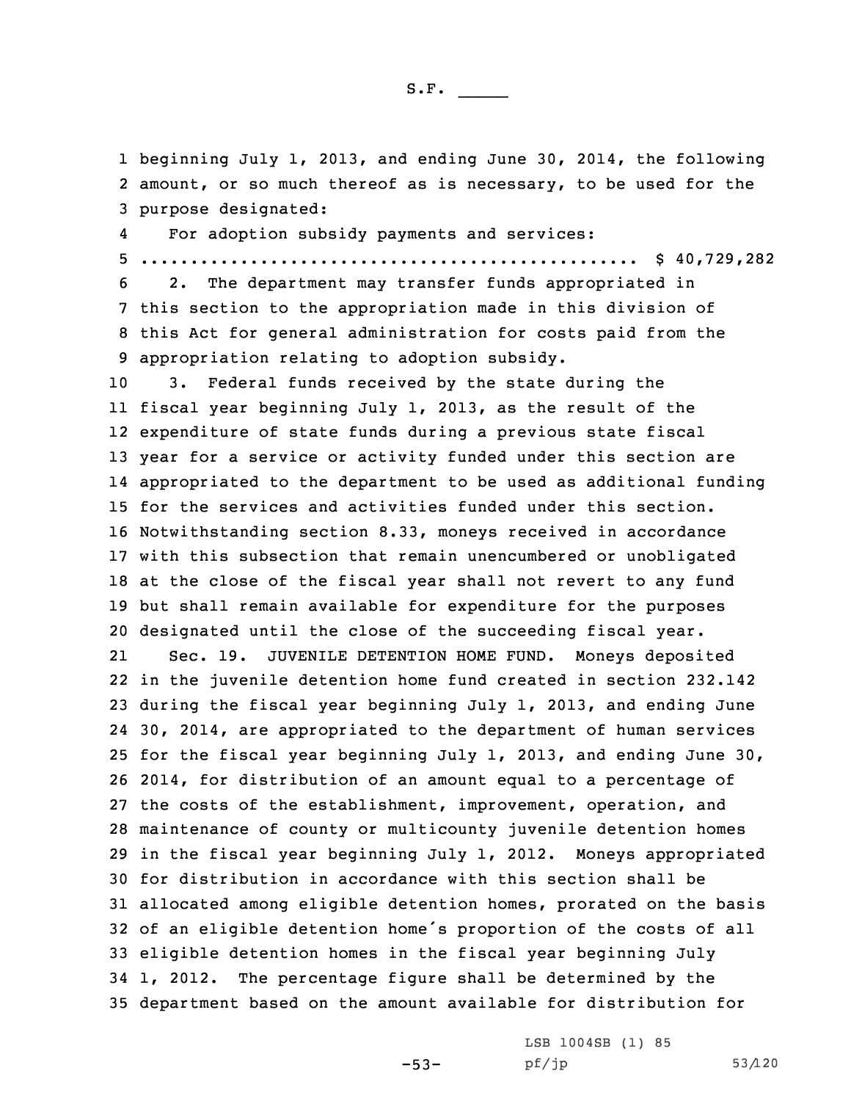1 beginning July 1, 2013, and ending June 30, 2014, the following 2 amount, or so much thereof as is necessary, to be used for the 3 purpose designated:

4For adoption subsidy payments and services:

5 .................................................. \$ 40,729,282

 2. The department may transfer funds appropriated in this section to the appropriation made in this division of this Act for general administration for costs paid from the appropriation relating to adoption subsidy.

 3. Federal funds received by the state during the fiscal year beginning July 1, 2013, as the result of the expenditure of state funds during <sup>a</sup> previous state fiscal year for <sup>a</sup> service or activity funded under this section are appropriated to the department to be used as additional funding for the services and activities funded under this section. Notwithstanding section 8.33, moneys received in accordance with this subsection that remain unencumbered or unobligated at the close of the fiscal year shall not revert to any fund but shall remain available for expenditure for the purposes designated until the close of the succeeding fiscal year.

21 Sec. 19. JUVENILE DETENTION HOME FUND. Moneys deposited in the juvenile detention home fund created in section 232.142 during the fiscal year beginning July 1, 2013, and ending June 30, 2014, are appropriated to the department of human services for the fiscal year beginning July 1, 2013, and ending June 30, 2014, for distribution of an amount equal to <sup>a</sup> percentage of the costs of the establishment, improvement, operation, and maintenance of county or multicounty juvenile detention homes in the fiscal year beginning July 1, 2012. Moneys appropriated for distribution in accordance with this section shall be allocated among eligible detention homes, prorated on the basis of an eligible detention home's proportion of the costs of all eligible detention homes in the fiscal year beginning July 1, 2012. The percentage figure shall be determined by the department based on the amount available for distribution for

-53-

LSB 1004SB (1) 85 pf/jp 53/120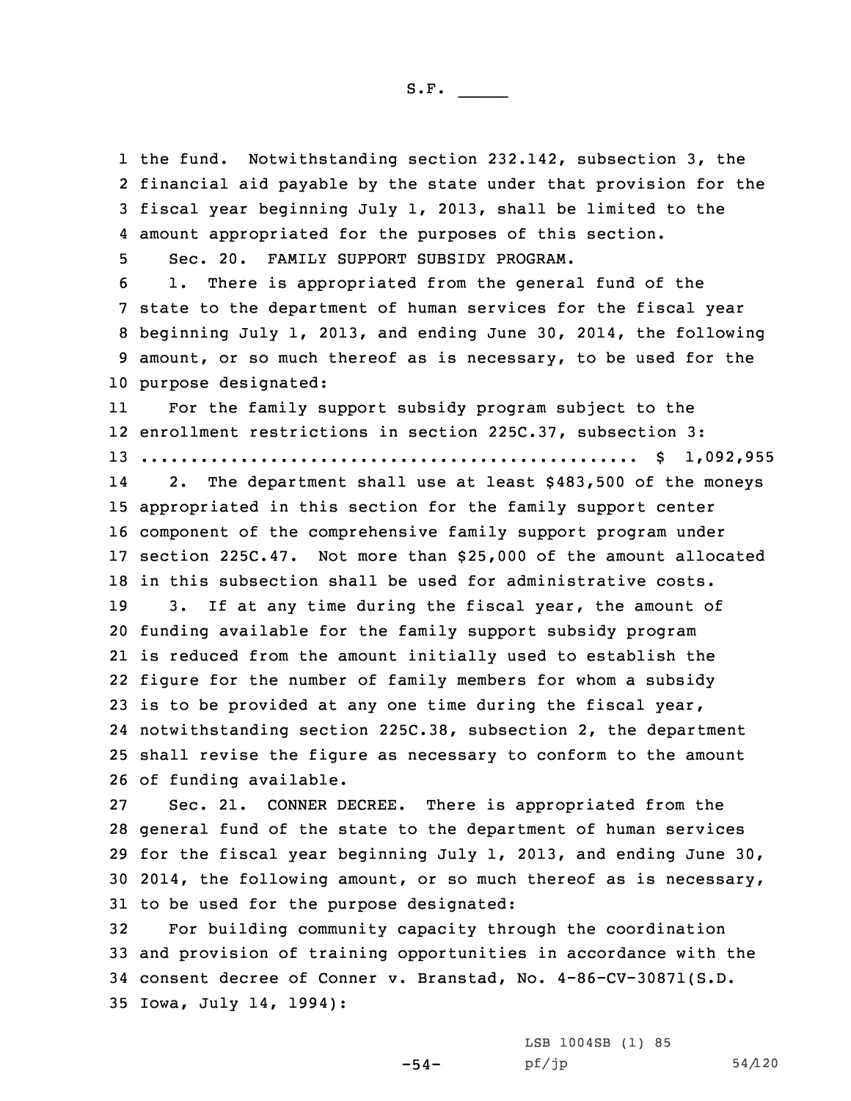the fund. Notwithstanding section 232.142, subsection 3, the financial aid payable by the state under that provision for the fiscal year beginning July 1, 2013, shall be limited to the amount appropriated for the purposes of this section.

5 Sec. 20. FAMILY SUPPORT SUBSIDY PROGRAM.

 1. There is appropriated from the general fund of the state to the department of human services for the fiscal year beginning July 1, 2013, and ending June 30, 2014, the following amount, or so much thereof as is necessary, to be used for the purpose designated:

11 For the family support subsidy program subject to the 12 enrollment restrictions in section 225C.37, subsection 3: 13 .................................................. \$ 1,092,955

14 2. The department shall use at least \$483,500 of the moneys appropriated in this section for the family support center component of the comprehensive family support program under section 225C.47. Not more than \$25,000 of the amount allocated in this subsection shall be used for administrative costs.

 3. If at any time during the fiscal year, the amount of funding available for the family support subsidy program is reduced from the amount initially used to establish the figure for the number of family members for whom <sup>a</sup> subsidy is to be provided at any one time during the fiscal year, notwithstanding section 225C.38, subsection 2, the department shall revise the figure as necessary to conform to the amount of funding available.

 Sec. 21. CONNER DECREE. There is appropriated from the general fund of the state to the department of human services for the fiscal year beginning July 1, 2013, and ending June 30, 2014, the following amount, or so much thereof as is necessary, to be used for the purpose designated:

 For building community capacity through the coordination and provision of training opportunities in accordance with the consent decree of Conner v. Branstad, No. 4-86-CV-30871(S.D. Iowa, July 14, 1994):

-54-

LSB 1004SB (1) 85  $pf/jp$  54/120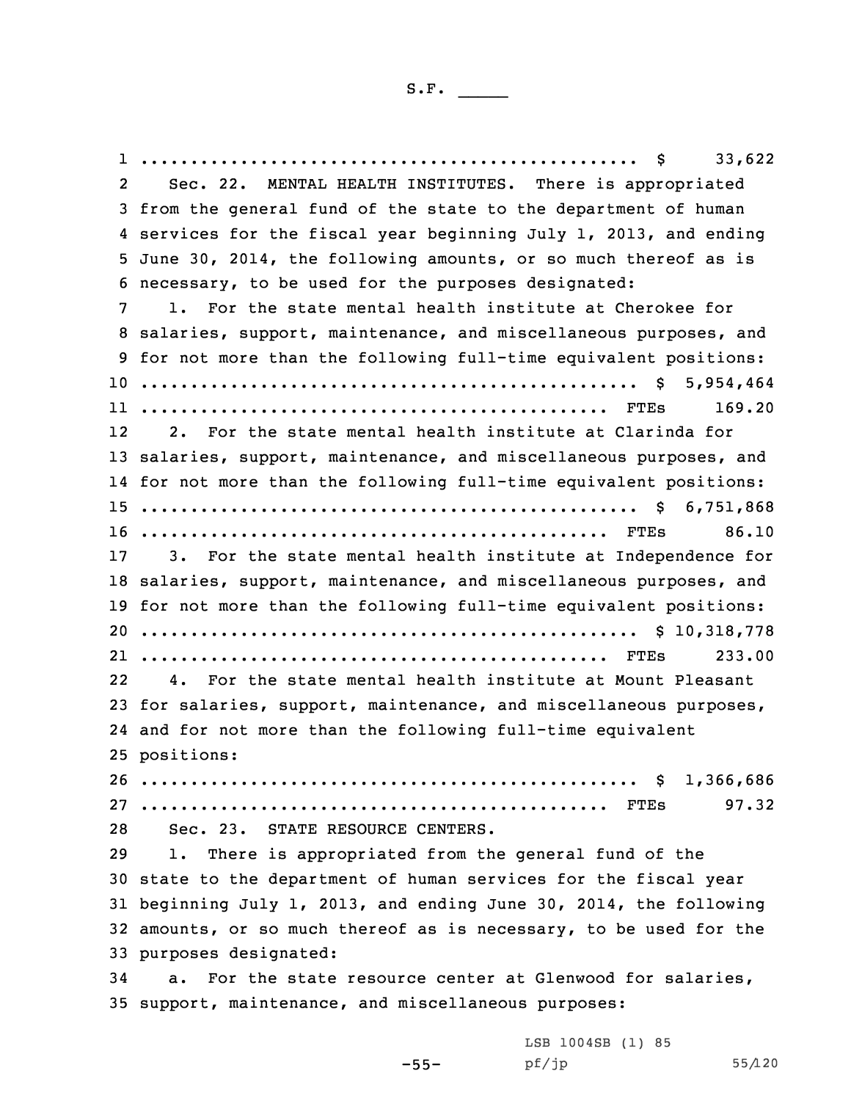1 .................................................. \$ 33,622 2 Sec. 22. MENTAL HEALTH INSTITUTES. There is appropriated from the general fund of the state to the department of human services for the fiscal year beginning July 1, 2013, and ending June 30, 2014, the following amounts, or so much thereof as is necessary, to be used for the purposes designated: 1. For the state mental health institute at Cherokee for salaries, support, maintenance, and miscellaneous purposes, and for not more than the following full-time equivalent positions: .................................................. \$ 5,954,464 ............................................... FTEs 169.20 12 2. For the state mental health institute at Clarinda for salaries, support, maintenance, and miscellaneous purposes, and for not more than the following full-time equivalent positions: .................................................. \$ 6,751,868 ............................................... FTEs 86.10 3. For the state mental health institute at Independence for salaries, support, maintenance, and miscellaneous purposes, and for not more than the following full-time equivalent positions: .................................................. \$ 10,318,778 ............................................... FTEs 233.00 22 4. For the state mental health institute at Mount Pleasant for salaries, support, maintenance, and miscellaneous purposes, and for not more than the following full-time equivalent positions: .................................................. \$ 1,366,686 ............................................... FTEs 97.32 Sec. 23. STATE RESOURCE CENTERS. 1. There is appropriated from the general fund of the state to the department of human services for the fiscal year beginning July 1, 2013, and ending June 30, 2014, the following amounts, or so much thereof as is necessary, to be used for the purposes designated: a. For the state resource center at Glenwood for salaries, support, maintenance, and miscellaneous purposes:

> LSB 1004SB (1) 85 pf/jp 55/120

-55-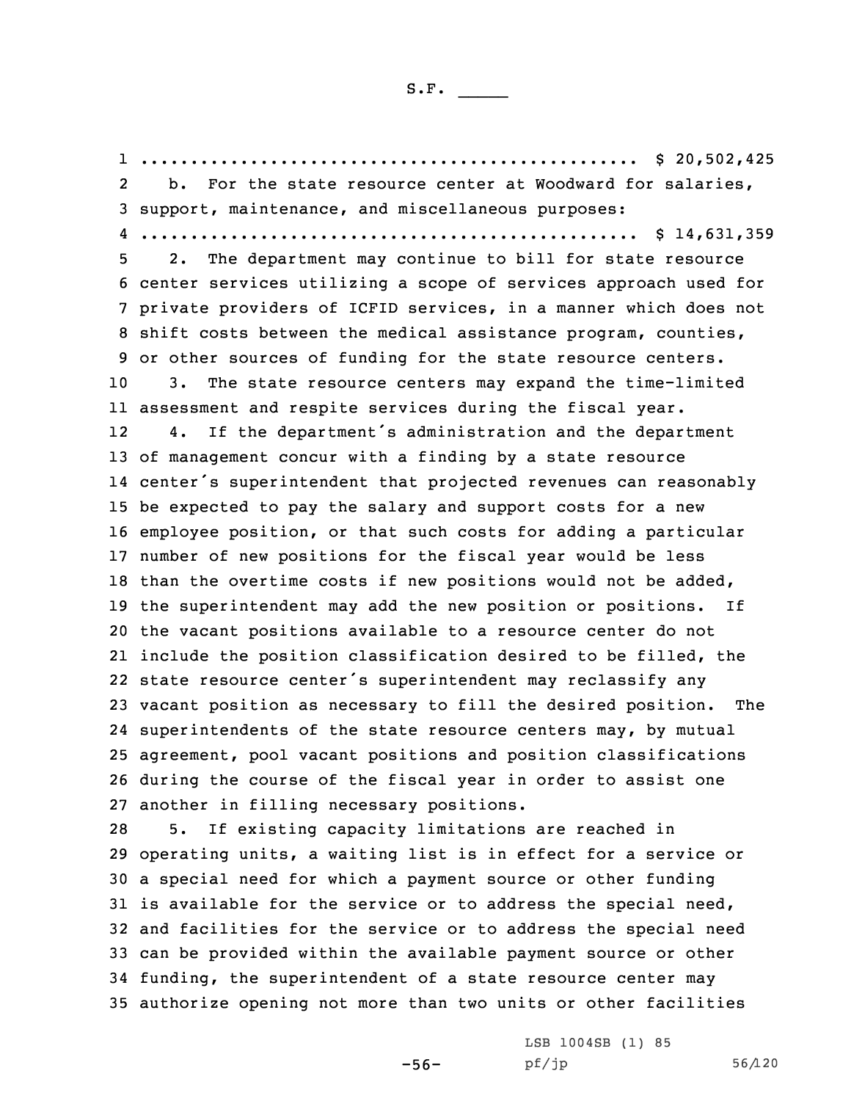1 .................................................. \$ 20,502,425 2 b. For the state resource center at Woodward for salaries, support, maintenance, and miscellaneous purposes: .................................................. \$ 14,631,359 2. The department may continue to bill for state resource center services utilizing <sup>a</sup> scope of services approach used for private providers of ICFID services, in <sup>a</sup> manner which does not shift costs between the medical assistance program, counties, or other sources of funding for the state resource centers. 3. The state resource centers may expand the time-limited assessment and respite services during the fiscal year. 12 4. If the department's administration and the department of management concur with <sup>a</sup> finding by <sup>a</sup> state resource center's superintendent that projected revenues can reasonably be expected to pay the salary and support costs for <sup>a</sup> new employee position, or that such costs for adding <sup>a</sup> particular number of new positions for the fiscal year would be less than the overtime costs if new positions would not be added, the superintendent may add the new position or positions. If the vacant positions available to <sup>a</sup> resource center do not include the position classification desired to be filled, the state resource center's superintendent may reclassify any vacant position as necessary to fill the desired position. The superintendents of the state resource centers may, by mutual agreement, pool vacant positions and position classifications during the course of the fiscal year in order to assist one another in filling necessary positions. 5. If existing capacity limitations are reached in operating units, <sup>a</sup> waiting list is in effect for <sup>a</sup> service or <sup>a</sup> special need for which <sup>a</sup> payment source or other funding is available for the service or to address the special need, and facilities for the service or to address the special need can be provided within the available payment source or other

34 funding, the superintendent of <sup>a</sup> state resource center may 35 authorize opening not more than two units or other facilities

> -56- pf/jp 56/120LSB 1004SB (1) 85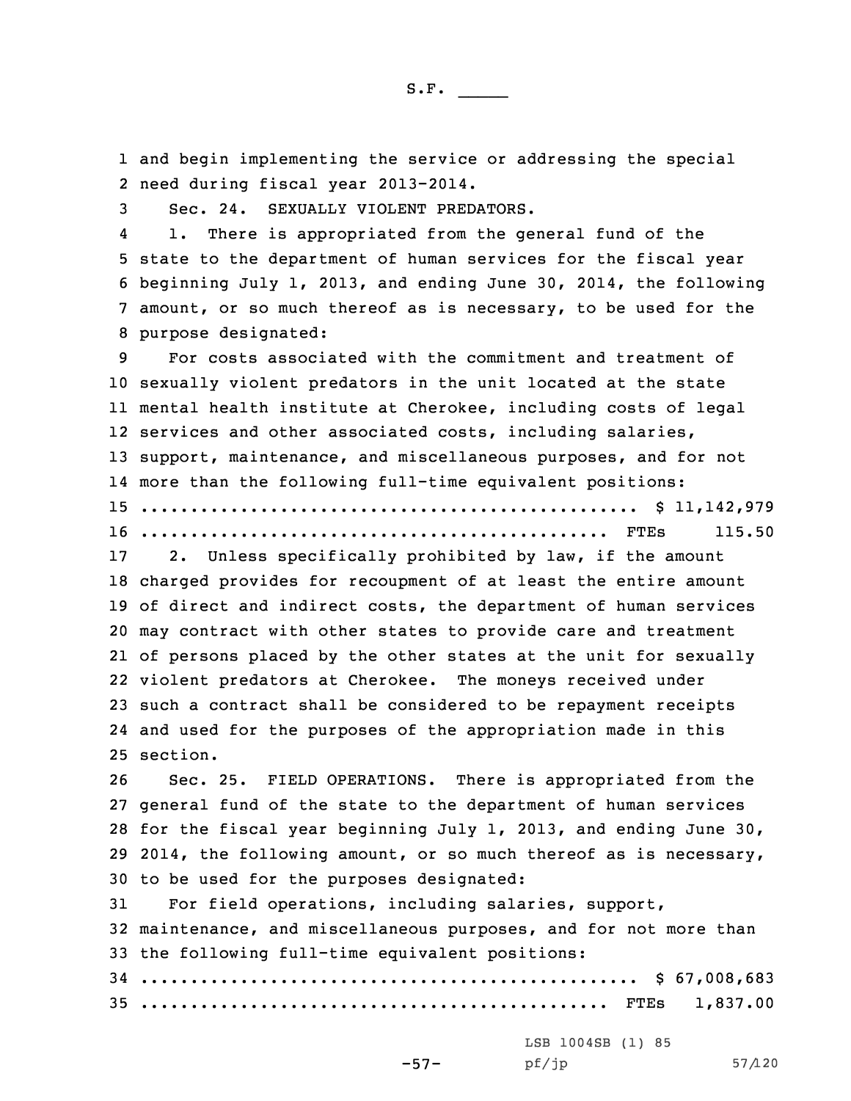1 and begin implementing the service or addressing the special 2 need during fiscal year 2013-2014.

3 Sec. 24. SEXUALLY VIOLENT PREDATORS.

4 1. There is appropriated from the general fund of the state to the department of human services for the fiscal year beginning July 1, 2013, and ending June 30, 2014, the following amount, or so much thereof as is necessary, to be used for the purpose designated:

 For costs associated with the commitment and treatment of sexually violent predators in the unit located at the state mental health institute at Cherokee, including costs of legal services and other associated costs, including salaries, support, maintenance, and miscellaneous purposes, and for not more than the following full-time equivalent positions: .................................................. \$ 11,142,979 ............................................... FTEs 115.50

 2. Unless specifically prohibited by law, if the amount charged provides for recoupment of at least the entire amount of direct and indirect costs, the department of human services may contract with other states to provide care and treatment of persons placed by the other states at the unit for sexually violent predators at Cherokee. The moneys received under such <sup>a</sup> contract shall be considered to be repayment receipts and used for the purposes of the appropriation made in this 25 section.

 Sec. 25. FIELD OPERATIONS. There is appropriated from the general fund of the state to the department of human services for the fiscal year beginning July 1, 2013, and ending June 30, 2014, the following amount, or so much thereof as is necessary, to be used for the purposes designated:

 For field operations, including salaries, support, maintenance, and miscellaneous purposes, and for not more than the following full-time equivalent positions: .................................................. \$ 67,008,683 ............................................... FTEs 1,837.00

LSB 1004SB (1) 85

-57-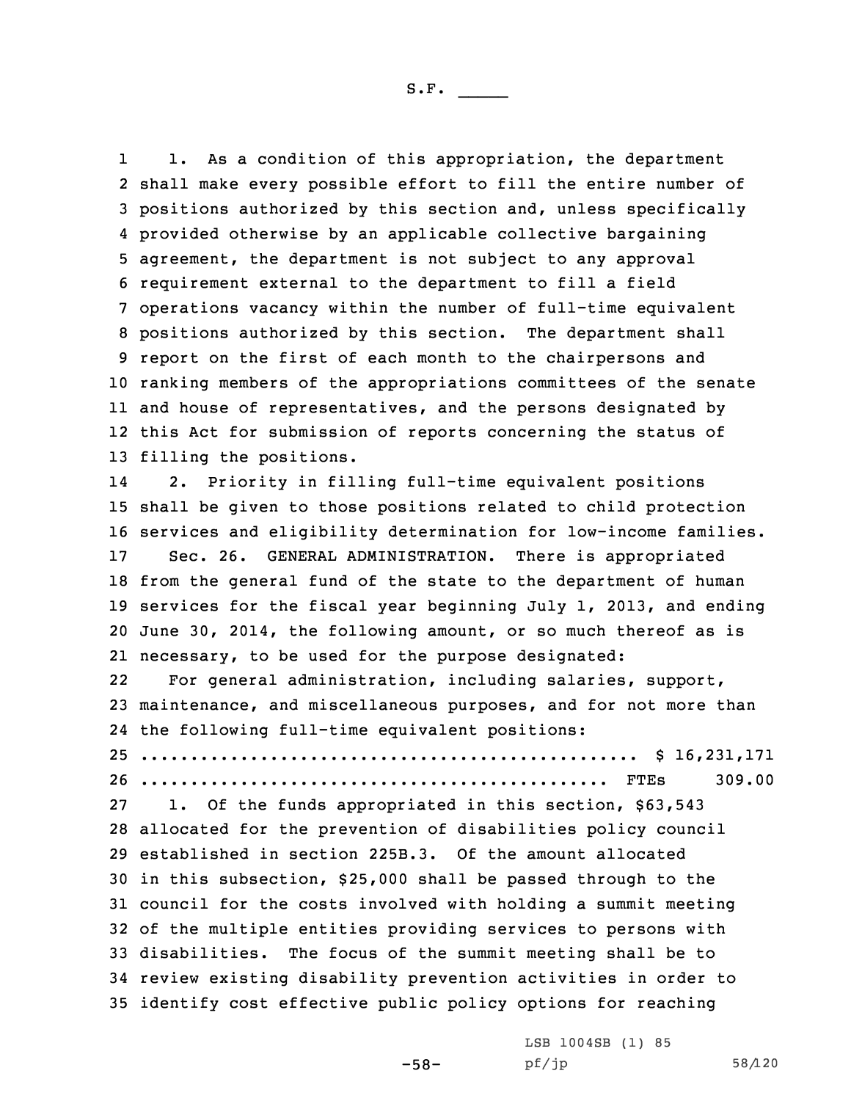1 1. As <sup>a</sup> condition of this appropriation, the department shall make every possible effort to fill the entire number of positions authorized by this section and, unless specifically provided otherwise by an applicable collective bargaining agreement, the department is not subject to any approval requirement external to the department to fill <sup>a</sup> field operations vacancy within the number of full-time equivalent positions authorized by this section. The department shall report on the first of each month to the chairpersons and ranking members of the appropriations committees of the senate and house of representatives, and the persons designated by this Act for submission of reports concerning the status of filling the positions.

14 2. Priority in filling full-time equivalent positions shall be given to those positions related to child protection services and eligibility determination for low-income families. Sec. 26. GENERAL ADMINISTRATION. There is appropriated from the general fund of the state to the department of human services for the fiscal year beginning July 1, 2013, and ending June 30, 2014, the following amount, or so much thereof as is necessary, to be used for the purpose designated:

22 For general administration, including salaries, support, 23 maintenance, and miscellaneous purposes, and for not more than 24 the following full-time equivalent positions:

25 .................................................. \$ 16,231,171 26 ............................................... FTEs 309.00

 1. Of the funds appropriated in this section, \$63,543 allocated for the prevention of disabilities policy council established in section 225B.3. Of the amount allocated in this subsection, \$25,000 shall be passed through to the council for the costs involved with holding <sup>a</sup> summit meeting of the multiple entities providing services to persons with disabilities. The focus of the summit meeting shall be to review existing disability prevention activities in order to identify cost effective public policy options for reaching

-58-

LSB 1004SB (1) 85 pf/jp 58/120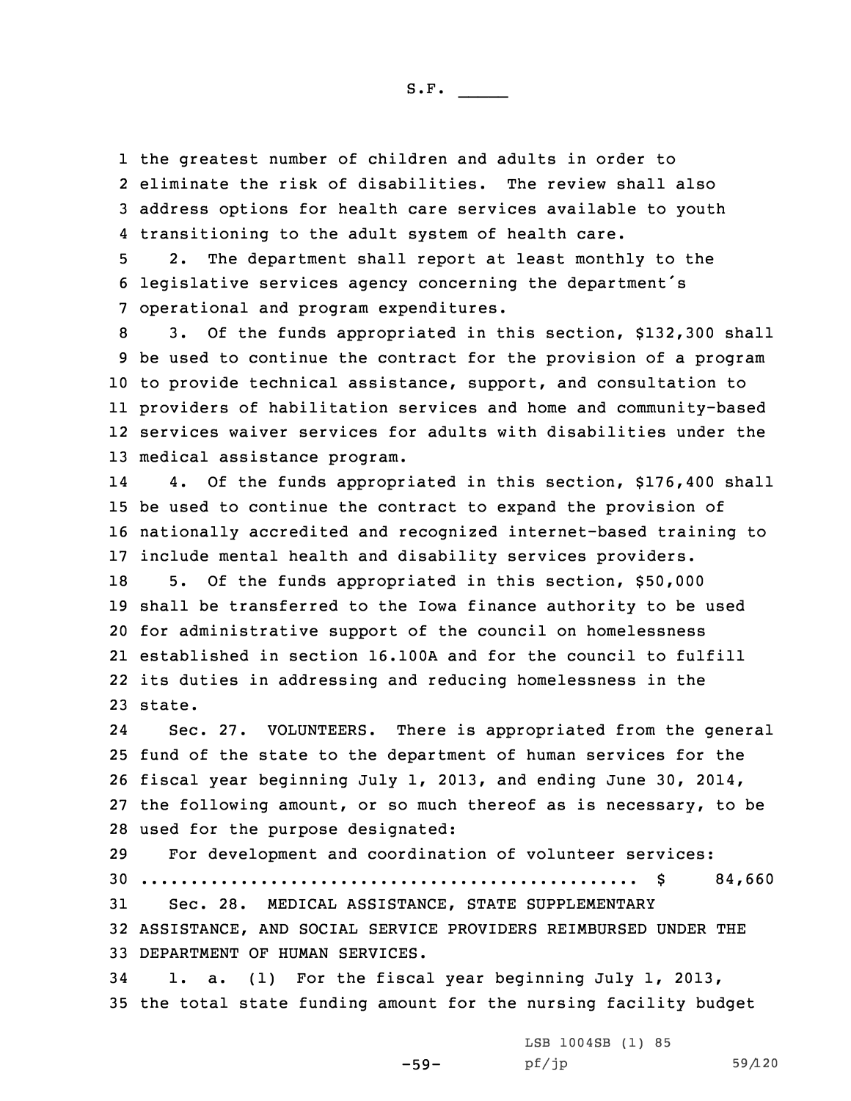the greatest number of children and adults in order to eliminate the risk of disabilities. The review shall also address options for health care services available to youth transitioning to the adult system of health care.

5 2. The department shall report at least monthly to the <sup>6</sup> legislative services agency concerning the department's 7 operational and program expenditures.

 3. Of the funds appropriated in this section, \$132,300 shall be used to continue the contract for the provision of <sup>a</sup> program to provide technical assistance, support, and consultation to providers of habilitation services and home and community-based services waiver services for adults with disabilities under the medical assistance program.

14 4. Of the funds appropriated in this section, \$176,400 shall be used to continue the contract to expand the provision of nationally accredited and recognized internet-based training to include mental health and disability services providers. 5. Of the funds appropriated in this section, \$50,000 shall be transferred to the Iowa finance authority to be used for administrative support of the council on homelessness established in section 16.100A and for the council to fulfill its duties in addressing and reducing homelessness in the 23 state.

24 Sec. 27. VOLUNTEERS. There is appropriated from the general fund of the state to the department of human services for the fiscal year beginning July 1, 2013, and ending June 30, 2014, the following amount, or so much thereof as is necessary, to be used for the purpose designated:

 For development and coordination of volunteer services: .................................................. \$ 84,660 Sec. 28. MEDICAL ASSISTANCE, STATE SUPPLEMENTARY ASSISTANCE, AND SOCIAL SERVICE PROVIDERS REIMBURSED UNDER THE DEPARTMENT OF HUMAN SERVICES.

34 1. a. (1) For the fiscal year beginning July 1, 2013, 35 the total state funding amount for the nursing facility budget

-59-

LSB 1004SB (1) 85 pf/jp 59/120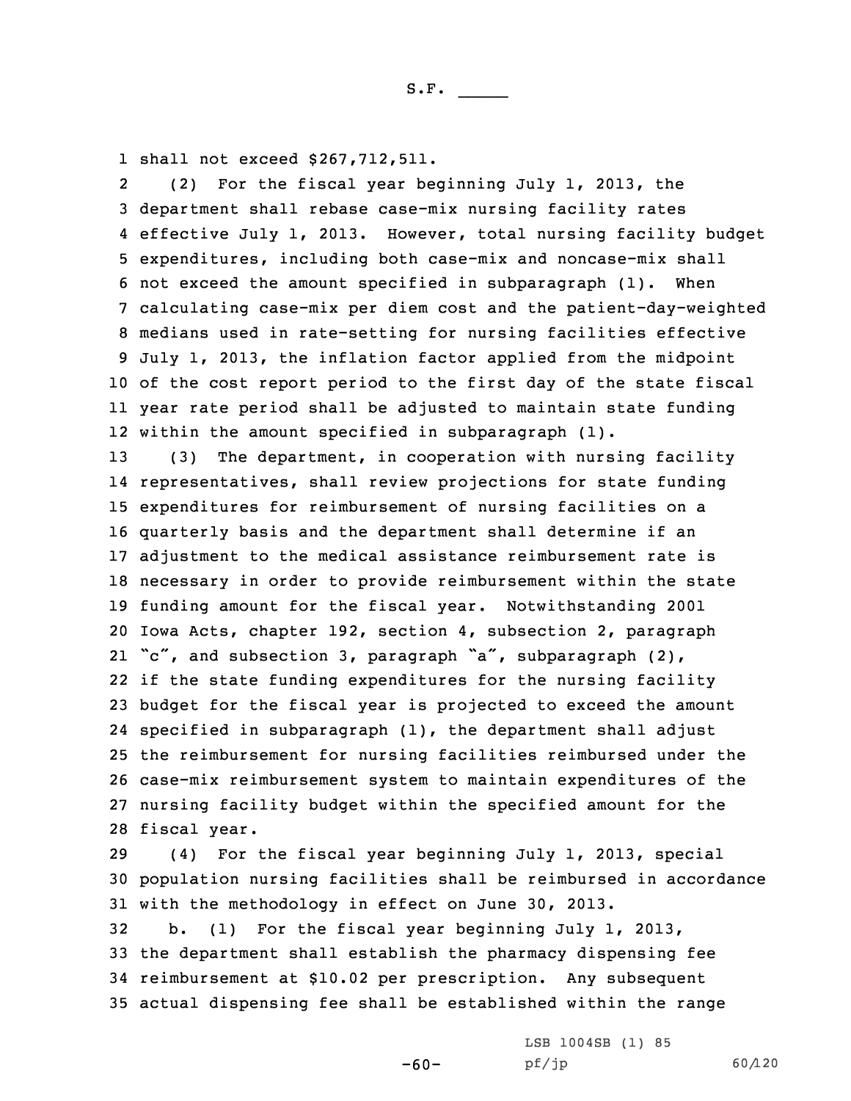1 shall not exceed \$267,712,511.

2 (2) For the fiscal year beginning July 1, 2013, the department shall rebase case-mix nursing facility rates effective July 1, 2013. However, total nursing facility budget expenditures, including both case-mix and noncase-mix shall not exceed the amount specified in subparagraph (1). When calculating case-mix per diem cost and the patient-day-weighted medians used in rate-setting for nursing facilities effective July 1, 2013, the inflation factor applied from the midpoint of the cost report period to the first day of the state fiscal year rate period shall be adjusted to maintain state funding within the amount specified in subparagraph (1).

 (3) The department, in cooperation with nursing facility representatives, shall review projections for state funding expenditures for reimbursement of nursing facilities on <sup>a</sup> quarterly basis and the department shall determine if an adjustment to the medical assistance reimbursement rate is necessary in order to provide reimbursement within the state funding amount for the fiscal year. Notwithstanding 2001 Iowa Acts, chapter 192, section 4, subsection 2, paragraph "c", and subsection 3, paragraph "a", subparagraph (2), if the state funding expenditures for the nursing facility budget for the fiscal year is projected to exceed the amount specified in subparagraph (1), the department shall adjust the reimbursement for nursing facilities reimbursed under the case-mix reimbursement system to maintain expenditures of the nursing facility budget within the specified amount for the fiscal year.

29 (4) For the fiscal year beginning July 1, 2013, special 30 population nursing facilities shall be reimbursed in accordance 31 with the methodology in effect on June 30, 2013.

-60-

 b. (1) For the fiscal year beginning July 1, 2013, the department shall establish the pharmacy dispensing fee reimbursement at \$10.02 per prescription. Any subsequent actual dispensing fee shall be established within the range

> LSB 1004SB (1) 85 pf/jp 60/120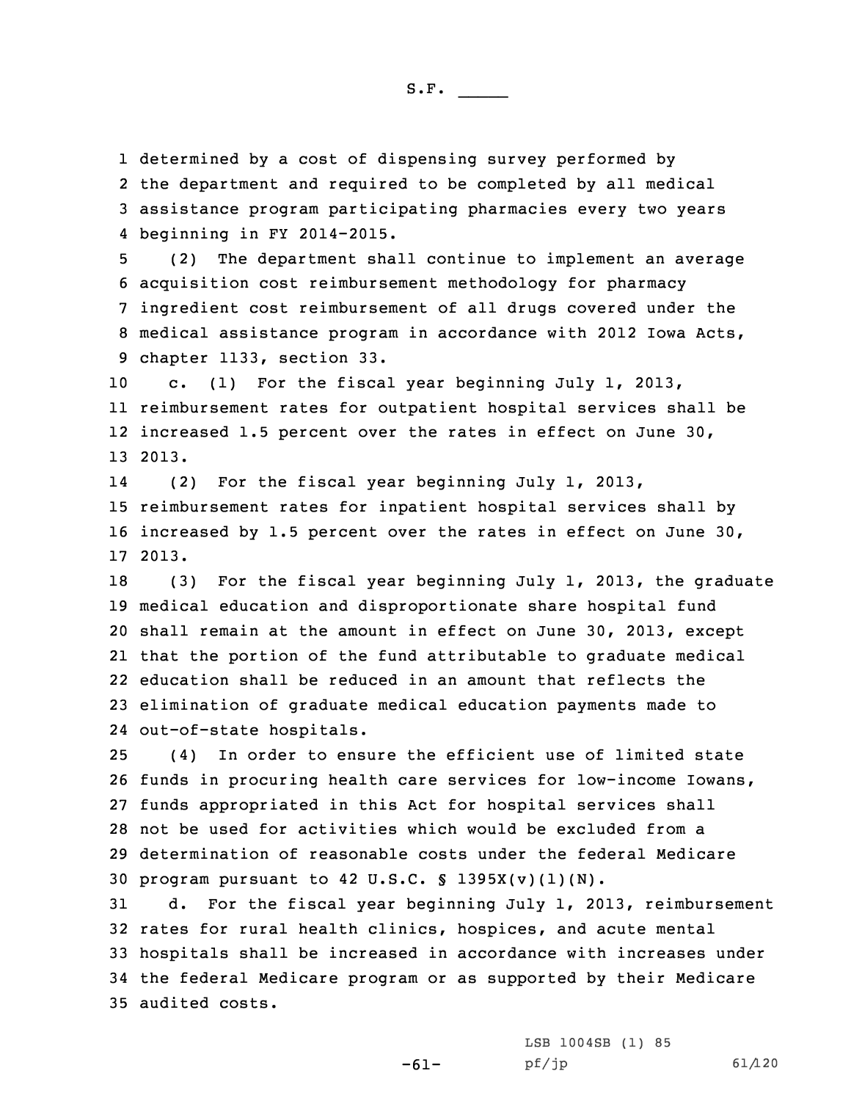1 determined by <sup>a</sup> cost of dispensing survey performed by

2 the department and required to be completed by all medical 3 assistance program participating pharmacies every two years 4 beginning in FY 2014-2015.

 (2) The department shall continue to implement an average acquisition cost reimbursement methodology for pharmacy ingredient cost reimbursement of all drugs covered under the medical assistance program in accordance with 2012 Iowa Acts, chapter 1133, section 33.

 c. (1) For the fiscal year beginning July 1, 2013, reimbursement rates for outpatient hospital services shall be increased 1.5 percent over the rates in effect on June 30, 13 2013.

14 (2) For the fiscal year beginning July 1, 2013, 15 reimbursement rates for inpatient hospital services shall by 16 increased by 1.5 percent over the rates in effect on June 30, 17 2013.

 (3) For the fiscal year beginning July 1, 2013, the graduate medical education and disproportionate share hospital fund shall remain at the amount in effect on June 30, 2013, except that the portion of the fund attributable to graduate medical education shall be reduced in an amount that reflects the elimination of graduate medical education payments made to out-of-state hospitals.

 (4) In order to ensure the efficient use of limited state funds in procuring health care services for low-income Iowans, funds appropriated in this Act for hospital services shall not be used for activities which would be excluded from <sup>a</sup> determination of reasonable costs under the federal Medicare program pursuant to 42 U.S.C. § 1395X(v)(1)(N).

 d. For the fiscal year beginning July 1, 2013, reimbursement rates for rural health clinics, hospices, and acute mental hospitals shall be increased in accordance with increases under the federal Medicare program or as supported by their Medicare audited costs.

> LSB 1004SB (1) 85 pf/jp 61/120

-61-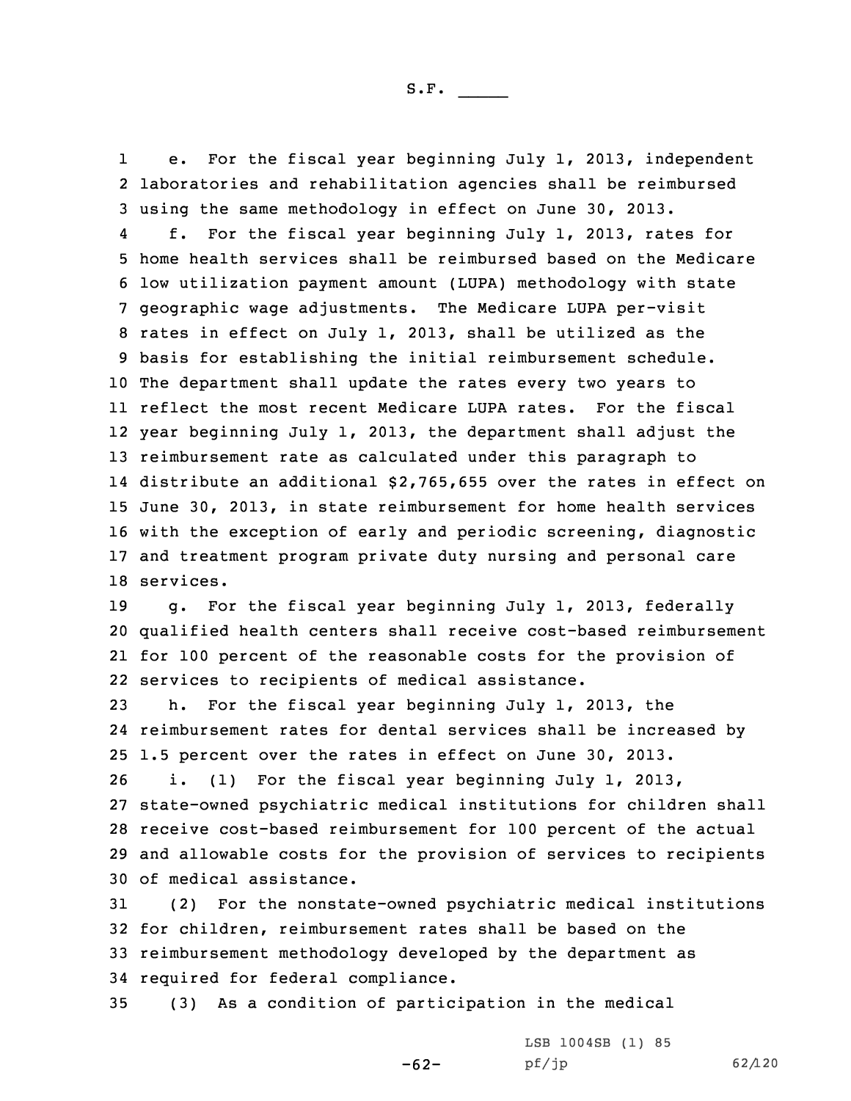1 e. For the fiscal year beginning July 1, 2013, independent 2 laboratories and rehabilitation agencies shall be reimbursed 3 using the same methodology in effect on June 30, 2013.

4 f. For the fiscal year beginning July 1, 2013, rates for home health services shall be reimbursed based on the Medicare low utilization payment amount (LUPA) methodology with state geographic wage adjustments. The Medicare LUPA per-visit rates in effect on July 1, 2013, shall be utilized as the basis for establishing the initial reimbursement schedule. The department shall update the rates every two years to reflect the most recent Medicare LUPA rates. For the fiscal year beginning July 1, 2013, the department shall adjust the reimbursement rate as calculated under this paragraph to distribute an additional \$2,765,655 over the rates in effect on June 30, 2013, in state reimbursement for home health services with the exception of early and periodic screening, diagnostic and treatment program private duty nursing and personal care services.

 g. For the fiscal year beginning July 1, 2013, federally qualified health centers shall receive cost-based reimbursement for 100 percent of the reasonable costs for the provision of services to recipients of medical assistance.

 h. For the fiscal year beginning July 1, 2013, the reimbursement rates for dental services shall be increased by 1.5 percent over the rates in effect on June 30, 2013. i. (1) For the fiscal year beginning July 1, 2013,

 state-owned psychiatric medical institutions for children shall receive cost-based reimbursement for 100 percent of the actual and allowable costs for the provision of services to recipients of medical assistance.

 (2) For the nonstate-owned psychiatric medical institutions for children, reimbursement rates shall be based on the reimbursement methodology developed by the department as required for federal compliance.

-62-

35 (3) As <sup>a</sup> condition of participation in the medical

LSB 1004SB (1) 85 pf/jp 62/120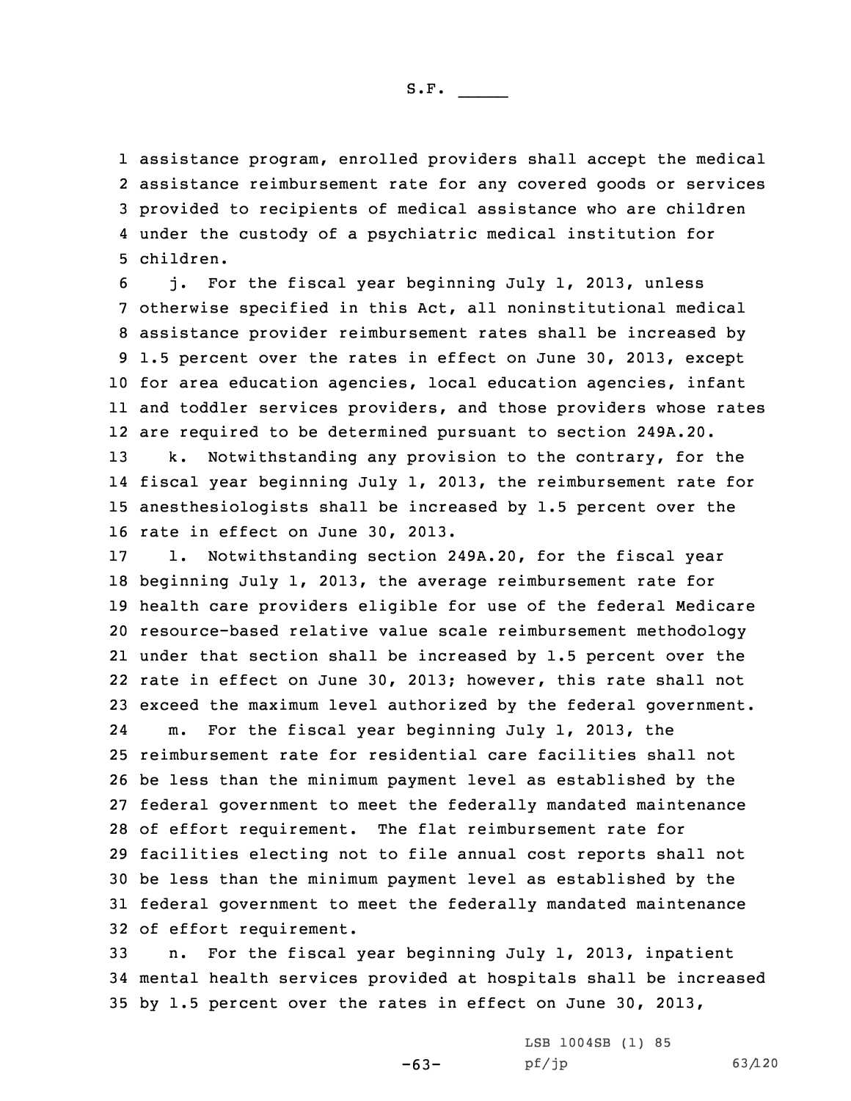assistance program, enrolled providers shall accept the medical assistance reimbursement rate for any covered goods or services provided to recipients of medical assistance who are children under the custody of <sup>a</sup> psychiatric medical institution for children.

 j. For the fiscal year beginning July 1, 2013, unless otherwise specified in this Act, all noninstitutional medical assistance provider reimbursement rates shall be increased by 1.5 percent over the rates in effect on June 30, 2013, except for area education agencies, local education agencies, infant and toddler services providers, and those providers whose rates are required to be determined pursuant to section 249A.20. k. Notwithstanding any provision to the contrary, for the fiscal year beginning July 1, 2013, the reimbursement rate for anesthesiologists shall be increased by 1.5 percent over the rate in effect on June 30, 2013.

 l. Notwithstanding section 249A.20, for the fiscal year beginning July 1, 2013, the average reimbursement rate for health care providers eligible for use of the federal Medicare resource-based relative value scale reimbursement methodology under that section shall be increased by 1.5 percent over the rate in effect on June 30, 2013; however, this rate shall not exceed the maximum level authorized by the federal government. 24 m. For the fiscal year beginning July 1, 2013, the reimbursement rate for residential care facilities shall not be less than the minimum payment level as established by the federal government to meet the federally mandated maintenance of effort requirement. The flat reimbursement rate for facilities electing not to file annual cost reports shall not be less than the minimum payment level as established by the federal government to meet the federally mandated maintenance of effort requirement.

33 n. For the fiscal year beginning July 1, 2013, inpatient 34 mental health services provided at hospitals shall be increased 35 by 1.5 percent over the rates in effect on June 30, 2013,

 $-63-$ 

LSB 1004SB (1) 85 pf/jp 63/120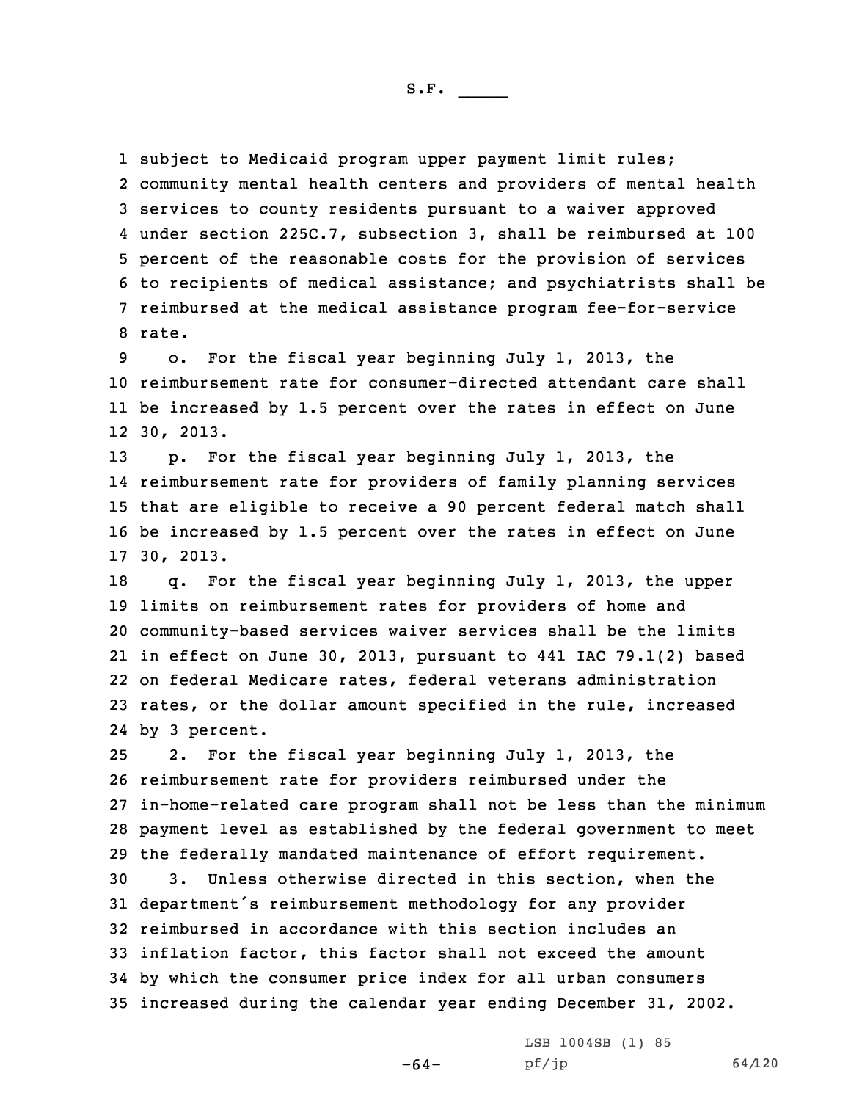subject to Medicaid program upper payment limit rules; community mental health centers and providers of mental health services to county residents pursuant to <sup>a</sup> waiver approved under section 225C.7, subsection 3, shall be reimbursed at 100 percent of the reasonable costs for the provision of services to recipients of medical assistance; and psychiatrists shall be reimbursed at the medical assistance program fee-for-service 8 rate.

 o. For the fiscal year beginning July 1, 2013, the reimbursement rate for consumer-directed attendant care shall be increased by 1.5 percent over the rates in effect on June 30, 2013.

 p. For the fiscal year beginning July 1, 2013, the reimbursement rate for providers of family planning services that are eligible to receive <sup>a</sup> 90 percent federal match shall be increased by 1.5 percent over the rates in effect on June 30, 2013.

 q. For the fiscal year beginning July 1, 2013, the upper limits on reimbursement rates for providers of home and community-based services waiver services shall be the limits in effect on June 30, 2013, pursuant to 441 IAC 79.1(2) based on federal Medicare rates, federal veterans administration rates, or the dollar amount specified in the rule, increased by 3 percent.

 2. For the fiscal year beginning July 1, 2013, the reimbursement rate for providers reimbursed under the in-home-related care program shall not be less than the minimum payment level as established by the federal government to meet the federally mandated maintenance of effort requirement. 3. Unless otherwise directed in this section, when the department's reimbursement methodology for any provider reimbursed in accordance with this section includes an inflation factor, this factor shall not exceed the amount by which the consumer price index for all urban consumers increased during the calendar year ending December 31, 2002.

-64-

LSB 1004SB (1) 85  $pf/jp$  64/120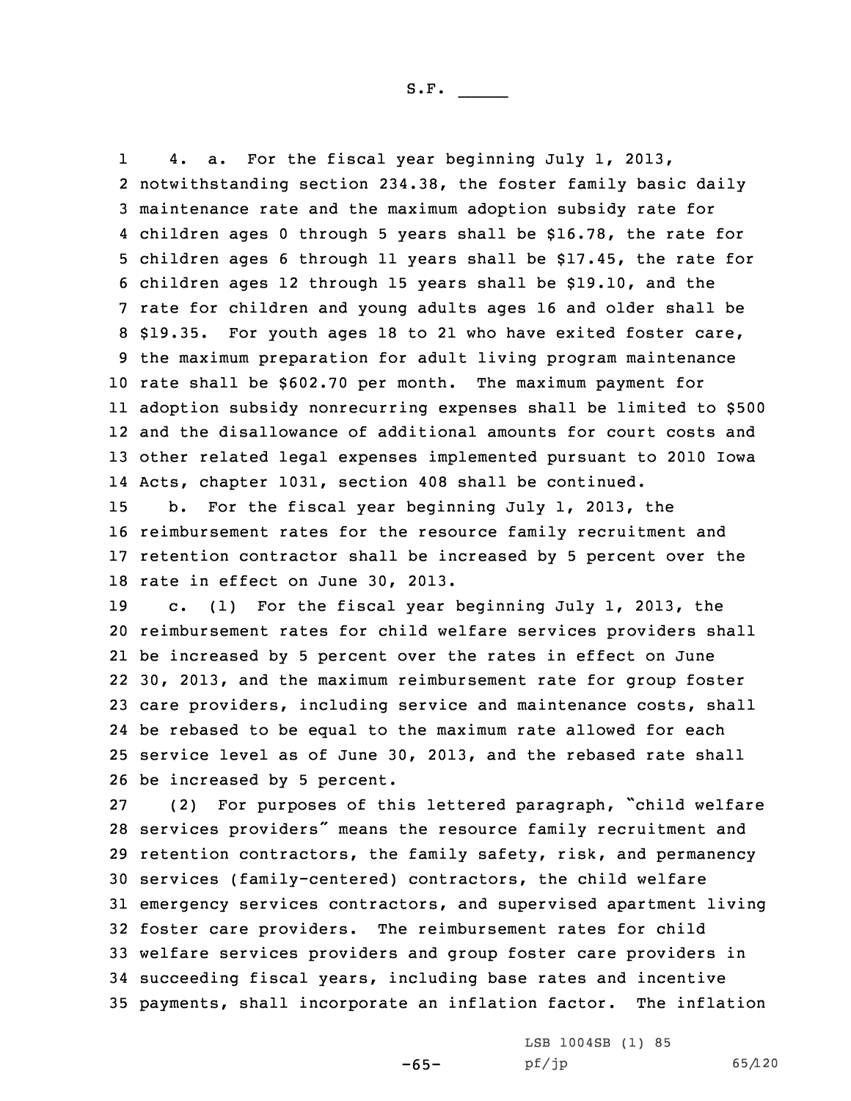1 4. a. For the fiscal year beginning July 1, 2013, notwithstanding section 234.38, the foster family basic daily maintenance rate and the maximum adoption subsidy rate for children ages 0 through 5 years shall be \$16.78, the rate for children ages 6 through 11 years shall be \$17.45, the rate for children ages 12 through 15 years shall be \$19.10, and the rate for children and young adults ages 16 and older shall be \$19.35. For youth ages 18 to 21 who have exited foster care, the maximum preparation for adult living program maintenance rate shall be \$602.70 per month. The maximum payment for adoption subsidy nonrecurring expenses shall be limited to \$500 and the disallowance of additional amounts for court costs and other related legal expenses implemented pursuant to 2010 Iowa Acts, chapter 1031, section 408 shall be continued.

 b. For the fiscal year beginning July 1, 2013, the reimbursement rates for the resource family recruitment and retention contractor shall be increased by 5 percent over the rate in effect on June 30, 2013.

 c. (1) For the fiscal year beginning July 1, 2013, the reimbursement rates for child welfare services providers shall be increased by 5 percent over the rates in effect on June 30, 2013, and the maximum reimbursement rate for group foster care providers, including service and maintenance costs, shall be rebased to be equal to the maximum rate allowed for each service level as of June 30, 2013, and the rebased rate shall be increased by 5 percent.

 (2) For purposes of this lettered paragraph, "child welfare services providers" means the resource family recruitment and retention contractors, the family safety, risk, and permanency services (family-centered) contractors, the child welfare emergency services contractors, and supervised apartment living foster care providers. The reimbursement rates for child welfare services providers and group foster care providers in succeeding fiscal years, including base rates and incentive payments, shall incorporate an inflation factor. The inflation

-65-

LSB 1004SB (1) 85 pf/jp 65/120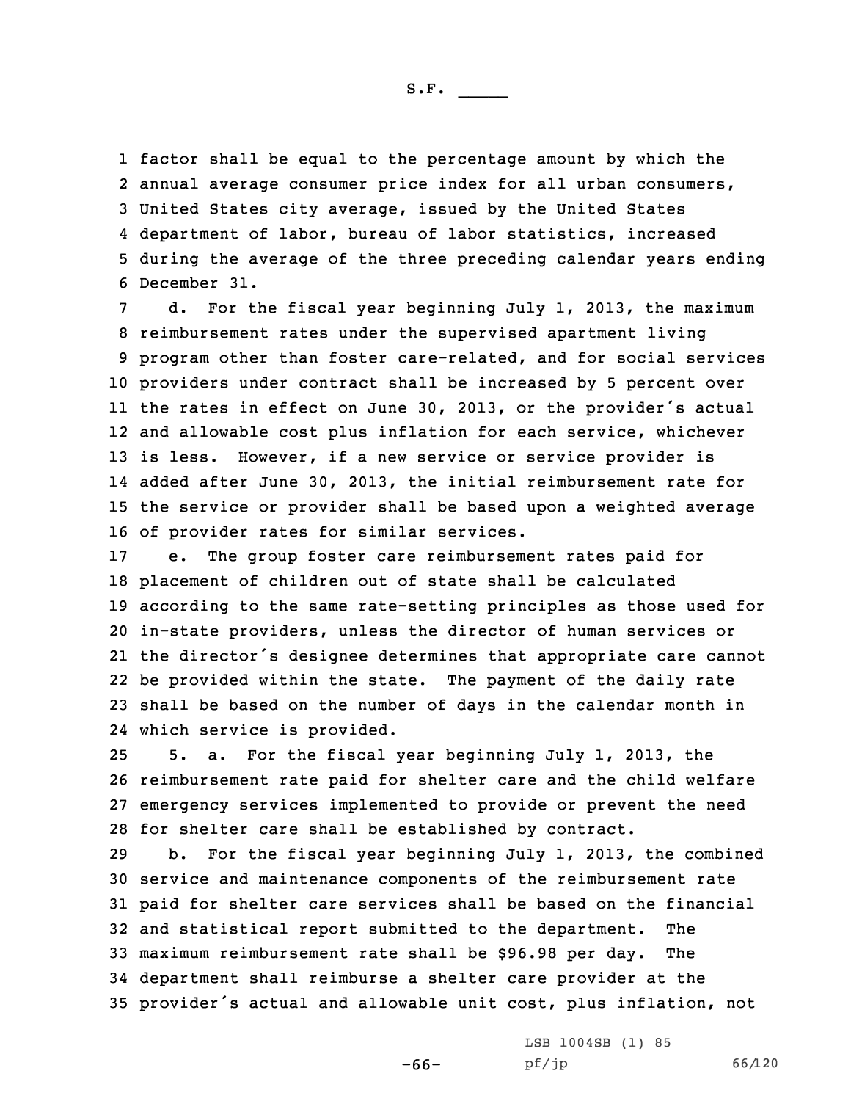factor shall be equal to the percentage amount by which the annual average consumer price index for all urban consumers, United States city average, issued by the United States department of labor, bureau of labor statistics, increased during the average of the three preceding calendar years ending December 31.

d. For the fiscal year beginning July 1, 2013, the maximum reimbursement rates under the supervised apartment living program other than foster care-related, and for social services providers under contract shall be increased by 5 percent over the rates in effect on June 30, 2013, or the provider's actual and allowable cost plus inflation for each service, whichever is less. However, if <sup>a</sup> new service or service provider is added after June 30, 2013, the initial reimbursement rate for the service or provider shall be based upon <sup>a</sup> weighted average of provider rates for similar services.

 e. The group foster care reimbursement rates paid for placement of children out of state shall be calculated according to the same rate-setting principles as those used for in-state providers, unless the director of human services or the director's designee determines that appropriate care cannot be provided within the state. The payment of the daily rate shall be based on the number of days in the calendar month in which service is provided.

 5. a. For the fiscal year beginning July 1, 2013, the reimbursement rate paid for shelter care and the child welfare emergency services implemented to provide or prevent the need for shelter care shall be established by contract.

 b. For the fiscal year beginning July 1, 2013, the combined service and maintenance components of the reimbursement rate paid for shelter care services shall be based on the financial and statistical report submitted to the department. The maximum reimbursement rate shall be \$96.98 per day. The department shall reimburse <sup>a</sup> shelter care provider at the provider's actual and allowable unit cost, plus inflation, not

-66-

LSB 1004SB (1) 85 pf/jp 66/120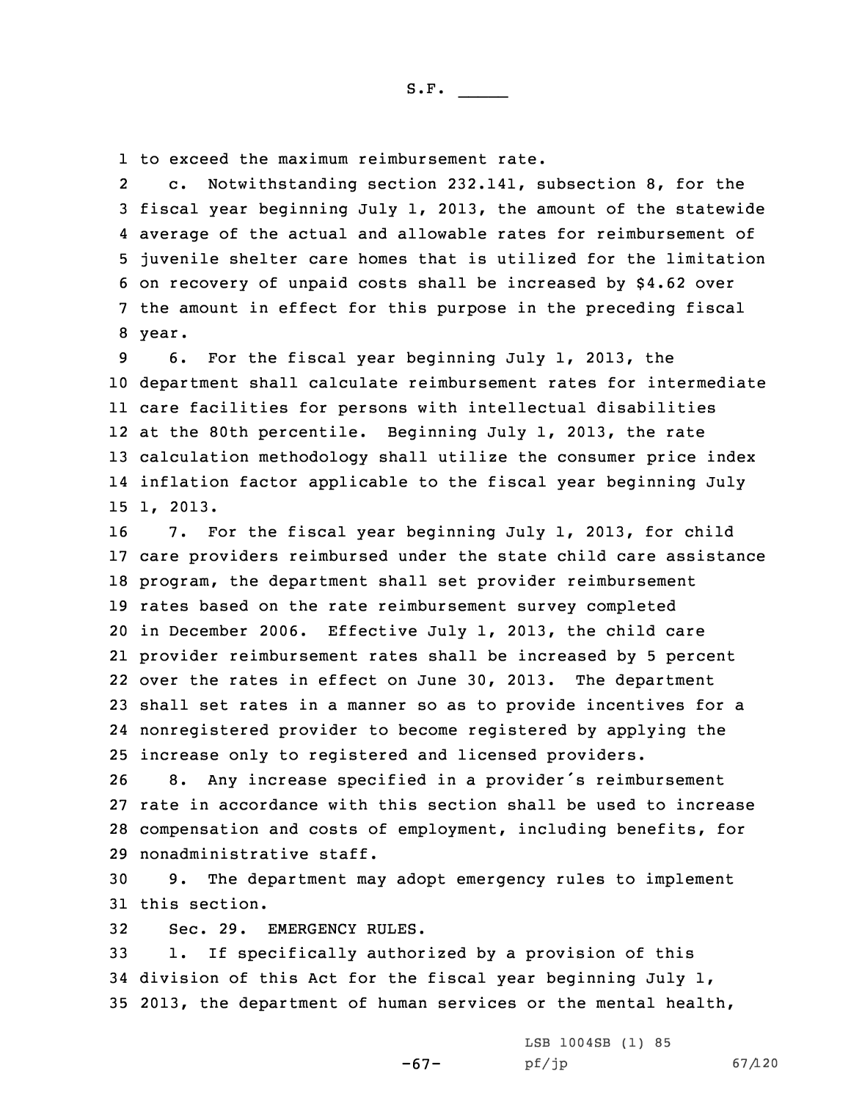1 to exceed the maximum reimbursement rate.

2 c. Notwithstanding section 232.141, subsection 8, for the fiscal year beginning July 1, 2013, the amount of the statewide average of the actual and allowable rates for reimbursement of juvenile shelter care homes that is utilized for the limitation on recovery of unpaid costs shall be increased by \$4.62 over the amount in effect for this purpose in the preceding fiscal 8 year.

S.F.  $\rule{1em}{0.15mm}$ 

 6. For the fiscal year beginning July 1, 2013, the department shall calculate reimbursement rates for intermediate care facilities for persons with intellectual disabilities at the 80th percentile. Beginning July 1, 2013, the rate calculation methodology shall utilize the consumer price index inflation factor applicable to the fiscal year beginning July 15 1, 2013.

 7. For the fiscal year beginning July 1, 2013, for child care providers reimbursed under the state child care assistance program, the department shall set provider reimbursement rates based on the rate reimbursement survey completed in December 2006. Effective July 1, 2013, the child care provider reimbursement rates shall be increased by 5 percent over the rates in effect on June 30, 2013. The department shall set rates in <sup>a</sup> manner so as to provide incentives for <sup>a</sup> nonregistered provider to become registered by applying the increase only to registered and licensed providers.

 8. Any increase specified in <sup>a</sup> provider's reimbursement rate in accordance with this section shall be used to increase compensation and costs of employment, including benefits, for nonadministrative staff.

30 9. The department may adopt emergency rules to implement 31 this section.

32 Sec. 29. EMERGENCY RULES.

33 1. If specifically authorized by <sup>a</sup> provision of this 34 division of this Act for the fiscal year beginning July 1, 35 2013, the department of human services or the mental health,

-67-

LSB 1004SB (1) 85 pf/jp 67/120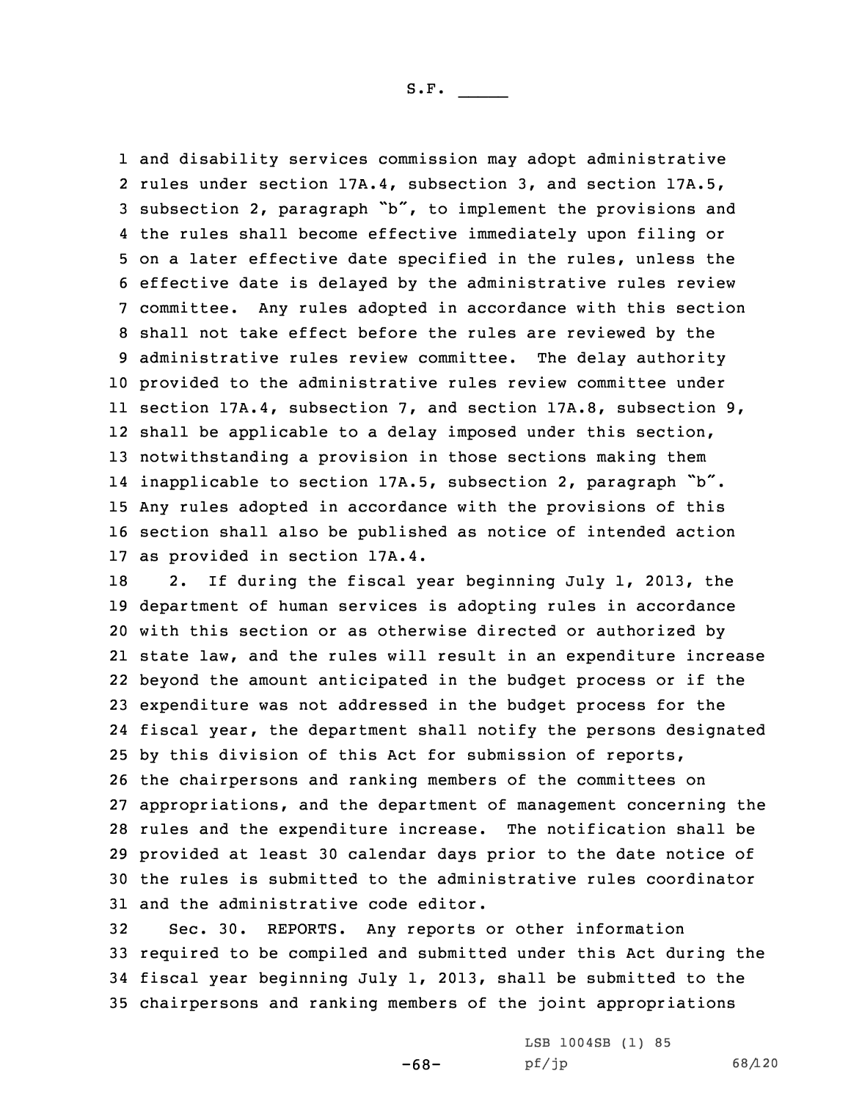and disability services commission may adopt administrative rules under section 17A.4, subsection 3, and section 17A.5, subsection 2, paragraph "b", to implement the provisions and the rules shall become effective immediately upon filing or on <sup>a</sup> later effective date specified in the rules, unless the effective date is delayed by the administrative rules review committee. Any rules adopted in accordance with this section shall not take effect before the rules are reviewed by the administrative rules review committee. The delay authority provided to the administrative rules review committee under section 17A.4, subsection 7, and section 17A.8, subsection 9, shall be applicable to <sup>a</sup> delay imposed under this section, notwithstanding <sup>a</sup> provision in those sections making them inapplicable to section 17A.5, subsection 2, paragraph "b". Any rules adopted in accordance with the provisions of this section shall also be published as notice of intended action as provided in section 17A.4.

 2. If during the fiscal year beginning July 1, 2013, the department of human services is adopting rules in accordance with this section or as otherwise directed or authorized by state law, and the rules will result in an expenditure increase beyond the amount anticipated in the budget process or if the expenditure was not addressed in the budget process for the fiscal year, the department shall notify the persons designated by this division of this Act for submission of reports, the chairpersons and ranking members of the committees on appropriations, and the department of management concerning the rules and the expenditure increase. The notification shall be provided at least 30 calendar days prior to the date notice of the rules is submitted to the administrative rules coordinator and the administrative code editor.

 Sec. 30. REPORTS. Any reports or other information required to be compiled and submitted under this Act during the fiscal year beginning July 1, 2013, shall be submitted to the chairpersons and ranking members of the joint appropriations

-68-

LSB 1004SB (1) 85 pf/jp 68/120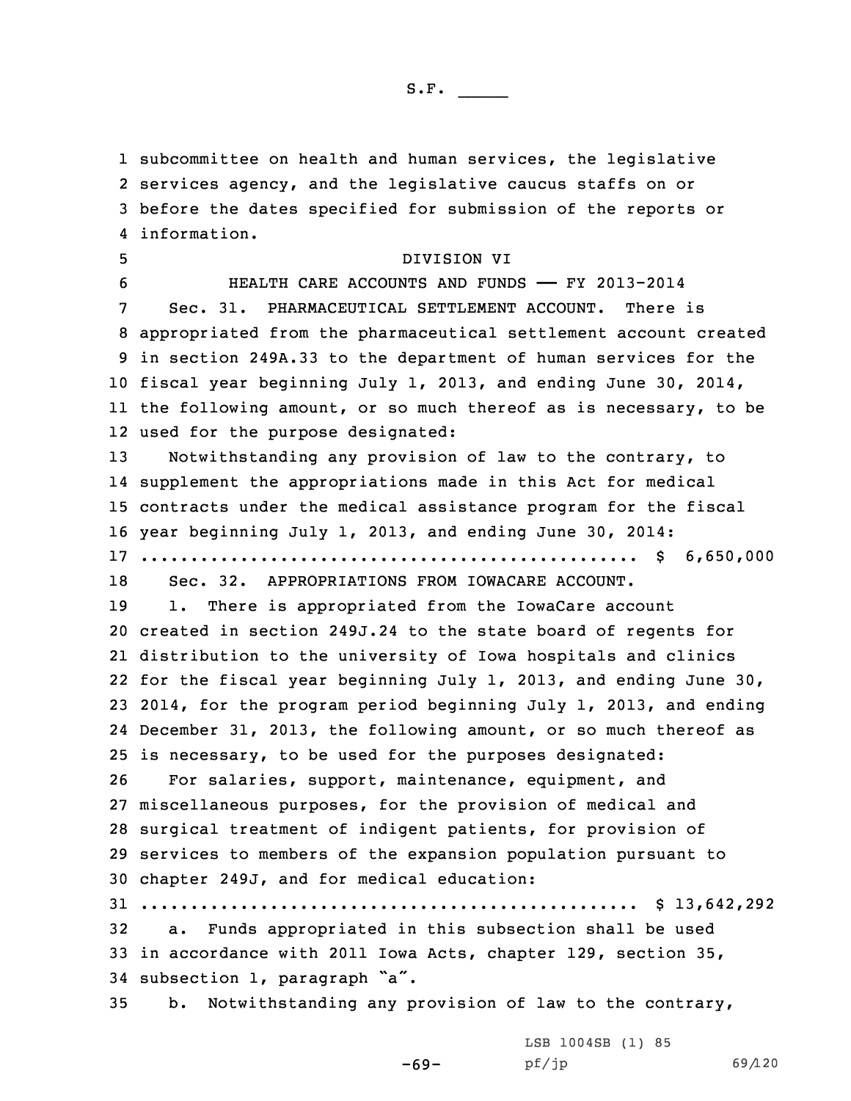subcommittee on health and human services, the legislative services agency, and the legislative caucus staffs on or before the dates specified for submission of the reports or information.

 DIVISION VI HEALTH CARE ACCOUNTS AND FUNDS —— FY 2013-2014 Sec. 31. PHARMACEUTICAL SETTLEMENT ACCOUNT. There is appropriated from the pharmaceutical settlement account created in section 249A.33 to the department of human services for the fiscal year beginning July 1, 2013, and ending June 30, 2014, the following amount, or so much thereof as is necessary, to be used for the purpose designated: Notwithstanding any provision of law to the contrary, to supplement the appropriations made in this Act for medical contracts under the medical assistance program for the fiscal year beginning July 1, 2013, and ending June 30, 2014: .................................................. \$ 6,650,000 Sec. 32. APPROPRIATIONS FROM IOWACARE ACCOUNT. 19 1. There is appropriated from the IowaCare account created in section 249J.24 to the state board of regents for distribution to the university of Iowa hospitals and clinics for the fiscal year beginning July 1, 2013, and ending June 30, 2014, for the program period beginning July 1, 2013, and ending December 31, 2013, the following amount, or so much thereof as is necessary, to be used for the purposes designated:

 For salaries, support, maintenance, equipment, and miscellaneous purposes, for the provision of medical and surgical treatment of indigent patients, for provision of services to members of the expansion population pursuant to chapter 249J, and for medical education:

31 .................................................. \$ 13,642,292

32 a. Funds appropriated in this subsection shall be used 33 in accordance with 2011 Iowa Acts, chapter 129, section 35, <sup>34</sup> subsection 1, paragraph "a".

35 b. Notwithstanding any provision of law to the contrary,

-69-

LSB 1004SB (1) 85 pf/jp 69/120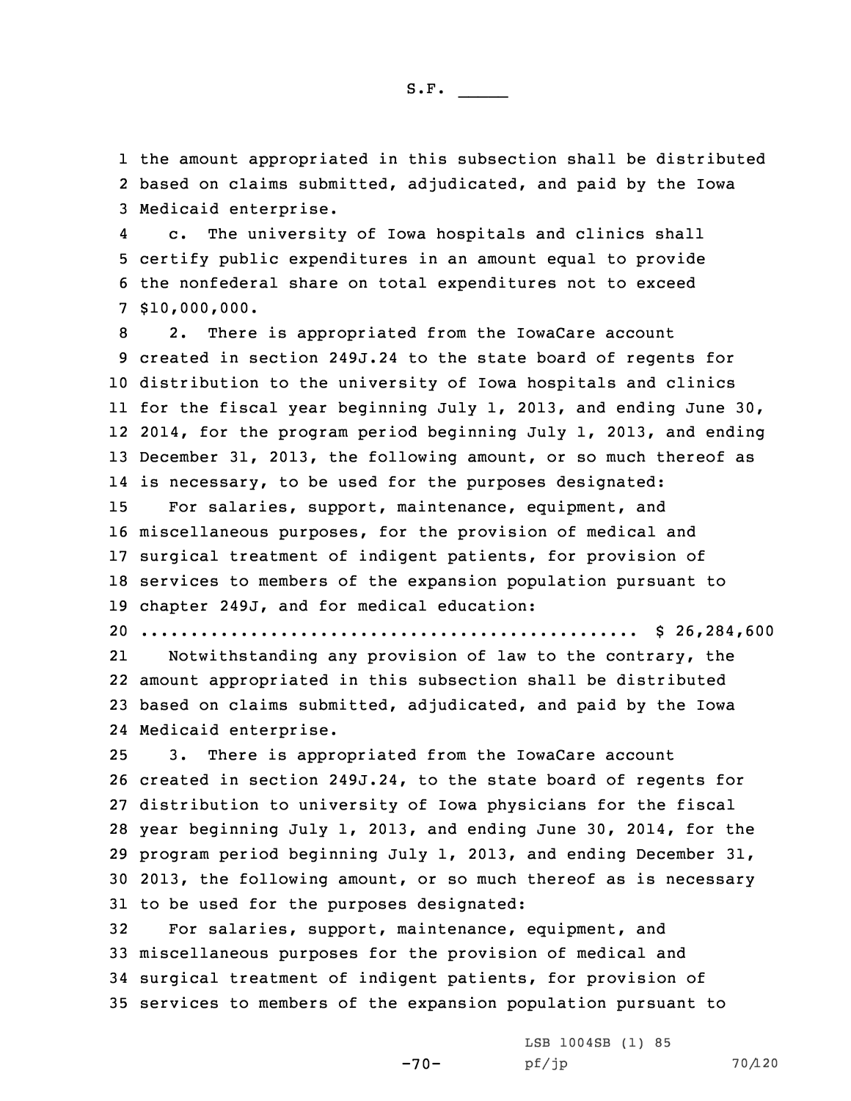1 the amount appropriated in this subsection shall be distributed 2 based on claims submitted, adjudicated, and paid by the Iowa 3 Medicaid enterprise.

4 c. The university of Iowa hospitals and clinics shall 5 certify public expenditures in an amount equal to provide 6 the nonfederal share on total expenditures not to exceed 7 \$10,000,000.

 2. There is appropriated from the IowaCare account created in section 249J.24 to the state board of regents for distribution to the university of Iowa hospitals and clinics for the fiscal year beginning July 1, 2013, and ending June 30, 2014, for the program period beginning July 1, 2013, and ending December 31, 2013, the following amount, or so much thereof as is necessary, to be used for the purposes designated: For salaries, support, maintenance, equipment, and miscellaneous purposes, for the provision of medical and surgical treatment of indigent patients, for provision of services to members of the expansion population pursuant to chapter 249J, and for medical education:

20 .................................................. \$ 26,284,600

21 Notwithstanding any provision of law to the contrary, the 22 amount appropriated in this subsection shall be distributed 23 based on claims submitted, adjudicated, and paid by the Iowa 24 Medicaid enterprise.

 3. There is appropriated from the IowaCare account created in section 249J.24, to the state board of regents for distribution to university of Iowa physicians for the fiscal year beginning July 1, 2013, and ending June 30, 2014, for the program period beginning July 1, 2013, and ending December 31, 2013, the following amount, or so much thereof as is necessary to be used for the purposes designated:

 For salaries, support, maintenance, equipment, and miscellaneous purposes for the provision of medical and surgical treatment of indigent patients, for provision of services to members of the expansion population pursuant to

-70-

LSB 1004SB (1) 85 pf/jp 70/120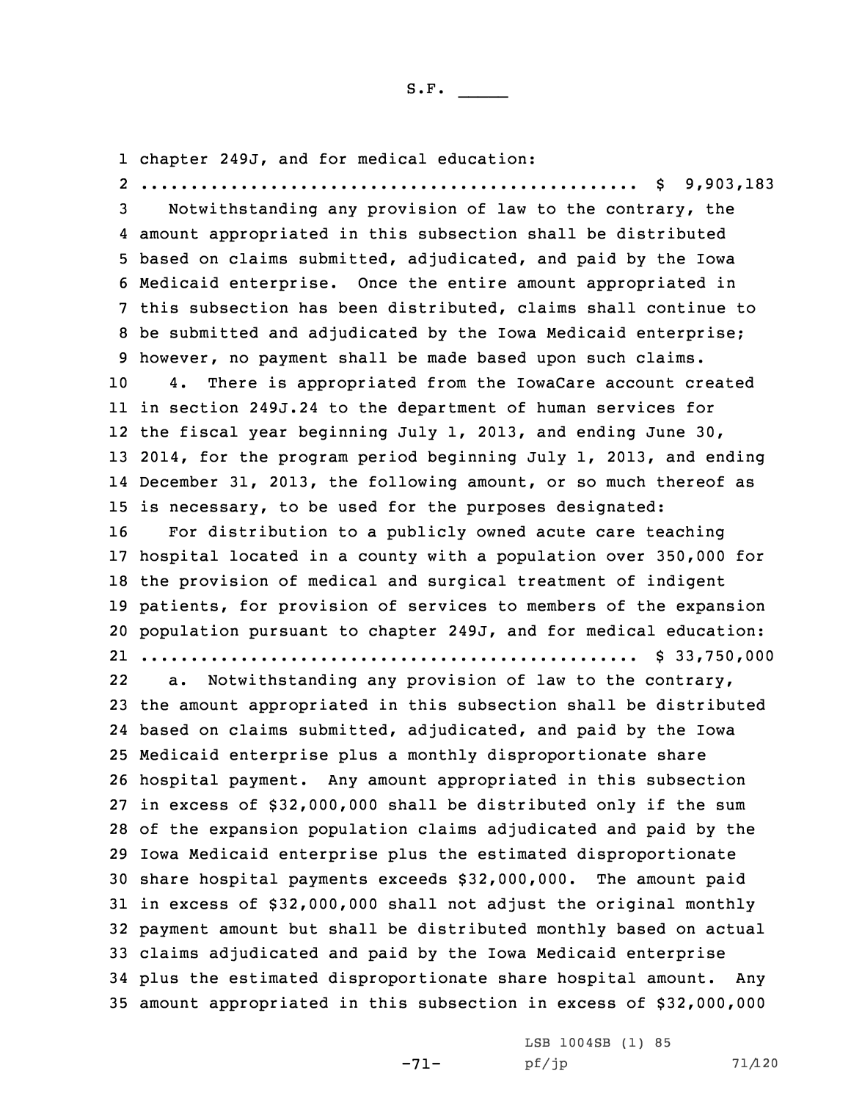1 chapter 249J, and for medical education:

 .................................................. \$ 9,903,183 Notwithstanding any provision of law to the contrary, the amount appropriated in this subsection shall be distributed based on claims submitted, adjudicated, and paid by the Iowa Medicaid enterprise. Once the entire amount appropriated in this subsection has been distributed, claims shall continue to be submitted and adjudicated by the Iowa Medicaid enterprise; however, no payment shall be made based upon such claims. 4. There is appropriated from the IowaCare account created in section 249J.24 to the department of human services for the fiscal year beginning July 1, 2013, and ending June 30, 2014, for the program period beginning July 1, 2013, and ending December 31, 2013, the following amount, or so much thereof as is necessary, to be used for the purposes designated: For distribution to <sup>a</sup> publicly owned acute care teaching hospital located in <sup>a</sup> county with <sup>a</sup> population over 350,000 for the provision of medical and surgical treatment of indigent patients, for provision of services to members of the expansion population pursuant to chapter 249J, and for medical education: .................................................. \$ 33,750,000 22 a. Notwithstanding any provision of law to the contrary, the amount appropriated in this subsection shall be distributed based on claims submitted, adjudicated, and paid by the Iowa Medicaid enterprise plus <sup>a</sup> monthly disproportionate share hospital payment. Any amount appropriated in this subsection in excess of \$32,000,000 shall be distributed only if the sum of the expansion population claims adjudicated and paid by the Iowa Medicaid enterprise plus the estimated disproportionate share hospital payments exceeds \$32,000,000. The amount paid in excess of \$32,000,000 shall not adjust the original monthly payment amount but shall be distributed monthly based on actual claims adjudicated and paid by the Iowa Medicaid enterprise plus the estimated disproportionate share hospital amount. Any amount appropriated in this subsection in excess of \$32,000,000

-71-

LSB 1004SB (1) 85 pf/jp 71/120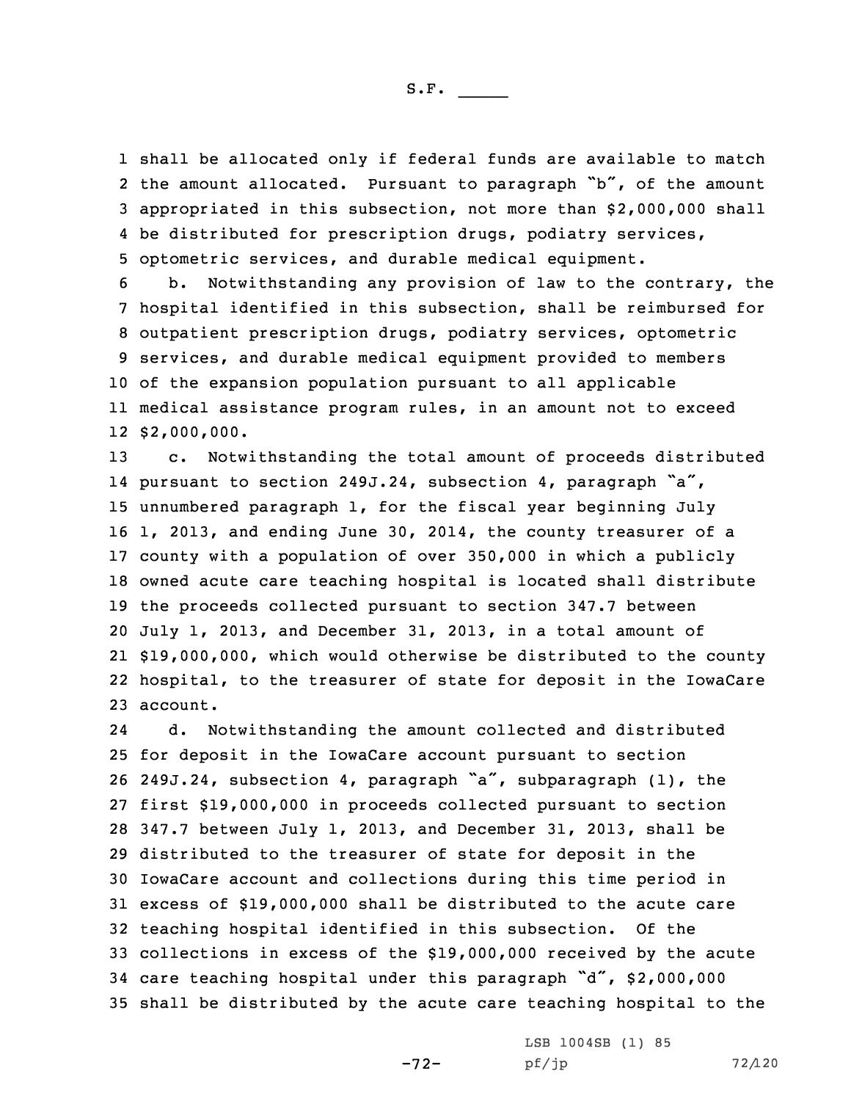shall be allocated only if federal funds are available to match the amount allocated. Pursuant to paragraph "b", of the amount appropriated in this subsection, not more than \$2,000,000 shall be distributed for prescription drugs, podiatry services, optometric services, and durable medical equipment.

 b. Notwithstanding any provision of law to the contrary, the hospital identified in this subsection, shall be reimbursed for outpatient prescription drugs, podiatry services, optometric services, and durable medical equipment provided to members of the expansion population pursuant to all applicable medical assistance program rules, in an amount not to exceed \$2,000,000.

 c. Notwithstanding the total amount of proceeds distributed pursuant to section 249J.24, subsection 4, paragraph "a", unnumbered paragraph 1, for the fiscal year beginning July 1, 2013, and ending June 30, 2014, the county treasurer of <sup>a</sup> county with <sup>a</sup> population of over 350,000 in which <sup>a</sup> publicly owned acute care teaching hospital is located shall distribute the proceeds collected pursuant to section 347.7 between July 1, 2013, and December 31, 2013, in <sup>a</sup> total amount of \$19,000,000, which would otherwise be distributed to the county hospital, to the treasurer of state for deposit in the IowaCare 23 account.

24 d. Notwithstanding the amount collected and distributed for deposit in the IowaCare account pursuant to section 249J.24, subsection 4, paragraph "a", subparagraph (1), the first \$19,000,000 in proceeds collected pursuant to section 347.7 between July 1, 2013, and December 31, 2013, shall be distributed to the treasurer of state for deposit in the IowaCare account and collections during this time period in excess of \$19,000,000 shall be distributed to the acute care teaching hospital identified in this subsection. Of the collections in excess of the \$19,000,000 received by the acute care teaching hospital under this paragraph "d", \$2,000,000 shall be distributed by the acute care teaching hospital to the

-72-

LSB 1004SB (1) 85 pf/jp 72/120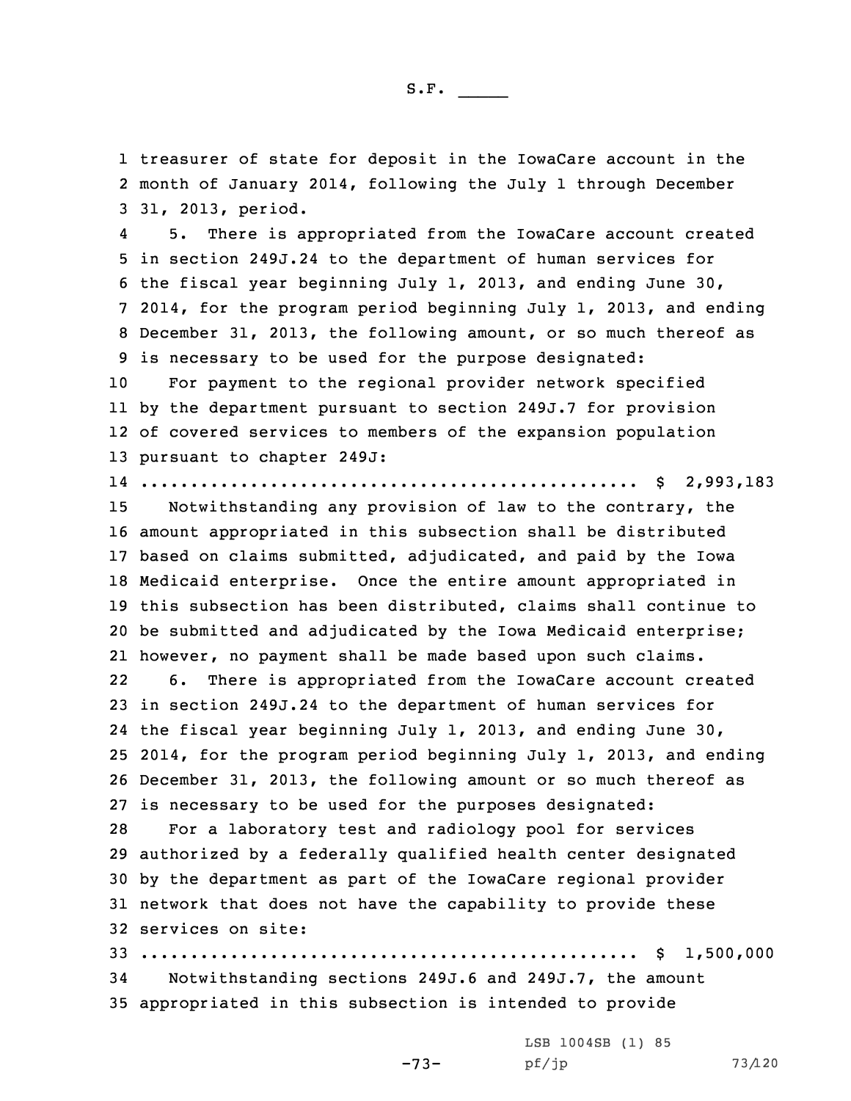1 treasurer of state for deposit in the IowaCare account in the 2 month of January 2014, following the July 1 through December 3 31, 2013, period.

4 5. There is appropriated from the IowaCare account created in section 249J.24 to the department of human services for the fiscal year beginning July 1, 2013, and ending June 30, 2014, for the program period beginning July 1, 2013, and ending December 31, 2013, the following amount, or so much thereof as is necessary to be used for the purpose designated:

 For payment to the regional provider network specified by the department pursuant to section 249J.7 for provision of covered services to members of the expansion population pursuant to chapter 249J:

14 .................................................. \$ 2,993,183

 Notwithstanding any provision of law to the contrary, the amount appropriated in this subsection shall be distributed based on claims submitted, adjudicated, and paid by the Iowa Medicaid enterprise. Once the entire amount appropriated in this subsection has been distributed, claims shall continue to be submitted and adjudicated by the Iowa Medicaid enterprise; however, no payment shall be made based upon such claims. 22 6. There is appropriated from the IowaCare account created in section 249J.24 to the department of human services for the fiscal year beginning July 1, 2013, and ending June 30, 2014, for the program period beginning July 1, 2013, and ending December 31, 2013, the following amount or so much thereof as is necessary to be used for the purposes designated: For <sup>a</sup> laboratory test and radiology pool for services authorized by <sup>a</sup> federally qualified health center designated by the department as part of the IowaCare regional provider network that does not have the capability to provide these services on site: .................................................. \$ 1,500,000 Notwithstanding sections 249J.6 and 249J.7, the amount

35 appropriated in this subsection is intended to provide

LSB 1004SB (1) 85 pf/jp 73/120

-73-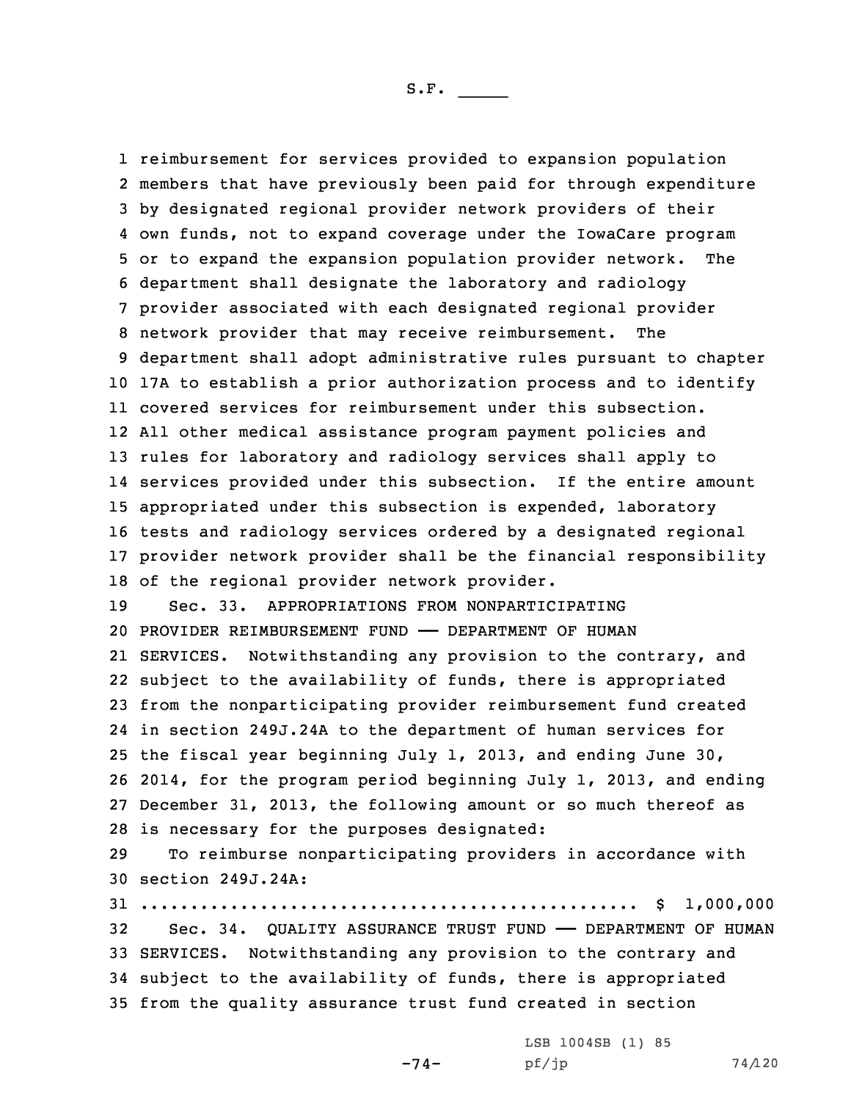reimbursement for services provided to expansion population members that have previously been paid for through expenditure by designated regional provider network providers of their own funds, not to expand coverage under the IowaCare program or to expand the expansion population provider network. The department shall designate the laboratory and radiology provider associated with each designated regional provider network provider that may receive reimbursement. The department shall adopt administrative rules pursuant to chapter 17A to establish <sup>a</sup> prior authorization process and to identify covered services for reimbursement under this subsection. All other medical assistance program payment policies and rules for laboratory and radiology services shall apply to services provided under this subsection. If the entire amount appropriated under this subsection is expended, laboratory tests and radiology services ordered by <sup>a</sup> designated regional provider network provider shall be the financial responsibility of the regional provider network provider. Sec. 33. APPROPRIATIONS FROM NONPARTICIPATING PROVIDER REIMBURSEMENT FUND —— DEPARTMENT OF HUMAN SERVICES. Notwithstanding any provision to the contrary, and subject to the availability of funds, there is appropriated from the nonparticipating provider reimbursement fund created in section 249J.24A to the department of human services for the fiscal year beginning July 1, 2013, and ending June 30, 2014, for the program period beginning July 1, 2013, and ending December 31, 2013, the following amount or so much thereof as is necessary for the purposes designated:

29 To reimburse nonparticipating providers in accordance with 30 section 249J.24A:

 .................................................. \$ 1,000,000 Sec. 34. QUALITY ASSURANCE TRUST FUND —— DEPARTMENT OF HUMAN SERVICES. Notwithstanding any provision to the contrary and subject to the availability of funds, there is appropriated from the quality assurance trust fund created in section

-74-

LSB 1004SB (1) 85 pf/jp 74/120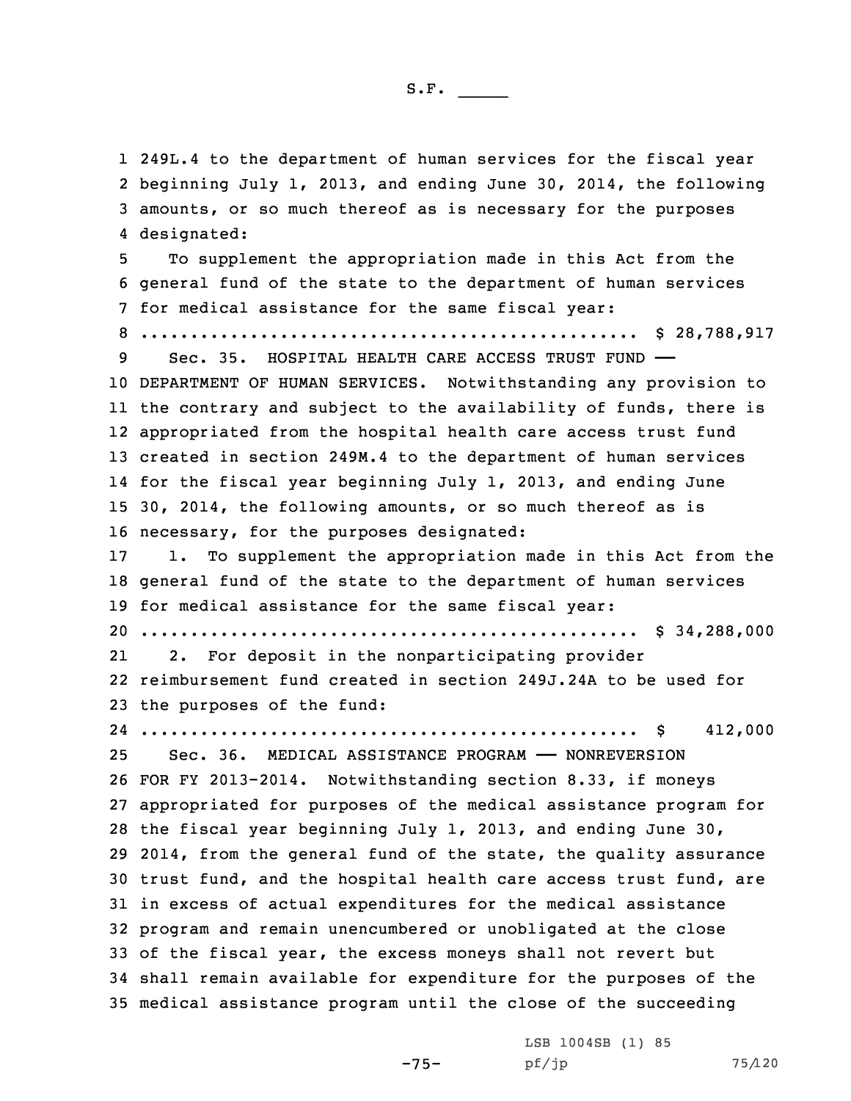249L.4 to the department of human services for the fiscal year beginning July 1, 2013, and ending June 30, 2014, the following amounts, or so much thereof as is necessary for the purposes designated: To supplement the appropriation made in this Act from the general fund of the state to the department of human services for medical assistance for the same fiscal year: .................................................. \$ 28,788,917 Sec. 35. HOSPITAL HEALTH CARE ACCESS TRUST FUND —— DEPARTMENT OF HUMAN SERVICES. Notwithstanding any provision to the contrary and subject to the availability of funds, there is appropriated from the hospital health care access trust fund created in section 249M.4 to the department of human services for the fiscal year beginning July 1, 2013, and ending June 30, 2014, the following amounts, or so much thereof as is necessary, for the purposes designated: 1. To supplement the appropriation made in this Act from the general fund of the state to the department of human services for medical assistance for the same fiscal year: .................................................. \$ 34,288,000 21 2. For deposit in the nonparticipating provider reimbursement fund created in section 249J.24A to be used for the purposes of the fund: .................................................. \$ 412,000 Sec. 36. MEDICAL ASSISTANCE PROGRAM —— NONREVERSION FOR FY 2013-2014. Notwithstanding section 8.33, if moneys appropriated for purposes of the medical assistance program for the fiscal year beginning July 1, 2013, and ending June 30, 2014, from the general fund of the state, the quality assurance trust fund, and the hospital health care access trust fund, are in excess of actual expenditures for the medical assistance program and remain unencumbered or unobligated at the close of the fiscal year, the excess moneys shall not revert but shall remain available for expenditure for the purposes of the medical assistance program until the close of the succeeding

-75-

LSB 1004SB (1) 85 pf/jp 75/120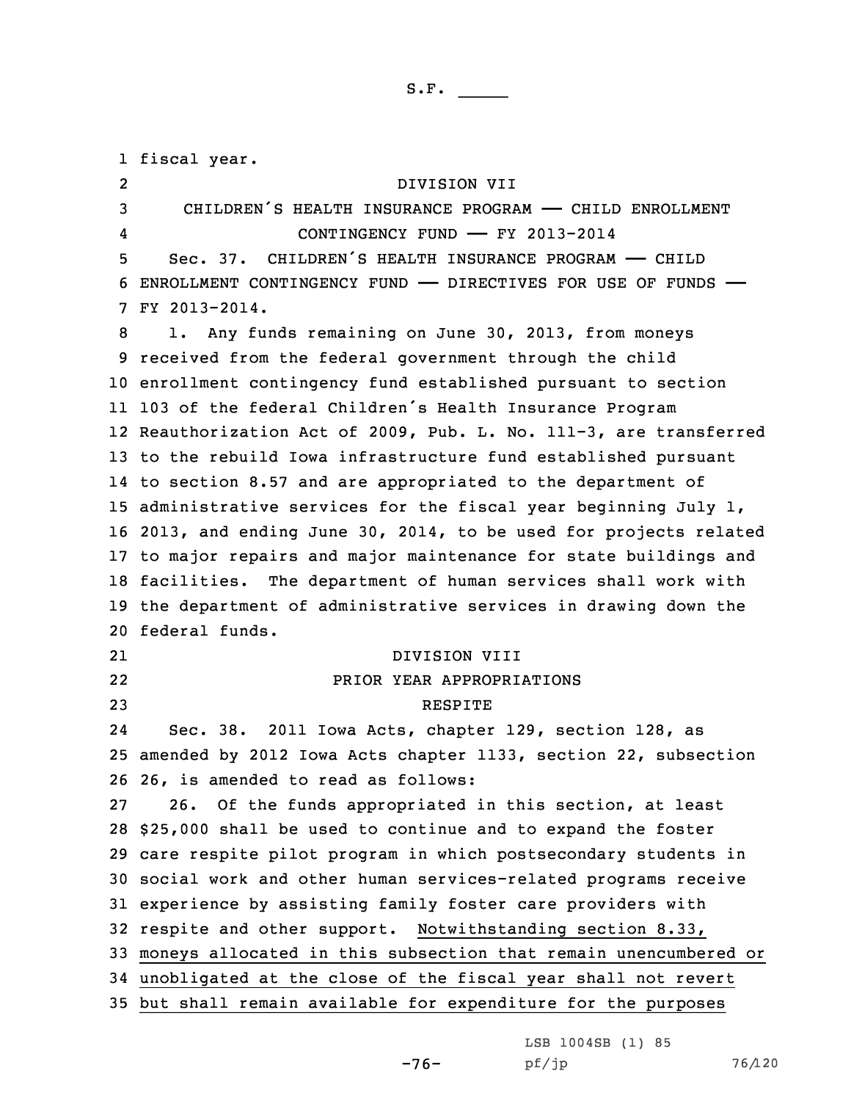fiscal year. 2 DIVISION VII 3 CHILDREN'S HEALTH INSURANCE PROGRAM - CHILD ENROLLMENT 4 CONTINGENCY FUND —— FY 2013-2014 Sec. 37. CHILDREN'S HEALTH INSURANCE PROGRAM —— CHILD ENROLLMENT CONTINGENCY FUND —— DIRECTIVES FOR USE OF FUNDS —— FY 2013-2014. 1. Any funds remaining on June 30, 2013, from moneys received from the federal government through the child enrollment contingency fund established pursuant to section <sup>103</sup> of the federal Children's Health Insurance Program Reauthorization Act of 2009, Pub. L. No. 111-3, are transferred to the rebuild Iowa infrastructure fund established pursuant to section 8.57 and are appropriated to the department of administrative services for the fiscal year beginning July 1, 2013, and ending June 30, 2014, to be used for projects related to major repairs and major maintenance for state buildings and facilities. The department of human services shall work with the department of administrative services in drawing down the federal funds. 21 DIVISION VIII 22 PRIOR YEAR APPROPRIATIONS 23 RESPITE 24 Sec. 38. 2011 Iowa Acts, chapter 129, section 128, as amended by 2012 Iowa Acts chapter 1133, section 22, subsection 26, is amended to read as follows: 26. Of the funds appropriated in this section, at least \$25,000 shall be used to continue and to expand the foster care respite pilot program in which postsecondary students in social work and other human services-related programs receive experience by assisting family foster care providers with respite and other support. Notwithstanding section 8.33, moneys allocated in this subsection that remain unencumbered or unobligated at the close of the fiscal year shall not revert but shall remain available for expenditure for the purposes

LSB 1004SB (1) 85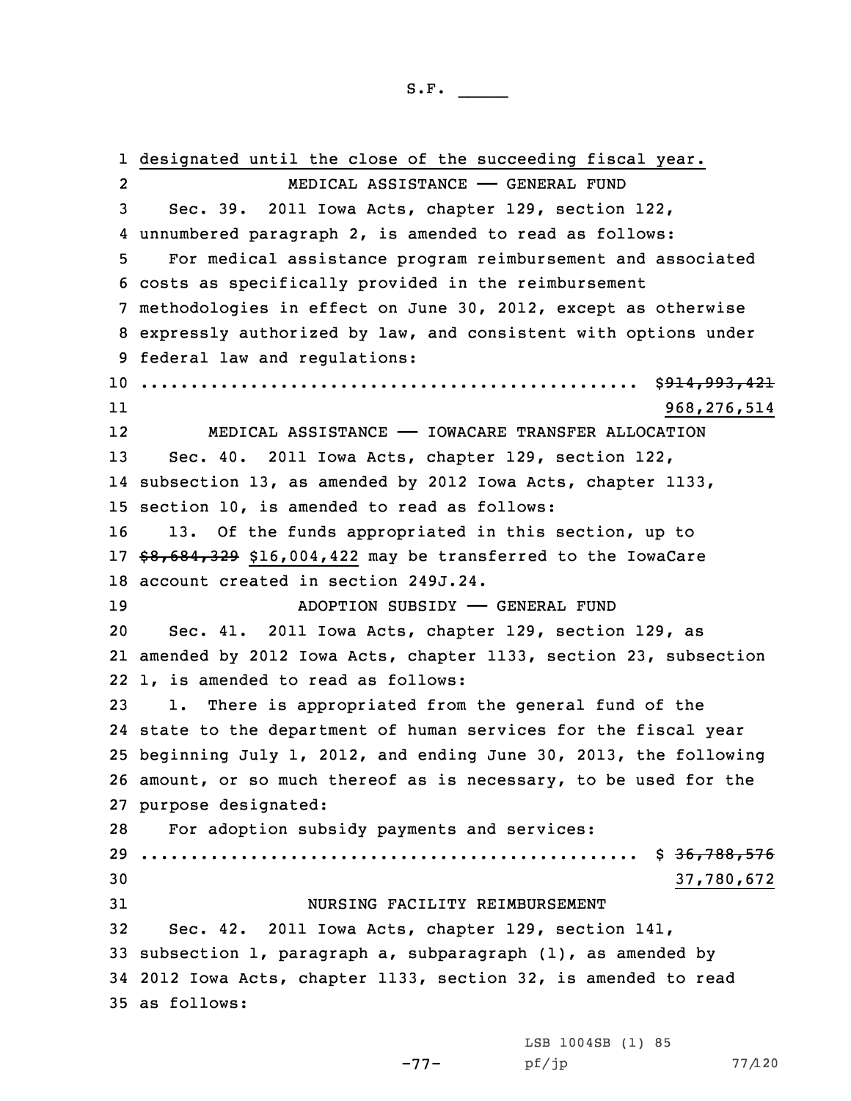designated until the close of the succeeding fiscal year. 2 MEDICAL ASSISTANCE —— GENERAL FUND Sec. 39. 2011 Iowa Acts, chapter 129, section 122, unnumbered paragraph 2, is amended to read as follows: For medical assistance program reimbursement and associated costs as specifically provided in the reimbursement methodologies in effect on June 30, 2012, except as otherwise expressly authorized by law, and consistent with options under federal law and regulations: .................................................. \$914,993,421 11 968,276,514 12 MEDICAL ASSISTANCE —— IOWACARE TRANSFER ALLOCATION Sec. 40. 2011 Iowa Acts, chapter 129, section 122, subsection 13, as amended by 2012 Iowa Acts, chapter 1133, section 10, is amended to read as follows: 13. Of the funds appropriated in this section, up to \$8,684,329 \$16,004,422 may be transferred to the IowaCare account created in section 249J.24. ADOPTION SUBSIDY —— GENERAL FUND Sec. 41. 2011 Iowa Acts, chapter 129, section 129, as amended by 2012 Iowa Acts, chapter 1133, section 23, subsection 1, is amended to read as follows: 1. There is appropriated from the general fund of the state to the department of human services for the fiscal year beginning July 1, 2012, and ending June 30, 2013, the following amount, or so much thereof as is necessary, to be used for the purpose designated: For adoption subsidy payments and services: .................................................. \$ 36,788,576 37,780,672 NURSING FACILITY REIMBURSEMENT Sec. 42. 2011 Iowa Acts, chapter 129, section 141, subsection 1, paragraph a, subparagraph (1), as amended by 2012 Iowa Acts, chapter 1133, section 32, is amended to read as follows:

-77-

LSB 1004SB (1) 85 pf/jp 77/120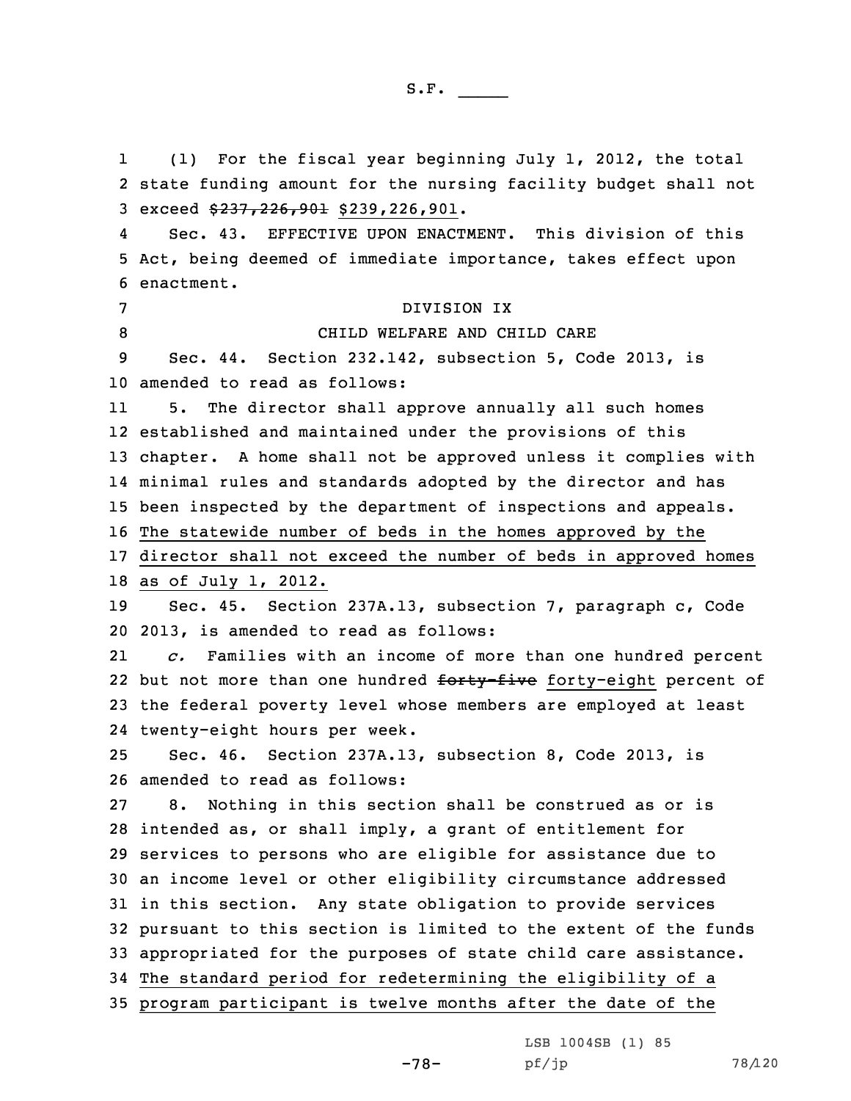1 (1) For the fiscal year beginning July 1, 2012, the total state funding amount for the nursing facility budget shall not 3 exceed  $$237, 226, 901$  \$239,226,901. 4 Sec. 43. EFFECTIVE UPON ENACTMENT. This division of this Act, being deemed of immediate importance, takes effect upon enactment. DIVISION IX 8 CHILD WELFARE AND CHILD CARE Sec. 44. Section 232.142, subsection 5, Code 2013, is amended to read as follows: 11 5. The director shall approve annually all such homes established and maintained under the provisions of this chapter. <sup>A</sup> home shall not be approved unless it complies with minimal rules and standards adopted by the director and has been inspected by the department of inspections and appeals. The statewide number of beds in the homes approved by the director shall not exceed the number of beds in approved homes as of July 1, 2012. Sec. 45. Section 237A.13, subsection 7, paragraph c, Code 2013, is amended to read as follows: 21 *c.* Families with an income of more than one hundred percent 22 but not more than one hundred <del>forty-five</del> forty-eight percent of the federal poverty level whose members are employed at least twenty-eight hours per week. Sec. 46. Section 237A.13, subsection 8, Code 2013, is amended to read as follows: 8. Nothing in this section shall be construed as or is intended as, or shall imply, <sup>a</sup> grant of entitlement for services to persons who are eligible for assistance due to an income level or other eligibility circumstance addressed in this section. Any state obligation to provide services pursuant to this section is limited to the extent of the funds appropriated for the purposes of state child care assistance. The standard period for redetermining the eligibility of <sup>a</sup> program participant is twelve months after the date of the

-78-

LSB 1004SB (1) 85 pf/jp 78/120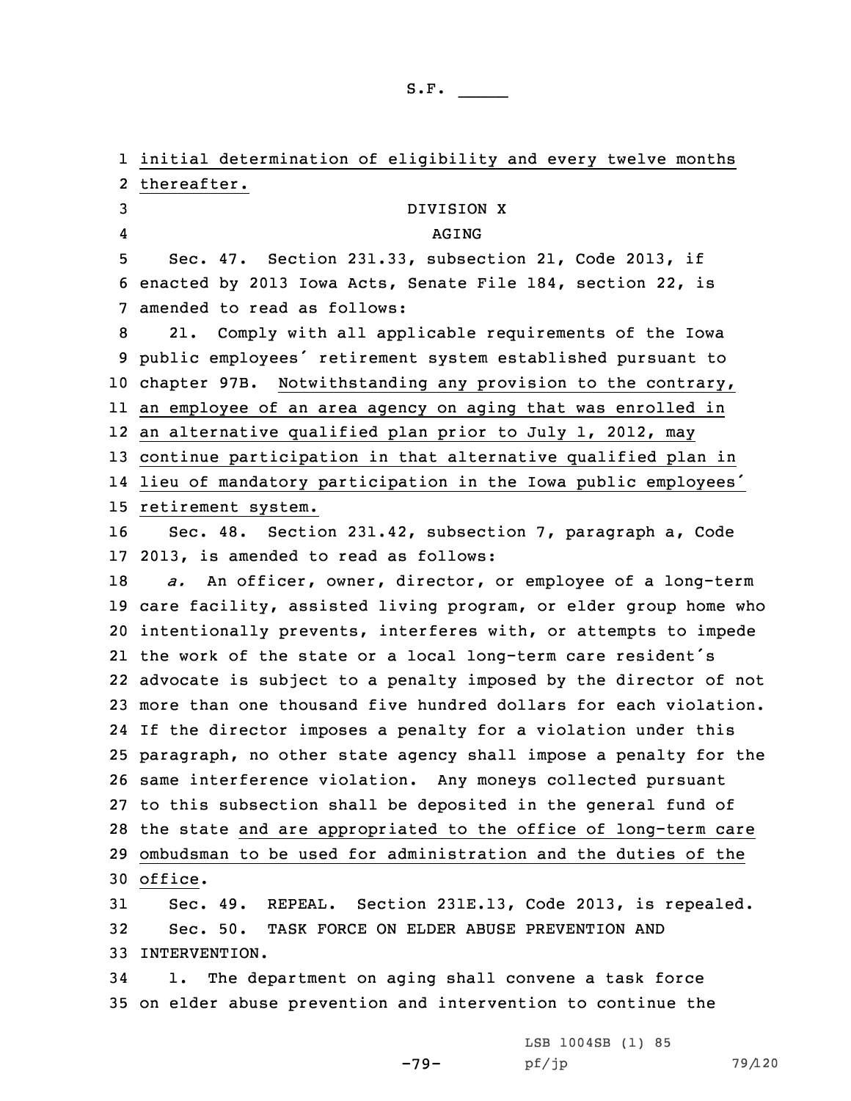initial determination of eligibility and every twelve months thereafter. DIVISION X 4 AGING Sec. 47. Section 231.33, subsection 21, Code 2013, if enacted by 2013 Iowa Acts, Senate File 184, section 22, is amended to read as follows: 21. Comply with all applicable requirements of the Iowa public employees' retirement system established pursuant to chapter 97B. Notwithstanding any provision to the contrary, an employee of an area agency on aging that was enrolled in an alternative qualified plan prior to July 1, 2012, may continue participation in that alternative qualified plan in lieu of mandatory participation in the Iowa public employees' retirement system. Sec. 48. Section 231.42, subsection 7, paragraph a, Code 2013, is amended to read as follows: *a.* An officer, owner, director, or employee of <sup>a</sup> long-term care facility, assisted living program, or elder group home who intentionally prevents, interferes with, or attempts to impede the work of the state or <sup>a</sup> local long-term care resident's advocate is subject to <sup>a</sup> penalty imposed by the director of not more than one thousand five hundred dollars for each violation. If the director imposes <sup>a</sup> penalty for <sup>a</sup> violation under this paragraph, no other state agency shall impose <sup>a</sup> penalty for the same interference violation. Any moneys collected pursuant to this subsection shall be deposited in the general fund of the state and are appropriated to the office of long-term care ombudsman to be used for administration and the duties of the 30 office. Sec. 49. REPEAL. Section 231E.13, Code 2013, is repealed. Sec. 50. TASK FORCE ON ELDER ABUSE PREVENTION AND INTERVENTION. 1. The department on aging shall convene <sup>a</sup> task force

35 on elder abuse prevention and intervention to continue the

-79-

LSB 1004SB (1) 85 pf/jp 79/120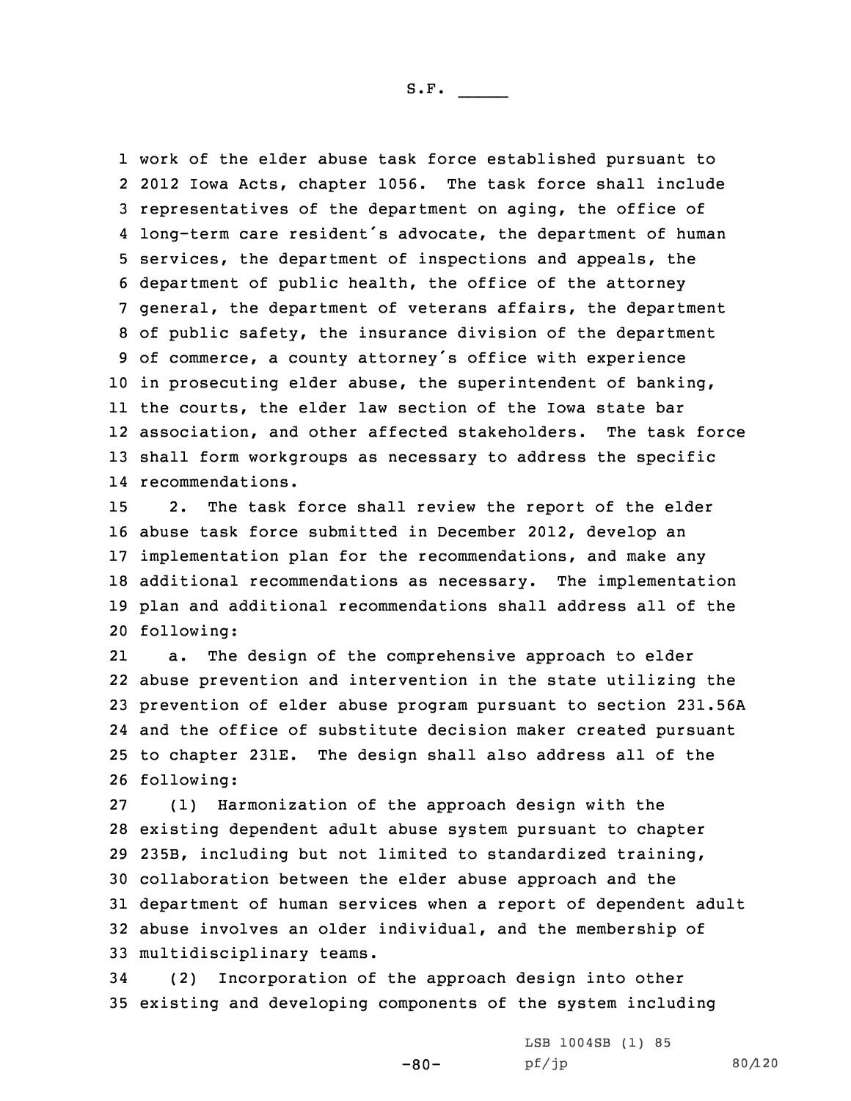work of the elder abuse task force established pursuant to 2012 Iowa Acts, chapter 1056. The task force shall include representatives of the department on aging, the office of long-term care resident's advocate, the department of human services, the department of inspections and appeals, the department of public health, the office of the attorney general, the department of veterans affairs, the department of public safety, the insurance division of the department of commerce, <sup>a</sup> county attorney's office with experience in prosecuting elder abuse, the superintendent of banking, the courts, the elder law section of the Iowa state bar association, and other affected stakeholders. The task force shall form workgroups as necessary to address the specific recommendations.

 2. The task force shall review the report of the elder abuse task force submitted in December 2012, develop an implementation plan for the recommendations, and make any additional recommendations as necessary. The implementation plan and additional recommendations shall address all of the following:

21 a. The design of the comprehensive approach to elder abuse prevention and intervention in the state utilizing the prevention of elder abuse program pursuant to section 231.56A and the office of substitute decision maker created pursuant to chapter 231E. The design shall also address all of the following:

 (1) Harmonization of the approach design with the existing dependent adult abuse system pursuant to chapter 235B, including but not limited to standardized training, collaboration between the elder abuse approach and the department of human services when <sup>a</sup> report of dependent adult abuse involves an older individual, and the membership of multidisciplinary teams.

34 (2) Incorporation of the approach design into other 35 existing and developing components of the system including

-80-

LSB 1004SB (1) 85 pf/jp 80/120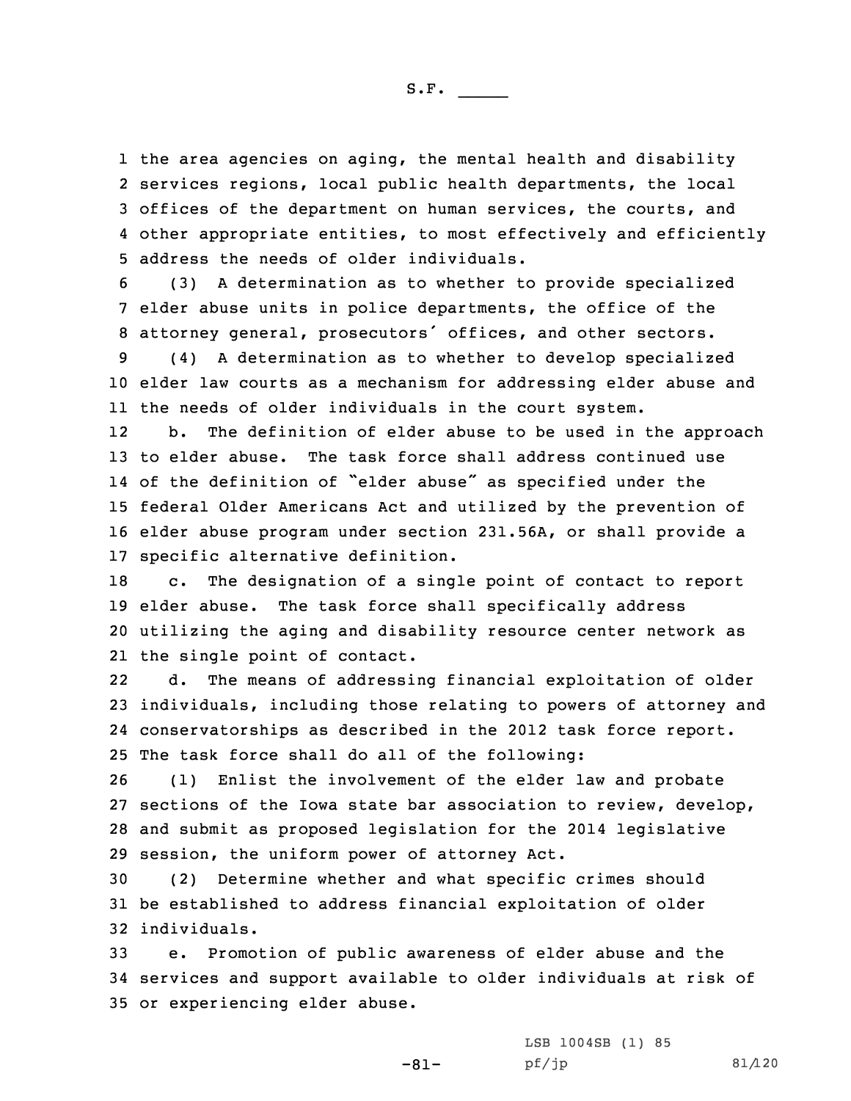the area agencies on aging, the mental health and disability services regions, local public health departments, the local offices of the department on human services, the courts, and other appropriate entities, to most effectively and efficiently address the needs of older individuals.

6 (3) <sup>A</sup> determination as to whether to provide specialized 7 elder abuse units in police departments, the office of the <sup>8</sup> attorney general, prosecutors' offices, and other sectors.

9 (4) <sup>A</sup> determination as to whether to develop specialized 10 elder law courts as <sup>a</sup> mechanism for addressing elder abuse and 11 the needs of older individuals in the court system.

12 b. The definition of elder abuse to be used in the approach to elder abuse. The task force shall address continued use of the definition of "elder abuse" as specified under the federal Older Americans Act and utilized by the prevention of elder abuse program under section 231.56A, or shall provide <sup>a</sup> specific alternative definition.

 c. The designation of <sup>a</sup> single point of contact to report elder abuse. The task force shall specifically address utilizing the aging and disability resource center network as the single point of contact.

22 d. The means of addressing financial exploitation of older 23 individuals, including those relating to powers of attorney and 24 conservatorships as described in the 2012 task force report. 25 The task force shall do all of the following:

 (1) Enlist the involvement of the elder law and probate sections of the Iowa state bar association to review, develop, and submit as proposed legislation for the 2014 legislative session, the uniform power of attorney Act.

30 (2) Determine whether and what specific crimes should 31 be established to address financial exploitation of older 32 individuals.

33 e. Promotion of public awareness of elder abuse and the 34 services and support available to older individuals at risk of 35 or experiencing elder abuse.

-81-

LSB 1004SB (1) 85  $pf/jp$  81/120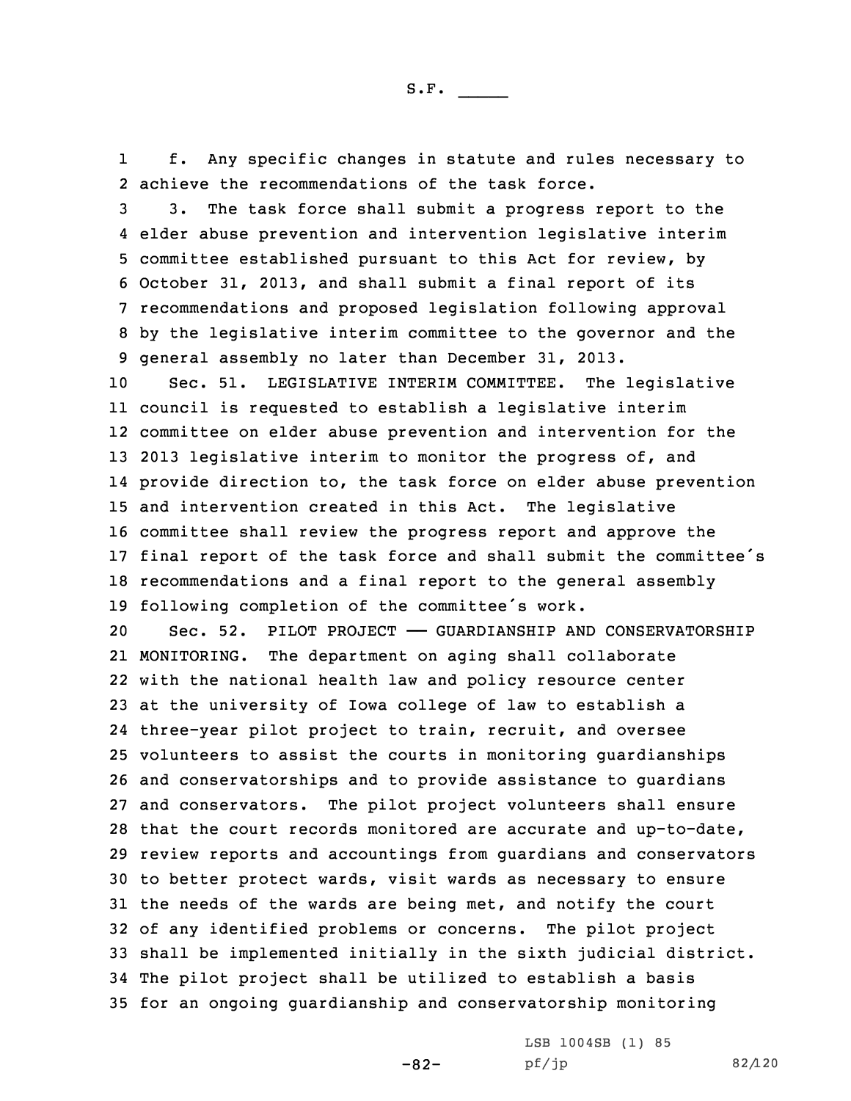1 f. Any specific changes in statute and rules necessary to 2 achieve the recommendations of the task force.

 3. The task force shall submit <sup>a</sup> progress report to the elder abuse prevention and intervention legislative interim committee established pursuant to this Act for review, by October 31, 2013, and shall submit <sup>a</sup> final report of its recommendations and proposed legislation following approval by the legislative interim committee to the governor and the general assembly no later than December 31, 2013.

 Sec. 51. LEGISLATIVE INTERIM COMMITTEE. The legislative council is requested to establish <sup>a</sup> legislative interim committee on elder abuse prevention and intervention for the 2013 legislative interim to monitor the progress of, and provide direction to, the task force on elder abuse prevention and intervention created in this Act. The legislative committee shall review the progress report and approve the final report of the task force and shall submit the committee's recommendations and <sup>a</sup> final report to the general assembly following completion of the committee's work.

20 Sec. 52. PILOT PROJECT - GUARDIANSHIP AND CONSERVATORSHIP 21 MONITORING. The department on aging shall collaborate with the national health law and policy resource center at the university of Iowa college of law to establish <sup>a</sup> three-year pilot project to train, recruit, and oversee volunteers to assist the courts in monitoring guardianships and conservatorships and to provide assistance to guardians and conservators. The pilot project volunteers shall ensure that the court records monitored are accurate and up-to-date, review reports and accountings from guardians and conservators to better protect wards, visit wards as necessary to ensure the needs of the wards are being met, and notify the court of any identified problems or concerns. The pilot project shall be implemented initially in the sixth judicial district. The pilot project shall be utilized to establish <sup>a</sup> basis for an ongoing guardianship and conservatorship monitoring

-82-

LSB 1004SB (1) 85 pf/jp 82/120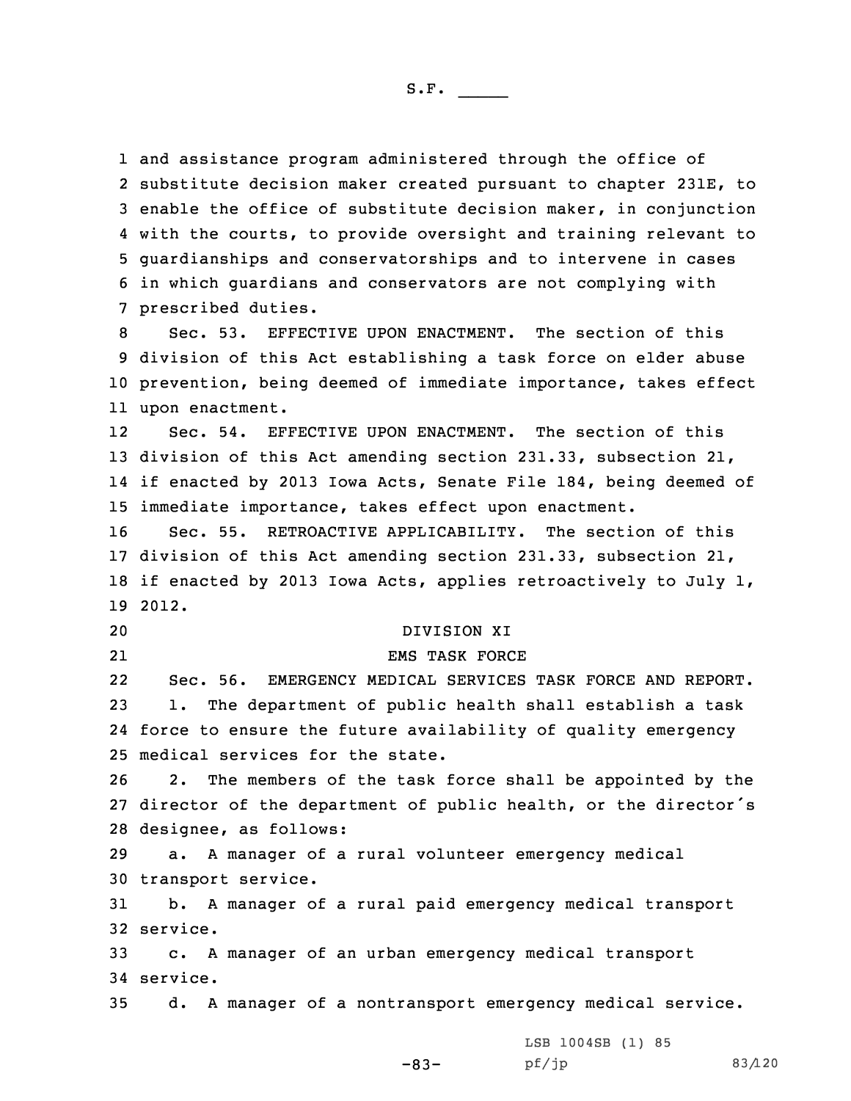and assistance program administered through the office of substitute decision maker created pursuant to chapter 231E, to enable the office of substitute decision maker, in conjunction with the courts, to provide oversight and training relevant to guardianships and conservatorships and to intervene in cases in which guardians and conservators are not complying with prescribed duties.

 Sec. 53. EFFECTIVE UPON ENACTMENT. The section of this division of this Act establishing <sup>a</sup> task force on elder abuse prevention, being deemed of immediate importance, takes effect upon enactment.

12 Sec. 54. EFFECTIVE UPON ENACTMENT. The section of this 13 division of this Act amending section 231.33, subsection 21, 14 if enacted by 2013 Iowa Acts, Senate File 184, being deemed of 15 immediate importance, takes effect upon enactment.

 Sec. 55. RETROACTIVE APPLICABILITY. The section of this division of this Act amending section 231.33, subsection 21, if enacted by 2013 Iowa Acts, applies retroactively to July 1, 19 2012.

## 20 DIVISION XI

21

# EMS TASK FORCE

22 Sec. 56. EMERGENCY MEDICAL SERVICES TASK FORCE AND REPORT. 23 1. The department of public health shall establish <sup>a</sup> task 24 force to ensure the future availability of quality emergency 25 medical services for the state.

26 2. The members of the task force shall be appointed by the 27 director of the department of public health, or the director's 28 designee, as follows:

29 a. <sup>A</sup> manager of <sup>a</sup> rural volunteer emergency medical 30 transport service.

31 b. <sup>A</sup> manager of <sup>a</sup> rural paid emergency medical transport 32 service.

33 c. <sup>A</sup> manager of an urban emergency medical transport 34 service.

35 d. <sup>A</sup> manager of <sup>a</sup> nontransport emergency medical service.

LSB 1004SB (1) 85

-83-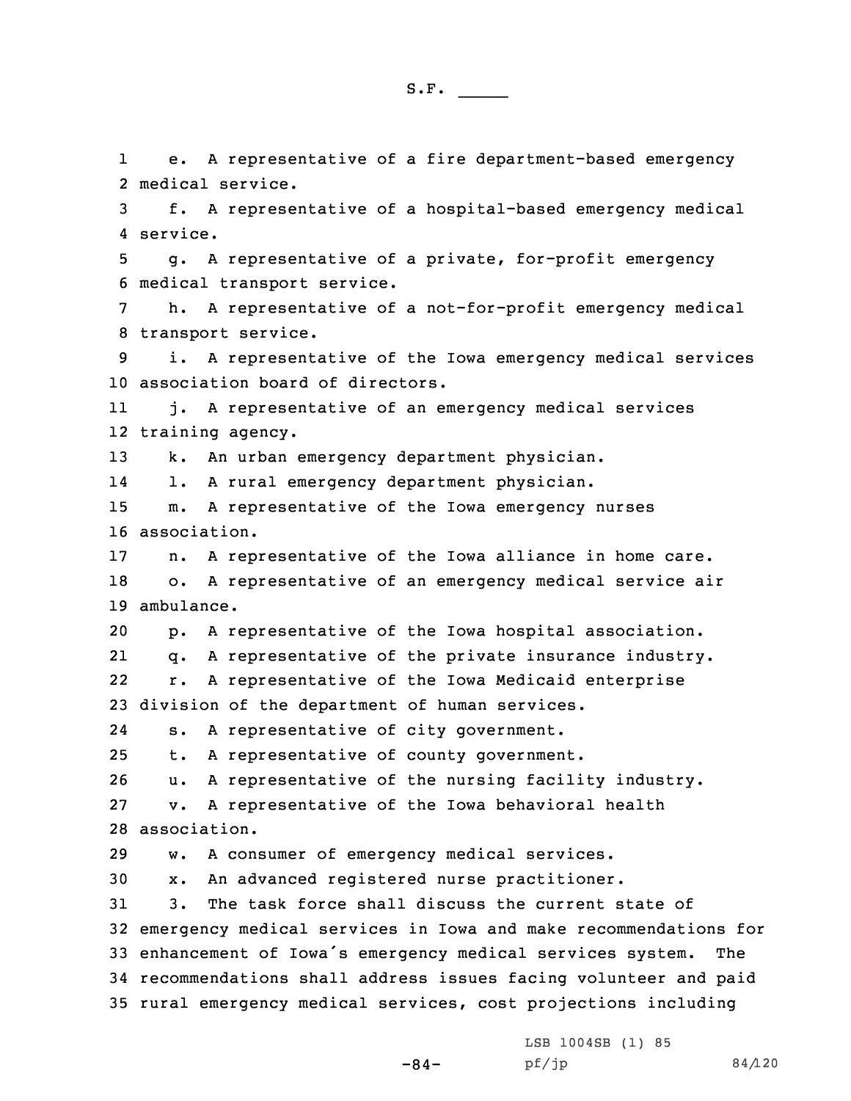e. <sup>A</sup> representative of <sup>a</sup> fire department-based emergency

1

 medical service. f. <sup>A</sup> representative of <sup>a</sup> hospital-based emergency medical 4 service. g. <sup>A</sup> representative of <sup>a</sup> private, for-profit emergency medical transport service. h. <sup>A</sup> representative of <sup>a</sup> not-for-profit emergency medical transport service. i. <sup>A</sup> representative of the Iowa emergency medical services association board of directors. 11 j. <sup>A</sup> representative of an emergency medical services training agency. k. An urban emergency department physician. 14 l. <sup>A</sup> rural emergency department physician. m. <sup>A</sup> representative of the Iowa emergency nurses association. n. <sup>A</sup> representative of the Iowa alliance in home care. o. <sup>A</sup> representative of an emergency medical service air ambulance. p. <sup>A</sup> representative of the Iowa hospital association. 21 q. <sup>A</sup> representative of the private insurance industry. 22 r. <sup>A</sup> representative of the Iowa Medicaid enterprise division of the department of human services. 24 s. <sup>A</sup> representative of city government. t. <sup>A</sup> representative of county government. u. <sup>A</sup> representative of the nursing facility industry. v. <sup>A</sup> representative of the Iowa behavioral health association. w. <sup>A</sup> consumer of emergency medical services. x. An advanced registered nurse practitioner. 3. The task force shall discuss the current state of

 emergency medical services in Iowa and make recommendations for enhancement of Iowa's emergency medical services system. The recommendations shall address issues facing volunteer and paid rural emergency medical services, cost projections including

-84-

LSB 1004SB (1) 85  $pf/jp$  84/120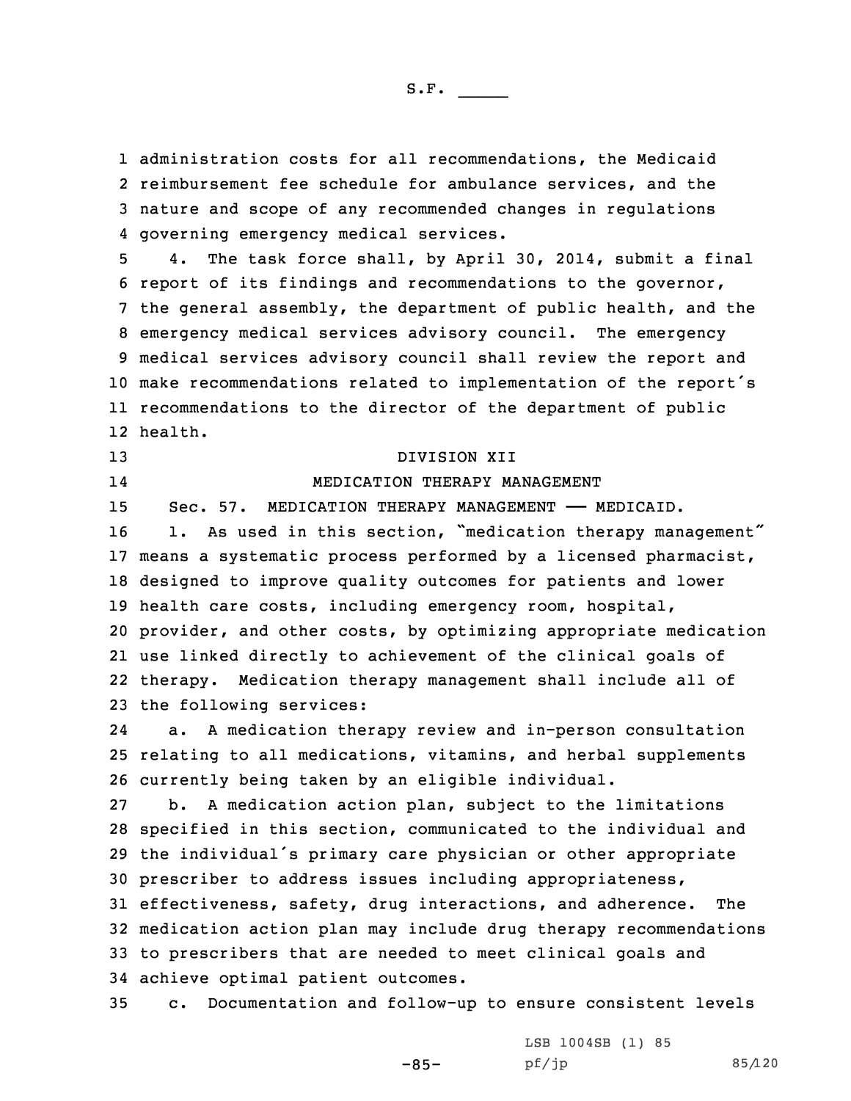administration costs for all recommendations, the Medicaid reimbursement fee schedule for ambulance services, and the nature and scope of any recommended changes in regulations governing emergency medical services.

 4. The task force shall, by April 30, 2014, submit <sup>a</sup> final report of its findings and recommendations to the governor, the general assembly, the department of public health, and the emergency medical services advisory council. The emergency medical services advisory council shall review the report and make recommendations related to implementation of the report's recommendations to the director of the department of public 12 health.

14

13 DIVISION XII

## MEDICATION THERAPY MANAGEMENT

 Sec. 57. MEDICATION THERAPY MANAGEMENT —— MEDICAID. 16 1. As used in this section, "medication therapy management" means <sup>a</sup> systematic process performed by <sup>a</sup> licensed pharmacist, designed to improve quality outcomes for patients and lower health care costs, including emergency room, hospital, provider, and other costs, by optimizing appropriate medication use linked directly to achievement of the clinical goals of therapy. Medication therapy management shall include all of

23 the following services:

24 a. <sup>A</sup> medication therapy review and in-person consultation 25 relating to all medications, vitamins, and herbal supplements 26 currently being taken by an eligible individual.

 b. <sup>A</sup> medication action plan, subject to the limitations specified in this section, communicated to the individual and the individual's primary care physician or other appropriate prescriber to address issues including appropriateness, effectiveness, safety, drug interactions, and adherence. The medication action plan may include drug therapy recommendations to prescribers that are needed to meet clinical goals and achieve optimal patient outcomes.

35 c. Documentation and follow-up to ensure consistent levels

-85-

LSB 1004SB (1) 85 pf/jp 85/120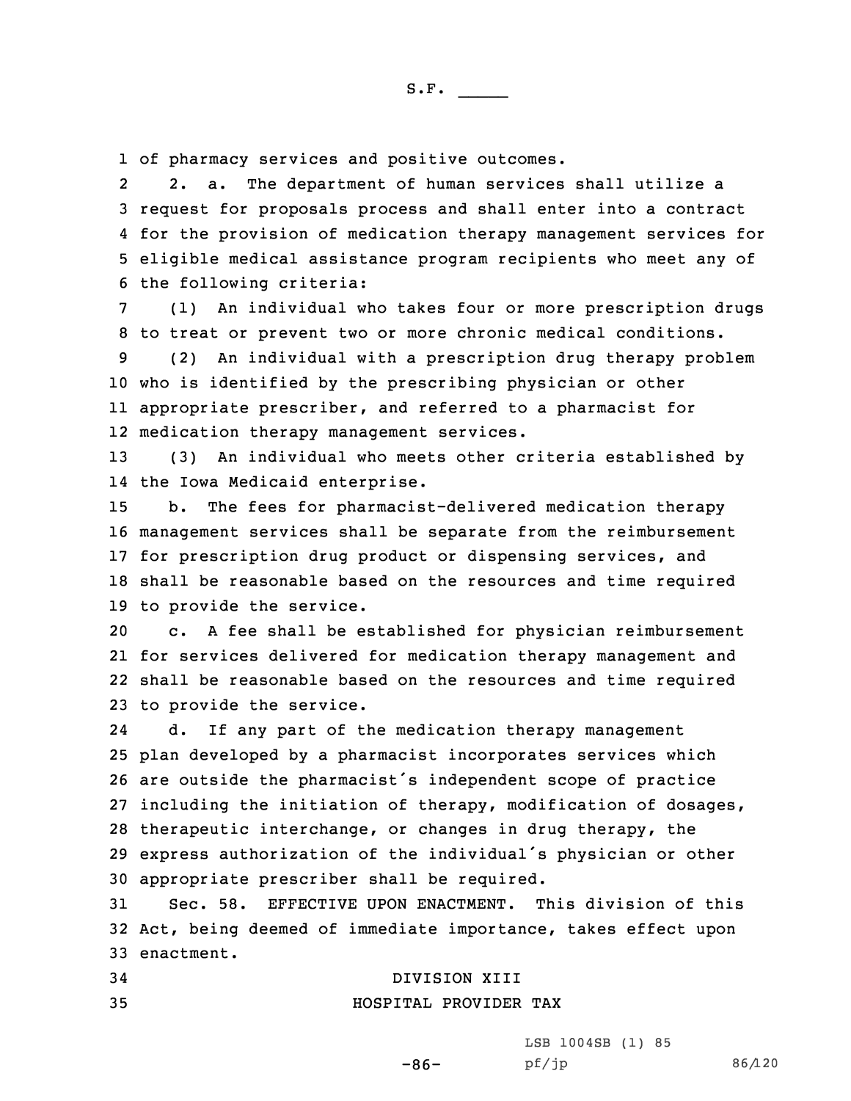1 of pharmacy services and positive outcomes.

2 2. a. The department of human services shall utilize <sup>a</sup> request for proposals process and shall enter into <sup>a</sup> contract for the provision of medication therapy management services for eligible medical assistance program recipients who meet any of the following criteria:

7 (1) An individual who takes four or more prescription drugs 8 to treat or prevent two or more chronic medical conditions.

 (2) An individual with <sup>a</sup> prescription drug therapy problem who is identified by the prescribing physician or other appropriate prescriber, and referred to <sup>a</sup> pharmacist for medication therapy management services.

13 (3) An individual who meets other criteria established by 14 the Iowa Medicaid enterprise.

 b. The fees for pharmacist-delivered medication therapy management services shall be separate from the reimbursement for prescription drug product or dispensing services, and shall be reasonable based on the resources and time required to provide the service.

 c. <sup>A</sup> fee shall be established for physician reimbursement for services delivered for medication therapy management and shall be reasonable based on the resources and time required to provide the service.

24 d. If any part of the medication therapy management plan developed by <sup>a</sup> pharmacist incorporates services which are outside the pharmacist's independent scope of practice including the initiation of therapy, modification of dosages, therapeutic interchange, or changes in drug therapy, the express authorization of the individual's physician or other appropriate prescriber shall be required.

31 Sec. 58. EFFECTIVE UPON ENACTMENT. This division of this 32 Act, being deemed of immediate importance, takes effect upon 33 enactment.

-86-

### 34 DIVISION XIII

35 HOSPITAL PROVIDER TAX

LSB 1004SB (1) 85 pf/jp 86/120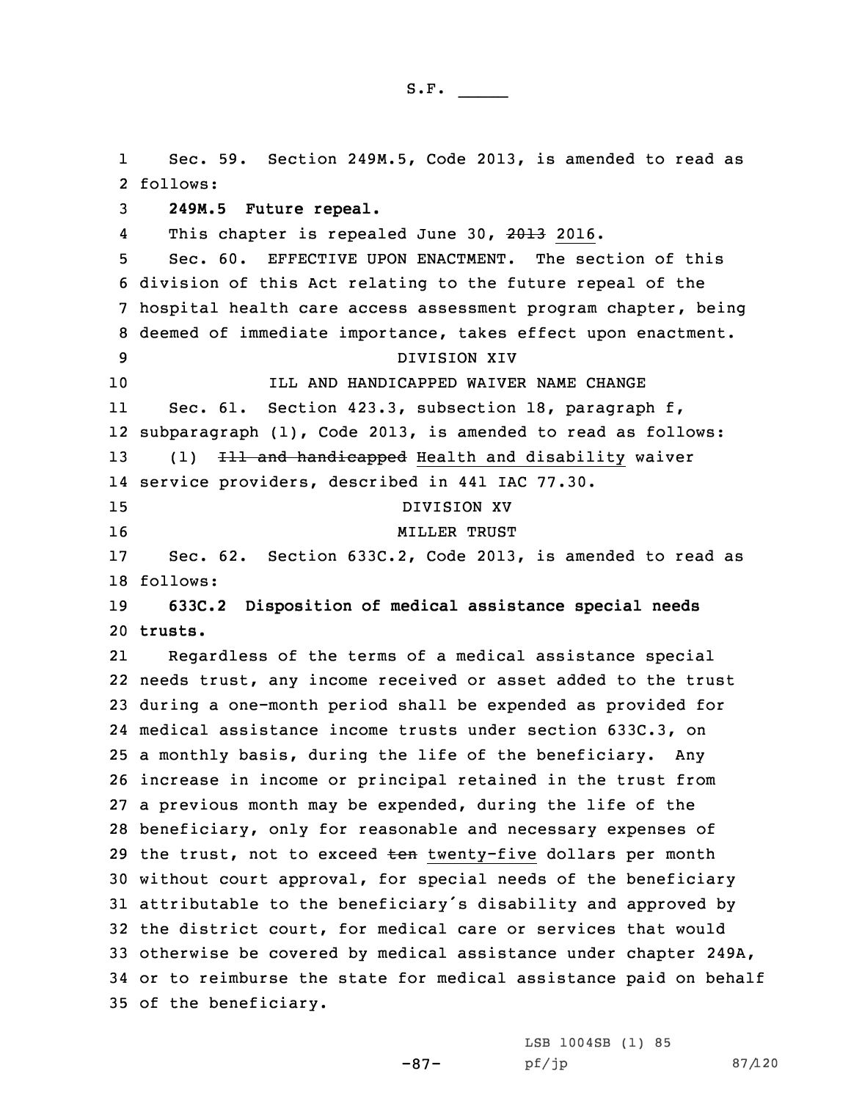1 Sec. 59. Section 249M.5, Code 2013, is amended to read as 2 follows: **249M.5 Future repeal.** 4This chapter is repealed June 30, 2013 2016. Sec. 60. EFFECTIVE UPON ENACTMENT. The section of this division of this Act relating to the future repeal of the hospital health care access assessment program chapter, being deemed of immediate importance, takes effect upon enactment. DIVISION XIV **ILL AND HANDICAPPED WAIVER NAME CHANGE** 11 Sec. 61. Section 423.3, subsection 18, paragraph f, subparagraph (1), Code 2013, is amended to read as follows: 13 (1) <del>Ill and handicapped</del> Health and disability waiver service providers, described in 441 IAC 77.30. DIVISION XV 16 MILLER TRUST Sec. 62. Section 633C.2, Code 2013, is amended to read as 18 follows: **633C.2 Disposition of medical assistance special needs** 20 **trusts.** 21 Regardless of the terms of <sup>a</sup> medical assistance special needs trust, any income received or asset added to the trust during <sup>a</sup> one-month period shall be expended as provided for medical assistance income trusts under section 633C.3, on <sup>a</sup> monthly basis, during the life of the beneficiary. Any increase in income or principal retained in the trust from <sup>a</sup> previous month may be expended, during the life of the beneficiary, only for reasonable and necessary expenses of 29 the trust, not to exceed ten twenty-five dollars per month without court approval, for special needs of the beneficiary attributable to the beneficiary's disability and approved by the district court, for medical care or services that would otherwise be covered by medical assistance under chapter 249A, or to reimburse the state for medical assistance paid on behalf of the beneficiary.

-87-

LSB 1004SB (1) 85 pf/jp 87/120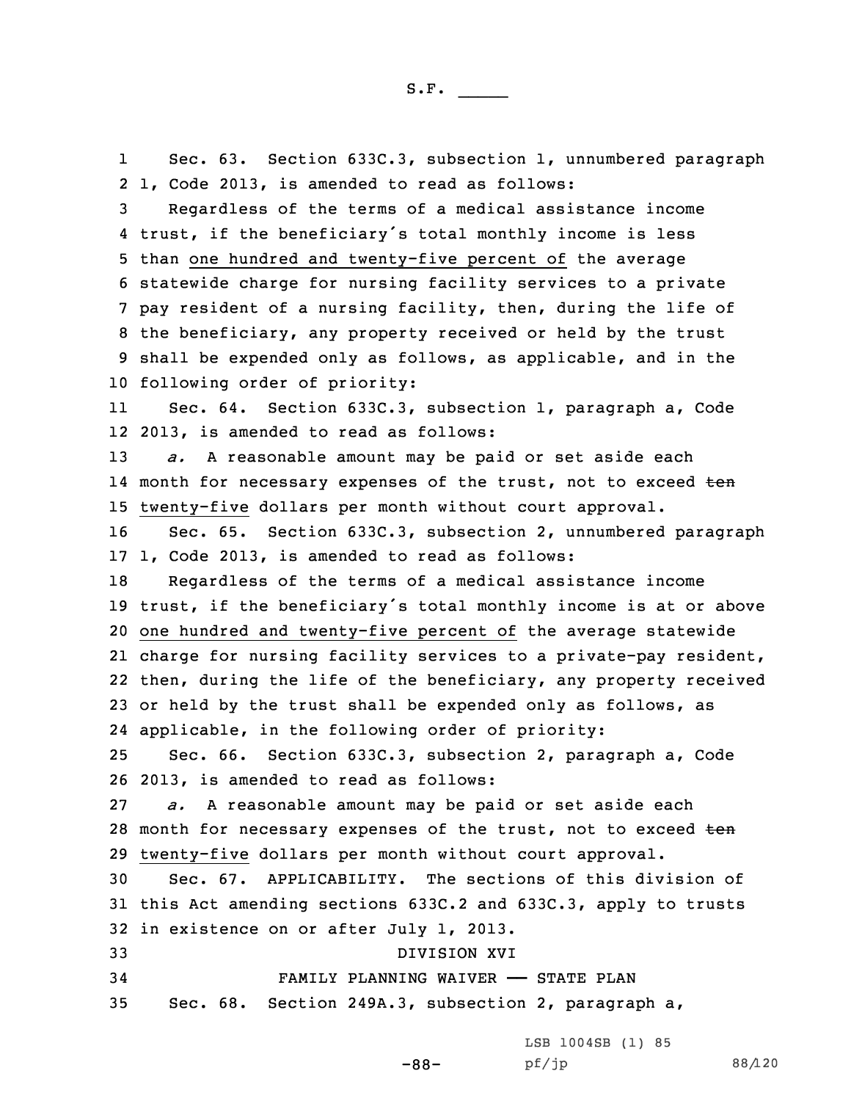1 Sec. 63. Section 633C.3, subsection 1, unnumbered paragraph 1, Code 2013, is amended to read as follows: Regardless of the terms of <sup>a</sup> medical assistance income trust, if the beneficiary's total monthly income is less than one hundred and twenty-five percent of the average statewide charge for nursing facility services to <sup>a</sup> private pay resident of <sup>a</sup> nursing facility, then, during the life of the beneficiary, any property received or held by the trust shall be expended only as follows, as applicable, and in the following order of priority: 11 Sec. 64. Section 633C.3, subsection 1, paragraph a, Code 2013, is amended to read as follows: *a.* <sup>A</sup> reasonable amount may be paid or set aside each 14 month for necessary expenses of the trust, not to exceed <del>ten</del> twenty-five dollars per month without court approval. Sec. 65. Section 633C.3, subsection 2, unnumbered paragraph 1, Code 2013, is amended to read as follows: Regardless of the terms of <sup>a</sup> medical assistance income trust, if the beneficiary's total monthly income is at or above one hundred and twenty-five percent of the average statewide charge for nursing facility services to <sup>a</sup> private-pay resident, then, during the life of the beneficiary, any property received 23 or held by the trust shall be expended only as follows, as applicable, in the following order of priority: Sec. 66. Section 633C.3, subsection 2, paragraph a, Code 2013, is amended to read as follows: *a.* <sup>A</sup> reasonable amount may be paid or set aside each 28 month for necessary expenses of the trust, not to exceed ten twenty-five dollars per month without court approval. Sec. 67. APPLICABILITY. The sections of this division of this Act amending sections 633C.2 and 633C.3, apply to trusts in existence on or after July 1, 2013. DIVISION XVI FAMILY PLANNING WAIVER —— STATE PLAN Sec. 68. Section 249A.3, subsection 2, paragraph a,

-88-

LSB 1004SB (1) 85 pf/jp 88/120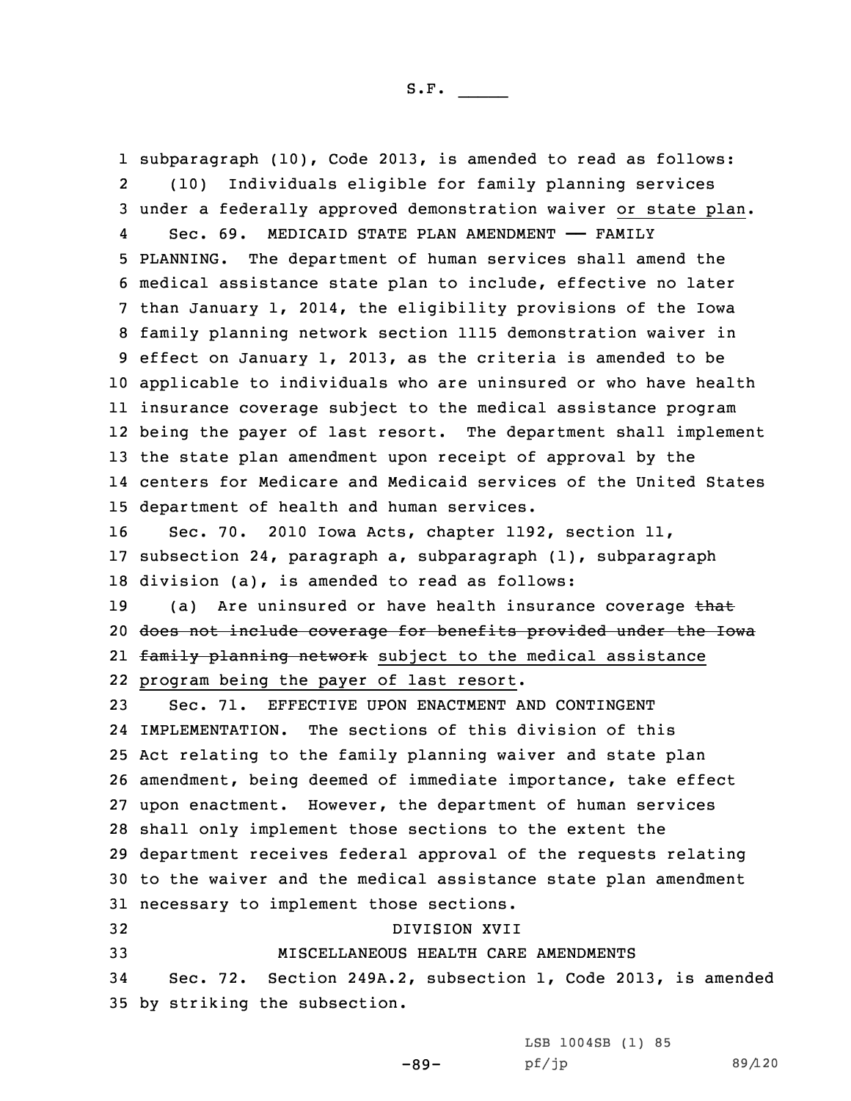subparagraph (10), Code 2013, is amended to read as follows: 2 (10) Individuals eligible for family planning services under <sup>a</sup> federally approved demonstration waiver or state plan. 4 Sec. 69. MEDICAID STATE PLAN AMENDMENT —— FAMILY PLANNING. The department of human services shall amend the medical assistance state plan to include, effective no later than January 1, 2014, the eligibility provisions of the Iowa family planning network section 1115 demonstration waiver in effect on January 1, 2013, as the criteria is amended to be applicable to individuals who are uninsured or who have health insurance coverage subject to the medical assistance program being the payer of last resort. The department shall implement the state plan amendment upon receipt of approval by the centers for Medicare and Medicaid services of the United States department of health and human services. Sec. 70. 2010 Iowa Acts, chapter 1192, section 11, subsection 24, paragraph a, subparagraph (1), subparagraph division (a), is amended to read as follows: 19 (a) Are uninsured or have health insurance coverage that does not include coverage for benefits provided under the Iowa 21 <del>family planning network</del> subject to the medical assistance program being the payer of last resort. Sec. 71. EFFECTIVE UPON ENACTMENT AND CONTINGENT IMPLEMENTATION. The sections of this division of this Act relating to the family planning waiver and state plan amendment, being deemed of immediate importance, take effect upon enactment. However, the department of human services shall only implement those sections to the extent the department receives federal approval of the requests relating to the waiver and the medical assistance state plan amendment necessary to implement those sections. DIVISION XVII MISCELLANEOUS HEALTH CARE AMENDMENTS Sec. 72. Section 249A.2, subsection 1, Code 2013, is amended by striking the subsection.

-89-

LSB 1004SB (1) 85 pf/jp 89/120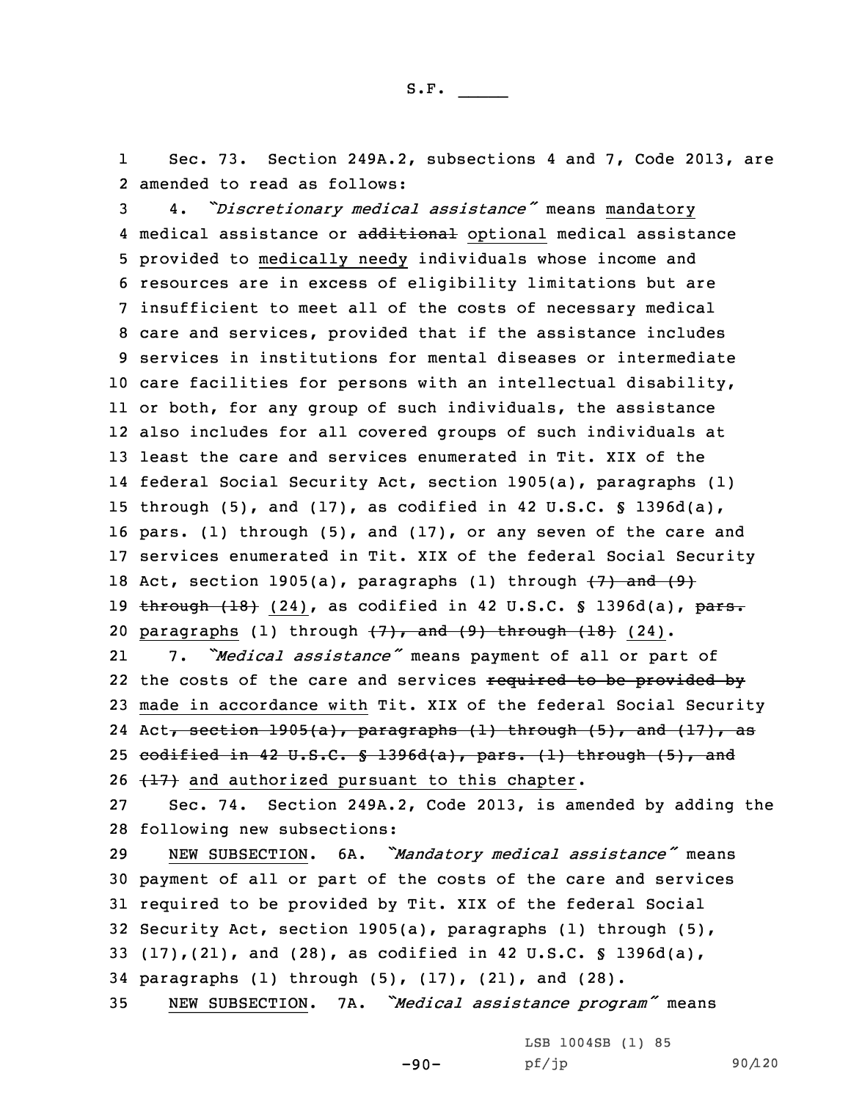1 Sec. 73. Section 249A.2, subsections 4 and 7, Code 2013, are 2 amended to read as follows:

 4. *"Discretionary medical assistance"* means mandatory 4 medical assistance or additional optional medical assistance provided to medically needy individuals whose income and resources are in excess of eligibility limitations but are insufficient to meet all of the costs of necessary medical care and services, provided that if the assistance includes services in institutions for mental diseases or intermediate care facilities for persons with an intellectual disability, or both, for any group of such individuals, the assistance also includes for all covered groups of such individuals at least the care and services enumerated in Tit. XIX of the federal Social Security Act, section 1905(a), paragraphs (1) through (5), and (17), as codified in 42 U.S.C. § 1396d(a), pars. (1) through (5), and (17), or any seven of the care and services enumerated in Tit. XIX of the federal Social Security 18 Act, section 1905(a), paragraphs (1) through  $\{7\}$  and  $\{9\}$ 19 through (18) (24), as codified in 42 U.S.C. § 1396d(a), pars. 20 paragraphs (1) through  $(7)$ , and  $(9)$  through  $(18)$  (24). 21 7. *"Medical assistance"* means payment of all or part of 22 the costs of the care and services <del>required to be provided by</del> made in accordance with Tit. XIX of the federal Social Security 24 Act<del>, section 1905(a), paragraphs (1) through (5), and (17), as</del> codified in 42 U.S.C. § 1396d(a), pars. (1) through (5), and

26  $(17)$  and authorized pursuant to this chapter.

27 Sec. 74. Section 249A.2, Code 2013, is amended by adding the 28 following new subsections:

 NEW SUBSECTION. 6A. *"Mandatory medical assistance"* means payment of all or part of the costs of the care and services required to be provided by Tit. XIX of the federal Social Security Act, section 1905(a), paragraphs (1) through (5), (17),(21), and (28), as codified in 42 U.S.C. § 1396d(a), paragraphs (1) through (5), (17), (21), and (28). NEW SUBSECTION. 7A. *"Medical assistance program"* means

-90-

LSB 1004SB (1) 85 pf/jp 90/120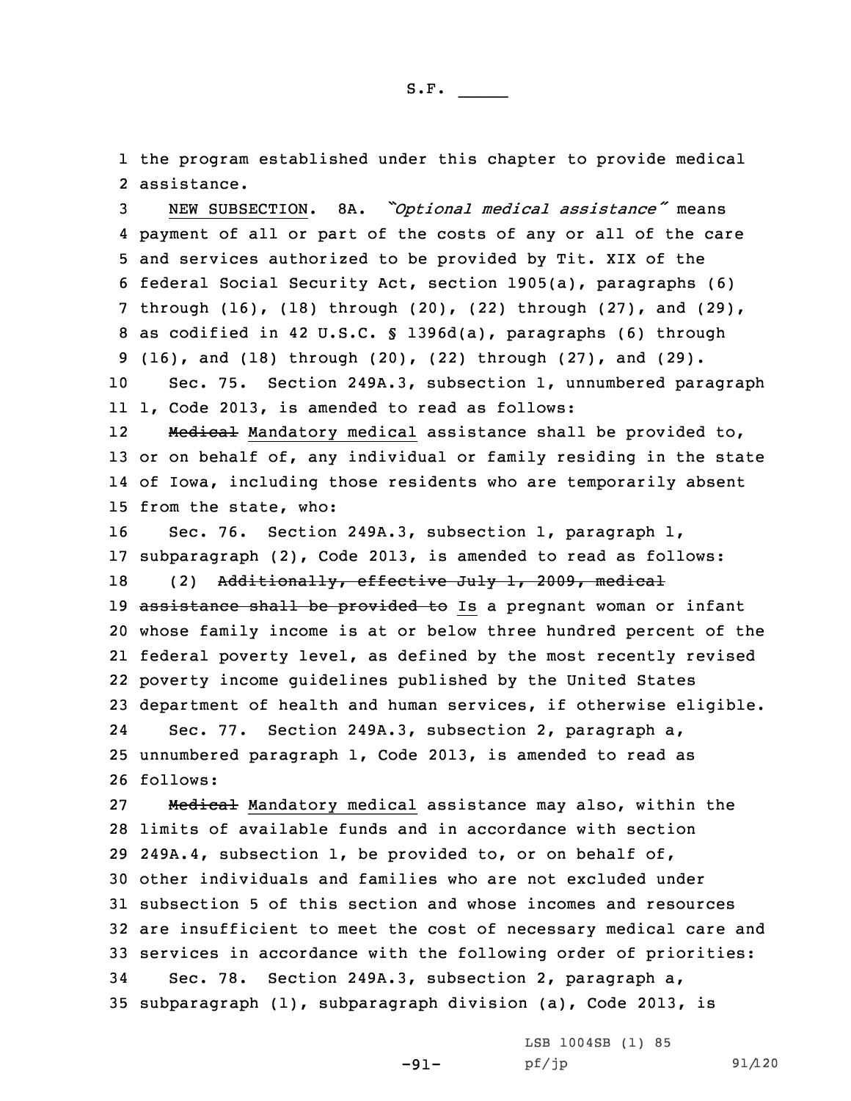1 the program established under this chapter to provide medical 2 assistance.

 NEW SUBSECTION. 8A. *"Optional medical assistance"* means payment of all or part of the costs of any or all of the care and services authorized to be provided by Tit. XIX of the federal Social Security Act, section 1905(a), paragraphs (6) through (16), (18) through (20), (22) through (27), and (29), as codified in 42 U.S.C. § 1396d(a), paragraphs (6) through (16), and (18) through (20), (22) through (27), and (29). Sec. 75. Section 249A.3, subsection 1, unnumbered paragraph 1, Code 2013, is amended to read as follows: 12 Medical Mandatory medical assistance shall be provided to, or on behalf of, any individual or family residing in the state of Iowa, including those residents who are temporarily absent from the state, who: Sec. 76. Section 249A.3, subsection 1, paragraph l, subparagraph (2), Code 2013, is amended to read as follows: 18 (2) Additionally, effective July 1, 2009, medical 19 assistance shall be provided to Is a pregnant woman or infant whose family income is at or below three hundred percent of the federal poverty level, as defined by the most recently revised poverty income guidelines published by the United States department of health and human services, if otherwise eligible. 24 Sec. 77. Section 249A.3, subsection 2, paragraph a, unnumbered paragraph 1, Code 2013, is amended to read as 26 follows: 27 Medical Mandatory medical assistance may also, within the

 limits of available funds and in accordance with section 249A.4, subsection 1, be provided to, or on behalf of, other individuals and families who are not excluded under subsection 5 of this section and whose incomes and resources are insufficient to meet the cost of necessary medical care and services in accordance with the following order of priorities: Sec. 78. Section 249A.3, subsection 2, paragraph a, subparagraph (1), subparagraph division (a), Code 2013, is

-91-

LSB 1004SB (1) 85 pf/jp 91/120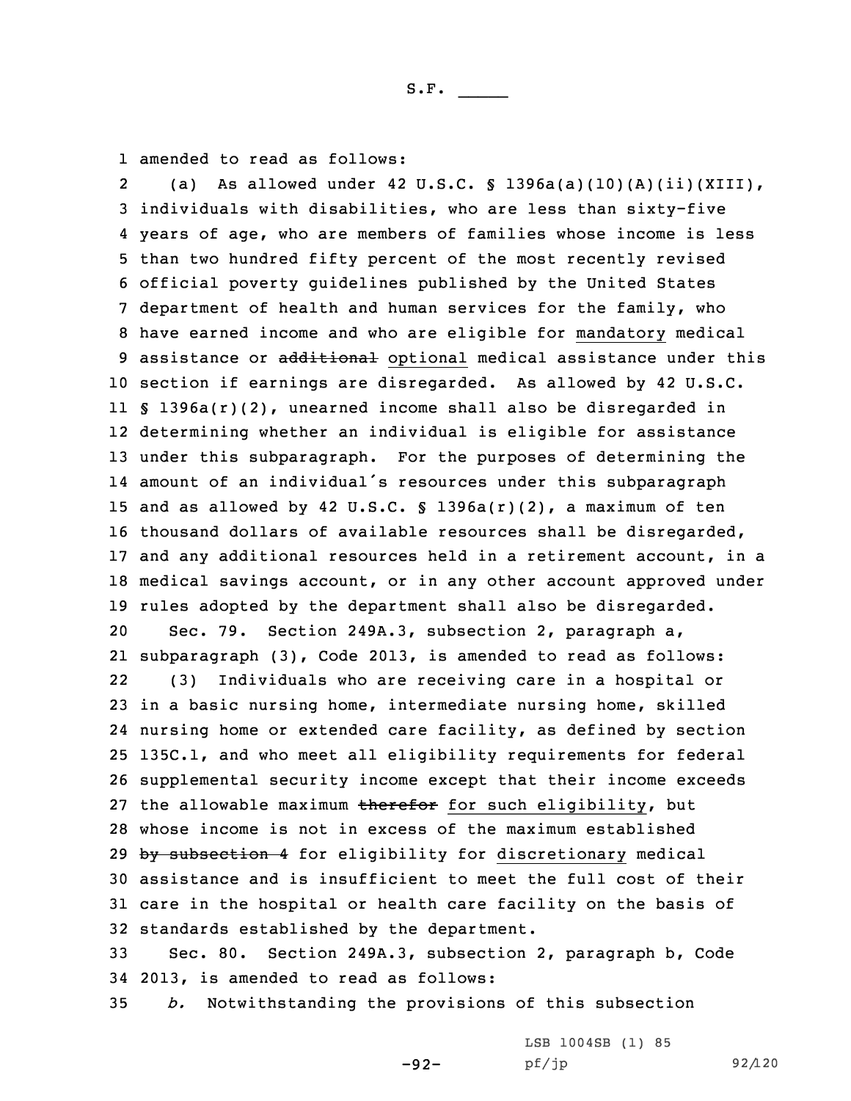1 amended to read as follows:

2 (a) As allowed under 42 U.S.C. § 1396a(a)(10)(A)(ii)(XIII), individuals with disabilities, who are less than sixty-five years of age, who are members of families whose income is less than two hundred fifty percent of the most recently revised official poverty guidelines published by the United States department of health and human services for the family, who have earned income and who are eligible for mandatory medical 9 assistance or additional optional medical assistance under this section if earnings are disregarded. As allowed by 42 U.S.C. § 1396a(r)(2), unearned income shall also be disregarded in determining whether an individual is eligible for assistance under this subparagraph. For the purposes of determining the amount of an individual's resources under this subparagraph and as allowed by 42 U.S.C. § 1396a(r)(2), <sup>a</sup> maximum of ten thousand dollars of available resources shall be disregarded, and any additional resources held in <sup>a</sup> retirement account, in <sup>a</sup> medical savings account, or in any other account approved under rules adopted by the department shall also be disregarded. Sec. 79. Section 249A.3, subsection 2, paragraph a, subparagraph (3), Code 2013, is amended to read as follows: 22 (3) Individuals who are receiving care in <sup>a</sup> hospital or in <sup>a</sup> basic nursing home, intermediate nursing home, skilled nursing home or extended care facility, as defined by section 135C.1, and who meet all eligibility requirements for federal supplemental security income except that their income exceeds 27 the allowable maximum therefor for such eligibility, but whose income is not in excess of the maximum established 29 by subsection 4 for eligibility for discretionary medical assistance and is insufficient to meet the full cost of their care in the hospital or health care facility on the basis of standards established by the department. Sec. 80. Section 249A.3, subsection 2, paragraph b, Code

34 2013, is amended to read as follows: 35 *b.* Notwithstanding the provisions of this subsection

-92-

LSB 1004SB (1) 85 pf/jp 92/120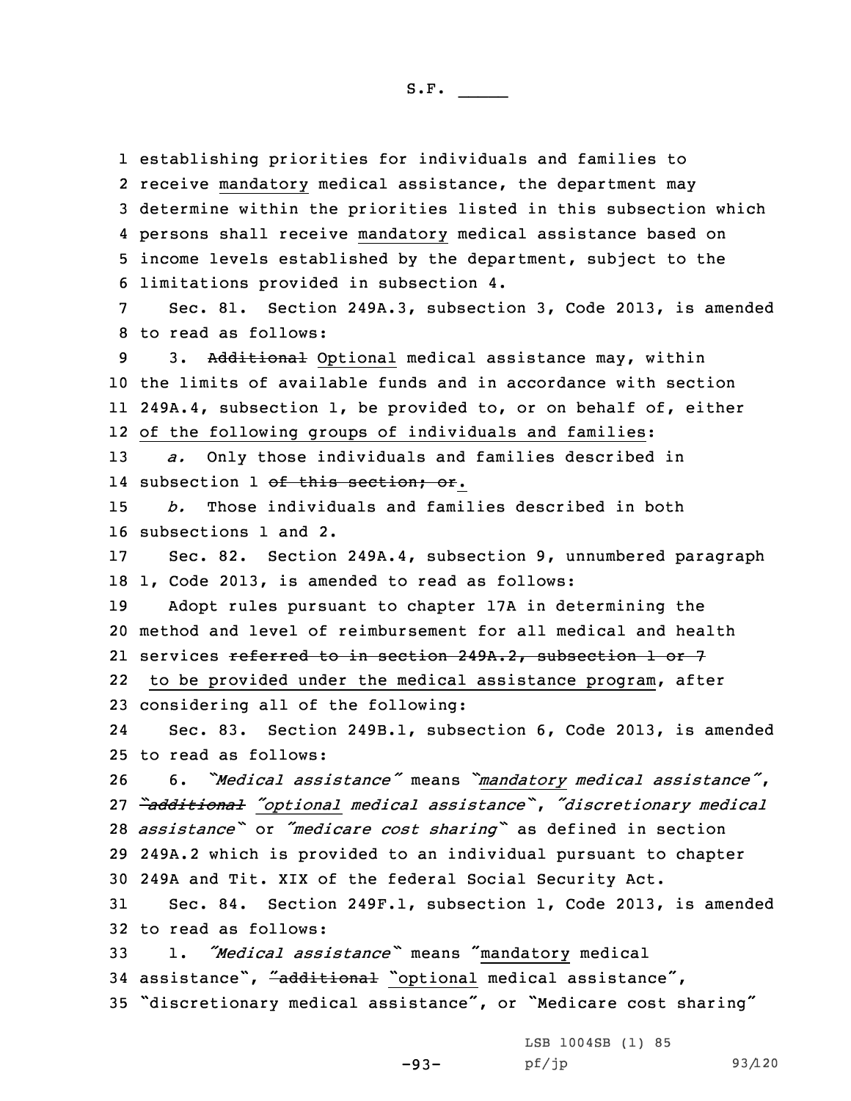establishing priorities for individuals and families to receive mandatory medical assistance, the department may determine within the priorities listed in this subsection which persons shall receive mandatory medical assistance based on income levels established by the department, subject to the limitations provided in subsection 4.

7 Sec. 81. Section 249A.3, subsection 3, Code 2013, is amended 8 to read as follows:

9 3. Additional Optional medical assistance may, within the limits of available funds and in accordance with section 249A.4, subsection 1, be provided to, or on behalf of, either of the following groups of individuals and families:

13 *a.* Only those individuals and families described in 14 subsection 1 <del>of this section; or</del>.

15 *b.* Those individuals and families described in both 16 subsections 1 and 2.

17 Sec. 82. Section 249A.4, subsection 9, unnumbered paragraph 18 1, Code 2013, is amended to read as follows:

19 Adopt rules pursuant to chapter 17A in determining the 20 method and level of reimbursement for all medical and health 21 services <del>referred to in section 249A.2, subsection 1 or 7</del> 22to be provided under the medical assistance program, after

23 considering all of the following:

24 Sec. 83. Section 249B.1, subsection 6, Code 2013, is amended 25 to read as follows:

 6. *"Medical assistance"* means *"mandatory medical assistance"*, *"additional "optional medical assistance"*, *"discretionary medical assistance"* or *"medicare cost sharing"* as defined in section 249A.2 which is provided to an individual pursuant to chapter 249A and Tit. XIX of the federal Social Security Act.

31 Sec. 84. Section 249F.1, subsection 1, Code 2013, is amended 32 to read as follows:

<sup>33</sup> 1. *"Medical assistance"* means "mandatory medical 34 assistance", "additional "optional medical assistance", <sup>35</sup> "discretionary medical assistance", or "Medicare cost sharing"

> -93- LSB 1004SB (1) 85 pf/jp 93/120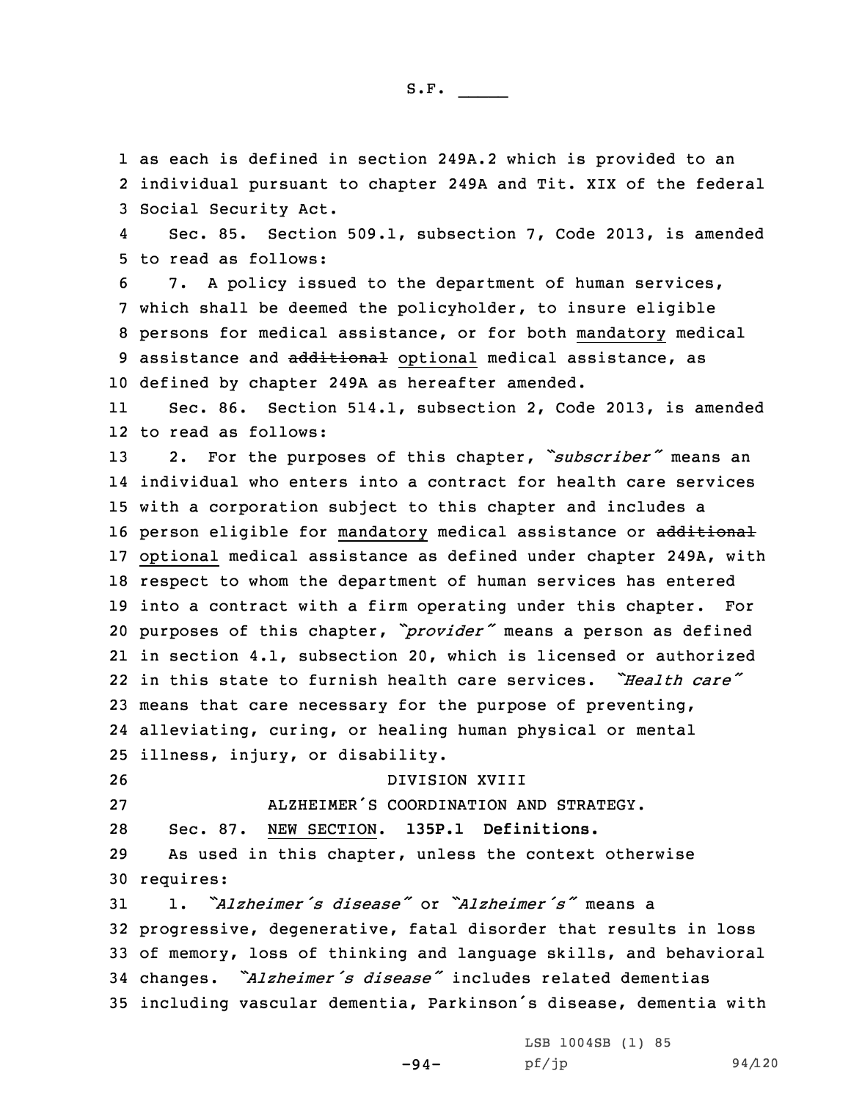1 as each is defined in section 249A.2 which is provided to an 2 individual pursuant to chapter 249A and Tit. XIX of the federal 3 Social Security Act.

4 Sec. 85. Section 509.1, subsection 7, Code 2013, is amended 5 to read as follows:

 7. <sup>A</sup> policy issued to the department of human services, which shall be deemed the policyholder, to insure eligible persons for medical assistance, or for both mandatory medical 9 assistance and additional optional medical assistance, as defined by chapter 249A as hereafter amended.

11 Sec. 86. Section 514.1, subsection 2, Code 2013, is amended 12 to read as follows:

 2. For the purposes of this chapter, *"subscriber"* means an individual who enters into <sup>a</sup> contract for health care services with <sup>a</sup> corporation subject to this chapter and includes <sup>a</sup> 16 person eligible for mandatory medical assistance or additional optional medical assistance as defined under chapter 249A, with respect to whom the department of human services has entered into <sup>a</sup> contract with <sup>a</sup> firm operating under this chapter. For purposes of this chapter, *"provider"* means <sup>a</sup> person as defined in section 4.1, subsection 20, which is licensed or authorized in this state to furnish health care services. *"Health care"* means that care necessary for the purpose of preventing, alleviating, curing, or healing human physical or mental illness, injury, or disability.

26 DIVISION XVIII

27 ALZHEIMER'S COORDINATION AND STRATEGY.

28 Sec. 87. NEW SECTION. **135P.1 Definitions.**

29 As used in this chapter, unless the context otherwise 30 requires:

 1. *"Alzheimer's disease"* or *"Alzheimer's"* means <sup>a</sup> progressive, degenerative, fatal disorder that results in loss of memory, loss of thinking and language skills, and behavioral changes. *"Alzheimer's disease"* includes related dementias including vascular dementia, Parkinson's disease, dementia with

-94-

LSB 1004SB (1) 85 pf/jp 94/120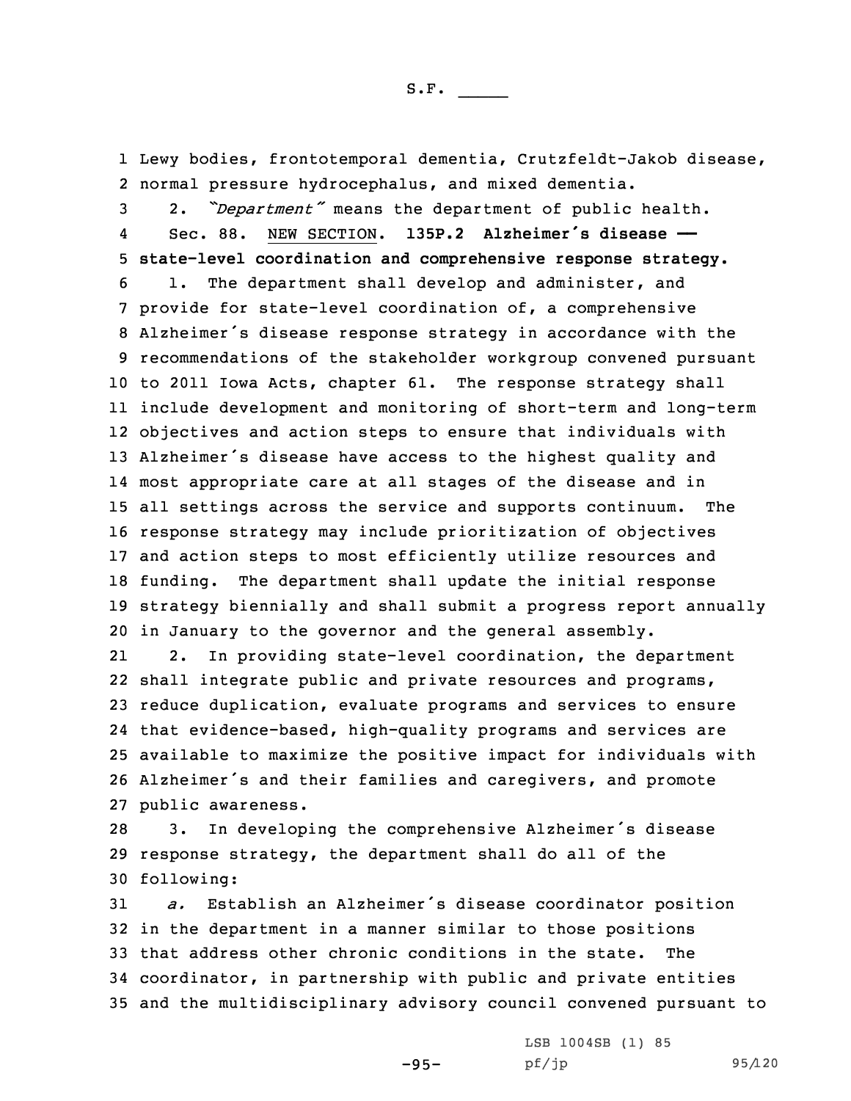1 Lewy bodies, frontotemporal dementia, Crutzfeldt-Jakob disease, 2 normal pressure hydrocephalus, and mixed dementia.

 2. *"Department"* means the department of public health. 4 Sec. 88. NEW SECTION. **135P.2 Alzheimer's disease —— state-level coordination and comprehensive response strategy.** 1. The department shall develop and administer, and provide for state-level coordination of, <sup>a</sup> comprehensive Alzheimer's disease response strategy in accordance with the recommendations of the stakeholder workgroup convened pursuant to 2011 Iowa Acts, chapter 61. The response strategy shall include development and monitoring of short-term and long-term objectives and action steps to ensure that individuals with Alzheimer's disease have access to the highest quality and most appropriate care at all stages of the disease and in all settings across the service and supports continuum. The response strategy may include prioritization of objectives and action steps to most efficiently utilize resources and funding. The department shall update the initial response strategy biennially and shall submit <sup>a</sup> progress report annually in January to the governor and the general assembly.

21 2. In providing state-level coordination, the department shall integrate public and private resources and programs, reduce duplication, evaluate programs and services to ensure that evidence-based, high-quality programs and services are available to maximize the positive impact for individuals with Alzheimer's and their families and caregivers, and promote public awareness.

<sup>28</sup> 3. In developing the comprehensive Alzheimer's disease 29 response strategy, the department shall do all of the 30 following:

 *a.* Establish an Alzheimer's disease coordinator position in the department in <sup>a</sup> manner similar to those positions that address other chronic conditions in the state. The coordinator, in partnership with public and private entities and the multidisciplinary advisory council convened pursuant to

-95-

LSB 1004SB (1) 85 pf/jp 95/120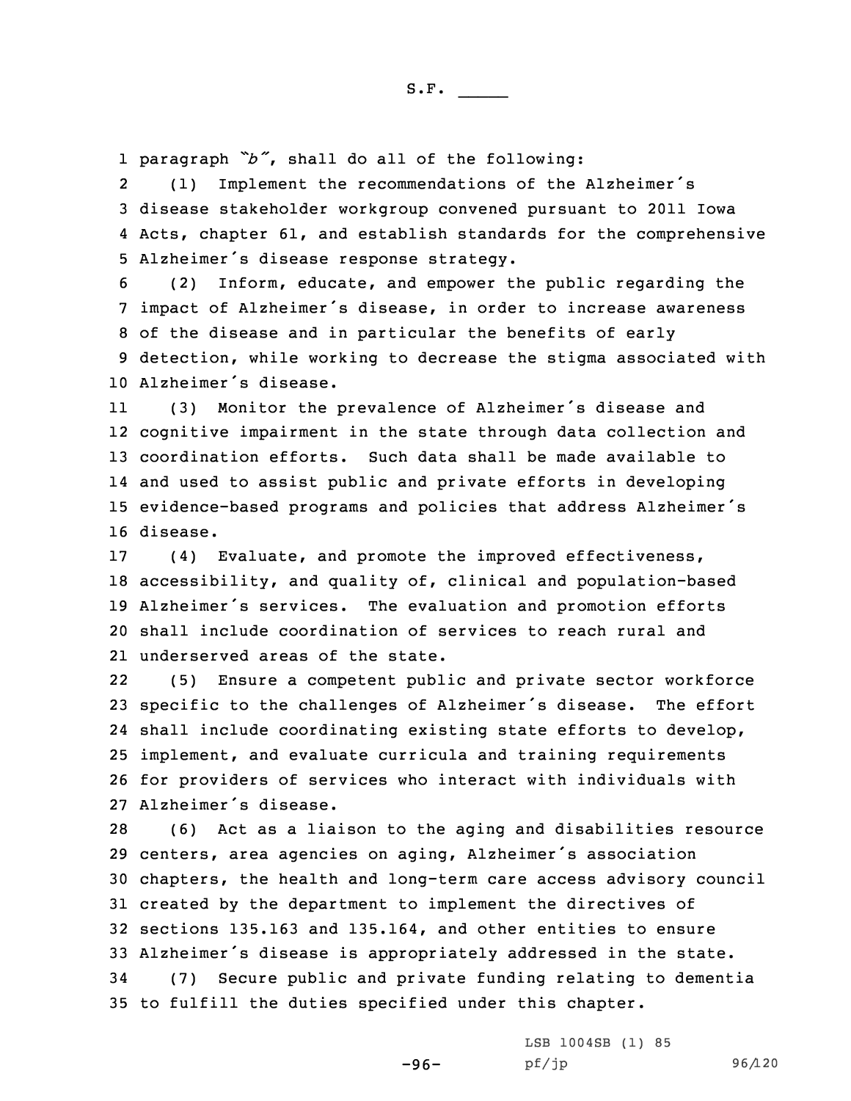1 paragraph *"b"*, shall do all of the following:

2 (1) Implement the recommendations of the Alzheimer's 3 disease stakeholder workgroup convened pursuant to 2011 Iowa 4 Acts, chapter 61, and establish standards for the comprehensive <sup>5</sup> Alzheimer's disease response strategy.

 (2) Inform, educate, and empower the public regarding the impact of Alzheimer's disease, in order to increase awareness of the disease and in particular the benefits of early detection, while working to decrease the stigma associated with Alzheimer's disease.

11 (3) Monitor the prevalence of Alzheimer's disease and 12 cognitive impairment in the state through data collection and 13 coordination efforts. Such data shall be made available to 14 and used to assist public and private efforts in developing <sup>15</sup> evidence-based programs and policies that address Alzheimer's 16 disease.

 (4) Evaluate, and promote the improved effectiveness, accessibility, and quality of, clinical and population-based Alzheimer's services. The evaluation and promotion efforts shall include coordination of services to reach rural and underserved areas of the state.

22 (5) Ensure <sup>a</sup> competent public and private sector workforce specific to the challenges of Alzheimer's disease. The effort shall include coordinating existing state efforts to develop, implement, and evaluate curricula and training requirements for providers of services who interact with individuals with Alzheimer's disease.

 (6) Act as <sup>a</sup> liaison to the aging and disabilities resource centers, area agencies on aging, Alzheimer's association chapters, the health and long-term care access advisory council created by the department to implement the directives of sections 135.163 and 135.164, and other entities to ensure Alzheimer's disease is appropriately addressed in the state. (7) Secure public and private funding relating to dementia to fulfill the duties specified under this chapter.

-96-

LSB 1004SB (1) 85 pf/jp 96/120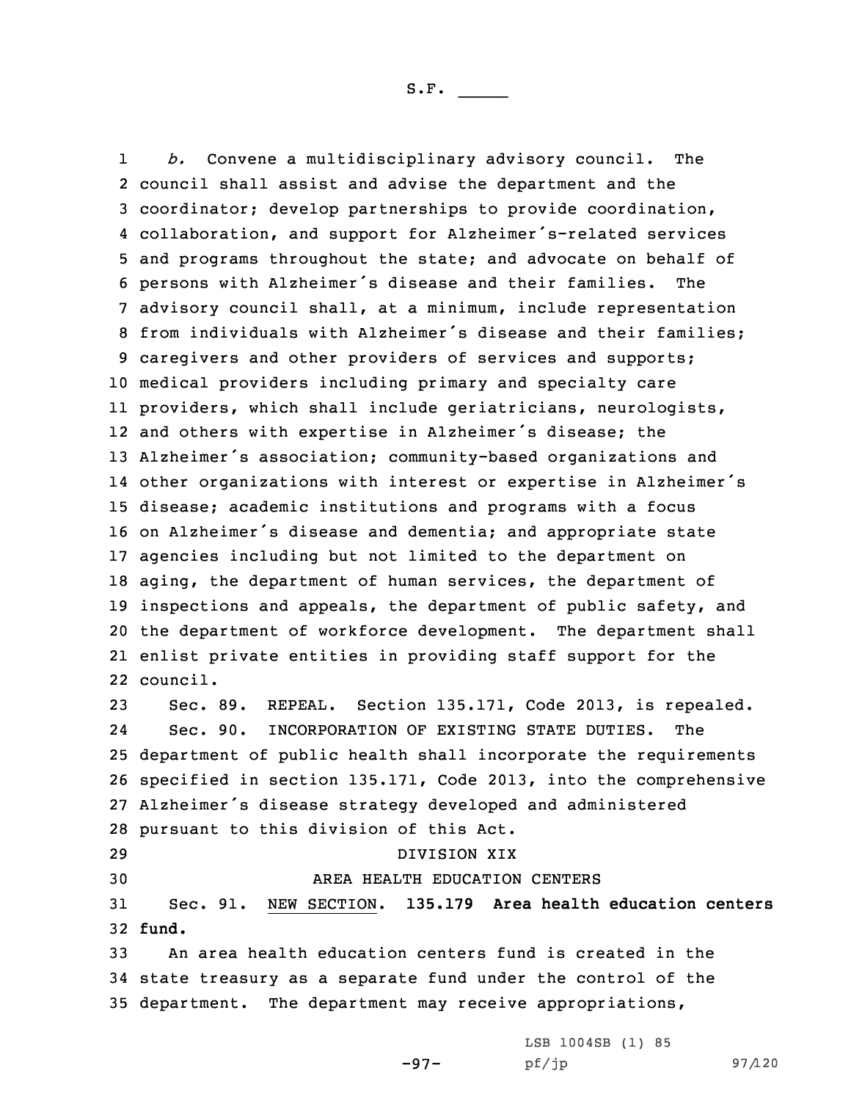1 *b.* Convene <sup>a</sup> multidisciplinary advisory council. The council shall assist and advise the department and the coordinator; develop partnerships to provide coordination, collaboration, and support for Alzheimer's-related services and programs throughout the state; and advocate on behalf of persons with Alzheimer's disease and their families. The advisory council shall, at <sup>a</sup> minimum, include representation from individuals with Alzheimer's disease and their families; caregivers and other providers of services and supports; medical providers including primary and specialty care providers, which shall include geriatricians, neurologists, and others with expertise in Alzheimer's disease; the Alzheimer's association; community-based organizations and other organizations with interest or expertise in Alzheimer's disease; academic institutions and programs with <sup>a</sup> focus on Alzheimer's disease and dementia; and appropriate state agencies including but not limited to the department on aging, the department of human services, the department of inspections and appeals, the department of public safety, and the department of workforce development. The department shall enlist private entities in providing staff support for the 22 council. Sec. 89. REPEAL. Section 135.171, Code 2013, is repealed. 24 Sec. 90. INCORPORATION OF EXISTING STATE DUTIES. The department of public health shall incorporate the requirements

26 specified in section 135.171, Code 2013, into the comprehensive 27 Alzheimer's disease strategy developed and administered 28 pursuant to this division of this Act.

 DIVISION XIX AREA HEALTH EDUCATION CENTERS Sec. 91. NEW SECTION. **135.179 Area health education centers** 32 **fund.**

33 An area health education centers fund is created in the 34 state treasury as <sup>a</sup> separate fund under the control of the 35 department. The department may receive appropriations,

-97-

LSB 1004SB (1) 85 pf/jp 97/120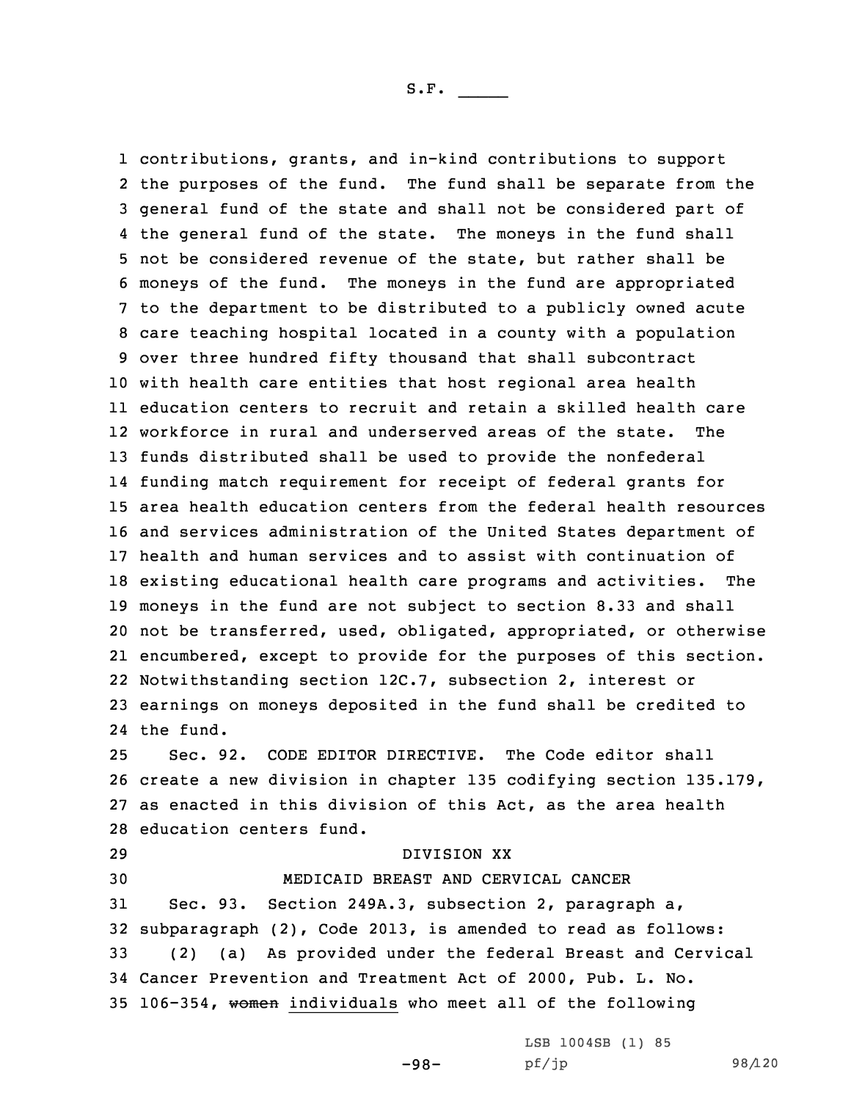contributions, grants, and in-kind contributions to support the purposes of the fund. The fund shall be separate from the general fund of the state and shall not be considered part of the general fund of the state. The moneys in the fund shall not be considered revenue of the state, but rather shall be moneys of the fund. The moneys in the fund are appropriated to the department to be distributed to <sup>a</sup> publicly owned acute care teaching hospital located in <sup>a</sup> county with <sup>a</sup> population over three hundred fifty thousand that shall subcontract with health care entities that host regional area health education centers to recruit and retain <sup>a</sup> skilled health care workforce in rural and underserved areas of the state. The funds distributed shall be used to provide the nonfederal funding match requirement for receipt of federal grants for area health education centers from the federal health resources and services administration of the United States department of health and human services and to assist with continuation of existing educational health care programs and activities. The moneys in the fund are not subject to section 8.33 and shall not be transferred, used, obligated, appropriated, or otherwise encumbered, except to provide for the purposes of this section. Notwithstanding section 12C.7, subsection 2, interest or earnings on moneys deposited in the fund shall be credited to the fund.

 Sec. 92. CODE EDITOR DIRECTIVE. The Code editor shall create <sup>a</sup> new division in chapter 135 codifying section 135.179, as enacted in this division of this Act, as the area health education centers fund.

 DIVISION XX MEDICAID BREAST AND CERVICAL CANCER Sec. 93. Section 249A.3, subsection 2, paragraph a, subparagraph (2), Code 2013, is amended to read as follows: (2) (a) As provided under the federal Breast and Cervical Cancer Prevention and Treatment Act of 2000, Pub. L. No. 106-354, women individuals who meet all of the following

-98-

LSB 1004SB (1) 85 pf/jp 98/120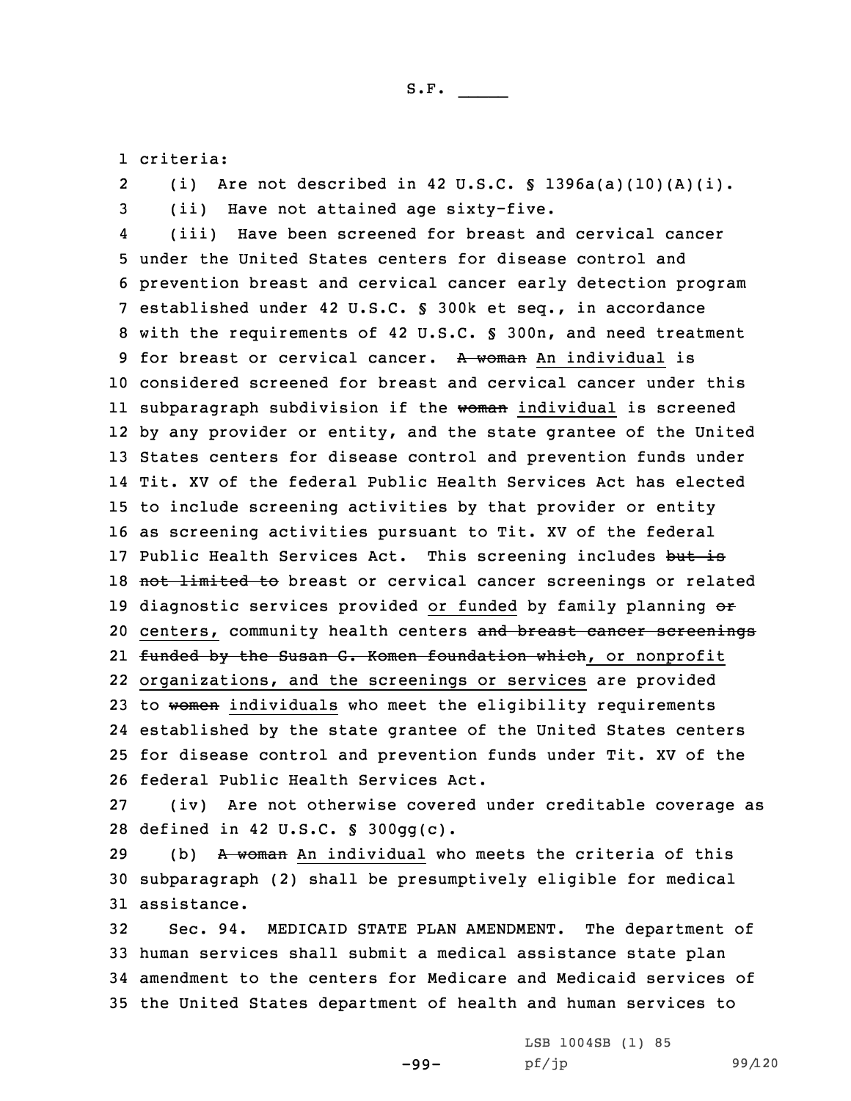1 criteria:

2(i) Are not described in 42 U.S.C.  $\S$  1396a(a)(10)(A)(i).

3 (ii) Have not attained age sixty-five. 4 (iii) Have been screened for breast and cervical cancer 5 under the United States centers for disease control and 6 prevention breast and cervical cancer early detection program 7 established under 42 U.S.C. § 300k et seq., in accordance 8 with the requirements of 42 U.S.C. § 300n, and need treatment 9 for breast or cervical cancer. A woman An individual is 10 considered screened for breast and cervical cancer under this ll subparagraph subdivision if the <del>woman</del> individual is screened 12 by any provider or entity, and the state grantee of the United 13 States centers for disease control and prevention funds under 14 Tit. XV of the federal Public Health Services Act has elected 15 to include screening activities by that provider or entity 16 as screening activities pursuant to Tit. XV of the federal 17 Public Health Services Act. This screening includes but is 18 not limited to breast or cervical cancer screenings or related 19 diagnostic services provided or funded by family planning or 20 centers, community health centers and breast cancer screenings 21 <del>funded by the Susan G. Komen foundation which</del>, or nonprofit 22 organizations, and the screenings or services are provided 23 to women individuals who meet the eligibility requirements 24 established by the state grantee of the United States centers 25 for disease control and prevention funds under Tit. XV of the 26 federal Public Health Services Act.

27 (iv) Are not otherwise covered under creditable coverage as 28 defined in 42 U.S.C. § 300gg(c).

29 (b) A woman An individual who meets the criteria of this 30 subparagraph (2) shall be presumptively eligible for medical 31 assistance.

 Sec. 94. MEDICAID STATE PLAN AMENDMENT. The department of human services shall submit <sup>a</sup> medical assistance state plan amendment to the centers for Medicare and Medicaid services of the United States department of health and human services to

-99-

LSB 1004SB (1) 85 pf/jp 99/120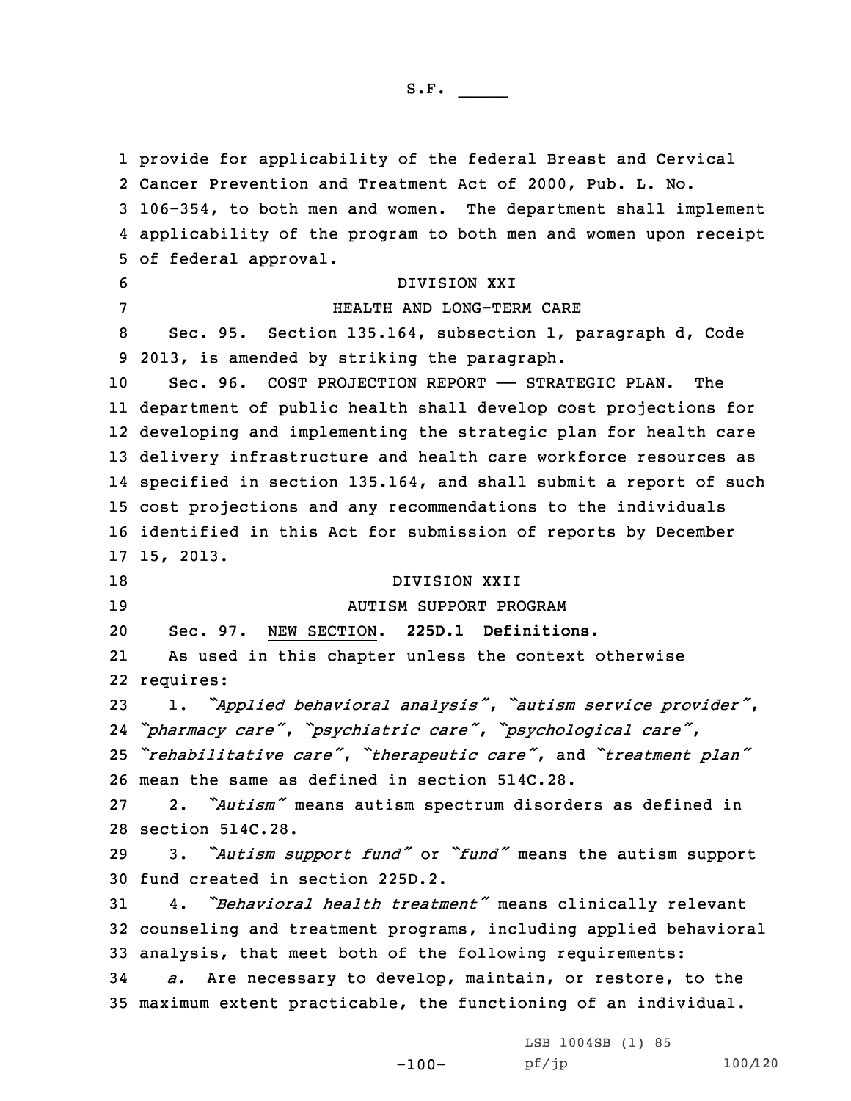provide for applicability of the federal Breast and Cervical Cancer Prevention and Treatment Act of 2000, Pub. L. No. 106-354, to both men and women. The department shall implement applicability of the program to both men and women upon receipt of federal approval. DIVISION XXI HEALTH AND LONG-TERM CARE Sec. 95. Section 135.164, subsection 1, paragraph d, Code 2013, is amended by striking the paragraph. 10 Sec. 96. COST PROJECTION REPORT - STRATEGIC PLAN. The department of public health shall develop cost projections for developing and implementing the strategic plan for health care delivery infrastructure and health care workforce resources as specified in section 135.164, and shall submit <sup>a</sup> report of such cost projections and any recommendations to the individuals identified in this Act for submission of reports by December 15, 2013. 18 DIVISION XXII AUTISM SUPPORT PROGRAM Sec. 97. NEW SECTION. **225D.1 Definitions.** 21 As used in this chapter unless the context otherwise requires: 1. *"Applied behavioral analysis"*, *"autism service provider"*, *"pharmacy care"*, *"psychiatric care"*, *"psychological care"*, *"rehabilitative care"*, *"therapeutic care"*, and *"treatment plan"* mean the same as defined in section 514C.28. 2. *"Autism"* means autism spectrum disorders as defined in section 514C.28. 3. *"Autism support fund"* or *"fund"* means the autism support fund created in section 225D.2. 4. *"Behavioral health treatment"* means clinically relevant counseling and treatment programs, including applied behavioral analysis, that meet both of the following requirements: *a.* Are necessary to develop, maintain, or restore, to the maximum extent practicable, the functioning of an individual.

-100-

LSB 1004SB (1) 85 pf/jp 100/120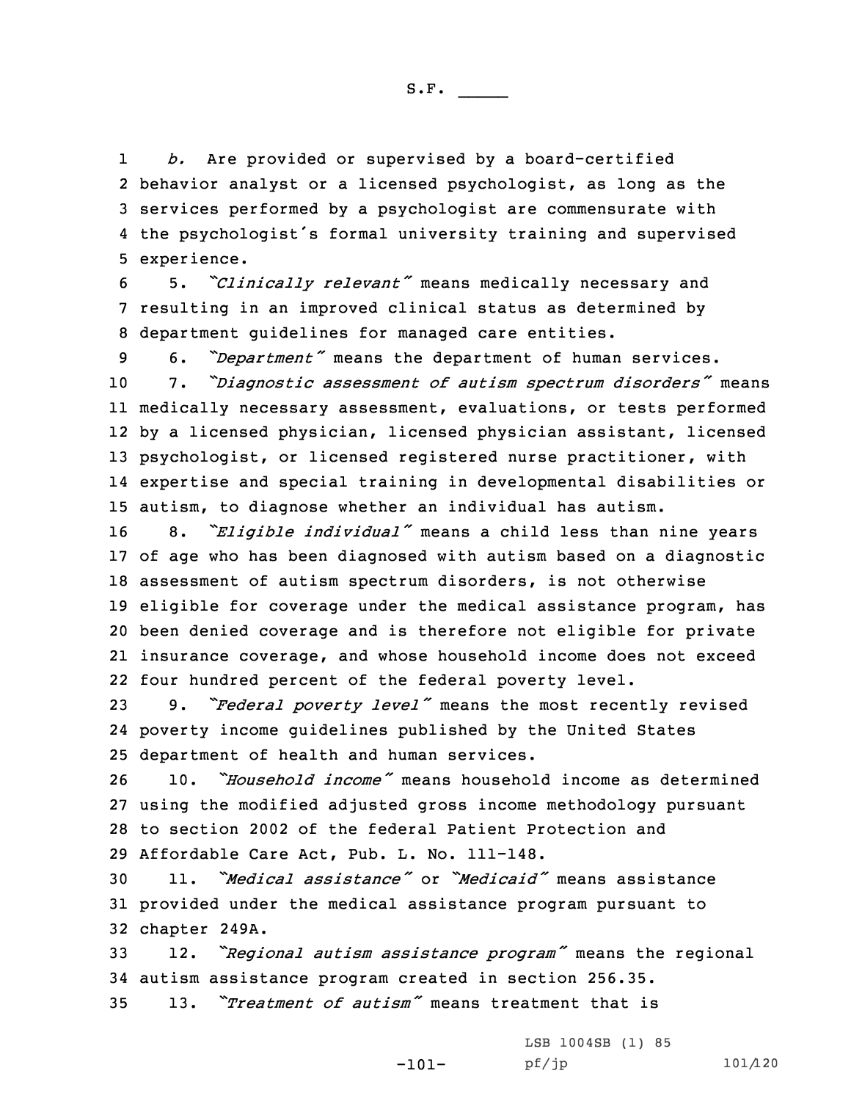1 *b.* Are provided or supervised by <sup>a</sup> board-certified behavior analyst or <sup>a</sup> licensed psychologist, as long as the services performed by <sup>a</sup> psychologist are commensurate with the psychologist's formal university training and supervised experience.

<sup>6</sup> 5. *"Clinically relevant"* means medically necessary and 7 resulting in an improved clinical status as determined by 8 department guidelines for managed care entities.

 6. *"Department"* means the department of human services. 7. *"Diagnostic assessment of autism spectrum disorders"* means medically necessary assessment, evaluations, or tests performed by <sup>a</sup> licensed physician, licensed physician assistant, licensed psychologist, or licensed registered nurse practitioner, with expertise and special training in developmental disabilities or autism, to diagnose whether an individual has autism.

 8. *"Eligible individual"* means <sup>a</sup> child less than nine years of age who has been diagnosed with autism based on <sup>a</sup> diagnostic assessment of autism spectrum disorders, is not otherwise eligible for coverage under the medical assistance program, has been denied coverage and is therefore not eligible for private insurance coverage, and whose household income does not exceed four hundred percent of the federal poverty level.

<sup>23</sup> 9. *"Federal poverty level"* means the most recently revised 24 poverty income guidelines published by the United States 25 department of health and human services.

 10. *"Household income"* means household income as determined using the modified adjusted gross income methodology pursuant to section 2002 of the federal Patient Protection and Affordable Care Act, Pub. L. No. 111-148.

30 11. *"Medical assistance"* or *"Medicaid"* means assistance 31 provided under the medical assistance program pursuant to 32 chapter 249A.

<sup>33</sup> 12. *"Regional autism assistance program"* means the regional 34 autism assistance program created in section 256.35.

-101-

35 13. *"Treatment of autism"* means treatment that is

LSB 1004SB (1) 85 pf/jp 101/120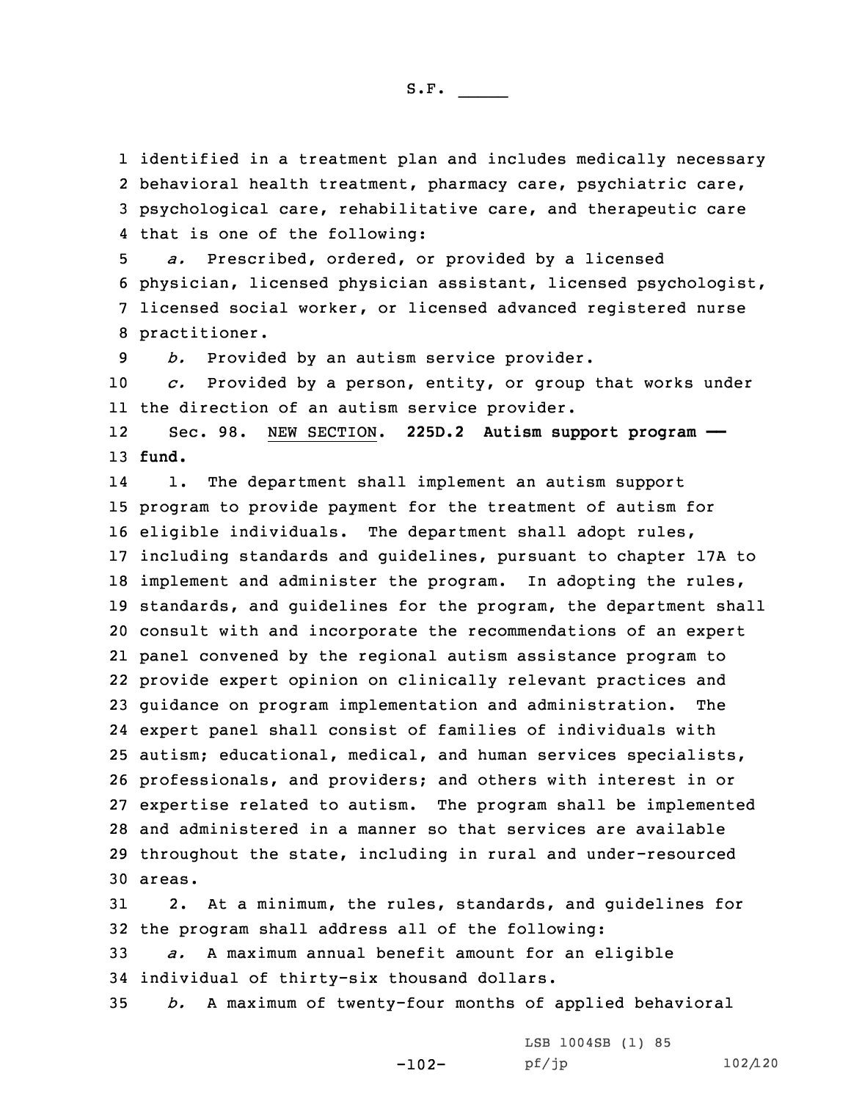identified in <sup>a</sup> treatment plan and includes medically necessary behavioral health treatment, pharmacy care, psychiatric care, psychological care, rehabilitative care, and therapeutic care that is one of the following:

 *a.* Prescribed, ordered, or provided by <sup>a</sup> licensed physician, licensed physician assistant, licensed psychologist, licensed social worker, or licensed advanced registered nurse practitioner.

9 *b.* Provided by an autism service provider.

10 *c.* Provided by <sup>a</sup> person, entity, or group that works under 11 the direction of an autism service provider.

12 Sec. 98. NEW SECTION. **225D.2 Autism support program ——** 13 **fund.**

14 1. The department shall implement an autism support program to provide payment for the treatment of autism for eligible individuals. The department shall adopt rules, including standards and guidelines, pursuant to chapter 17A to implement and administer the program. In adopting the rules, standards, and guidelines for the program, the department shall consult with and incorporate the recommendations of an expert panel convened by the regional autism assistance program to provide expert opinion on clinically relevant practices and guidance on program implementation and administration. The expert panel shall consist of families of individuals with autism; educational, medical, and human services specialists, professionals, and providers; and others with interest in or expertise related to autism. The program shall be implemented and administered in <sup>a</sup> manner so that services are available throughout the state, including in rural and under-resourced 30 areas.

31 2. At <sup>a</sup> minimum, the rules, standards, and guidelines for 32 the program shall address all of the following:

33 *a.* <sup>A</sup> maximum annual benefit amount for an eligible 34 individual of thirty-six thousand dollars.

35 *b.* <sup>A</sup> maximum of twenty-four months of applied behavioral

-102-

LSB 1004SB (1) 85 pf/jp 102/120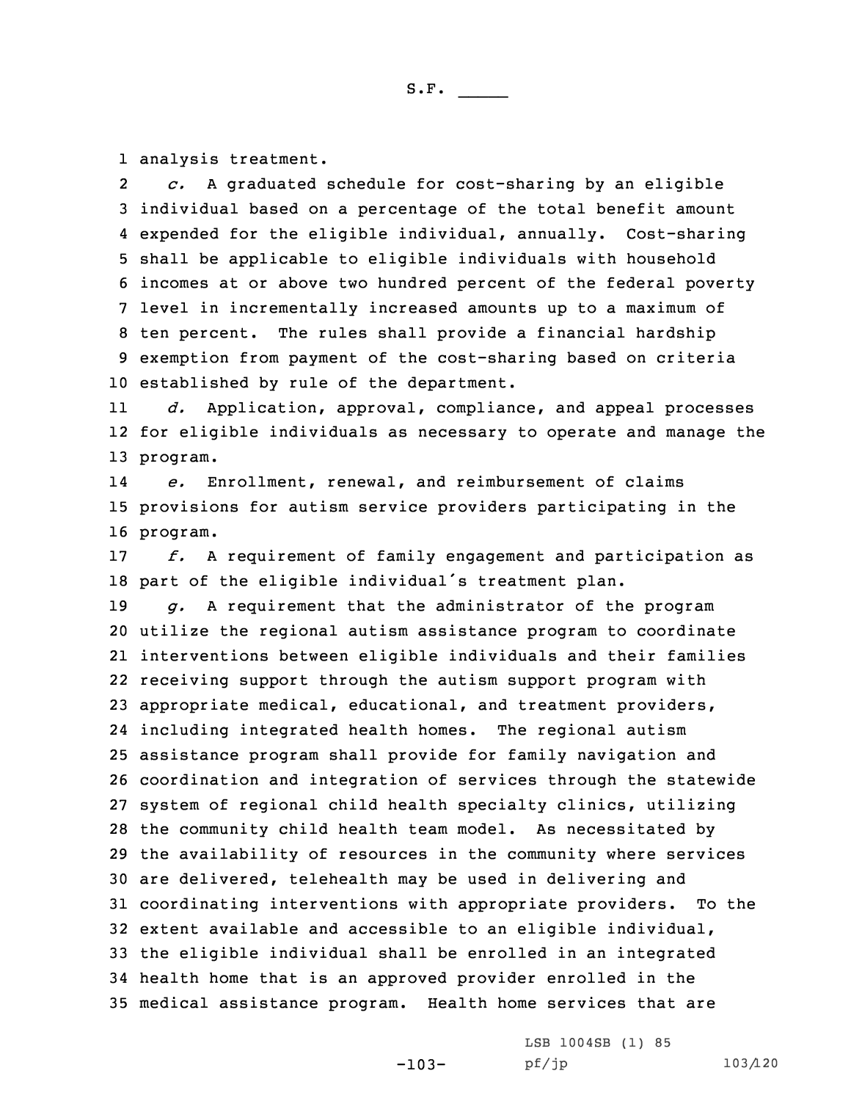1 analysis treatment.

2 *c.* <sup>A</sup> graduated schedule for cost-sharing by an eligible individual based on <sup>a</sup> percentage of the total benefit amount expended for the eligible individual, annually. Cost-sharing shall be applicable to eligible individuals with household incomes at or above two hundred percent of the federal poverty level in incrementally increased amounts up to <sup>a</sup> maximum of ten percent. The rules shall provide <sup>a</sup> financial hardship exemption from payment of the cost-sharing based on criteria established by rule of the department.

11 *d.* Application, approval, compliance, and appeal processes 12 for eligible individuals as necessary to operate and manage the 13 program.

14 *e.* Enrollment, renewal, and reimbursement of claims 15 provisions for autism service providers participating in the 16 program.

17 *f.* <sup>A</sup> requirement of family engagement and participation as <sup>18</sup> part of the eligible individual's treatment plan.

 *g.* <sup>A</sup> requirement that the administrator of the program utilize the regional autism assistance program to coordinate interventions between eligible individuals and their families receiving support through the autism support program with appropriate medical, educational, and treatment providers, including integrated health homes. The regional autism assistance program shall provide for family navigation and coordination and integration of services through the statewide system of regional child health specialty clinics, utilizing the community child health team model. As necessitated by the availability of resources in the community where services are delivered, telehealth may be used in delivering and coordinating interventions with appropriate providers. To the extent available and accessible to an eligible individual, the eligible individual shall be enrolled in an integrated health home that is an approved provider enrolled in the medical assistance program. Health home services that are

-103-

LSB 1004SB (1) 85 pf/jp 103/120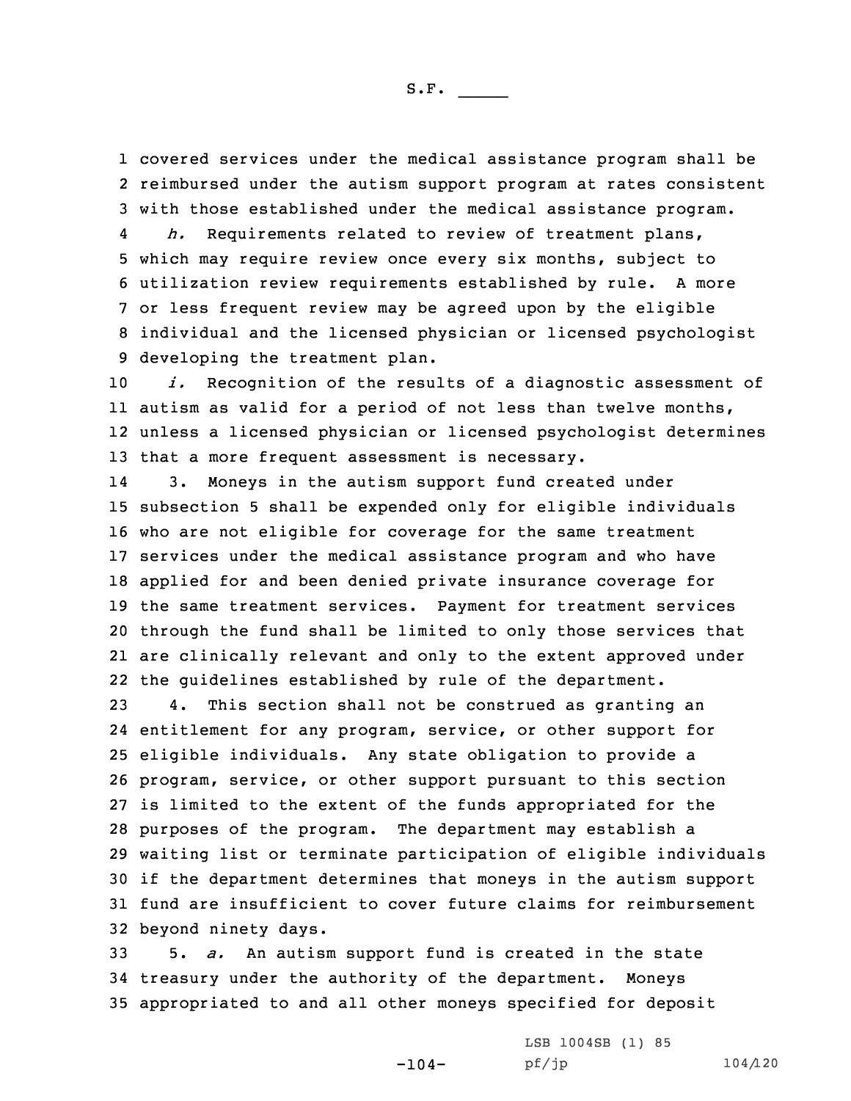1 covered services under the medical assistance program shall be 2 reimbursed under the autism support program at rates consistent 3 with those established under the medical assistance program.

4 *h.* Requirements related to review of treatment plans, which may require review once every six months, subject to utilization review requirements established by rule. <sup>A</sup> more or less frequent review may be agreed upon by the eligible individual and the licensed physician or licensed psychologist developing the treatment plan.

 *i.* Recognition of the results of <sup>a</sup> diagnostic assessment of autism as valid for <sup>a</sup> period of not less than twelve months, unless <sup>a</sup> licensed physician or licensed psychologist determines that <sup>a</sup> more frequent assessment is necessary.

14 3. Moneys in the autism support fund created under subsection 5 shall be expended only for eligible individuals who are not eligible for coverage for the same treatment services under the medical assistance program and who have applied for and been denied private insurance coverage for the same treatment services. Payment for treatment services through the fund shall be limited to only those services that are clinically relevant and only to the extent approved under the guidelines established by rule of the department.

 4. This section shall not be construed as granting an entitlement for any program, service, or other support for eligible individuals. Any state obligation to provide <sup>a</sup> program, service, or other support pursuant to this section is limited to the extent of the funds appropriated for the purposes of the program. The department may establish <sup>a</sup> waiting list or terminate participation of eligible individuals if the department determines that moneys in the autism support fund are insufficient to cover future claims for reimbursement beyond ninety days.

33 5. *a.* An autism support fund is created in the state 34 treasury under the authority of the department. Moneys 35 appropriated to and all other moneys specified for deposit

-104-

LSB 1004SB (1) 85 pf/jp 104/120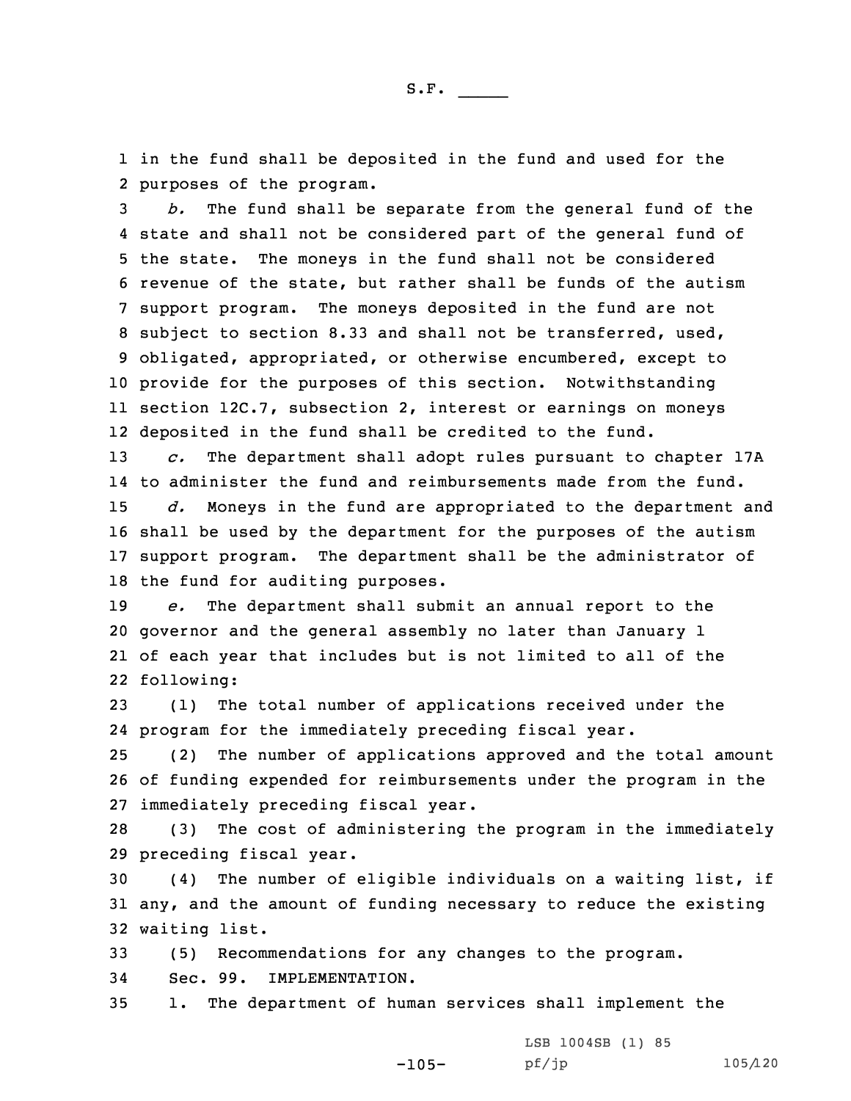1 in the fund shall be deposited in the fund and used for the 2 purposes of the program.

 *b.* The fund shall be separate from the general fund of the state and shall not be considered part of the general fund of the state. The moneys in the fund shall not be considered revenue of the state, but rather shall be funds of the autism support program. The moneys deposited in the fund are not subject to section 8.33 and shall not be transferred, used, obligated, appropriated, or otherwise encumbered, except to provide for the purposes of this section. Notwithstanding section 12C.7, subsection 2, interest or earnings on moneys deposited in the fund shall be credited to the fund.

 *c.* The department shall adopt rules pursuant to chapter 17A to administer the fund and reimbursements made from the fund. *d.* Moneys in the fund are appropriated to the department and shall be used by the department for the purposes of the autism support program. The department shall be the administrator of the fund for auditing purposes.

 *e.* The department shall submit an annual report to the governor and the general assembly no later than January 1 of each year that includes but is not limited to all of the following:

23 (1) The total number of applications received under the 24 program for the immediately preceding fiscal year.

25 (2) The number of applications approved and the total amount 26 of funding expended for reimbursements under the program in the 27 immediately preceding fiscal year.

28 (3) The cost of administering the program in the immediately 29 preceding fiscal year.

30 (4) The number of eligible individuals on <sup>a</sup> waiting list, if 31 any, and the amount of funding necessary to reduce the existing 32 waiting list.

33 (5) Recommendations for any changes to the program.

34 Sec. 99. IMPLEMENTATION.

35 1. The department of human services shall implement the

-105- LSB 1004SB (1) 85 pf/jp 105/120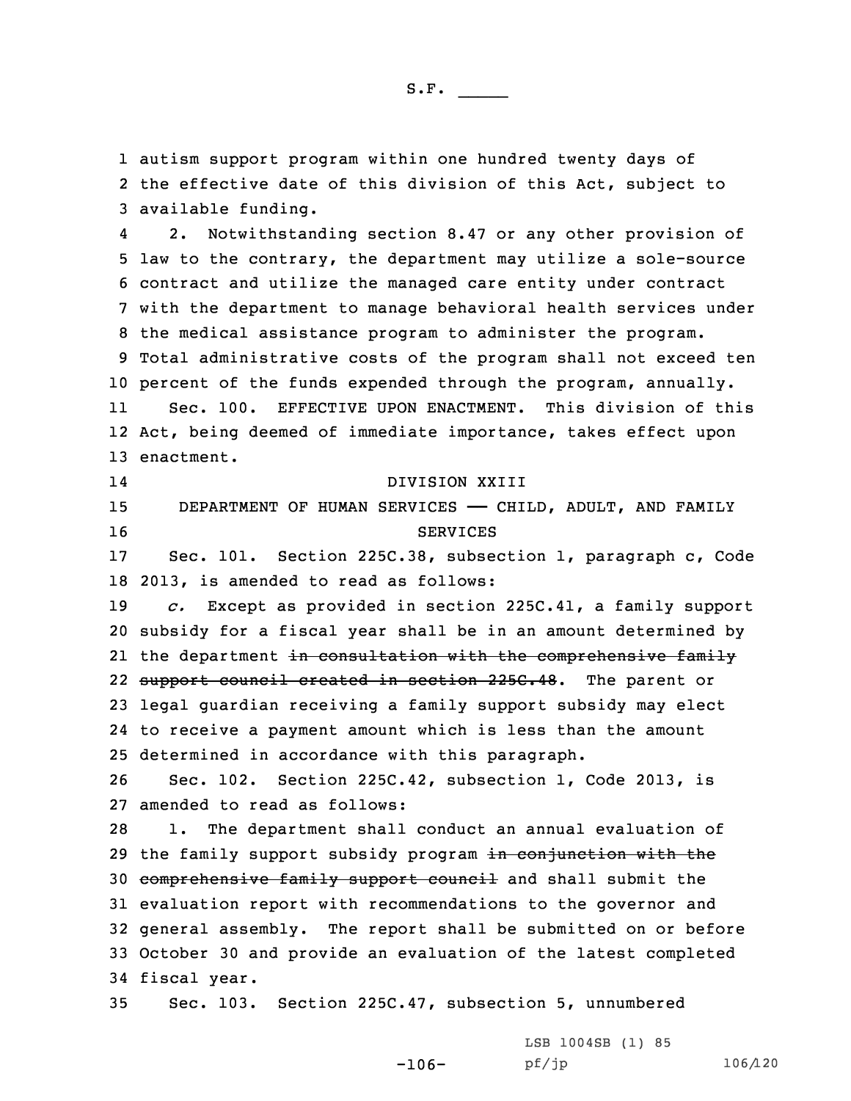1 autism support program within one hundred twenty days of 2 the effective date of this division of this Act, subject to 3 available funding.

4 2. Notwithstanding section 8.47 or any other provision of law to the contrary, the department may utilize <sup>a</sup> sole-source contract and utilize the managed care entity under contract with the department to manage behavioral health services under the medical assistance program to administer the program. Total administrative costs of the program shall not exceed ten percent of the funds expended through the program, annually. 11 Sec. 100. EFFECTIVE UPON ENACTMENT. This division of this Act, being deemed of immediate importance, takes effect upon enactment.

 DIVISION XXIII 15 DEPARTMENT OF HUMAN SERVICES - CHILD, ADULT, AND FAMILY 16 SERVICES

14

17 Sec. 101. Section 225C.38, subsection 1, paragraph c, Code 18 2013, is amended to read as follows:

 *c.* Except as provided in section 225C.41, <sup>a</sup> family support subsidy for <sup>a</sup> fiscal year shall be in an amount determined by 21 the department <del>in consultation with the comprehensive family</del> 22 <del>support council created in section 225C.48</del>. The parent or legal guardian receiving <sup>a</sup> family support subsidy may elect to receive <sup>a</sup> payment amount which is less than the amount determined in accordance with this paragraph.

26 Sec. 102. Section 225C.42, subsection 1, Code 2013, is 27 amended to read as follows:

 1. The department shall conduct an annual evaluation of 29 the family support subsidy program in conjunction with the comprehensive family support council and shall submit the evaluation report with recommendations to the governor and general assembly. The report shall be submitted on or before October 30 and provide an evaluation of the latest completed fiscal year.

-106-

35 Sec. 103. Section 225C.47, subsection 5, unnumbered

LSB 1004SB (1) 85 pf/jp 106/120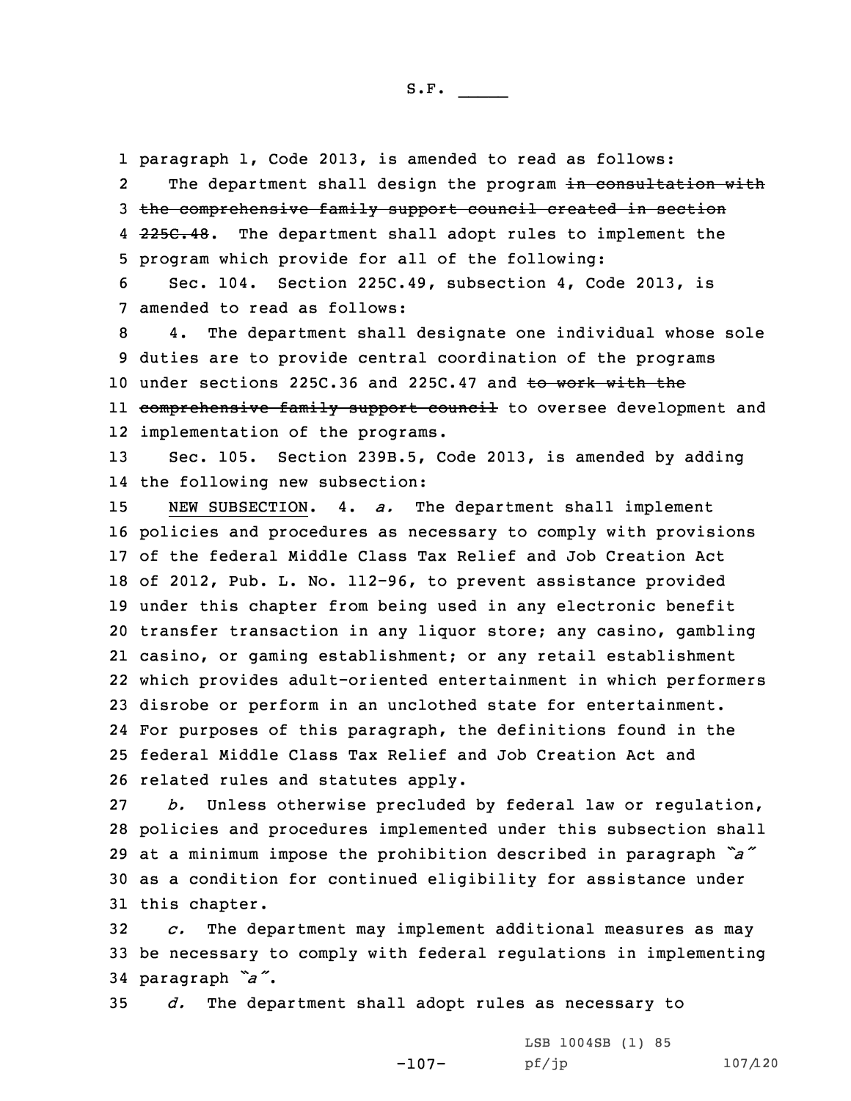1 paragraph 1, Code 2013, is amended to read as follows: 2The department shall design the program in consultation with 3 the comprehensive family support council created in section 4 <del>225C.48</del>. The department shall adopt rules to implement the 5 program which provide for all of the following:

6 Sec. 104. Section 225C.49, subsection 4, Code 2013, is 7 amended to read as follows:

8 4. The department shall designate one individual whose sole 9 duties are to provide central coordination of the programs 10 under sections 225C.36 and 225C.47 and to work with the ll <del>comprehensive family support council</del> to oversee development and 12 implementation of the programs.

13 Sec. 105. Section 239B.5, Code 2013, is amended by adding 14 the following new subsection:

 NEW SUBSECTION. 4. *a.* The department shall implement policies and procedures as necessary to comply with provisions of the federal Middle Class Tax Relief and Job Creation Act of 2012, Pub. L. No. 112-96, to prevent assistance provided under this chapter from being used in any electronic benefit transfer transaction in any liquor store; any casino, gambling casino, or gaming establishment; or any retail establishment which provides adult-oriented entertainment in which performers disrobe or perform in an unclothed state for entertainment. For purposes of this paragraph, the definitions found in the federal Middle Class Tax Relief and Job Creation Act and related rules and statutes apply.

 *b.* Unless otherwise precluded by federal law or regulation, policies and procedures implemented under this subsection shall at <sup>a</sup> minimum impose the prohibition described in paragraph *"a"* as <sup>a</sup> condition for continued eligibility for assistance under this chapter.

32 *c.* The department may implement additional measures as may 33 be necessary to comply with federal regulations in implementing <sup>34</sup> paragraph *"a"*.

35 *d.* The department shall adopt rules as necessary to

-107- LSB 1004SB (1) 85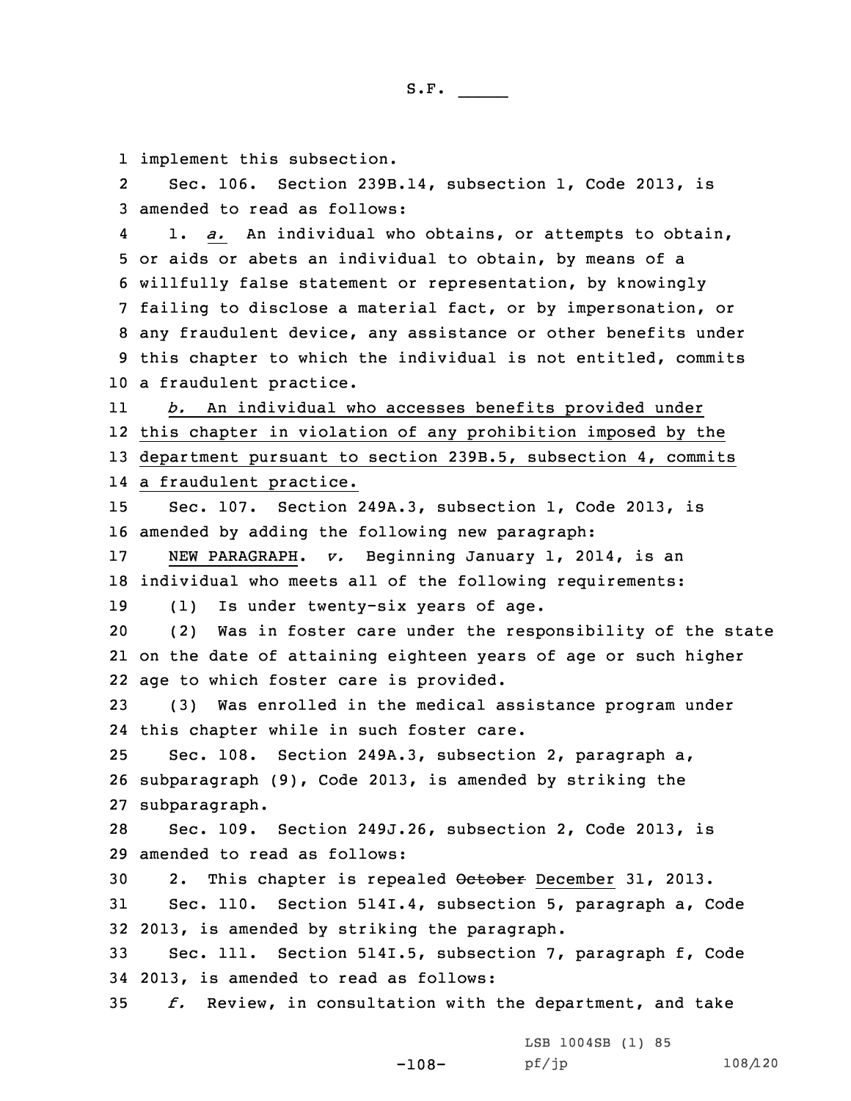1 implement this subsection.

2 Sec. 106. Section 239B.14, subsection 1, Code 2013, is 3 amended to read as follows:

4 1. *a.* An individual who obtains, or attempts to obtain, or aids or abets an individual to obtain, by means of <sup>a</sup> willfully false statement or representation, by knowingly failing to disclose <sup>a</sup> material fact, or by impersonation, or any fraudulent device, any assistance or other benefits under this chapter to which the individual is not entitled, commits <sup>a</sup> fraudulent practice.

11 *b.* An individual who accesses benefits provided under 12 this chapter in violation of any prohibition imposed by the 13 department pursuant to section 239B.5, subsection 4, commits 14 <sup>a</sup> fraudulent practice.

15 Sec. 107. Section 249A.3, subsection 1, Code 2013, is 16 amended by adding the following new paragraph:

17 NEW PARAGRAPH. *v.* Beginning January 1, 2014, is an 18 individual who meets all of the following requirements:

19 (1) Is under twenty-six years of age.

20 (2) Was in foster care under the responsibility of the state 21 on the date of attaining eighteen years of age or such higher 22 age to which foster care is provided.

23 (3) Was enrolled in the medical assistance program under 24 this chapter while in such foster care.

25 Sec. 108. Section 249A.3, subsection 2, paragraph a, 26 subparagraph (9), Code 2013, is amended by striking the 27 subparagraph.

28 Sec. 109. Section 249J.26, subsection 2, Code 2013, is 29 amended to read as follows:

30 2. This chapter is repealed October December 31, 2013. 31 Sec. 110. Section 514I.4, subsection 5, paragraph a, Code 32 2013, is amended by striking the paragraph.

33 Sec. 111. Section 514I.5, subsection 7, paragraph f, Code 34 2013, is amended to read as follows:

35 *f.* Review, in consultation with the department, and take

-108-

LSB 1004SB (1) 85 pf/jp 108/120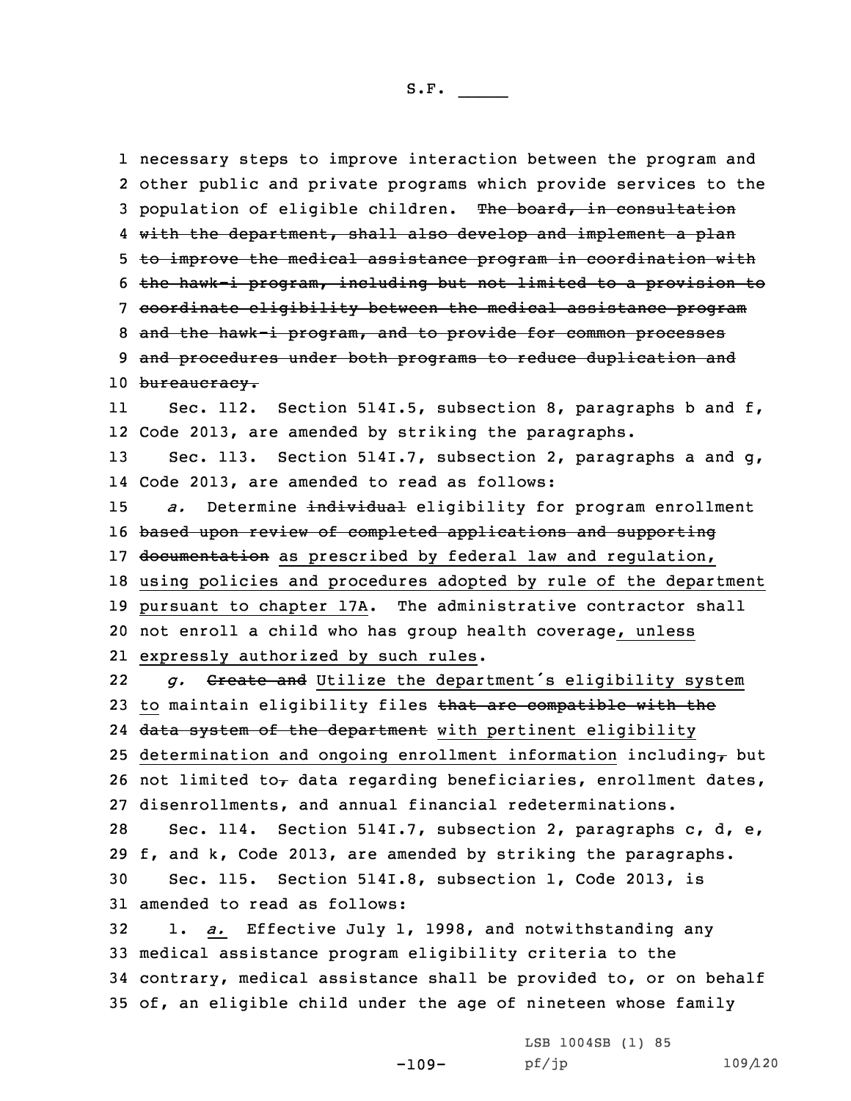1 necessary steps to improve interaction between the program and 2 other public and private programs which provide services to the 3 population of eligible children. The board, in consultation 4 with the department, shall also develop and implement a plan 5 to improve the medical assistance program in coordination with 6 the hawk-i program, including but not limited to <sup>a</sup> provision to 7 coordinate eligibility between the medical assistance program 8 and the hawk-i program, and to provide for common processes 9 and procedures under both programs to reduce duplication and 10 bureaucracy. 11 Sec. 112. Section 514I.5, subsection 8, paragraphs b and f, 12 Code 2013, are amended by striking the paragraphs. 13 Sec. 113. Section 514I.7, subsection 2, paragraphs <sup>a</sup> and g, 14 Code 2013, are amended to read as follows: 15 *a.* Determine individual eligibility for program enrollment 16 based upon review of completed applications and supporting 17 documentation as prescribed by federal law and regulation, 18 using policies and procedures adopted by rule of the department 19 pursuant to chapter 17A. The administrative contractor shall 20 not enroll <sup>a</sup> child who has group health coverage, unless 21 expressly authorized by such rules. 22 *g.* Create and Utilize the department's eligibility system 23 to maintain eligibility files that are compatible with the 24 <del>data system of the department</del> with pertinent eligibility 25 determination and ongoing enrollment information including $<sub>\tau</sub>$  but</sub> 26 not limited to, data regarding beneficiaries, enrollment dates, 27 disenrollments, and annual financial redeterminations. 28 Sec. 114. Section 514I.7, subsection 2, paragraphs c, d, e, 29 f, and k, Code 2013, are amended by striking the paragraphs. 30 Sec. 115. Section 514I.8, subsection 1, Code 2013, is 31 amended to read as follows: 32 1. *a.* Effective July 1, 1998, and notwithstanding any 33 medical assistance program eligibility criteria to the 34 contrary, medical assistance shall be provided to, or on behalf

35 of, an eligible child under the age of nineteen whose family

-109-

LSB 1004SB (1) 85 pf/jp 109/120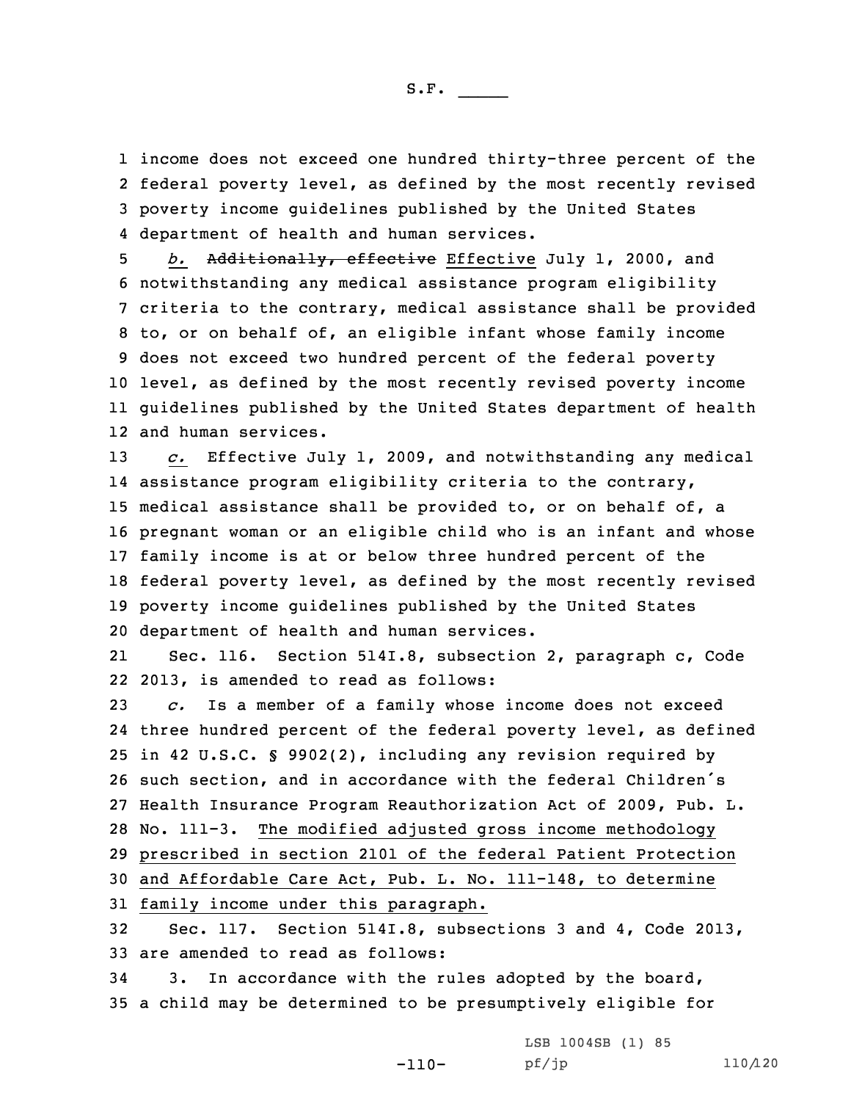income does not exceed one hundred thirty-three percent of the federal poverty level, as defined by the most recently revised poverty income guidelines published by the United States department of health and human services.

 *b.* Additionally, effective Effective July 1, 2000, and notwithstanding any medical assistance program eligibility criteria to the contrary, medical assistance shall be provided to, or on behalf of, an eligible infant whose family income does not exceed two hundred percent of the federal poverty level, as defined by the most recently revised poverty income guidelines published by the United States department of health and human services.

 *c.* Effective July 1, 2009, and notwithstanding any medical assistance program eligibility criteria to the contrary, medical assistance shall be provided to, or on behalf of, <sup>a</sup> pregnant woman or an eligible child who is an infant and whose family income is at or below three hundred percent of the federal poverty level, as defined by the most recently revised poverty income guidelines published by the United States department of health and human services.

21 Sec. 116. Section 514I.8, subsection 2, paragraph c, Code 22 2013, is amended to read as follows:

 *c.* Is <sup>a</sup> member of <sup>a</sup> family whose income does not exceed three hundred percent of the federal poverty level, as defined in 42 U.S.C. § 9902(2), including any revision required by such section, and in accordance with the federal Children's Health Insurance Program Reauthorization Act of 2009, Pub. L. No. 111-3. The modified adjusted gross income methodology prescribed in section 2101 of the federal Patient Protection and Affordable Care Act, Pub. L. No. 111-148, to determine family income under this paragraph.

32 Sec. 117. Section 514I.8, subsections 3 and 4, Code 2013, 33 are amended to read as follows:

-110-

34 3. In accordance with the rules adopted by the board, 35 <sup>a</sup> child may be determined to be presumptively eligible for

> LSB 1004SB (1) 85 pf/jp 110/120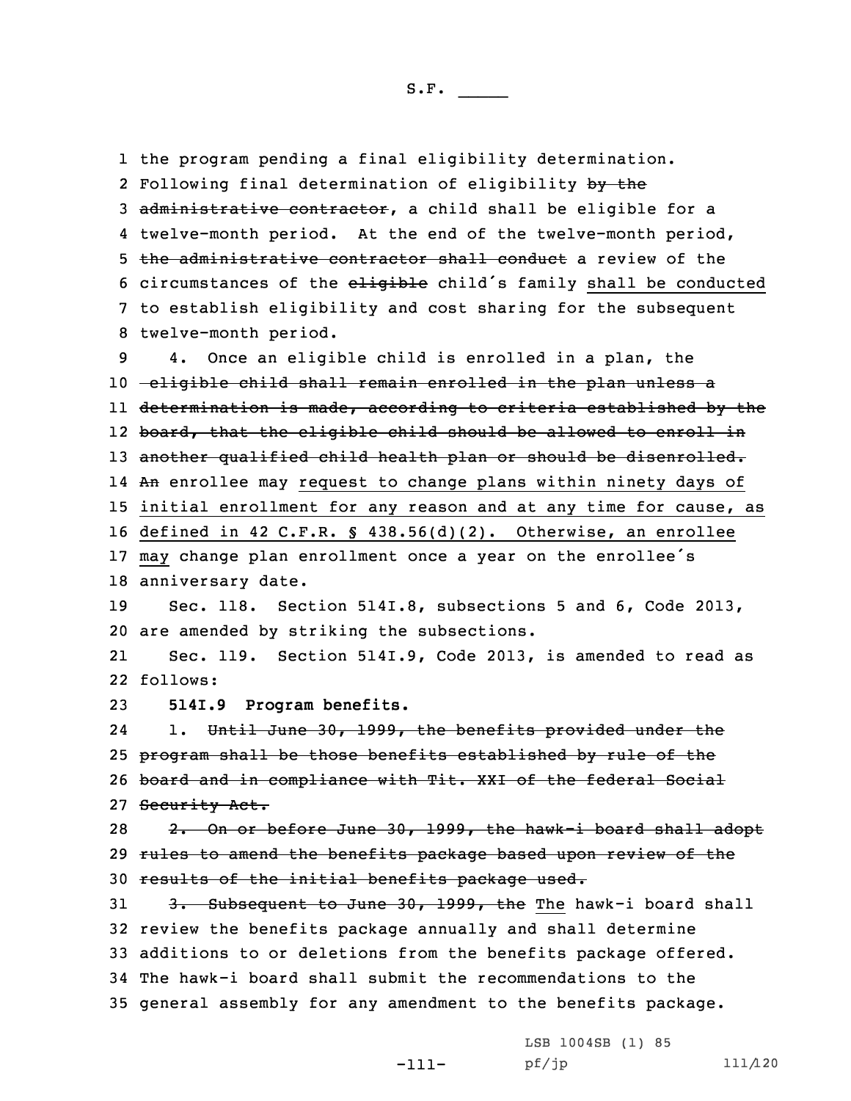1 the program pending <sup>a</sup> final eligibility determination. 2 Following final determination of eligibility by the 3 administrative contractor, a child shall be eligible for a 4 twelve-month period. At the end of the twelve-month period, 5 the administrative contractor shall conduct a review of the 6 circumstances of the eligible child's family shall be conducted 7 to establish eligibility and cost sharing for the subsequent 8 twelve-month period. 9 4. Once an eligible child is enrolled in <sup>a</sup> plan, the 10 -eligible child shall remain enrolled in the plan unless a 11 determination is made, according to criteria established by the 12 board, that the eligible child should be allowed to enroll in 13 another qualified child health plan or should be disenrolled. 14 <del>An</del> enrollee may request to change plans within ninety days of 15 initial enrollment for any reason and at any time for cause, as 16 defined in 42 C.F.R. § 438.56(d)(2). Otherwise, an enrollee <sup>17</sup> may change plan enrollment once <sup>a</sup> year on the enrollee's 18 anniversary date. 19 Sec. 118. Section 514I.8, subsections 5 and 6, Code 2013, 20 are amended by striking the subsections. 21 Sec. 119. Section 514I.9, Code 2013, is amended to read as 22 follows: 23 **514I.9 Program benefits.** 241. Until June 30, 1999, the benefits provided under the 25 program shall be those benefits established by rule of the 26 board and in compliance with Tit. XXI of the federal Social 27 Security Act. 28 2. On or before June 30, 1999, the hawk-i board shall adopt 29 rules to amend the benefits package based upon review of the 30 results of the initial benefits package used. 31 3. Subsequent to June 30, 1999, the The hawk-i board shall 32 review the benefits package annually and shall determine 33 additions to or deletions from the benefits package offered. 34 The hawk-i board shall submit the recommendations to the 35 general assembly for any amendment to the benefits package.

> -111-LSB 1004SB (1) 85 pf/jp 111/120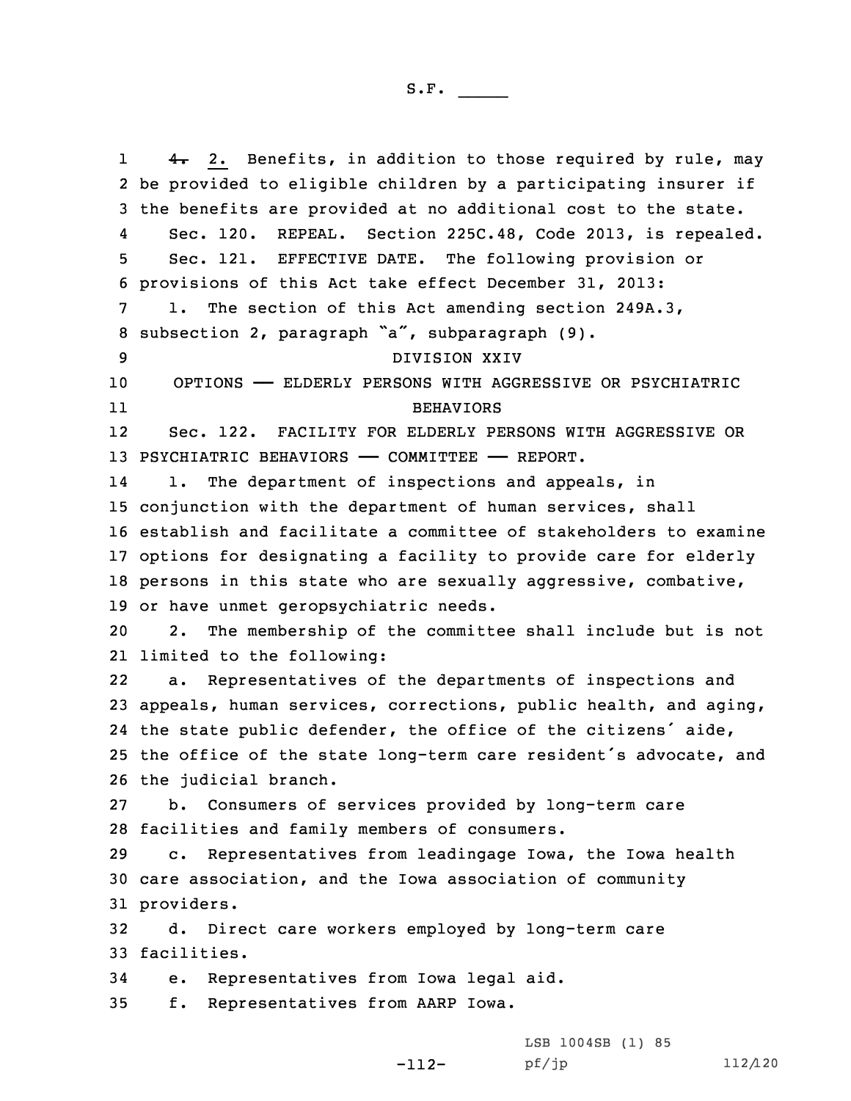14. 2. Benefits, in addition to those required by rule, may be provided to eligible children by <sup>a</sup> participating insurer if the benefits are provided at no additional cost to the state. 4 Sec. 120. REPEAL. Section 225C.48, Code 2013, is repealed. Sec. 121. EFFECTIVE DATE. The following provision or provisions of this Act take effect December 31, 2013: 1. The section of this Act amending section 249A.3, subsection 2, paragraph "a", subparagraph (9). DIVISION XXIV OPTIONS —— ELDERLY PERSONS WITH AGGRESSIVE OR PSYCHIATRIC 11 BEHAVIORS 12 Sec. 122. FACILITY FOR ELDERLY PERSONS WITH AGGRESSIVE OR 13 PSYCHIATRIC BEHAVIORS - COMMITTEE - REPORT. 14 1. The department of inspections and appeals, in conjunction with the department of human services, shall establish and facilitate <sup>a</sup> committee of stakeholders to examine options for designating <sup>a</sup> facility to provide care for elderly persons in this state who are sexually aggressive, combative, or have unmet geropsychiatric needs. 2. The membership of the committee shall include but is not limited to the following: 22 a. Representatives of the departments of inspections and appeals, human services, corrections, public health, and aging, the state public defender, the office of the citizens' aide, the office of the state long-term care resident's advocate, and the judicial branch. b. Consumers of services provided by long-term care facilities and family members of consumers. c. Representatives from leadingage Iowa, the Iowa health care association, and the Iowa association of community providers. d. Direct care workers employed by long-term care facilities. e. Representatives from Iowa legal aid. f. Representatives from AARP Iowa.

-112-

LSB 1004SB (1) 85 pf/jp 112/120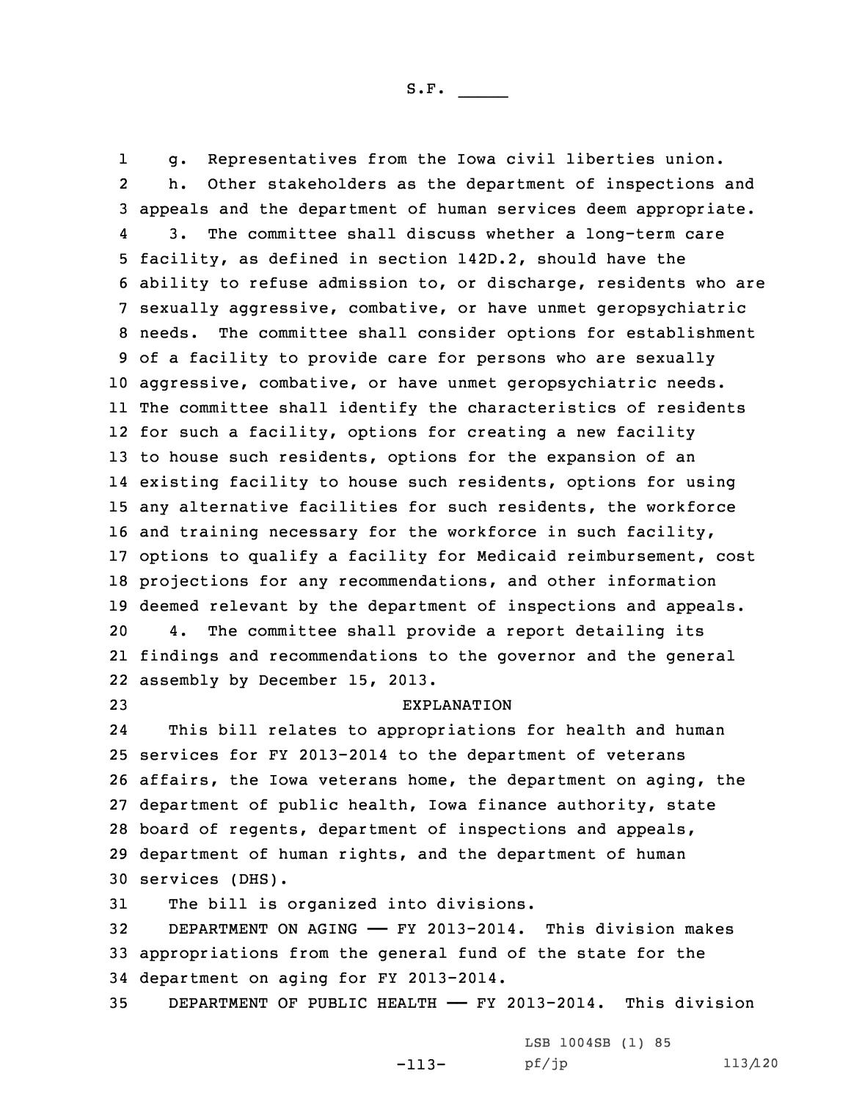1 g. Representatives from the Iowa civil liberties union. 2 h. Other stakeholders as the department of inspections and appeals and the department of human services deem appropriate. 4 3. The committee shall discuss whether <sup>a</sup> long-term care facility, as defined in section 142D.2, should have the ability to refuse admission to, or discharge, residents who are sexually aggressive, combative, or have unmet geropsychiatric needs. The committee shall consider options for establishment of <sup>a</sup> facility to provide care for persons who are sexually aggressive, combative, or have unmet geropsychiatric needs. The committee shall identify the characteristics of residents for such <sup>a</sup> facility, options for creating <sup>a</sup> new facility to house such residents, options for the expansion of an existing facility to house such residents, options for using any alternative facilities for such residents, the workforce and training necessary for the workforce in such facility, options to qualify <sup>a</sup> facility for Medicaid reimbursement, cost projections for any recommendations, and other information deemed relevant by the department of inspections and appeals. 4. The committee shall provide <sup>a</sup> report detailing its findings and recommendations to the governor and the general assembly by December 15, 2013. EXPLANATION 24 This bill relates to appropriations for health and human services for FY 2013-2014 to the department of veterans affairs, the Iowa veterans home, the department on aging, the department of public health, Iowa finance authority, state board of regents, department of inspections and appeals, department of human rights, and the department of human services (DHS). The bill is organized into divisions. DEPARTMENT ON AGING —— FY 2013-2014. This division makes

33 appropriations from the general fund of the state for the 34 department on aging for FY 2013-2014.

35 DEPARTMENT OF PUBLIC HEALTH —— FY 2013-2014. This division

-113-

LSB 1004SB (1) 85 pf/jp 113/120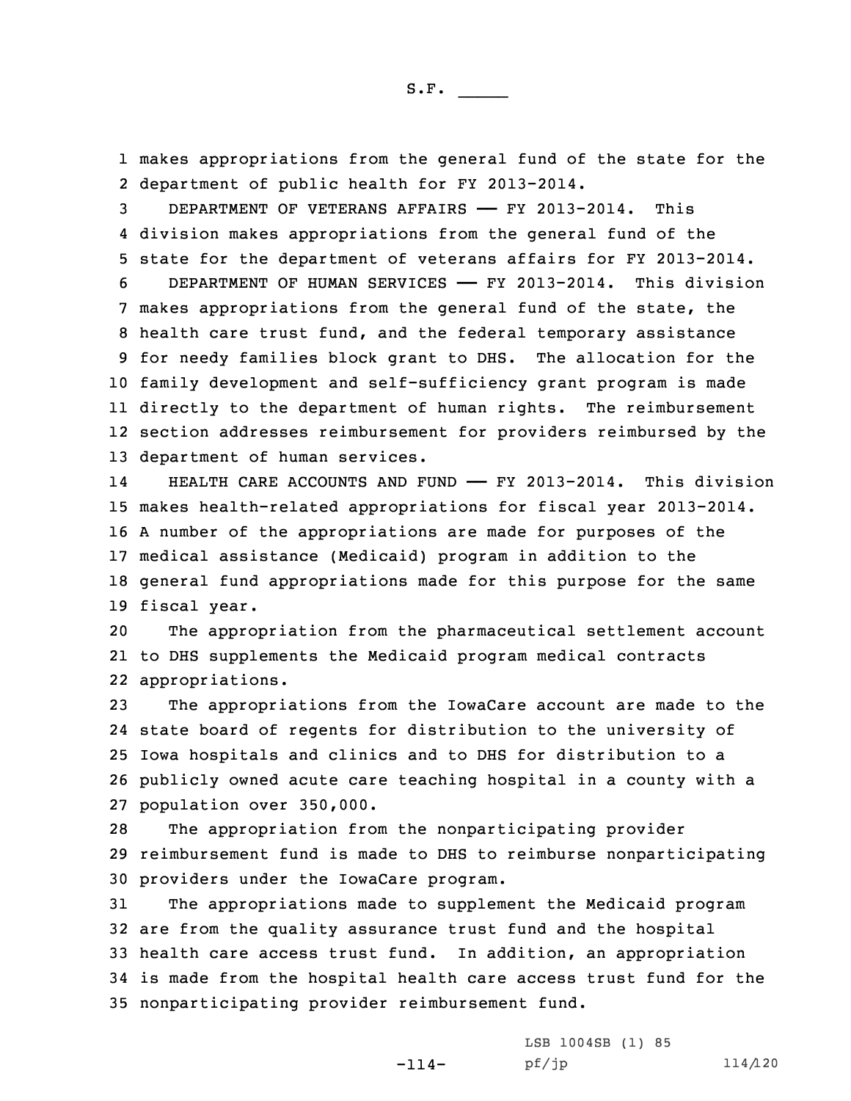1 makes appropriations from the general fund of the state for the 2 department of public health for FY 2013-2014.

 DEPARTMENT OF VETERANS AFFAIRS —— FY 2013-2014. This division makes appropriations from the general fund of the state for the department of veterans affairs for FY 2013-2014. DEPARTMENT OF HUMAN SERVICES —— FY 2013-2014. This division makes appropriations from the general fund of the state, the health care trust fund, and the federal temporary assistance for needy families block grant to DHS. The allocation for the family development and self-sufficiency grant program is made directly to the department of human rights. The reimbursement section addresses reimbursement for providers reimbursed by the department of human services.

14HEALTH CARE ACCOUNTS AND FUND - FY 2013-2014. This division makes health-related appropriations for fiscal year 2013-2014. <sup>A</sup> number of the appropriations are made for purposes of the medical assistance (Medicaid) program in addition to the general fund appropriations made for this purpose for the same fiscal year.

20 The appropriation from the pharmaceutical settlement account 21 to DHS supplements the Medicaid program medical contracts 22 appropriations.

 The appropriations from the IowaCare account are made to the state board of regents for distribution to the university of Iowa hospitals and clinics and to DHS for distribution to <sup>a</sup> publicly owned acute care teaching hospital in <sup>a</sup> county with <sup>a</sup> population over 350,000.

28 The appropriation from the nonparticipating provider 29 reimbursement fund is made to DHS to reimburse nonparticipating 30 providers under the IowaCare program.

 The appropriations made to supplement the Medicaid program are from the quality assurance trust fund and the hospital health care access trust fund. In addition, an appropriation is made from the hospital health care access trust fund for the nonparticipating provider reimbursement fund.

> -114-LSB 1004SB (1) 85 pf/jp 114/120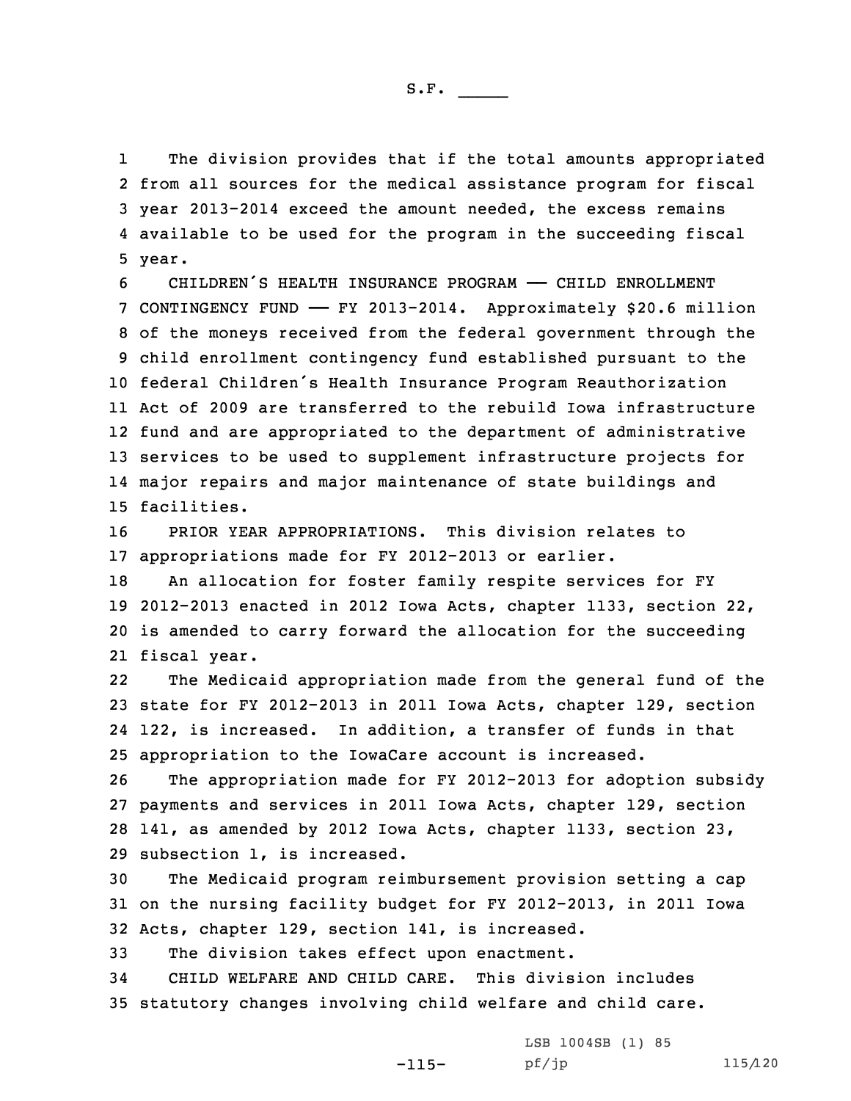1 The division provides that if the total amounts appropriated 2 from all sources for the medical assistance program for fiscal 3 year 2013-2014 exceed the amount needed, the excess remains 4 available to be used for the program in the succeeding fiscal 5 year.

 CHILDREN'S HEALTH INSURANCE PROGRAM —— CHILD ENROLLMENT CONTINGENCY FUND —— FY 2013-2014. Approximately \$20.6 million of the moneys received from the federal government through the child enrollment contingency fund established pursuant to the federal Children's Health Insurance Program Reauthorization Act of 2009 are transferred to the rebuild Iowa infrastructure fund and are appropriated to the department of administrative services to be used to supplement infrastructure projects for major repairs and major maintenance of state buildings and facilities.

16 PRIOR YEAR APPROPRIATIONS. This division relates to 17 appropriations made for FY 2012-2013 or earlier.

 An allocation for foster family respite services for FY 2012-2013 enacted in 2012 Iowa Acts, chapter 1133, section 22, is amended to carry forward the allocation for the succeeding fiscal year.

22 The Medicaid appropriation made from the general fund of the 23 state for FY 2012-2013 in 2011 Iowa Acts, chapter 129, section 24 122, is increased. In addition, <sup>a</sup> transfer of funds in that 25 appropriation to the IowaCare account is increased.

 The appropriation made for FY 2012-2013 for adoption subsidy payments and services in 2011 Iowa Acts, chapter 129, section 141, as amended by 2012 Iowa Acts, chapter 1133, section 23, subsection 1, is increased.

30 The Medicaid program reimbursement provision setting <sup>a</sup> cap 31 on the nursing facility budget for FY 2012-2013, in 2011 Iowa 32 Acts, chapter 129, section 141, is increased.

-115-

33 The division takes effect upon enactment.

34 CHILD WELFARE AND CHILD CARE. This division includes 35 statutory changes involving child welfare and child care.

> LSB 1004SB (1) 85 pf/jp 115/120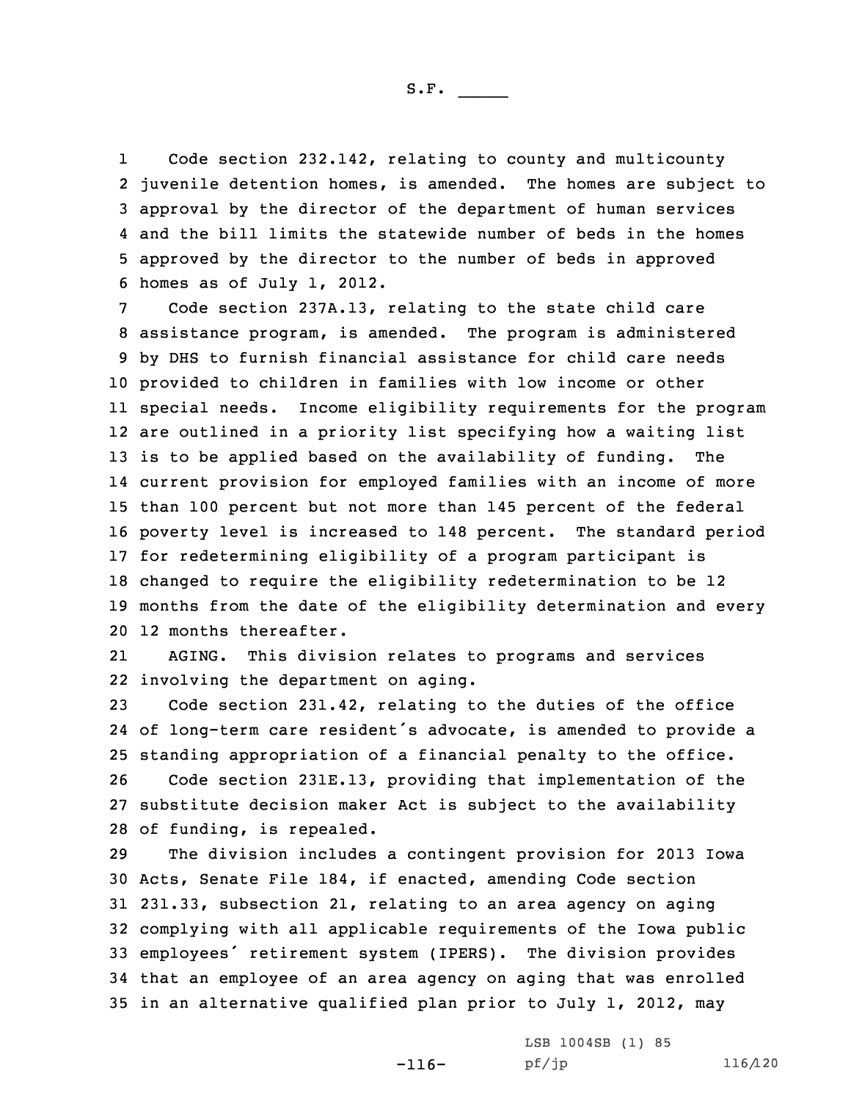1 Code section 232.142, relating to county and multicounty juvenile detention homes, is amended. The homes are subject to approval by the director of the department of human services and the bill limits the statewide number of beds in the homes approved by the director to the number of beds in approved homes as of July 1, 2012.

 Code section 237A.13, relating to the state child care assistance program, is amended. The program is administered by DHS to furnish financial assistance for child care needs provided to children in families with low income or other special needs. Income eligibility requirements for the program are outlined in <sup>a</sup> priority list specifying how <sup>a</sup> waiting list is to be applied based on the availability of funding. The current provision for employed families with an income of more than 100 percent but not more than 145 percent of the federal poverty level is increased to 148 percent. The standard period for redetermining eligibility of <sup>a</sup> program participant is changed to require the eligibility redetermination to be 12 months from the date of the eligibility determination and every 12 months thereafter.

21 AGING. This division relates to programs and services 22 involving the department on aging.

 Code section 231.42, relating to the duties of the office of long-term care resident's advocate, is amended to provide <sup>a</sup> standing appropriation of <sup>a</sup> financial penalty to the office. Code section 231E.13, providing that implementation of the substitute decision maker Act is subject to the availability of funding, is repealed.

 The division includes <sup>a</sup> contingent provision for 2013 Iowa Acts, Senate File 184, if enacted, amending Code section 231.33, subsection 21, relating to an area agency on aging complying with all applicable requirements of the Iowa public employees' retirement system (IPERS). The division provides that an employee of an area agency on aging that was enrolled in an alternative qualified plan prior to July 1, 2012, may

-116-

LSB 1004SB (1) 85 pf/jp 116/120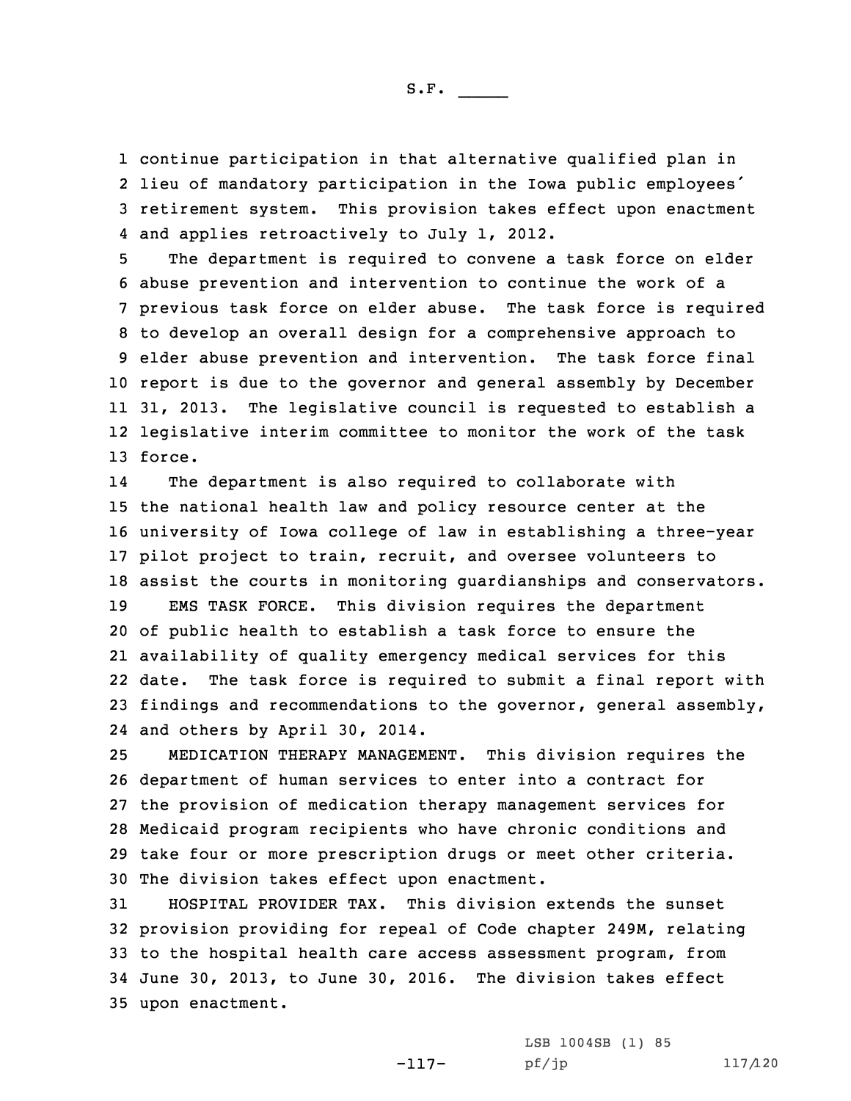continue participation in that alternative qualified plan in lieu of mandatory participation in the Iowa public employees' retirement system. This provision takes effect upon enactment and applies retroactively to July 1, 2012.

 The department is required to convene <sup>a</sup> task force on elder abuse prevention and intervention to continue the work of <sup>a</sup> previous task force on elder abuse. The task force is required to develop an overall design for <sup>a</sup> comprehensive approach to elder abuse prevention and intervention. The task force final report is due to the governor and general assembly by December 31, 2013. The legislative council is requested to establish <sup>a</sup> legislative interim committee to monitor the work of the task 13 force.

14 The department is also required to collaborate with the national health law and policy resource center at the university of Iowa college of law in establishing <sup>a</sup> three-year pilot project to train, recruit, and oversee volunteers to assist the courts in monitoring guardianships and conservators. EMS TASK FORCE. This division requires the department of public health to establish <sup>a</sup> task force to ensure the availability of quality emergency medical services for this date. The task force is required to submit <sup>a</sup> final report with findings and recommendations to the governor, general assembly, and others by April 30, 2014.

 MEDICATION THERAPY MANAGEMENT. This division requires the department of human services to enter into <sup>a</sup> contract for the provision of medication therapy management services for Medicaid program recipients who have chronic conditions and take four or more prescription drugs or meet other criteria. The division takes effect upon enactment.

 HOSPITAL PROVIDER TAX. This division extends the sunset provision providing for repeal of Code chapter 249M, relating to the hospital health care access assessment program, from June 30, 2013, to June 30, 2016. The division takes effect upon enactment.

-117-

LSB 1004SB (1) 85 pf/jp 117/120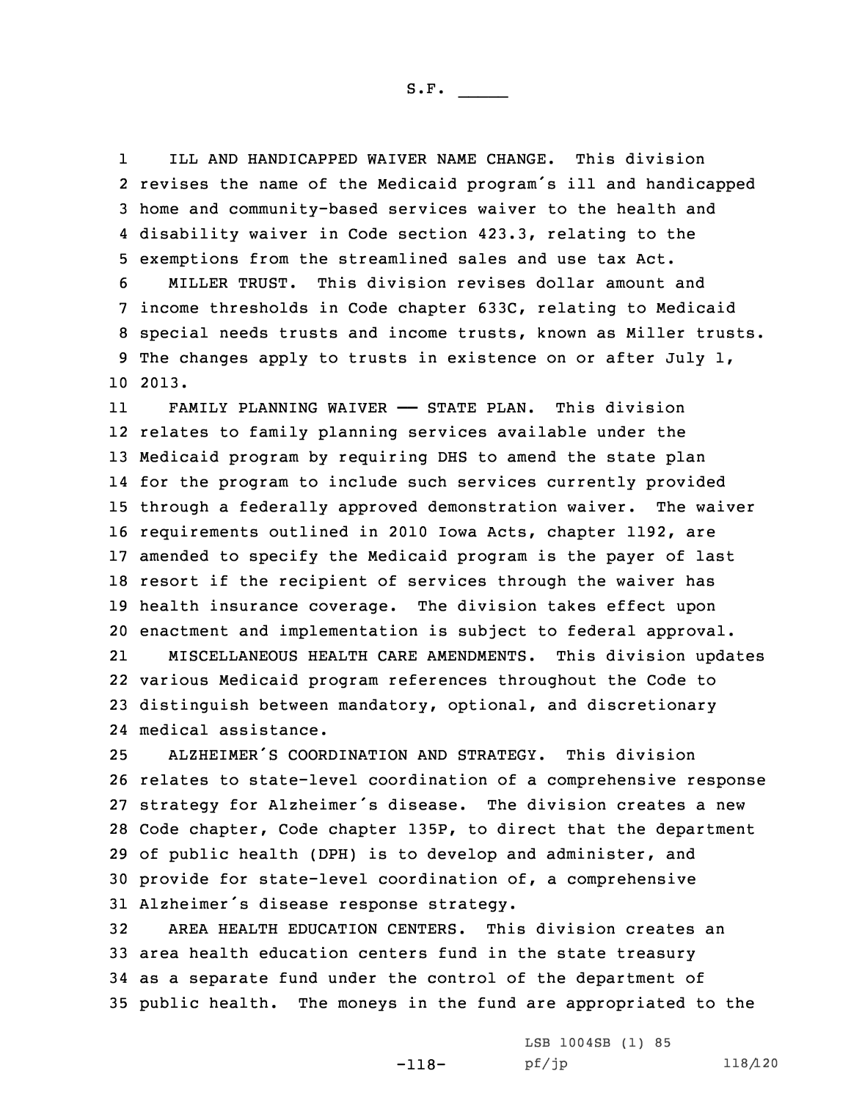1 ILL AND HANDICAPPED WAIVER NAME CHANGE. This division revises the name of the Medicaid program's ill and handicapped home and community-based services waiver to the health and disability waiver in Code section 423.3, relating to the exemptions from the streamlined sales and use tax Act. MILLER TRUST. This division revises dollar amount and

7 income thresholds in Code chapter 633C, relating to Medicaid 8 special needs trusts and income trusts, known as Miller trusts. 9 The changes apply to trusts in existence on or after July 1, 10 2013.

11 FAMILY PLANNING WAIVER —— STATE PLAN. This division relates to family planning services available under the Medicaid program by requiring DHS to amend the state plan for the program to include such services currently provided through <sup>a</sup> federally approved demonstration waiver. The waiver requirements outlined in 2010 Iowa Acts, chapter 1192, are amended to specify the Medicaid program is the payer of last resort if the recipient of services through the waiver has health insurance coverage. The division takes effect upon enactment and implementation is subject to federal approval.

21 MISCELLANEOUS HEALTH CARE AMENDMENTS. This division updates 22 various Medicaid program references throughout the Code to 23 distinguish between mandatory, optional, and discretionary 24 medical assistance.

 ALZHEIMER'S COORDINATION AND STRATEGY. This division relates to state-level coordination of <sup>a</sup> comprehensive response strategy for Alzheimer's disease. The division creates <sup>a</sup> new Code chapter, Code chapter 135P, to direct that the department of public health (DPH) is to develop and administer, and provide for state-level coordination of, <sup>a</sup> comprehensive Alzheimer's disease response strategy.

 AREA HEALTH EDUCATION CENTERS. This division creates an area health education centers fund in the state treasury as <sup>a</sup> separate fund under the control of the department of public health. The moneys in the fund are appropriated to the

-118-

LSB 1004SB (1) 85 pf/jp 118/120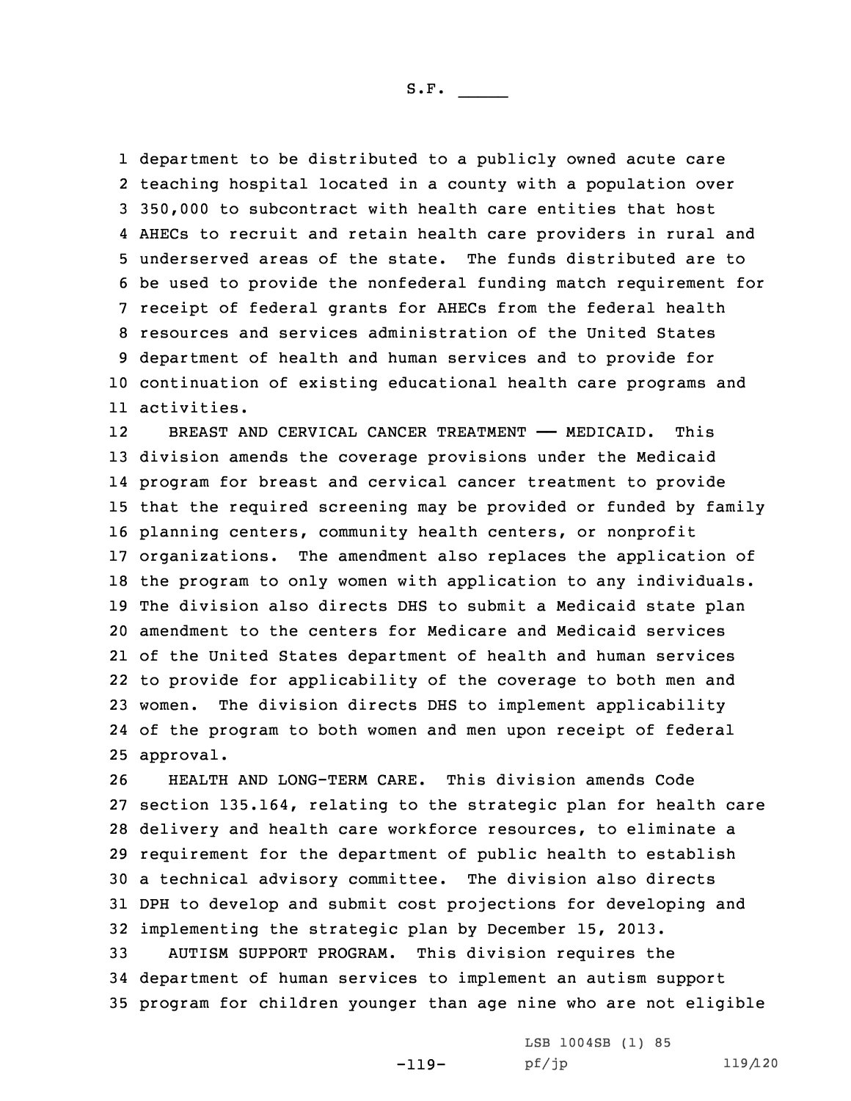department to be distributed to <sup>a</sup> publicly owned acute care teaching hospital located in <sup>a</sup> county with <sup>a</sup> population over 350,000 to subcontract with health care entities that host AHECs to recruit and retain health care providers in rural and underserved areas of the state. The funds distributed are to be used to provide the nonfederal funding match requirement for receipt of federal grants for AHECs from the federal health resources and services administration of the United States department of health and human services and to provide for continuation of existing educational health care programs and activities.

12 BREAST AND CERVICAL CANCER TREATMENT —— MEDICAID. This division amends the coverage provisions under the Medicaid program for breast and cervical cancer treatment to provide that the required screening may be provided or funded by family planning centers, community health centers, or nonprofit organizations. The amendment also replaces the application of the program to only women with application to any individuals. The division also directs DHS to submit <sup>a</sup> Medicaid state plan amendment to the centers for Medicare and Medicaid services of the United States department of health and human services to provide for applicability of the coverage to both men and women. The division directs DHS to implement applicability of the program to both women and men upon receipt of federal approval.

 HEALTH AND LONG-TERM CARE. This division amends Code section 135.164, relating to the strategic plan for health care delivery and health care workforce resources, to eliminate <sup>a</sup> requirement for the department of public health to establish <sup>a</sup> technical advisory committee. The division also directs DPH to develop and submit cost projections for developing and implementing the strategic plan by December 15, 2013. AUTISM SUPPORT PROGRAM. This division requires the

34 department of human services to implement an autism support 35 program for children younger than age nine who are not eligible

-119-

LSB 1004SB (1) 85 pf/jp 119/120